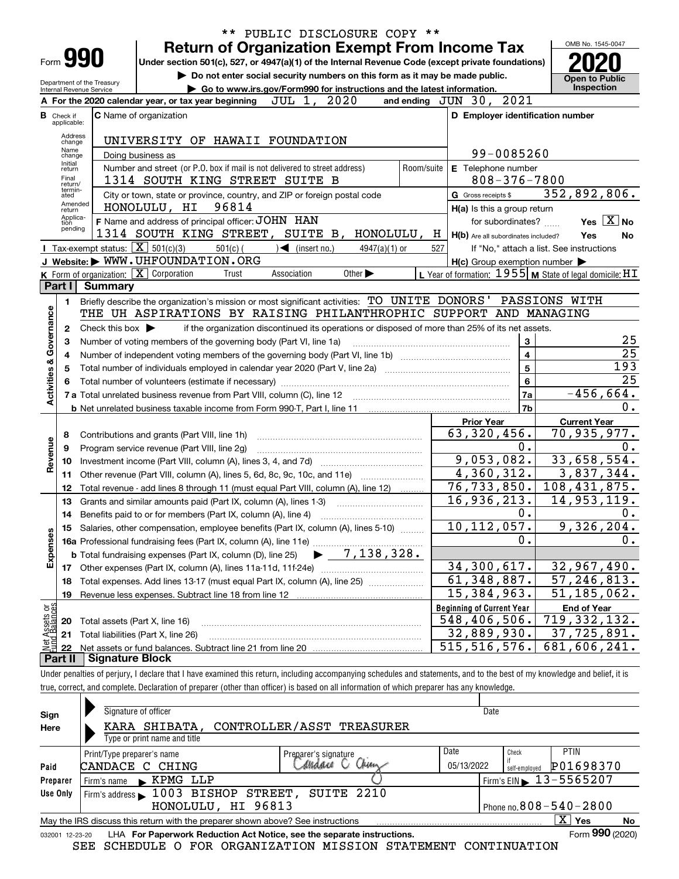| ** PUBLIC DISCLOSURE COPY **                   |                                                                                                                                  |                                                   |                                                                                                                                                                            |                                                     |                                                                     |  |  |  |  |  |
|------------------------------------------------|----------------------------------------------------------------------------------------------------------------------------------|---------------------------------------------------|----------------------------------------------------------------------------------------------------------------------------------------------------------------------------|-----------------------------------------------------|---------------------------------------------------------------------|--|--|--|--|--|
|                                                |                                                                                                                                  |                                                   | <b>Return of Organization Exempt From Income Tax</b>                                                                                                                       |                                                     | OMB No. 1545-0047                                                   |  |  |  |  |  |
| Form 990                                       |                                                                                                                                  |                                                   | Under section 501(c), 527, or 4947(a)(1) of the Internal Revenue Code (except private foundations)                                                                         |                                                     |                                                                     |  |  |  |  |  |
|                                                |                                                                                                                                  |                                                   | Do not enter social security numbers on this form as it may be made public.                                                                                                |                                                     | <b>Open to Public</b>                                               |  |  |  |  |  |
|                                                | Department of the Treasury<br>Go to www.irs.gov/Form990 for instructions and the latest information.<br>Internal Revenue Service |                                                   |                                                                                                                                                                            |                                                     |                                                                     |  |  |  |  |  |
|                                                |                                                                                                                                  |                                                   | JUL 1, 2020<br>A For the 2020 calendar year, or tax year beginning                                                                                                         | and ending JUN 30, 2021                             |                                                                     |  |  |  |  |  |
| в                                              | Check if<br>applicable:                                                                                                          |                                                   | <b>C</b> Name of organization                                                                                                                                              | D Employer identification number                    |                                                                     |  |  |  |  |  |
|                                                | Address                                                                                                                          |                                                   |                                                                                                                                                                            |                                                     |                                                                     |  |  |  |  |  |
|                                                | change<br>Name                                                                                                                   |                                                   | UNIVERSITY OF HAWAII FOUNDATION                                                                                                                                            |                                                     |                                                                     |  |  |  |  |  |
|                                                | change<br>Initial                                                                                                                |                                                   | Doing business as                                                                                                                                                          | 99-0085260                                          |                                                                     |  |  |  |  |  |
|                                                | return                                                                                                                           |                                                   | Number and street (or P.O. box if mail is not delivered to street address)<br>Room/suite                                                                                   | E Telephone number                                  |                                                                     |  |  |  |  |  |
|                                                | Final<br>return/<br>termin-                                                                                                      |                                                   | 1314 SOUTH KING STREET SUITE B                                                                                                                                             | $808 - 376 - 7800$                                  |                                                                     |  |  |  |  |  |
|                                                | ated<br>Amended                                                                                                                  |                                                   | City or town, state or province, country, and ZIP or foreign postal code                                                                                                   | G Gross receipts \$                                 | 352,892,806.                                                        |  |  |  |  |  |
|                                                | return<br>Applica-                                                                                                               |                                                   | 96814<br>HONOLULU, HI                                                                                                                                                      | H(a) Is this a group return                         |                                                                     |  |  |  |  |  |
|                                                | tion<br>pending                                                                                                                  |                                                   | F Name and address of principal officer: JOHN HAN                                                                                                                          | for subordinates?                                   | Yes $X$ No                                                          |  |  |  |  |  |
|                                                |                                                                                                                                  |                                                   | 1314 SOUTH KING STREET, SUITE B, HONOLULU, H                                                                                                                               | H(b) Are all subordinates included?                 | Yes<br>No                                                           |  |  |  |  |  |
|                                                |                                                                                                                                  | Tax-exempt status: $\boxed{\mathbf{X}}$ 501(c)(3) | $501(c)$ (<br>$\sqrt{\frac{1}{1}}$ (insert no.)<br>$4947(a)(1)$ or<br>J Website: WWW.UHFOUNDATION.ORG                                                                      | 527                                                 | If "No," attach a list. See instructions                            |  |  |  |  |  |
|                                                |                                                                                                                                  | $K$ Form of organization: $X$ Corporation         | Association<br>Other $\blacktriangleright$<br>Trust                                                                                                                        | $H(c)$ Group exemption number $\blacktriangleright$ | L Year of formation: $1955$ M State of legal domicile: $\text{H I}$ |  |  |  |  |  |
|                                                | Part I                                                                                                                           | <b>Summary</b>                                    |                                                                                                                                                                            |                                                     |                                                                     |  |  |  |  |  |
|                                                | 1                                                                                                                                |                                                   | Briefly describe the organization's mission or most significant activities: TO UNITE DONORS' PASSIONS WITH                                                                 |                                                     |                                                                     |  |  |  |  |  |
|                                                |                                                                                                                                  |                                                   | THE UH ASPIRATIONS BY RAISING PHILANTHROPHIC SUPPORT AND MANAGING                                                                                                          |                                                     |                                                                     |  |  |  |  |  |
|                                                | 2                                                                                                                                | Check this box $\blacktriangleright$              | if the organization discontinued its operations or disposed of more than 25% of its net assets.                                                                            |                                                     |                                                                     |  |  |  |  |  |
|                                                | з                                                                                                                                |                                                   | Number of voting members of the governing body (Part VI, line 1a)                                                                                                          | 3                                                   | 25                                                                  |  |  |  |  |  |
|                                                |                                                                                                                                  | $\overline{\mathbf{4}}$<br>4                      |                                                                                                                                                                            |                                                     |                                                                     |  |  |  |  |  |
|                                                | 5                                                                                                                                |                                                   | 5                                                                                                                                                                          | 25<br>193                                           |                                                                     |  |  |  |  |  |
| <b>Activities &amp; Governance</b>             | 6                                                                                                                                |                                                   |                                                                                                                                                                            | $6\phantom{a}$                                      | $\overline{25}$                                                     |  |  |  |  |  |
|                                                |                                                                                                                                  |                                                   |                                                                                                                                                                            | 7a                                                  | $-456,664.$                                                         |  |  |  |  |  |
|                                                |                                                                                                                                  |                                                   |                                                                                                                                                                            | 7b                                                  | 0.                                                                  |  |  |  |  |  |
|                                                |                                                                                                                                  |                                                   |                                                                                                                                                                            | <b>Prior Year</b>                                   | <b>Current Year</b>                                                 |  |  |  |  |  |
|                                                | 8                                                                                                                                |                                                   | Contributions and grants (Part VIII, line 1h)                                                                                                                              | $\overline{63}$ , 320, 456.                         | $\overline{70}$ , 935, 977.                                         |  |  |  |  |  |
| Revenue                                        | 9                                                                                                                                |                                                   | Program service revenue (Part VIII, line 2g)                                                                                                                               | $0$ .                                               | 0.                                                                  |  |  |  |  |  |
|                                                | 10                                                                                                                               |                                                   |                                                                                                                                                                            | 9,053,082.                                          | 33,658,554.                                                         |  |  |  |  |  |
|                                                | 11                                                                                                                               |                                                   | Other revenue (Part VIII, column (A), lines 5, 6d, 8c, 9c, 10c, and 11e)                                                                                                   | 4,360,312.                                          | 3,837,344.                                                          |  |  |  |  |  |
|                                                | 12                                                                                                                               |                                                   | Total revenue - add lines 8 through 11 (must equal Part VIII, column (A), line 12)                                                                                         | 76, 733, 850.                                       | 108,431,875.                                                        |  |  |  |  |  |
|                                                | 13                                                                                                                               |                                                   | Grants and similar amounts paid (Part IX, column (A), lines 1-3)                                                                                                           | 16,936,213.                                         | 14,953,119.                                                         |  |  |  |  |  |
|                                                | 14                                                                                                                               |                                                   | Benefits paid to or for members (Part IX, column (A), line 4)                                                                                                              | 0.                                                  | 0.                                                                  |  |  |  |  |  |
|                                                |                                                                                                                                  |                                                   | Salaries, other compensation, employee benefits (Part IX, column (A), lines 5-10)                                                                                          | 10, 112, 057.                                       | 9,326,204.                                                          |  |  |  |  |  |
|                                                |                                                                                                                                  |                                                   | 16a Professional fundraising fees (Part IX, column (A), line 11e)<br>7,138,328.                                                                                            | 0.                                                  | 0.                                                                  |  |  |  |  |  |
| Expenses                                       |                                                                                                                                  |                                                   | <b>b</b> Total fundraising expenses (Part IX, column (D), line 25)                                                                                                         |                                                     |                                                                     |  |  |  |  |  |
|                                                |                                                                                                                                  |                                                   | 17 Other expenses (Part IX, column (A), lines 11a-11d, 11f-24e)                                                                                                            | 34,300,617.                                         | 32,967,490.                                                         |  |  |  |  |  |
|                                                | 18                                                                                                                               |                                                   | Total expenses. Add lines 13-17 (must equal Part IX, column (A), line 25)                                                                                                  | $\overline{61,348,887}$ .                           | 57, 246, 813.                                                       |  |  |  |  |  |
|                                                | 19                                                                                                                               |                                                   | Revenue less expenses. Subtract line 18 from line 12                                                                                                                       | 15,384,963.                                         | 51, 185, 062.                                                       |  |  |  |  |  |
| Net Assets or<br>Eund Balances                 |                                                                                                                                  |                                                   |                                                                                                                                                                            | <b>Beginning of Current Year</b>                    | <b>End of Year</b>                                                  |  |  |  |  |  |
|                                                | 20                                                                                                                               | Total assets (Part X, line 16)                    |                                                                                                                                                                            | 548,406,506.                                        | 719, 332, 132.<br>$\overline{37,725,891.}$                          |  |  |  |  |  |
|                                                | 21                                                                                                                               |                                                   | Total liabilities (Part X, line 26)                                                                                                                                        | 32,889,930.<br>515, 516, 576.                       | 681,606,241.                                                        |  |  |  |  |  |
| 22<br><b>Signature Block</b><br><b>Part II</b> |                                                                                                                                  |                                                   |                                                                                                                                                                            |                                                     |                                                                     |  |  |  |  |  |
|                                                |                                                                                                                                  |                                                   | Under penalties of perjury, I declare that I have examined this return, including accompanying schedules and statements, and to the best of my knowledge and belief, it is |                                                     |                                                                     |  |  |  |  |  |
|                                                |                                                                                                                                  |                                                   |                                                                                                                                                                            |                                                     |                                                                     |  |  |  |  |  |

true, correct, and complete. Declaration of preparer (other than officer) is based on all information of which preparer has any knowledge.

| Sign<br>Here                                                                                                         | Signature of officer<br>Date<br>KARA SHIBATA, CONTROLLER/ASST TREASURER<br>Type or print name and title |                               |                    |                        |                                             |  |  |  |  |
|----------------------------------------------------------------------------------------------------------------------|---------------------------------------------------------------------------------------------------------|-------------------------------|--------------------|------------------------|---------------------------------------------|--|--|--|--|
| Paid                                                                                                                 | Print/Type preparer's name<br>CANDACE C CHING                                                           | Preparer's signature<br>Mars. | Date<br>05/13/2022 | Check<br>self-emploved | <b>PTIN</b><br>P01698370                    |  |  |  |  |
| Preparer                                                                                                             | Firm's name KPMG LLP                                                                                    |                               |                    |                        | Firm's EIN $\blacktriangleright$ 13-5565207 |  |  |  |  |
| Use Only                                                                                                             | Firm's address $\blacktriangleright$ 1003 BISHOP STREET,<br>HONOLULU, HI 96813                          | SUITE 2210                    |                    |                        | Phone no. $808 - 540 - 2800$                |  |  |  |  |
| $\overline{\mathrm{X}}$ Yes<br>May the IRS discuss this return with the preparer shown above? See instructions<br>No |                                                                                                         |                               |                    |                        |                                             |  |  |  |  |
| 032001 12-23-20                                                                                                      | LHA For Paperwork Reduction Act Notice, see the separate instructions.                                  |                               |                    |                        | Form 990 (2020)                             |  |  |  |  |
|                                                                                                                      | SEE SCHEDULE O FOR ORGANIZATION MISSION STATEMENT CONTINUATION                                          |                               |                    |                        |                                             |  |  |  |  |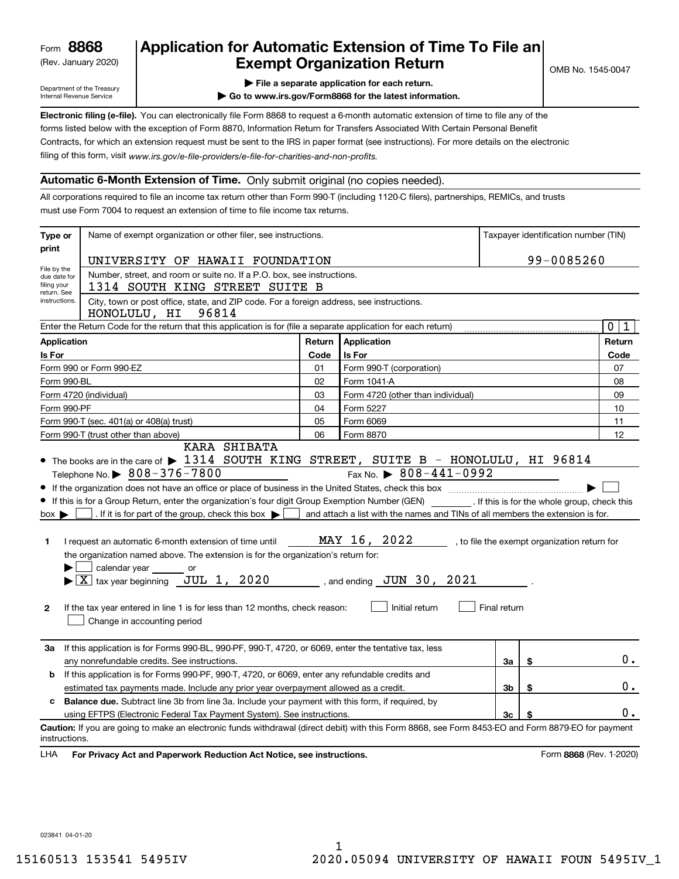(Rev. January 2020)

# **Application for Automatic Extension of Time To File an Exempt Organization Return**

Department of the Treasury Internal Revenue Service

**| File a separate application for each return.**

**| Go to www.irs.gov/Form8868 for the latest information.**

**Electronic filing (e-file).**  You can electronically file Form 8868 to request a 6-month automatic extension of time to file any of the filing of this form, visit www.irs.gov/e-file-providers/e-file-for-charities-and-non-profits. forms listed below with the exception of Form 8870, Information Return for Transfers Associated With Certain Personal Benefit Contracts, for which an extension request must be sent to the IRS in paper format (see instructions). For more details on the electronic

### **Automatic 6-Month Extension of Time.** Only submit original (no copies needed).

All corporations required to file an income tax return other than Form 990-T (including 1120-C filers), partnerships, REMICs, and trusts must use Form 7004 to request an extension of time to file income tax returns.

| Type or                                                                                                                        | Name of exempt organization or other filer, see instructions.                                                                                                                                                                                                                                                                                                                                                                                                                                                                                                                                                                                  |        |                                                                                                                                                                                            |              |    | Taxpayer identification number (TIN)         |  |  |
|--------------------------------------------------------------------------------------------------------------------------------|------------------------------------------------------------------------------------------------------------------------------------------------------------------------------------------------------------------------------------------------------------------------------------------------------------------------------------------------------------------------------------------------------------------------------------------------------------------------------------------------------------------------------------------------------------------------------------------------------------------------------------------------|--------|--------------------------------------------------------------------------------------------------------------------------------------------------------------------------------------------|--------------|----|----------------------------------------------|--|--|
| print                                                                                                                          |                                                                                                                                                                                                                                                                                                                                                                                                                                                                                                                                                                                                                                                |        |                                                                                                                                                                                            |              |    |                                              |  |  |
| File by the                                                                                                                    | UNIVERSITY OF HAWAII FOUNDATION                                                                                                                                                                                                                                                                                                                                                                                                                                                                                                                                                                                                                |        |                                                                                                                                                                                            |              |    | 99-0085260                                   |  |  |
| due date for<br>filing your<br>return. See                                                                                     | Number, street, and room or suite no. If a P.O. box, see instructions.<br>1314 SOUTH KING STREET SUITE B                                                                                                                                                                                                                                                                                                                                                                                                                                                                                                                                       |        |                                                                                                                                                                                            |              |    |                                              |  |  |
| instructions.                                                                                                                  | City, town or post office, state, and ZIP code. For a foreign address, see instructions.<br>HONOLULU, HI<br>96814                                                                                                                                                                                                                                                                                                                                                                                                                                                                                                                              |        |                                                                                                                                                                                            |              |    |                                              |  |  |
| $\mathbf 0$<br>Enter the Return Code for the return that this application is for (file a separate application for each return) |                                                                                                                                                                                                                                                                                                                                                                                                                                                                                                                                                                                                                                                |        |                                                                                                                                                                                            |              |    |                                              |  |  |
| <b>Application</b>                                                                                                             |                                                                                                                                                                                                                                                                                                                                                                                                                                                                                                                                                                                                                                                | Return | Application                                                                                                                                                                                |              |    | Return                                       |  |  |
| Is For                                                                                                                         |                                                                                                                                                                                                                                                                                                                                                                                                                                                                                                                                                                                                                                                | Code   | Is For                                                                                                                                                                                     |              |    | Code                                         |  |  |
|                                                                                                                                | Form 990 or Form 990-EZ                                                                                                                                                                                                                                                                                                                                                                                                                                                                                                                                                                                                                        | 01     | Form 990-T (corporation)                                                                                                                                                                   |              |    | 07                                           |  |  |
| Form 990-BL                                                                                                                    |                                                                                                                                                                                                                                                                                                                                                                                                                                                                                                                                                                                                                                                | 02     | Form 1041-A                                                                                                                                                                                |              |    | 08                                           |  |  |
|                                                                                                                                | Form 4720 (individual)                                                                                                                                                                                                                                                                                                                                                                                                                                                                                                                                                                                                                         | 03     | Form 4720 (other than individual)                                                                                                                                                          |              |    | 09                                           |  |  |
| Form 990-PF                                                                                                                    |                                                                                                                                                                                                                                                                                                                                                                                                                                                                                                                                                                                                                                                | 04     | Form 5227                                                                                                                                                                                  |              |    | 10                                           |  |  |
|                                                                                                                                | Form 990-T (sec. 401(a) or 408(a) trust)                                                                                                                                                                                                                                                                                                                                                                                                                                                                                                                                                                                                       | 05     | Form 6069                                                                                                                                                                                  |              |    | 11                                           |  |  |
|                                                                                                                                | Form 990-T (trust other than above)<br><b>KARA SHIBATA</b>                                                                                                                                                                                                                                                                                                                                                                                                                                                                                                                                                                                     | 06     | Form 8870                                                                                                                                                                                  |              |    | 12                                           |  |  |
| $box \blacktriangleright$<br>1<br>$\mathbf{2}$                                                                                 | Telephone No. $\triangleright$ 808-376-7800<br>If this is for a Group Return, enter the organization's four digit Group Exemption Number (GEN) [15] If this is for the whole group, check this<br>. If it is for part of the group, check this box $\blacktriangleright$<br>I request an automatic 6-month extension of time until<br>the organization named above. The extension is for the organization's return for:<br>calendar year or<br>$\blacktriangleright$ $ \underline{X} $ tax year beginning $\sqrt{U}$ JUL 1, 2020<br>If the tax year entered in line 1 is for less than 12 months, check reason:<br>Change in accounting period |        | Fax No. $\triangleright$ 808-441-0992<br>and attach a list with the names and TINs of all members the extension is for.<br>MAY 16, 2022<br>, and ending $JUN$ 30, $2021$<br>Initial return | Final return |    | , to file the exempt organization return for |  |  |
| За                                                                                                                             | If this application is for Forms 990-BL, 990-PF, 990-T, 4720, or 6069, enter the tentative tax, less<br>any nonrefundable credits. See instructions.                                                                                                                                                                                                                                                                                                                                                                                                                                                                                           |        |                                                                                                                                                                                            | За           | \$ | $0$ .                                        |  |  |
| b                                                                                                                              | If this application is for Forms 990-PF, 990-T, 4720, or 6069, enter any refundable credits and                                                                                                                                                                                                                                                                                                                                                                                                                                                                                                                                                |        |                                                                                                                                                                                            |              |    |                                              |  |  |
| Зb<br>\$<br>estimated tax payments made. Include any prior year overpayment allowed as a credit.                               |                                                                                                                                                                                                                                                                                                                                                                                                                                                                                                                                                                                                                                                |        |                                                                                                                                                                                            |              |    | 0.                                           |  |  |
| c                                                                                                                              | <b>Balance due.</b> Subtract line 3b from line 3a. Include your payment with this form, if required, by                                                                                                                                                                                                                                                                                                                                                                                                                                                                                                                                        |        |                                                                                                                                                                                            |              |    |                                              |  |  |
|                                                                                                                                | using EFTPS (Electronic Federal Tax Payment System). See instructions.                                                                                                                                                                                                                                                                                                                                                                                                                                                                                                                                                                         |        |                                                                                                                                                                                            | 3c           | \$ | 0.                                           |  |  |
| instructions.<br>LHA                                                                                                           | Caution: If you are going to make an electronic funds withdrawal (direct debit) with this Form 8868, see Form 8453-EO and Form 8879-EO for payment<br>For Privacy Act and Paperwork Reduction Act Notice, see instructions.                                                                                                                                                                                                                                                                                                                                                                                                                    |        |                                                                                                                                                                                            |              |    | Form 8868 (Rev. 1-2020)                      |  |  |

023841 04-01-20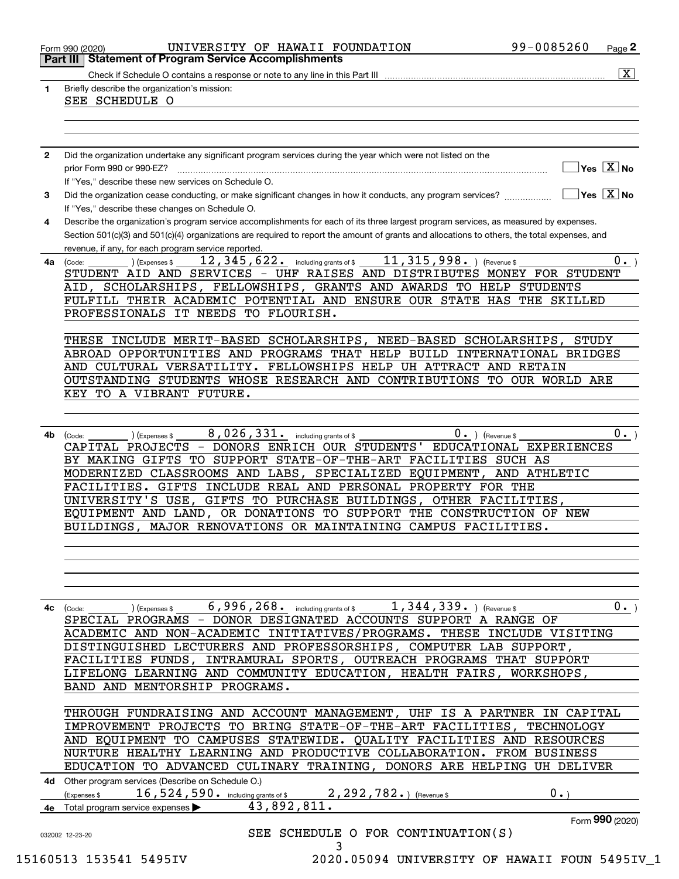| 1            | $\overline{\mathbf{x}}$<br>Briefly describe the organization's mission:                                                                                           |
|--------------|-------------------------------------------------------------------------------------------------------------------------------------------------------------------|
|              | SEE SCHEDULE O                                                                                                                                                    |
|              |                                                                                                                                                                   |
|              |                                                                                                                                                                   |
| $\mathbf{2}$ | Did the organization undertake any significant program services during the year which were not listed on the                                                      |
|              | $]$ Yes $[\overline{\mathrm{X}}]$ No<br>prior Form 990 or 990-EZ?                                                                                                 |
|              | If "Yes," describe these new services on Schedule O.<br>$\boxed{\phantom{1}}$ Yes $\boxed{\text{X}}$ No                                                           |
| 3            | Did the organization cease conducting, or make significant changes in how it conducts, any program services?<br>If "Yes," describe these changes on Schedule O.   |
| 4            | Describe the organization's program service accomplishments for each of its three largest program services, as measured by expenses.                              |
|              | Section 501(c)(3) and 501(c)(4) organizations are required to report the amount of grants and allocations to others, the total expenses, and                      |
| 4a           | revenue, if any, for each program service reported.<br>$11, 315, 998.$ (Revenue \$<br>12, 345, 622. including grants of \$<br>$0 \cdot$<br>(Expenses \$<br>(Code: |
|              | STUDENT AID AND SERVICES - UHF RAISES AND DISTRIBUTES MONEY FOR STUDENT                                                                                           |
|              | AID, SCHOLARSHIPS, FELLOWSHIPS, GRANTS AND AWARDS TO HELP STUDENTS                                                                                                |
|              | FULFILL THEIR ACADEMIC POTENTIAL AND ENSURE OUR STATE HAS THE SKILLED                                                                                             |
|              | PROFESSIONALS IT NEEDS TO FLOURISH.                                                                                                                               |
|              | THESE INCLUDE MERIT-BASED SCHOLARSHIPS, NEED-BASED SCHOLARSHIPS,<br>STUDY                                                                                         |
|              | ABROAD OPPORTUNITIES AND PROGRAMS THAT HELP BUILD INTERNATIONAL BRIDGES                                                                                           |
|              | AND CULTURAL VERSATILITY. FELLOWSHIPS HELP UH ATTRACT AND RETAIN                                                                                                  |
|              | OUTSTANDING STUDENTS WHOSE RESEARCH AND CONTRIBUTIONS TO OUR WORLD ARE<br>KEY TO A VIBRANT FUTURE.                                                                |
|              |                                                                                                                                                                   |
|              |                                                                                                                                                                   |
| 4b           | 8,026,331. including grants of \$<br>$0.$ ) (Revenue \$<br>0.<br>(Expenses \$<br>(Code:                                                                           |
|              | CAPITAL PROJECTS - DONORS ENRICH OUR STUDENTS' EDUCATIONAL EXPERIENCES<br>BY MAKING GIFTS TO SUPPORT STATE-OF-THE-ART FACILITIES SUCH AS                          |
|              | MODERNIZED CLASSROOMS AND LABS, SPECIALIZED EQUIPMENT, AND ATHLETIC                                                                                               |
|              | FACILITIES. GIFTS INCLUDE REAL AND PERSONAL PROPERTY FOR THE                                                                                                      |
|              | UNIVERSITY'S USE, GIFTS TO PURCHASE BUILDINGS, OTHER FACILITIES,                                                                                                  |
|              | EQUIPMENT AND LAND, OR DONATIONS TO SUPPORT THE CONSTRUCTION OF NEW<br>BUILDINGS, MAJOR RENOVATIONS OR MAINTAINING CAMPUS FACILITIES.                             |
|              |                                                                                                                                                                   |
|              |                                                                                                                                                                   |
|              |                                                                                                                                                                   |
|              |                                                                                                                                                                   |
|              | 6,996,268. including grants of \$<br>1,344,339.<br>$0 \cdot$<br>) (Expenses \$<br>(Revenue \$<br>(Code:                                                           |
| 4с           | SPECIAL PROGRAMS - DONOR DESIGNATED ACCOUNTS SUPPORT A RANGE OF                                                                                                   |
|              | ACADEMIC AND NON-ACADEMIC INITIATIVES/PROGRAMS. THESE INCLUDE VISITING                                                                                            |
|              |                                                                                                                                                                   |
|              | DISTINGUISHED LECTURERS AND PROFESSORSHIPS, COMPUTER LAB SUPPORT,                                                                                                 |
|              | FACILITIES FUNDS, INTRAMURAL SPORTS, OUTREACH PROGRAMS THAT SUPPORT<br>LIFELONG LEARNING AND COMMUNITY EDUCATION, HEALTH FAIRS,<br>WORKSHOPS,                     |
|              | BAND AND MENTORSHIP PROGRAMS.                                                                                                                                     |
|              |                                                                                                                                                                   |
|              | THROUGH FUNDRAISING AND ACCOUNT MANAGEMENT, UHF IS A PARTNER IN CAPITAL                                                                                           |
|              | IMPROVEMENT PROJECTS TO BRING STATE-OF-THE-ART FACILITIES, TECHNOLOGY<br>AND EQUIPMENT TO CAMPUSES STATEWIDE. QUALITY FACILITIES AND RESOURCES                    |
|              | NURTURE HEALTHY LEARNING AND PRODUCTIVE COLLABORATION. FROM BUSINESS                                                                                              |
|              | EDUCATION TO ADVANCED CULINARY TRAINING, DONORS ARE HELPING UH DELIVER                                                                                            |
|              | 4d Other program services (Describe on Schedule O.)                                                                                                               |
|              | 16,524,590. including grants of \$2,292,782.) (Revenue \$<br>$0 \cdot$<br>Expenses \$                                                                             |
| 4е           | 43,892,811.<br>Total program service expenses<br>Form 990 (2020)                                                                                                  |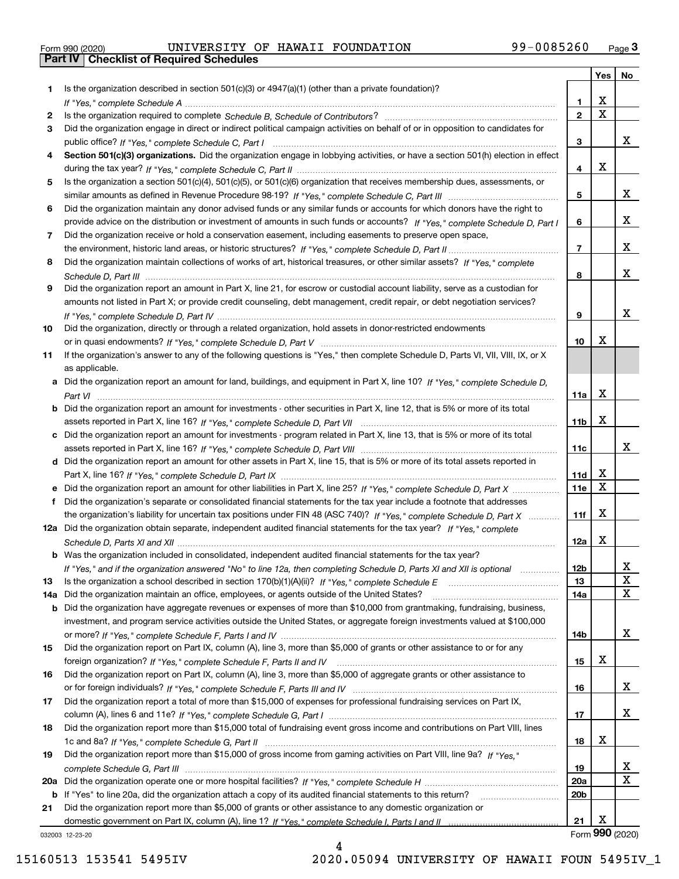|  | Form 990 (2020) |  |
|--|-----------------|--|

Form 990 (2020) UNIVERSITY OF HAWAII FOUNDATION 99-0085260 <sub>Page</sub> 3<br>**Part IV | Checklist of Required Schedules** 

| Is the organization described in section $501(c)(3)$ or $4947(a)(1)$ (other than a private foundation)?<br>1.<br>х<br>1.<br>$\overline{\mathbf{x}}$<br>$\mathbf{2}$<br>2<br>Did the organization engage in direct or indirect political campaign activities on behalf of or in opposition to candidates for<br>3<br>X<br>3<br>Section 501(c)(3) organizations. Did the organization engage in lobbying activities, or have a section 501(h) election in effect<br>4<br>X<br>4<br>Is the organization a section 501(c)(4), 501(c)(5), or 501(c)(6) organization that receives membership dues, assessments, or<br>5<br>x<br>5<br>Did the organization maintain any donor advised funds or any similar funds or accounts for which donors have the right to<br>6<br>X.<br>provide advice on the distribution or investment of amounts in such funds or accounts? If "Yes," complete Schedule D, Part I<br>6<br>Did the organization receive or hold a conservation easement, including easements to preserve open space,<br>7<br>X.<br>$\overline{7}$<br>Did the organization maintain collections of works of art, historical treasures, or other similar assets? If "Yes," complete<br>8<br>x<br>8<br>Did the organization report an amount in Part X, line 21, for escrow or custodial account liability, serve as a custodian for<br>9<br>amounts not listed in Part X; or provide credit counseling, debt management, credit repair, or debt negotiation services?<br>x<br>9<br>Did the organization, directly or through a related organization, hold assets in donor-restricted endowments<br>10<br>X<br>10<br>If the organization's answer to any of the following questions is "Yes," then complete Schedule D, Parts VI, VII, VIII, IX, or X<br>11<br>as applicable.<br>a Did the organization report an amount for land, buildings, and equipment in Part X, line 10? If "Yes," complete Schedule D,<br>х<br>11a<br><b>b</b> Did the organization report an amount for investments - other securities in Part X, line 12, that is 5% or more of its total<br>X<br>11 <sub>b</sub><br>c Did the organization report an amount for investments - program related in Part X, line 13, that is 5% or more of its total<br>x<br>11c<br>d Did the organization report an amount for other assets in Part X, line 15, that is 5% or more of its total assets reported in<br>х<br>11d<br>$\mathbf X$<br>11e<br>e Did the organization report an amount for other liabilities in Part X, line 25? If "Yes," complete Schedule D, Part X<br>f Did the organization's separate or consolidated financial statements for the tax year include a footnote that addresses<br>х<br>the organization's liability for uncertain tax positions under FIN 48 (ASC 740)? If "Yes," complete Schedule D, Part X<br>11f<br>12a Did the organization obtain separate, independent audited financial statements for the tax year? If "Yes," complete<br>Х<br>12a<br><b>b</b> Was the organization included in consolidated, independent audited financial statements for the tax year?<br>12 <sub>b</sub><br>x<br>If "Yes," and if the organization answered "No" to line 12a, then completing Schedule D, Parts XI and XII is optional manuman<br>X<br>13<br>13<br>$\mathbf X$<br>Did the organization maintain an office, employees, or agents outside of the United States?<br>14a<br>14a<br><b>b</b> Did the organization have aggregate revenues or expenses of more than \$10,000 from grantmaking, fundraising, business,<br>investment, and program service activities outside the United States, or aggregate foreign investments valued at \$100,000<br>x<br>14b<br>Did the organization report on Part IX, column (A), line 3, more than \$5,000 of grants or other assistance to or for any<br>15<br>х<br>15<br>Did the organization report on Part IX, column (A), line 3, more than \$5,000 of aggregate grants or other assistance to<br>16<br>x<br>16<br>Did the organization report a total of more than \$15,000 of expenses for professional fundraising services on Part IX,<br>17<br>x<br>17<br>Did the organization report more than \$15,000 total of fundraising event gross income and contributions on Part VIII, lines<br>18<br>х<br>18<br>Did the organization report more than \$15,000 of gross income from gaming activities on Part VIII, line 9a? If "Yes."<br>19<br>X,<br>19<br>X<br>20a<br>20a<br>If "Yes" to line 20a, did the organization attach a copy of its audited financial statements to this return?<br>20b<br>b<br>Did the organization report more than \$5,000 of grants or other assistance to any domestic organization or<br>21<br>Х<br>21<br>Form 990 (2020)<br>032003 12-23-20 |  | Yes | No |
|----------------------------------------------------------------------------------------------------------------------------------------------------------------------------------------------------------------------------------------------------------------------------------------------------------------------------------------------------------------------------------------------------------------------------------------------------------------------------------------------------------------------------------------------------------------------------------------------------------------------------------------------------------------------------------------------------------------------------------------------------------------------------------------------------------------------------------------------------------------------------------------------------------------------------------------------------------------------------------------------------------------------------------------------------------------------------------------------------------------------------------------------------------------------------------------------------------------------------------------------------------------------------------------------------------------------------------------------------------------------------------------------------------------------------------------------------------------------------------------------------------------------------------------------------------------------------------------------------------------------------------------------------------------------------------------------------------------------------------------------------------------------------------------------------------------------------------------------------------------------------------------------------------------------------------------------------------------------------------------------------------------------------------------------------------------------------------------------------------------------------------------------------------------------------------------------------------------------------------------------------------------------------------------------------------------------------------------------------------------------------------------------------------------------------------------------------------------------------------------------------------------------------------------------------------------------------------------------------------------------------------------------------------------------------------------------------------------------------------------------------------------------------------------------------------------------------------------------------------------------------------------------------------------------------------------------------------------------------------------------------------------------------------------------------------------------------------------------------------------------------------------------------------------------------------------------------------------------------------------------------------------------------------------------------------------------------------------------------------------------------------------------------------------------------------------------------------------------------------------------------------------------------------------------------------------------------------------------------------------------------------------------------------------------------------------------------------------------------------------------------------------------------------------------------------------------------------------------------------------------------------------------------------------------------------------------------------------------------------------------------------------------------------------------------------------------------------------------------------------------------------------------------------------------------------------------------------------------------------------------------------------------------------------------------------------------------------------------------------------------------------------------------------------------------------------------------------------------------------------------------------------------------------------------------------------------------------------------------------------------------------------------------------------------------------------------------------------------|--|-----|----|
|                                                                                                                                                                                                                                                                                                                                                                                                                                                                                                                                                                                                                                                                                                                                                                                                                                                                                                                                                                                                                                                                                                                                                                                                                                                                                                                                                                                                                                                                                                                                                                                                                                                                                                                                                                                                                                                                                                                                                                                                                                                                                                                                                                                                                                                                                                                                                                                                                                                                                                                                                                                                                                                                                                                                                                                                                                                                                                                                                                                                                                                                                                                                                                                                                                                                                                                                                                                                                                                                                                                                                                                                                                                                                                                                                                                                                                                                                                                                                                                                                                                                                                                                                                                                                                                                                                                                                                                                                                                                                                                                                                                                                                                                                                                      |  |     |    |
|                                                                                                                                                                                                                                                                                                                                                                                                                                                                                                                                                                                                                                                                                                                                                                                                                                                                                                                                                                                                                                                                                                                                                                                                                                                                                                                                                                                                                                                                                                                                                                                                                                                                                                                                                                                                                                                                                                                                                                                                                                                                                                                                                                                                                                                                                                                                                                                                                                                                                                                                                                                                                                                                                                                                                                                                                                                                                                                                                                                                                                                                                                                                                                                                                                                                                                                                                                                                                                                                                                                                                                                                                                                                                                                                                                                                                                                                                                                                                                                                                                                                                                                                                                                                                                                                                                                                                                                                                                                                                                                                                                                                                                                                                                                      |  |     |    |
|                                                                                                                                                                                                                                                                                                                                                                                                                                                                                                                                                                                                                                                                                                                                                                                                                                                                                                                                                                                                                                                                                                                                                                                                                                                                                                                                                                                                                                                                                                                                                                                                                                                                                                                                                                                                                                                                                                                                                                                                                                                                                                                                                                                                                                                                                                                                                                                                                                                                                                                                                                                                                                                                                                                                                                                                                                                                                                                                                                                                                                                                                                                                                                                                                                                                                                                                                                                                                                                                                                                                                                                                                                                                                                                                                                                                                                                                                                                                                                                                                                                                                                                                                                                                                                                                                                                                                                                                                                                                                                                                                                                                                                                                                                                      |  |     |    |
|                                                                                                                                                                                                                                                                                                                                                                                                                                                                                                                                                                                                                                                                                                                                                                                                                                                                                                                                                                                                                                                                                                                                                                                                                                                                                                                                                                                                                                                                                                                                                                                                                                                                                                                                                                                                                                                                                                                                                                                                                                                                                                                                                                                                                                                                                                                                                                                                                                                                                                                                                                                                                                                                                                                                                                                                                                                                                                                                                                                                                                                                                                                                                                                                                                                                                                                                                                                                                                                                                                                                                                                                                                                                                                                                                                                                                                                                                                                                                                                                                                                                                                                                                                                                                                                                                                                                                                                                                                                                                                                                                                                                                                                                                                                      |  |     |    |
|                                                                                                                                                                                                                                                                                                                                                                                                                                                                                                                                                                                                                                                                                                                                                                                                                                                                                                                                                                                                                                                                                                                                                                                                                                                                                                                                                                                                                                                                                                                                                                                                                                                                                                                                                                                                                                                                                                                                                                                                                                                                                                                                                                                                                                                                                                                                                                                                                                                                                                                                                                                                                                                                                                                                                                                                                                                                                                                                                                                                                                                                                                                                                                                                                                                                                                                                                                                                                                                                                                                                                                                                                                                                                                                                                                                                                                                                                                                                                                                                                                                                                                                                                                                                                                                                                                                                                                                                                                                                                                                                                                                                                                                                                                                      |  |     |    |
|                                                                                                                                                                                                                                                                                                                                                                                                                                                                                                                                                                                                                                                                                                                                                                                                                                                                                                                                                                                                                                                                                                                                                                                                                                                                                                                                                                                                                                                                                                                                                                                                                                                                                                                                                                                                                                                                                                                                                                                                                                                                                                                                                                                                                                                                                                                                                                                                                                                                                                                                                                                                                                                                                                                                                                                                                                                                                                                                                                                                                                                                                                                                                                                                                                                                                                                                                                                                                                                                                                                                                                                                                                                                                                                                                                                                                                                                                                                                                                                                                                                                                                                                                                                                                                                                                                                                                                                                                                                                                                                                                                                                                                                                                                                      |  |     |    |
|                                                                                                                                                                                                                                                                                                                                                                                                                                                                                                                                                                                                                                                                                                                                                                                                                                                                                                                                                                                                                                                                                                                                                                                                                                                                                                                                                                                                                                                                                                                                                                                                                                                                                                                                                                                                                                                                                                                                                                                                                                                                                                                                                                                                                                                                                                                                                                                                                                                                                                                                                                                                                                                                                                                                                                                                                                                                                                                                                                                                                                                                                                                                                                                                                                                                                                                                                                                                                                                                                                                                                                                                                                                                                                                                                                                                                                                                                                                                                                                                                                                                                                                                                                                                                                                                                                                                                                                                                                                                                                                                                                                                                                                                                                                      |  |     |    |
|                                                                                                                                                                                                                                                                                                                                                                                                                                                                                                                                                                                                                                                                                                                                                                                                                                                                                                                                                                                                                                                                                                                                                                                                                                                                                                                                                                                                                                                                                                                                                                                                                                                                                                                                                                                                                                                                                                                                                                                                                                                                                                                                                                                                                                                                                                                                                                                                                                                                                                                                                                                                                                                                                                                                                                                                                                                                                                                                                                                                                                                                                                                                                                                                                                                                                                                                                                                                                                                                                                                                                                                                                                                                                                                                                                                                                                                                                                                                                                                                                                                                                                                                                                                                                                                                                                                                                                                                                                                                                                                                                                                                                                                                                                                      |  |     |    |
|                                                                                                                                                                                                                                                                                                                                                                                                                                                                                                                                                                                                                                                                                                                                                                                                                                                                                                                                                                                                                                                                                                                                                                                                                                                                                                                                                                                                                                                                                                                                                                                                                                                                                                                                                                                                                                                                                                                                                                                                                                                                                                                                                                                                                                                                                                                                                                                                                                                                                                                                                                                                                                                                                                                                                                                                                                                                                                                                                                                                                                                                                                                                                                                                                                                                                                                                                                                                                                                                                                                                                                                                                                                                                                                                                                                                                                                                                                                                                                                                                                                                                                                                                                                                                                                                                                                                                                                                                                                                                                                                                                                                                                                                                                                      |  |     |    |
|                                                                                                                                                                                                                                                                                                                                                                                                                                                                                                                                                                                                                                                                                                                                                                                                                                                                                                                                                                                                                                                                                                                                                                                                                                                                                                                                                                                                                                                                                                                                                                                                                                                                                                                                                                                                                                                                                                                                                                                                                                                                                                                                                                                                                                                                                                                                                                                                                                                                                                                                                                                                                                                                                                                                                                                                                                                                                                                                                                                                                                                                                                                                                                                                                                                                                                                                                                                                                                                                                                                                                                                                                                                                                                                                                                                                                                                                                                                                                                                                                                                                                                                                                                                                                                                                                                                                                                                                                                                                                                                                                                                                                                                                                                                      |  |     |    |
|                                                                                                                                                                                                                                                                                                                                                                                                                                                                                                                                                                                                                                                                                                                                                                                                                                                                                                                                                                                                                                                                                                                                                                                                                                                                                                                                                                                                                                                                                                                                                                                                                                                                                                                                                                                                                                                                                                                                                                                                                                                                                                                                                                                                                                                                                                                                                                                                                                                                                                                                                                                                                                                                                                                                                                                                                                                                                                                                                                                                                                                                                                                                                                                                                                                                                                                                                                                                                                                                                                                                                                                                                                                                                                                                                                                                                                                                                                                                                                                                                                                                                                                                                                                                                                                                                                                                                                                                                                                                                                                                                                                                                                                                                                                      |  |     |    |
|                                                                                                                                                                                                                                                                                                                                                                                                                                                                                                                                                                                                                                                                                                                                                                                                                                                                                                                                                                                                                                                                                                                                                                                                                                                                                                                                                                                                                                                                                                                                                                                                                                                                                                                                                                                                                                                                                                                                                                                                                                                                                                                                                                                                                                                                                                                                                                                                                                                                                                                                                                                                                                                                                                                                                                                                                                                                                                                                                                                                                                                                                                                                                                                                                                                                                                                                                                                                                                                                                                                                                                                                                                                                                                                                                                                                                                                                                                                                                                                                                                                                                                                                                                                                                                                                                                                                                                                                                                                                                                                                                                                                                                                                                                                      |  |     |    |
|                                                                                                                                                                                                                                                                                                                                                                                                                                                                                                                                                                                                                                                                                                                                                                                                                                                                                                                                                                                                                                                                                                                                                                                                                                                                                                                                                                                                                                                                                                                                                                                                                                                                                                                                                                                                                                                                                                                                                                                                                                                                                                                                                                                                                                                                                                                                                                                                                                                                                                                                                                                                                                                                                                                                                                                                                                                                                                                                                                                                                                                                                                                                                                                                                                                                                                                                                                                                                                                                                                                                                                                                                                                                                                                                                                                                                                                                                                                                                                                                                                                                                                                                                                                                                                                                                                                                                                                                                                                                                                                                                                                                                                                                                                                      |  |     |    |
|                                                                                                                                                                                                                                                                                                                                                                                                                                                                                                                                                                                                                                                                                                                                                                                                                                                                                                                                                                                                                                                                                                                                                                                                                                                                                                                                                                                                                                                                                                                                                                                                                                                                                                                                                                                                                                                                                                                                                                                                                                                                                                                                                                                                                                                                                                                                                                                                                                                                                                                                                                                                                                                                                                                                                                                                                                                                                                                                                                                                                                                                                                                                                                                                                                                                                                                                                                                                                                                                                                                                                                                                                                                                                                                                                                                                                                                                                                                                                                                                                                                                                                                                                                                                                                                                                                                                                                                                                                                                                                                                                                                                                                                                                                                      |  |     |    |
|                                                                                                                                                                                                                                                                                                                                                                                                                                                                                                                                                                                                                                                                                                                                                                                                                                                                                                                                                                                                                                                                                                                                                                                                                                                                                                                                                                                                                                                                                                                                                                                                                                                                                                                                                                                                                                                                                                                                                                                                                                                                                                                                                                                                                                                                                                                                                                                                                                                                                                                                                                                                                                                                                                                                                                                                                                                                                                                                                                                                                                                                                                                                                                                                                                                                                                                                                                                                                                                                                                                                                                                                                                                                                                                                                                                                                                                                                                                                                                                                                                                                                                                                                                                                                                                                                                                                                                                                                                                                                                                                                                                                                                                                                                                      |  |     |    |
|                                                                                                                                                                                                                                                                                                                                                                                                                                                                                                                                                                                                                                                                                                                                                                                                                                                                                                                                                                                                                                                                                                                                                                                                                                                                                                                                                                                                                                                                                                                                                                                                                                                                                                                                                                                                                                                                                                                                                                                                                                                                                                                                                                                                                                                                                                                                                                                                                                                                                                                                                                                                                                                                                                                                                                                                                                                                                                                                                                                                                                                                                                                                                                                                                                                                                                                                                                                                                                                                                                                                                                                                                                                                                                                                                                                                                                                                                                                                                                                                                                                                                                                                                                                                                                                                                                                                                                                                                                                                                                                                                                                                                                                                                                                      |  |     |    |
|                                                                                                                                                                                                                                                                                                                                                                                                                                                                                                                                                                                                                                                                                                                                                                                                                                                                                                                                                                                                                                                                                                                                                                                                                                                                                                                                                                                                                                                                                                                                                                                                                                                                                                                                                                                                                                                                                                                                                                                                                                                                                                                                                                                                                                                                                                                                                                                                                                                                                                                                                                                                                                                                                                                                                                                                                                                                                                                                                                                                                                                                                                                                                                                                                                                                                                                                                                                                                                                                                                                                                                                                                                                                                                                                                                                                                                                                                                                                                                                                                                                                                                                                                                                                                                                                                                                                                                                                                                                                                                                                                                                                                                                                                                                      |  |     |    |
|                                                                                                                                                                                                                                                                                                                                                                                                                                                                                                                                                                                                                                                                                                                                                                                                                                                                                                                                                                                                                                                                                                                                                                                                                                                                                                                                                                                                                                                                                                                                                                                                                                                                                                                                                                                                                                                                                                                                                                                                                                                                                                                                                                                                                                                                                                                                                                                                                                                                                                                                                                                                                                                                                                                                                                                                                                                                                                                                                                                                                                                                                                                                                                                                                                                                                                                                                                                                                                                                                                                                                                                                                                                                                                                                                                                                                                                                                                                                                                                                                                                                                                                                                                                                                                                                                                                                                                                                                                                                                                                                                                                                                                                                                                                      |  |     |    |
|                                                                                                                                                                                                                                                                                                                                                                                                                                                                                                                                                                                                                                                                                                                                                                                                                                                                                                                                                                                                                                                                                                                                                                                                                                                                                                                                                                                                                                                                                                                                                                                                                                                                                                                                                                                                                                                                                                                                                                                                                                                                                                                                                                                                                                                                                                                                                                                                                                                                                                                                                                                                                                                                                                                                                                                                                                                                                                                                                                                                                                                                                                                                                                                                                                                                                                                                                                                                                                                                                                                                                                                                                                                                                                                                                                                                                                                                                                                                                                                                                                                                                                                                                                                                                                                                                                                                                                                                                                                                                                                                                                                                                                                                                                                      |  |     |    |
|                                                                                                                                                                                                                                                                                                                                                                                                                                                                                                                                                                                                                                                                                                                                                                                                                                                                                                                                                                                                                                                                                                                                                                                                                                                                                                                                                                                                                                                                                                                                                                                                                                                                                                                                                                                                                                                                                                                                                                                                                                                                                                                                                                                                                                                                                                                                                                                                                                                                                                                                                                                                                                                                                                                                                                                                                                                                                                                                                                                                                                                                                                                                                                                                                                                                                                                                                                                                                                                                                                                                                                                                                                                                                                                                                                                                                                                                                                                                                                                                                                                                                                                                                                                                                                                                                                                                                                                                                                                                                                                                                                                                                                                                                                                      |  |     |    |
|                                                                                                                                                                                                                                                                                                                                                                                                                                                                                                                                                                                                                                                                                                                                                                                                                                                                                                                                                                                                                                                                                                                                                                                                                                                                                                                                                                                                                                                                                                                                                                                                                                                                                                                                                                                                                                                                                                                                                                                                                                                                                                                                                                                                                                                                                                                                                                                                                                                                                                                                                                                                                                                                                                                                                                                                                                                                                                                                                                                                                                                                                                                                                                                                                                                                                                                                                                                                                                                                                                                                                                                                                                                                                                                                                                                                                                                                                                                                                                                                                                                                                                                                                                                                                                                                                                                                                                                                                                                                                                                                                                                                                                                                                                                      |  |     |    |
|                                                                                                                                                                                                                                                                                                                                                                                                                                                                                                                                                                                                                                                                                                                                                                                                                                                                                                                                                                                                                                                                                                                                                                                                                                                                                                                                                                                                                                                                                                                                                                                                                                                                                                                                                                                                                                                                                                                                                                                                                                                                                                                                                                                                                                                                                                                                                                                                                                                                                                                                                                                                                                                                                                                                                                                                                                                                                                                                                                                                                                                                                                                                                                                                                                                                                                                                                                                                                                                                                                                                                                                                                                                                                                                                                                                                                                                                                                                                                                                                                                                                                                                                                                                                                                                                                                                                                                                                                                                                                                                                                                                                                                                                                                                      |  |     |    |
|                                                                                                                                                                                                                                                                                                                                                                                                                                                                                                                                                                                                                                                                                                                                                                                                                                                                                                                                                                                                                                                                                                                                                                                                                                                                                                                                                                                                                                                                                                                                                                                                                                                                                                                                                                                                                                                                                                                                                                                                                                                                                                                                                                                                                                                                                                                                                                                                                                                                                                                                                                                                                                                                                                                                                                                                                                                                                                                                                                                                                                                                                                                                                                                                                                                                                                                                                                                                                                                                                                                                                                                                                                                                                                                                                                                                                                                                                                                                                                                                                                                                                                                                                                                                                                                                                                                                                                                                                                                                                                                                                                                                                                                                                                                      |  |     |    |
|                                                                                                                                                                                                                                                                                                                                                                                                                                                                                                                                                                                                                                                                                                                                                                                                                                                                                                                                                                                                                                                                                                                                                                                                                                                                                                                                                                                                                                                                                                                                                                                                                                                                                                                                                                                                                                                                                                                                                                                                                                                                                                                                                                                                                                                                                                                                                                                                                                                                                                                                                                                                                                                                                                                                                                                                                                                                                                                                                                                                                                                                                                                                                                                                                                                                                                                                                                                                                                                                                                                                                                                                                                                                                                                                                                                                                                                                                                                                                                                                                                                                                                                                                                                                                                                                                                                                                                                                                                                                                                                                                                                                                                                                                                                      |  |     |    |
|                                                                                                                                                                                                                                                                                                                                                                                                                                                                                                                                                                                                                                                                                                                                                                                                                                                                                                                                                                                                                                                                                                                                                                                                                                                                                                                                                                                                                                                                                                                                                                                                                                                                                                                                                                                                                                                                                                                                                                                                                                                                                                                                                                                                                                                                                                                                                                                                                                                                                                                                                                                                                                                                                                                                                                                                                                                                                                                                                                                                                                                                                                                                                                                                                                                                                                                                                                                                                                                                                                                                                                                                                                                                                                                                                                                                                                                                                                                                                                                                                                                                                                                                                                                                                                                                                                                                                                                                                                                                                                                                                                                                                                                                                                                      |  |     |    |
|                                                                                                                                                                                                                                                                                                                                                                                                                                                                                                                                                                                                                                                                                                                                                                                                                                                                                                                                                                                                                                                                                                                                                                                                                                                                                                                                                                                                                                                                                                                                                                                                                                                                                                                                                                                                                                                                                                                                                                                                                                                                                                                                                                                                                                                                                                                                                                                                                                                                                                                                                                                                                                                                                                                                                                                                                                                                                                                                                                                                                                                                                                                                                                                                                                                                                                                                                                                                                                                                                                                                                                                                                                                                                                                                                                                                                                                                                                                                                                                                                                                                                                                                                                                                                                                                                                                                                                                                                                                                                                                                                                                                                                                                                                                      |  |     |    |
|                                                                                                                                                                                                                                                                                                                                                                                                                                                                                                                                                                                                                                                                                                                                                                                                                                                                                                                                                                                                                                                                                                                                                                                                                                                                                                                                                                                                                                                                                                                                                                                                                                                                                                                                                                                                                                                                                                                                                                                                                                                                                                                                                                                                                                                                                                                                                                                                                                                                                                                                                                                                                                                                                                                                                                                                                                                                                                                                                                                                                                                                                                                                                                                                                                                                                                                                                                                                                                                                                                                                                                                                                                                                                                                                                                                                                                                                                                                                                                                                                                                                                                                                                                                                                                                                                                                                                                                                                                                                                                                                                                                                                                                                                                                      |  |     |    |
|                                                                                                                                                                                                                                                                                                                                                                                                                                                                                                                                                                                                                                                                                                                                                                                                                                                                                                                                                                                                                                                                                                                                                                                                                                                                                                                                                                                                                                                                                                                                                                                                                                                                                                                                                                                                                                                                                                                                                                                                                                                                                                                                                                                                                                                                                                                                                                                                                                                                                                                                                                                                                                                                                                                                                                                                                                                                                                                                                                                                                                                                                                                                                                                                                                                                                                                                                                                                                                                                                                                                                                                                                                                                                                                                                                                                                                                                                                                                                                                                                                                                                                                                                                                                                                                                                                                                                                                                                                                                                                                                                                                                                                                                                                                      |  |     |    |
|                                                                                                                                                                                                                                                                                                                                                                                                                                                                                                                                                                                                                                                                                                                                                                                                                                                                                                                                                                                                                                                                                                                                                                                                                                                                                                                                                                                                                                                                                                                                                                                                                                                                                                                                                                                                                                                                                                                                                                                                                                                                                                                                                                                                                                                                                                                                                                                                                                                                                                                                                                                                                                                                                                                                                                                                                                                                                                                                                                                                                                                                                                                                                                                                                                                                                                                                                                                                                                                                                                                                                                                                                                                                                                                                                                                                                                                                                                                                                                                                                                                                                                                                                                                                                                                                                                                                                                                                                                                                                                                                                                                                                                                                                                                      |  |     |    |
|                                                                                                                                                                                                                                                                                                                                                                                                                                                                                                                                                                                                                                                                                                                                                                                                                                                                                                                                                                                                                                                                                                                                                                                                                                                                                                                                                                                                                                                                                                                                                                                                                                                                                                                                                                                                                                                                                                                                                                                                                                                                                                                                                                                                                                                                                                                                                                                                                                                                                                                                                                                                                                                                                                                                                                                                                                                                                                                                                                                                                                                                                                                                                                                                                                                                                                                                                                                                                                                                                                                                                                                                                                                                                                                                                                                                                                                                                                                                                                                                                                                                                                                                                                                                                                                                                                                                                                                                                                                                                                                                                                                                                                                                                                                      |  |     |    |
|                                                                                                                                                                                                                                                                                                                                                                                                                                                                                                                                                                                                                                                                                                                                                                                                                                                                                                                                                                                                                                                                                                                                                                                                                                                                                                                                                                                                                                                                                                                                                                                                                                                                                                                                                                                                                                                                                                                                                                                                                                                                                                                                                                                                                                                                                                                                                                                                                                                                                                                                                                                                                                                                                                                                                                                                                                                                                                                                                                                                                                                                                                                                                                                                                                                                                                                                                                                                                                                                                                                                                                                                                                                                                                                                                                                                                                                                                                                                                                                                                                                                                                                                                                                                                                                                                                                                                                                                                                                                                                                                                                                                                                                                                                                      |  |     |    |
|                                                                                                                                                                                                                                                                                                                                                                                                                                                                                                                                                                                                                                                                                                                                                                                                                                                                                                                                                                                                                                                                                                                                                                                                                                                                                                                                                                                                                                                                                                                                                                                                                                                                                                                                                                                                                                                                                                                                                                                                                                                                                                                                                                                                                                                                                                                                                                                                                                                                                                                                                                                                                                                                                                                                                                                                                                                                                                                                                                                                                                                                                                                                                                                                                                                                                                                                                                                                                                                                                                                                                                                                                                                                                                                                                                                                                                                                                                                                                                                                                                                                                                                                                                                                                                                                                                                                                                                                                                                                                                                                                                                                                                                                                                                      |  |     |    |
|                                                                                                                                                                                                                                                                                                                                                                                                                                                                                                                                                                                                                                                                                                                                                                                                                                                                                                                                                                                                                                                                                                                                                                                                                                                                                                                                                                                                                                                                                                                                                                                                                                                                                                                                                                                                                                                                                                                                                                                                                                                                                                                                                                                                                                                                                                                                                                                                                                                                                                                                                                                                                                                                                                                                                                                                                                                                                                                                                                                                                                                                                                                                                                                                                                                                                                                                                                                                                                                                                                                                                                                                                                                                                                                                                                                                                                                                                                                                                                                                                                                                                                                                                                                                                                                                                                                                                                                                                                                                                                                                                                                                                                                                                                                      |  |     |    |
|                                                                                                                                                                                                                                                                                                                                                                                                                                                                                                                                                                                                                                                                                                                                                                                                                                                                                                                                                                                                                                                                                                                                                                                                                                                                                                                                                                                                                                                                                                                                                                                                                                                                                                                                                                                                                                                                                                                                                                                                                                                                                                                                                                                                                                                                                                                                                                                                                                                                                                                                                                                                                                                                                                                                                                                                                                                                                                                                                                                                                                                                                                                                                                                                                                                                                                                                                                                                                                                                                                                                                                                                                                                                                                                                                                                                                                                                                                                                                                                                                                                                                                                                                                                                                                                                                                                                                                                                                                                                                                                                                                                                                                                                                                                      |  |     |    |
|                                                                                                                                                                                                                                                                                                                                                                                                                                                                                                                                                                                                                                                                                                                                                                                                                                                                                                                                                                                                                                                                                                                                                                                                                                                                                                                                                                                                                                                                                                                                                                                                                                                                                                                                                                                                                                                                                                                                                                                                                                                                                                                                                                                                                                                                                                                                                                                                                                                                                                                                                                                                                                                                                                                                                                                                                                                                                                                                                                                                                                                                                                                                                                                                                                                                                                                                                                                                                                                                                                                                                                                                                                                                                                                                                                                                                                                                                                                                                                                                                                                                                                                                                                                                                                                                                                                                                                                                                                                                                                                                                                                                                                                                                                                      |  |     |    |
|                                                                                                                                                                                                                                                                                                                                                                                                                                                                                                                                                                                                                                                                                                                                                                                                                                                                                                                                                                                                                                                                                                                                                                                                                                                                                                                                                                                                                                                                                                                                                                                                                                                                                                                                                                                                                                                                                                                                                                                                                                                                                                                                                                                                                                                                                                                                                                                                                                                                                                                                                                                                                                                                                                                                                                                                                                                                                                                                                                                                                                                                                                                                                                                                                                                                                                                                                                                                                                                                                                                                                                                                                                                                                                                                                                                                                                                                                                                                                                                                                                                                                                                                                                                                                                                                                                                                                                                                                                                                                                                                                                                                                                                                                                                      |  |     |    |
|                                                                                                                                                                                                                                                                                                                                                                                                                                                                                                                                                                                                                                                                                                                                                                                                                                                                                                                                                                                                                                                                                                                                                                                                                                                                                                                                                                                                                                                                                                                                                                                                                                                                                                                                                                                                                                                                                                                                                                                                                                                                                                                                                                                                                                                                                                                                                                                                                                                                                                                                                                                                                                                                                                                                                                                                                                                                                                                                                                                                                                                                                                                                                                                                                                                                                                                                                                                                                                                                                                                                                                                                                                                                                                                                                                                                                                                                                                                                                                                                                                                                                                                                                                                                                                                                                                                                                                                                                                                                                                                                                                                                                                                                                                                      |  |     |    |
|                                                                                                                                                                                                                                                                                                                                                                                                                                                                                                                                                                                                                                                                                                                                                                                                                                                                                                                                                                                                                                                                                                                                                                                                                                                                                                                                                                                                                                                                                                                                                                                                                                                                                                                                                                                                                                                                                                                                                                                                                                                                                                                                                                                                                                                                                                                                                                                                                                                                                                                                                                                                                                                                                                                                                                                                                                                                                                                                                                                                                                                                                                                                                                                                                                                                                                                                                                                                                                                                                                                                                                                                                                                                                                                                                                                                                                                                                                                                                                                                                                                                                                                                                                                                                                                                                                                                                                                                                                                                                                                                                                                                                                                                                                                      |  |     |    |
|                                                                                                                                                                                                                                                                                                                                                                                                                                                                                                                                                                                                                                                                                                                                                                                                                                                                                                                                                                                                                                                                                                                                                                                                                                                                                                                                                                                                                                                                                                                                                                                                                                                                                                                                                                                                                                                                                                                                                                                                                                                                                                                                                                                                                                                                                                                                                                                                                                                                                                                                                                                                                                                                                                                                                                                                                                                                                                                                                                                                                                                                                                                                                                                                                                                                                                                                                                                                                                                                                                                                                                                                                                                                                                                                                                                                                                                                                                                                                                                                                                                                                                                                                                                                                                                                                                                                                                                                                                                                                                                                                                                                                                                                                                                      |  |     |    |
|                                                                                                                                                                                                                                                                                                                                                                                                                                                                                                                                                                                                                                                                                                                                                                                                                                                                                                                                                                                                                                                                                                                                                                                                                                                                                                                                                                                                                                                                                                                                                                                                                                                                                                                                                                                                                                                                                                                                                                                                                                                                                                                                                                                                                                                                                                                                                                                                                                                                                                                                                                                                                                                                                                                                                                                                                                                                                                                                                                                                                                                                                                                                                                                                                                                                                                                                                                                                                                                                                                                                                                                                                                                                                                                                                                                                                                                                                                                                                                                                                                                                                                                                                                                                                                                                                                                                                                                                                                                                                                                                                                                                                                                                                                                      |  |     |    |
|                                                                                                                                                                                                                                                                                                                                                                                                                                                                                                                                                                                                                                                                                                                                                                                                                                                                                                                                                                                                                                                                                                                                                                                                                                                                                                                                                                                                                                                                                                                                                                                                                                                                                                                                                                                                                                                                                                                                                                                                                                                                                                                                                                                                                                                                                                                                                                                                                                                                                                                                                                                                                                                                                                                                                                                                                                                                                                                                                                                                                                                                                                                                                                                                                                                                                                                                                                                                                                                                                                                                                                                                                                                                                                                                                                                                                                                                                                                                                                                                                                                                                                                                                                                                                                                                                                                                                                                                                                                                                                                                                                                                                                                                                                                      |  |     |    |
|                                                                                                                                                                                                                                                                                                                                                                                                                                                                                                                                                                                                                                                                                                                                                                                                                                                                                                                                                                                                                                                                                                                                                                                                                                                                                                                                                                                                                                                                                                                                                                                                                                                                                                                                                                                                                                                                                                                                                                                                                                                                                                                                                                                                                                                                                                                                                                                                                                                                                                                                                                                                                                                                                                                                                                                                                                                                                                                                                                                                                                                                                                                                                                                                                                                                                                                                                                                                                                                                                                                                                                                                                                                                                                                                                                                                                                                                                                                                                                                                                                                                                                                                                                                                                                                                                                                                                                                                                                                                                                                                                                                                                                                                                                                      |  |     |    |
|                                                                                                                                                                                                                                                                                                                                                                                                                                                                                                                                                                                                                                                                                                                                                                                                                                                                                                                                                                                                                                                                                                                                                                                                                                                                                                                                                                                                                                                                                                                                                                                                                                                                                                                                                                                                                                                                                                                                                                                                                                                                                                                                                                                                                                                                                                                                                                                                                                                                                                                                                                                                                                                                                                                                                                                                                                                                                                                                                                                                                                                                                                                                                                                                                                                                                                                                                                                                                                                                                                                                                                                                                                                                                                                                                                                                                                                                                                                                                                                                                                                                                                                                                                                                                                                                                                                                                                                                                                                                                                                                                                                                                                                                                                                      |  |     |    |
|                                                                                                                                                                                                                                                                                                                                                                                                                                                                                                                                                                                                                                                                                                                                                                                                                                                                                                                                                                                                                                                                                                                                                                                                                                                                                                                                                                                                                                                                                                                                                                                                                                                                                                                                                                                                                                                                                                                                                                                                                                                                                                                                                                                                                                                                                                                                                                                                                                                                                                                                                                                                                                                                                                                                                                                                                                                                                                                                                                                                                                                                                                                                                                                                                                                                                                                                                                                                                                                                                                                                                                                                                                                                                                                                                                                                                                                                                                                                                                                                                                                                                                                                                                                                                                                                                                                                                                                                                                                                                                                                                                                                                                                                                                                      |  |     |    |
|                                                                                                                                                                                                                                                                                                                                                                                                                                                                                                                                                                                                                                                                                                                                                                                                                                                                                                                                                                                                                                                                                                                                                                                                                                                                                                                                                                                                                                                                                                                                                                                                                                                                                                                                                                                                                                                                                                                                                                                                                                                                                                                                                                                                                                                                                                                                                                                                                                                                                                                                                                                                                                                                                                                                                                                                                                                                                                                                                                                                                                                                                                                                                                                                                                                                                                                                                                                                                                                                                                                                                                                                                                                                                                                                                                                                                                                                                                                                                                                                                                                                                                                                                                                                                                                                                                                                                                                                                                                                                                                                                                                                                                                                                                                      |  |     |    |
|                                                                                                                                                                                                                                                                                                                                                                                                                                                                                                                                                                                                                                                                                                                                                                                                                                                                                                                                                                                                                                                                                                                                                                                                                                                                                                                                                                                                                                                                                                                                                                                                                                                                                                                                                                                                                                                                                                                                                                                                                                                                                                                                                                                                                                                                                                                                                                                                                                                                                                                                                                                                                                                                                                                                                                                                                                                                                                                                                                                                                                                                                                                                                                                                                                                                                                                                                                                                                                                                                                                                                                                                                                                                                                                                                                                                                                                                                                                                                                                                                                                                                                                                                                                                                                                                                                                                                                                                                                                                                                                                                                                                                                                                                                                      |  |     |    |
|                                                                                                                                                                                                                                                                                                                                                                                                                                                                                                                                                                                                                                                                                                                                                                                                                                                                                                                                                                                                                                                                                                                                                                                                                                                                                                                                                                                                                                                                                                                                                                                                                                                                                                                                                                                                                                                                                                                                                                                                                                                                                                                                                                                                                                                                                                                                                                                                                                                                                                                                                                                                                                                                                                                                                                                                                                                                                                                                                                                                                                                                                                                                                                                                                                                                                                                                                                                                                                                                                                                                                                                                                                                                                                                                                                                                                                                                                                                                                                                                                                                                                                                                                                                                                                                                                                                                                                                                                                                                                                                                                                                                                                                                                                                      |  |     |    |
|                                                                                                                                                                                                                                                                                                                                                                                                                                                                                                                                                                                                                                                                                                                                                                                                                                                                                                                                                                                                                                                                                                                                                                                                                                                                                                                                                                                                                                                                                                                                                                                                                                                                                                                                                                                                                                                                                                                                                                                                                                                                                                                                                                                                                                                                                                                                                                                                                                                                                                                                                                                                                                                                                                                                                                                                                                                                                                                                                                                                                                                                                                                                                                                                                                                                                                                                                                                                                                                                                                                                                                                                                                                                                                                                                                                                                                                                                                                                                                                                                                                                                                                                                                                                                                                                                                                                                                                                                                                                                                                                                                                                                                                                                                                      |  |     |    |
|                                                                                                                                                                                                                                                                                                                                                                                                                                                                                                                                                                                                                                                                                                                                                                                                                                                                                                                                                                                                                                                                                                                                                                                                                                                                                                                                                                                                                                                                                                                                                                                                                                                                                                                                                                                                                                                                                                                                                                                                                                                                                                                                                                                                                                                                                                                                                                                                                                                                                                                                                                                                                                                                                                                                                                                                                                                                                                                                                                                                                                                                                                                                                                                                                                                                                                                                                                                                                                                                                                                                                                                                                                                                                                                                                                                                                                                                                                                                                                                                                                                                                                                                                                                                                                                                                                                                                                                                                                                                                                                                                                                                                                                                                                                      |  |     |    |
|                                                                                                                                                                                                                                                                                                                                                                                                                                                                                                                                                                                                                                                                                                                                                                                                                                                                                                                                                                                                                                                                                                                                                                                                                                                                                                                                                                                                                                                                                                                                                                                                                                                                                                                                                                                                                                                                                                                                                                                                                                                                                                                                                                                                                                                                                                                                                                                                                                                                                                                                                                                                                                                                                                                                                                                                                                                                                                                                                                                                                                                                                                                                                                                                                                                                                                                                                                                                                                                                                                                                                                                                                                                                                                                                                                                                                                                                                                                                                                                                                                                                                                                                                                                                                                                                                                                                                                                                                                                                                                                                                                                                                                                                                                                      |  |     |    |
|                                                                                                                                                                                                                                                                                                                                                                                                                                                                                                                                                                                                                                                                                                                                                                                                                                                                                                                                                                                                                                                                                                                                                                                                                                                                                                                                                                                                                                                                                                                                                                                                                                                                                                                                                                                                                                                                                                                                                                                                                                                                                                                                                                                                                                                                                                                                                                                                                                                                                                                                                                                                                                                                                                                                                                                                                                                                                                                                                                                                                                                                                                                                                                                                                                                                                                                                                                                                                                                                                                                                                                                                                                                                                                                                                                                                                                                                                                                                                                                                                                                                                                                                                                                                                                                                                                                                                                                                                                                                                                                                                                                                                                                                                                                      |  |     |    |
|                                                                                                                                                                                                                                                                                                                                                                                                                                                                                                                                                                                                                                                                                                                                                                                                                                                                                                                                                                                                                                                                                                                                                                                                                                                                                                                                                                                                                                                                                                                                                                                                                                                                                                                                                                                                                                                                                                                                                                                                                                                                                                                                                                                                                                                                                                                                                                                                                                                                                                                                                                                                                                                                                                                                                                                                                                                                                                                                                                                                                                                                                                                                                                                                                                                                                                                                                                                                                                                                                                                                                                                                                                                                                                                                                                                                                                                                                                                                                                                                                                                                                                                                                                                                                                                                                                                                                                                                                                                                                                                                                                                                                                                                                                                      |  |     |    |
|                                                                                                                                                                                                                                                                                                                                                                                                                                                                                                                                                                                                                                                                                                                                                                                                                                                                                                                                                                                                                                                                                                                                                                                                                                                                                                                                                                                                                                                                                                                                                                                                                                                                                                                                                                                                                                                                                                                                                                                                                                                                                                                                                                                                                                                                                                                                                                                                                                                                                                                                                                                                                                                                                                                                                                                                                                                                                                                                                                                                                                                                                                                                                                                                                                                                                                                                                                                                                                                                                                                                                                                                                                                                                                                                                                                                                                                                                                                                                                                                                                                                                                                                                                                                                                                                                                                                                                                                                                                                                                                                                                                                                                                                                                                      |  |     |    |
|                                                                                                                                                                                                                                                                                                                                                                                                                                                                                                                                                                                                                                                                                                                                                                                                                                                                                                                                                                                                                                                                                                                                                                                                                                                                                                                                                                                                                                                                                                                                                                                                                                                                                                                                                                                                                                                                                                                                                                                                                                                                                                                                                                                                                                                                                                                                                                                                                                                                                                                                                                                                                                                                                                                                                                                                                                                                                                                                                                                                                                                                                                                                                                                                                                                                                                                                                                                                                                                                                                                                                                                                                                                                                                                                                                                                                                                                                                                                                                                                                                                                                                                                                                                                                                                                                                                                                                                                                                                                                                                                                                                                                                                                                                                      |  |     |    |

4

032003 12-23-20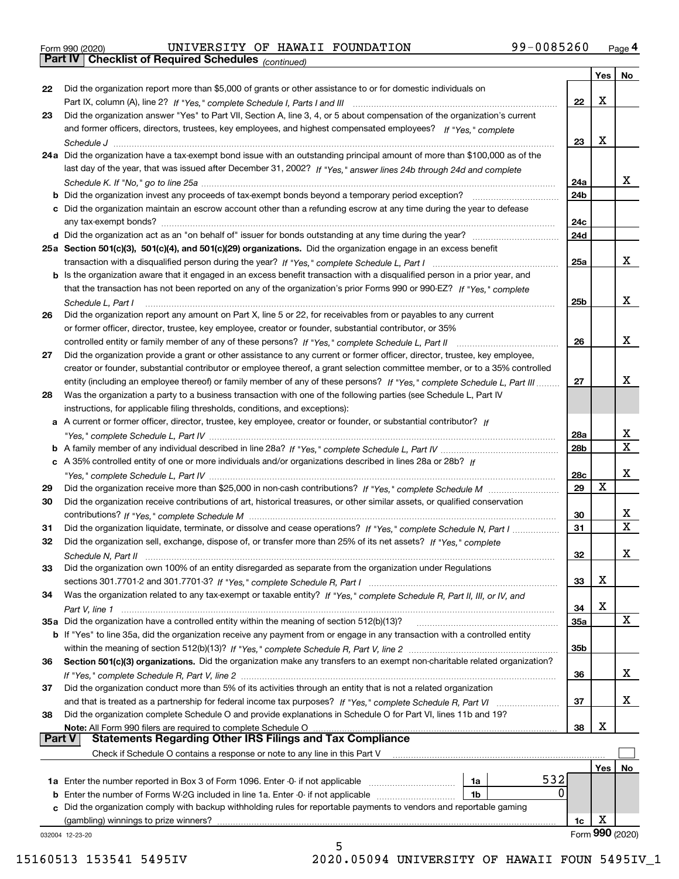|  | Form 990 (2020) |
|--|-----------------|
|  |                 |

*(continued)* Form 990 (2020) UNIVERSITY OF HAWAII FOUNDATION 99-0085260 <sub>Page</sub> 4<br>**Part IV | Checklist of Required Schedules** <sub>(continued)</sub>

|               |                                                                                                                                     |            | Yes | No                      |
|---------------|-------------------------------------------------------------------------------------------------------------------------------------|------------|-----|-------------------------|
| 22            | Did the organization report more than \$5,000 of grants or other assistance to or for domestic individuals on                       |            |     |                         |
|               |                                                                                                                                     | 22         | х   |                         |
| 23            | Did the organization answer "Yes" to Part VII, Section A, line 3, 4, or 5 about compensation of the organization's current          |            |     |                         |
|               | and former officers, directors, trustees, key employees, and highest compensated employees? If "Yes," complete                      |            |     |                         |
|               |                                                                                                                                     | 23         | х   |                         |
|               | 24a Did the organization have a tax-exempt bond issue with an outstanding principal amount of more than \$100,000 as of the         |            |     |                         |
|               | last day of the year, that was issued after December 31, 2002? If "Yes," answer lines 24b through 24d and complete                  |            |     |                         |
|               |                                                                                                                                     | 24a        |     | X.                      |
|               | <b>b</b> Did the organization invest any proceeds of tax-exempt bonds beyond a temporary period exception?                          | 24b        |     |                         |
|               | c Did the organization maintain an escrow account other than a refunding escrow at any time during the year to defease              |            |     |                         |
|               | any tax-exempt bonds?                                                                                                               | 24c        |     |                         |
|               |                                                                                                                                     | 24d        |     |                         |
|               | 25a Section 501(c)(3), 501(c)(4), and 501(c)(29) organizations. Did the organization engage in an excess benefit                    |            |     |                         |
|               |                                                                                                                                     | 25a        |     | X.                      |
|               | <b>b</b> Is the organization aware that it engaged in an excess benefit transaction with a disqualified person in a prior year, and |            |     |                         |
|               | that the transaction has not been reported on any of the organization's prior Forms 990 or 990-EZ? If "Yes," complete               |            |     |                         |
|               | Schedule L. Part I                                                                                                                  | 25b        |     | x                       |
| 26            | Did the organization report any amount on Part X, line 5 or 22, for receivables from or payables to any current                     |            |     |                         |
|               | or former officer, director, trustee, key employee, creator or founder, substantial contributor, or 35%                             |            |     |                         |
|               | controlled entity or family member of any of these persons? If "Yes," complete Schedule L, Part II                                  | 26         |     | x                       |
| 27            | Did the organization provide a grant or other assistance to any current or former officer, director, trustee, key employee,         |            |     |                         |
|               | creator or founder, substantial contributor or employee thereof, a grant selection committee member, or to a 35% controlled         |            |     |                         |
|               | entity (including an employee thereof) or family member of any of these persons? If "Yes," complete Schedule L, Part III            | 27         |     | X.                      |
| 28            | Was the organization a party to a business transaction with one of the following parties (see Schedule L, Part IV                   |            |     |                         |
|               | instructions, for applicable filing thresholds, conditions, and exceptions):                                                        |            |     |                         |
|               | a A current or former officer, director, trustee, key employee, creator or founder, or substantial contributor? If                  |            |     |                         |
|               |                                                                                                                                     | 28a        |     | x                       |
|               |                                                                                                                                     | 28b        |     | $\overline{\mathtt{x}}$ |
|               | c A 35% controlled entity of one or more individuals and/or organizations described in lines 28a or 28b? If                         |            |     |                         |
|               |                                                                                                                                     | 28c        |     | x                       |
| 29            |                                                                                                                                     | 29         | X   |                         |
| 30            | Did the organization receive contributions of art, historical treasures, or other similar assets, or qualified conservation         |            |     |                         |
|               |                                                                                                                                     | 30         |     | x                       |
| 31            | Did the organization liquidate, terminate, or dissolve and cease operations? If "Yes," complete Schedule N, Part I                  | 31         |     | $\overline{\textbf{x}}$ |
| 32            | Did the organization sell, exchange, dispose of, or transfer more than 25% of its net assets? If "Yes," complete                    |            |     |                         |
|               |                                                                                                                                     | 32         |     | x                       |
| 33            | Did the organization own 100% of an entity disregarded as separate from the organization under Regulations                          |            |     |                         |
|               |                                                                                                                                     | 33         | х   |                         |
| 34            | Was the organization related to any tax-exempt or taxable entity? If "Yes," complete Schedule R, Part II, III, or IV, and           |            |     |                         |
|               |                                                                                                                                     | 34         | х   |                         |
|               | 35a Did the organization have a controlled entity within the meaning of section 512(b)(13)?                                         | <b>35a</b> |     | X                       |
|               | b If "Yes" to line 35a, did the organization receive any payment from or engage in any transaction with a controlled entity         |            |     |                         |
|               |                                                                                                                                     | 35b        |     |                         |
| 36            | Section 501(c)(3) organizations. Did the organization make any transfers to an exempt non-charitable related organization?          |            |     |                         |
|               |                                                                                                                                     | 36         |     | X.                      |
| 37            | Did the organization conduct more than 5% of its activities through an entity that is not a related organization                    |            |     |                         |
|               |                                                                                                                                     | 37         |     | X.                      |
| 38            | Did the organization complete Schedule O and provide explanations in Schedule O for Part VI, lines 11b and 19?                      |            |     |                         |
|               | Note: All Form 990 filers are required to complete Schedule O                                                                       | 38         | x   |                         |
| <b>Part V</b> | <b>Statements Regarding Other IRS Filings and Tax Compliance</b>                                                                    |            |     |                         |
|               | Check if Schedule O contains a response or note to any line in this Part V                                                          |            |     |                         |
|               |                                                                                                                                     |            | Yes | No                      |
|               | 532<br>1a Enter the number reported in Box 3 of Form 1096. Enter -0- if not applicable<br>1a                                        |            |     |                         |
| b             | 0<br>Enter the number of Forms W-2G included in line 1a. Enter -0- if not applicable<br>1b                                          |            |     |                         |
| c             | Did the organization comply with backup withholding rules for reportable payments to vendors and reportable gaming                  |            |     |                         |
|               | (gambling) winnings to prize winners?                                                                                               | 1c         | х   | Form 990 (2020)         |
|               | 032004 12-23-20<br>5                                                                                                                |            |     |                         |
|               |                                                                                                                                     |            |     |                         |

15160513 153541 5495IV 2020.05094 UNIVERSITY OF HAWAII FOUN 5495IV\_1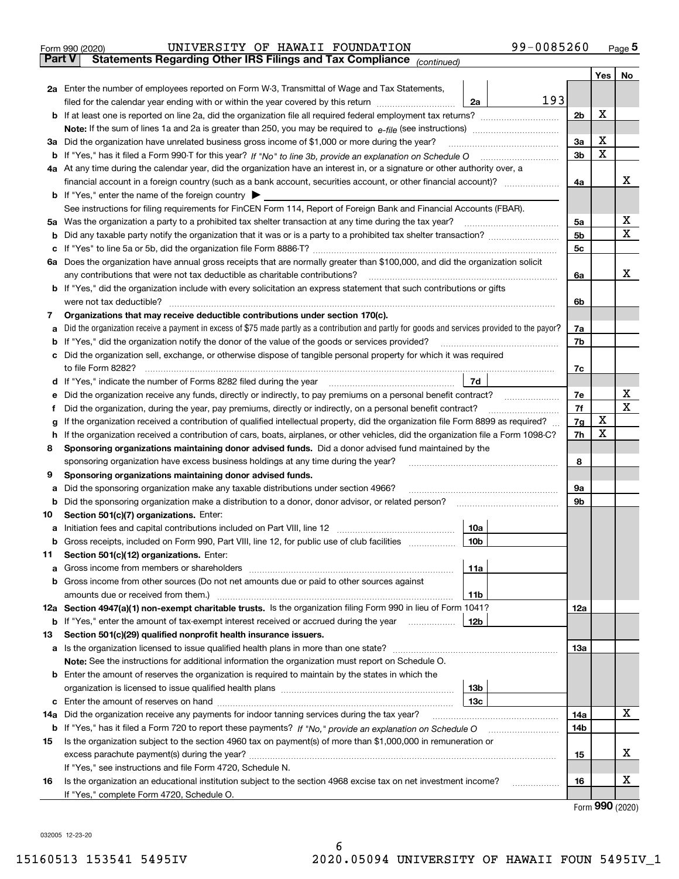|        | 99-0085260<br>UNIVERSITY OF HAWAII FOUNDATION<br>Form 990 (2020)                                                                                |                |                  | Page $5$    |
|--------|-------------------------------------------------------------------------------------------------------------------------------------------------|----------------|------------------|-------------|
| Part V | Statements Regarding Other IRS Filings and Tax Compliance (continued)                                                                           |                |                  |             |
|        |                                                                                                                                                 |                | Yes <sub>1</sub> | No          |
|        | 2a Enter the number of employees reported on Form W-3, Transmittal of Wage and Tax Statements,                                                  |                |                  |             |
|        | 193<br>2a<br>filed for the calendar year ending with or within the year covered by this return <i>manuminimimimim</i>                           |                |                  |             |
|        |                                                                                                                                                 | 2 <sub>b</sub> | X                |             |
|        |                                                                                                                                                 |                |                  |             |
|        | 3a Did the organization have unrelated business gross income of \$1,000 or more during the year?                                                | 3a             | X                |             |
|        |                                                                                                                                                 | 3 <sub>b</sub> | $\mathbf X$      |             |
|        | 4a At any time during the calendar year, did the organization have an interest in, or a signature or other authority over, a                    |                |                  |             |
|        | financial account in a foreign country (such as a bank account, securities account, or other financial account)?                                | 4a             |                  | x           |
|        | <b>b</b> If "Yes," enter the name of the foreign country $\blacktriangleright$                                                                  |                |                  |             |
|        | See instructions for filing requirements for FinCEN Form 114, Report of Foreign Bank and Financial Accounts (FBAR).                             |                |                  |             |
|        | 5a Was the organization a party to a prohibited tax shelter transaction at any time during the tax year?                                        | 5a             |                  | х           |
|        |                                                                                                                                                 | 5 <sub>b</sub> |                  | X           |
|        |                                                                                                                                                 | 5 <sub>c</sub> |                  |             |
|        |                                                                                                                                                 |                |                  |             |
|        | 6a Does the organization have annual gross receipts that are normally greater than \$100,000, and did the organization solicit                  |                |                  | x           |
|        | any contributions that were not tax deductible as charitable contributions?                                                                     | 6a             |                  |             |
| b      | If "Yes," did the organization include with every solicitation an express statement that such contributions or gifts                            |                |                  |             |
|        | were not tax deductible?                                                                                                                        | 6b             |                  |             |
| 7      | Organizations that may receive deductible contributions under section 170(c).                                                                   |                |                  |             |
| а      | Did the organization receive a payment in excess of \$75 made partly as a contribution and partly for goods and services provided to the payor? | 7a             |                  |             |
|        | If "Yes," did the organization notify the donor of the value of the goods or services provided?                                                 | 7b             |                  |             |
| c      | Did the organization sell, exchange, or otherwise dispose of tangible personal property for which it was required                               |                |                  |             |
|        |                                                                                                                                                 | 7c             |                  |             |
| d      | 7d                                                                                                                                              |                |                  |             |
| е      | Did the organization receive any funds, directly or indirectly, to pay premiums on a personal benefit contract?                                 | 7e             |                  | х           |
|        | Did the organization, during the year, pay premiums, directly or indirectly, on a personal benefit contract?                                    | 7f             |                  | $\mathbf x$ |
| g      | If the organization received a contribution of qualified intellectual property, did the organization file Form 8899 as required?                | 7g             | х                |             |
|        | If the organization received a contribution of cars, boats, airplanes, or other vehicles, did the organization file a Form 1098-C?              | 7h             | X                |             |
| 8      | Sponsoring organizations maintaining donor advised funds. Did a donor advised fund maintained by the                                            |                |                  |             |
|        | sponsoring organization have excess business holdings at any time during the year?                                                              | 8              |                  |             |
| 9      | Sponsoring organizations maintaining donor advised funds.                                                                                       |                |                  |             |
| а      | Did the sponsoring organization make any taxable distributions under section 4966?                                                              | 9a             |                  |             |
| b      | Did the sponsoring organization make a distribution to a donor, donor advisor, or related person?                                               | 9b             |                  |             |
| 10     | Section 501(c)(7) organizations. Enter:                                                                                                         |                |                  |             |
|        | 10a<br>a Initiation fees and capital contributions included on Part VIII, line 12 [111] [11] [12] [11] [12] [11] [12]                           |                |                  |             |
| b      | Gross receipts, included on Form 990, Part VIII, line 12, for public use of club facilities<br>  10b                                            |                |                  |             |
| 11     | Section 501(c)(12) organizations. Enter:                                                                                                        |                |                  |             |
| а      | 11a<br>Gross income from members or shareholders                                                                                                |                |                  |             |
|        | Gross income from other sources (Do not net amounts due or paid to other sources against                                                        |                |                  |             |
|        | amounts due or received from them.)<br>11b                                                                                                      |                |                  |             |
|        | 12a Section 4947(a)(1) non-exempt charitable trusts. Is the organization filing Form 990 in lieu of Form 1041?                                  | 12a            |                  |             |
| b      | 12 <sub>b</sub><br>If "Yes," enter the amount of tax-exempt interest received or accrued during the year                                        |                |                  |             |
| 13     | Section 501(c)(29) qualified nonprofit health insurance issuers.                                                                                |                |                  |             |
| а      | Is the organization licensed to issue qualified health plans in more than one state?                                                            | 13а            |                  |             |
|        | Note: See the instructions for additional information the organization must report on Schedule O.                                               |                |                  |             |
|        | <b>b</b> Enter the amount of reserves the organization is required to maintain by the states in which the                                       |                |                  |             |
|        | 13b                                                                                                                                             |                |                  |             |
| с      | Enter the amount of reserves on hand<br>13с                                                                                                     |                |                  |             |
| 14a    | Did the organization receive any payments for indoor tanning services during the tax year?                                                      | 14a            |                  | x           |
|        |                                                                                                                                                 | 14b            |                  |             |
| 15     | Is the organization subject to the section 4960 tax on payment(s) of more than \$1,000,000 in remuneration or                                   |                |                  |             |
|        |                                                                                                                                                 | 15             |                  | x           |
|        | If "Yes," see instructions and file Form 4720, Schedule N.                                                                                      |                |                  |             |

**1616** Is the organization an educational institution subject to the section 4968 excise tax on net investment income? If "Yes," complete Form 4720, Schedule O.

Form (2020) **990**

X

032005 12-23-20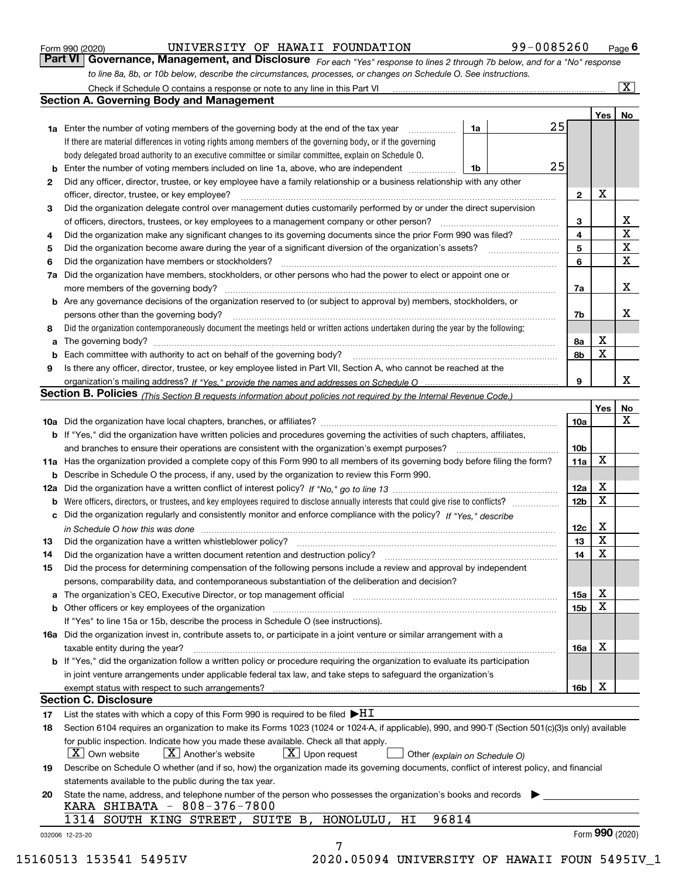|              |                                                                                                                                                                            |    |  |    |                 | Yes         | No                      |
|--------------|----------------------------------------------------------------------------------------------------------------------------------------------------------------------------|----|--|----|-----------------|-------------|-------------------------|
|              | <b>1a</b> Enter the number of voting members of the governing body at the end of the tax year <i>manumum</i>                                                               | 1a |  | 25 |                 |             |                         |
|              | If there are material differences in voting rights among members of the governing body, or if the governing                                                                |    |  |    |                 |             |                         |
|              | body delegated broad authority to an executive committee or similar committee, explain on Schedule O.                                                                      |    |  | 25 |                 |             |                         |
|              | <b>b</b> Enter the number of voting members included on line 1a, above, who are independent <i>manumum</i>                                                                 | 1b |  |    |                 |             |                         |
| $\mathbf{2}$ | Did any officer, director, trustee, or key employee have a family relationship or a business relationship with any other                                                   |    |  |    |                 | X           |                         |
|              | officer, director, trustee, or key employee?<br>Did the organization delegate control over management duties customarily performed by or under the direct supervision      |    |  |    | $\mathbf{2}$    |             |                         |
| 3            |                                                                                                                                                                            |    |  |    |                 |             | X                       |
|              |                                                                                                                                                                            |    |  |    | 3<br>4          |             | $\overline{\mathbf{x}}$ |
| 4            | Did the organization make any significant changes to its governing documents since the prior Form 990 was filed?                                                           |    |  |    | 5               |             | $\mathbf X$             |
| 5            |                                                                                                                                                                            |    |  |    | 6               |             | $\mathbf X$             |
| 6            | Did the organization have members or stockholders?                                                                                                                         |    |  |    |                 |             |                         |
|              | 7a Did the organization have members, stockholders, or other persons who had the power to elect or appoint one or                                                          |    |  |    |                 |             | X                       |
|              |                                                                                                                                                                            |    |  |    | 7a              |             |                         |
|              | <b>b</b> Are any governance decisions of the organization reserved to (or subject to approval by) members, stockholders, or                                                |    |  |    |                 |             |                         |
|              | persons other than the governing body?                                                                                                                                     |    |  |    | 7b              |             | X                       |
| 8            | Did the organization contemporaneously document the meetings held or written actions undertaken during the year by the following:                                          |    |  |    |                 |             |                         |
| a            |                                                                                                                                                                            |    |  |    | 8a              | X           |                         |
|              |                                                                                                                                                                            |    |  |    | 8b              | X           |                         |
| 9            | Is there any officer, director, trustee, or key employee listed in Part VII, Section A, who cannot be reached at the                                                       |    |  |    |                 |             |                         |
|              |                                                                                                                                                                            |    |  |    | 9               |             | x                       |
|              | Section B. Policies (This Section B requests information about policies not required by the Internal Revenue Code.)                                                        |    |  |    |                 |             |                         |
|              |                                                                                                                                                                            |    |  |    |                 | Yes∣        | No<br>X                 |
|              |                                                                                                                                                                            |    |  |    | 10a             |             |                         |
|              | <b>b</b> If "Yes," did the organization have written policies and procedures governing the activities of such chapters, affiliates,                                        |    |  |    | 10 <sub>b</sub> |             |                         |
|              |                                                                                                                                                                            |    |  |    |                 |             |                         |
|              | 11a Has the organization provided a complete copy of this Form 990 to all members of its governing body before filing the form?                                            |    |  |    | 11a             | X           |                         |
|              | <b>b</b> Describe in Schedule O the process, if any, used by the organization to review this Form 990.                                                                     |    |  |    |                 |             |                         |
|              |                                                                                                                                                                            |    |  |    | 12a             | X           |                         |
| b            |                                                                                                                                                                            |    |  |    | 12b             | X           |                         |
|              | c Did the organization regularly and consistently monitor and enforce compliance with the policy? If "Yes," describe                                                       |    |  |    |                 |             |                         |
|              | in Schedule O how this was done measured and contained a strategie of the state of the state of the strategie o                                                            |    |  |    | 12c             | X           |                         |
| 13           |                                                                                                                                                                            |    |  |    | 13              | X           |                         |
| 14           | Did the organization have a written document retention and destruction policy? manufactured and the organization have a written document retention and destruction policy? |    |  |    | 14              | $\mathbf X$ |                         |
| 15           | Did the process for determining compensation of the following persons include a review and approval by independent                                                         |    |  |    |                 |             |                         |
|              | persons, comparability data, and contemporaneous substantiation of the deliberation and decision?                                                                          |    |  |    |                 |             |                         |
|              |                                                                                                                                                                            |    |  |    | 15a             | X           |                         |
|              | <b>b</b> Other officers or key employees of the organization                                                                                                               |    |  |    | 15 <sub>b</sub> | X           |                         |
|              | If "Yes" to line 15a or 15b, describe the process in Schedule O (see instructions).                                                                                        |    |  |    |                 |             |                         |
|              | 16a Did the organization invest in, contribute assets to, or participate in a joint venture or similar arrangement with a                                                  |    |  |    |                 |             |                         |
|              | taxable entity during the year?                                                                                                                                            |    |  |    | 16a             | X           |                         |
|              | b If "Yes," did the organization follow a written policy or procedure requiring the organization to evaluate its participation                                             |    |  |    |                 |             |                         |
|              | in joint venture arrangements under applicable federal tax law, and take steps to safequard the organization's                                                             |    |  |    |                 |             |                         |
|              | exempt status with respect to such arrangements?                                                                                                                           |    |  |    | 16b             | X           |                         |
|              | <b>Section C. Disclosure</b>                                                                                                                                               |    |  |    |                 |             |                         |
| 17           | List the states with which a copy of this Form 990 is required to be filed $\blacktriangleright$ HT                                                                        |    |  |    |                 |             |                         |
| 18           | Section 6104 requires an organization to make its Forms 1023 (1024 or 1024-A, if applicable), 990, and 990-T (Section 501(c)(3)s only) available                           |    |  |    |                 |             |                         |
|              | for public inspection. Indicate how you made these available. Check all that apply.                                                                                        |    |  |    |                 |             |                         |
|              | $X$ Upon request<br>  X   Own website<br>$X$ Another's website<br>Other (explain on Schedule O)                                                                            |    |  |    |                 |             |                         |
| 19           | Describe on Schedule O whether (and if so, how) the organization made its governing documents, conflict of interest policy, and financial                                  |    |  |    |                 |             |                         |
|              | statements available to the public during the tax year.                                                                                                                    |    |  |    |                 |             |                         |
| 20           | State the name, address, and telephone number of the person who possesses the organization's books and records                                                             |    |  |    |                 |             |                         |
|              | KARA SHIBATA - 808-376-7800                                                                                                                                                |    |  |    |                 |             |                         |
|              | 1314 SOUTH KING STREET, SUITE B, HONOLULU, HI<br>96814                                                                                                                     |    |  |    |                 |             |                         |

*to line 8a, 8b, or 10b below, describe the circumstances, processes, or changes on Schedule O. See instructions.*

Form 990 (2020) **CONFINGTION 199-0085260** Page **6**<br>**Part VI** | Governance, Management, and Disclosure *For each "Yes" response to lines 2 through 7b below, and for a "No" response* 

UNIVERSITY OF HAWAII FOUNDATION 99-0085260

*For each "Yes" response to lines 2 through 7b below, and for a "No" response*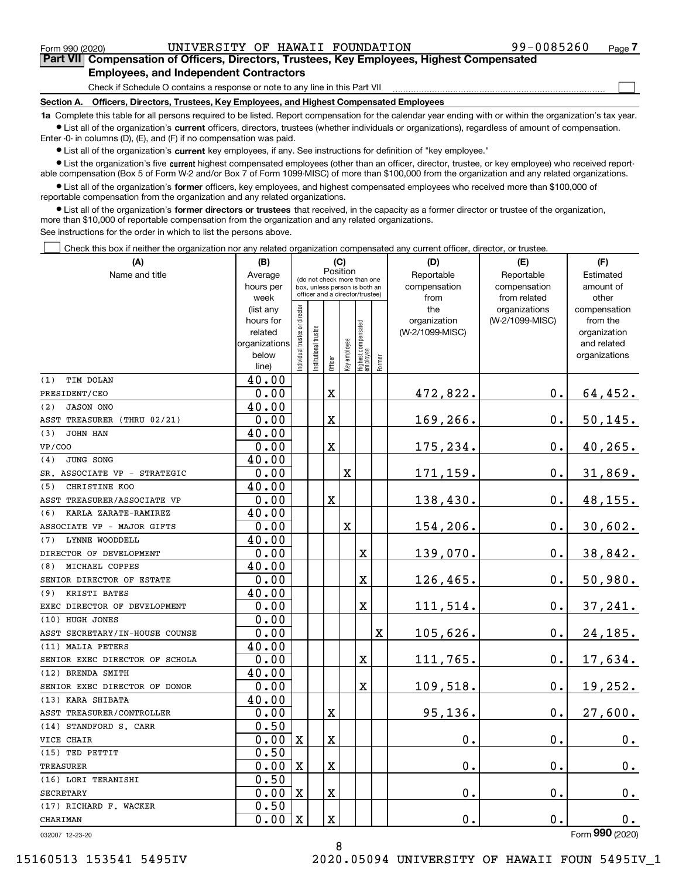Form 990 (2020) UNIVERSITY OF HAWAII FOUNDATION 99-0085260 Page

 $\mathcal{L}^{\text{max}}$ 

**7Part VII Compensation of Officers, Directors, Trustees, Key Employees, Highest Compensated Employees, and Independent Contractors**

Check if Schedule O contains a response or note to any line in this Part VII

**Section A. Officers, Directors, Trustees, Key Employees, and Highest Compensated Employees**

**1a**  Complete this table for all persons required to be listed. Report compensation for the calendar year ending with or within the organization's tax year. **•** List all of the organization's current officers, directors, trustees (whether individuals or organizations), regardless of amount of compensation.

Enter -0- in columns (D), (E), and (F) if no compensation was paid.

 $\bullet$  List all of the organization's  $\,$ current key employees, if any. See instructions for definition of "key employee."

**•** List the organization's five current highest compensated employees (other than an officer, director, trustee, or key employee) who received reportable compensation (Box 5 of Form W-2 and/or Box 7 of Form 1099-MISC) of more than \$100,000 from the organization and any related organizations.

**•** List all of the organization's former officers, key employees, and highest compensated employees who received more than \$100,000 of reportable compensation from the organization and any related organizations.

**former directors or trustees**  ¥ List all of the organization's that received, in the capacity as a former director or trustee of the organization, more than \$10,000 of reportable compensation from the organization and any related organizations.

See instructions for the order in which to list the persons above.

Check this box if neither the organization nor any related organization compensated any current officer, director, or trustee.  $\mathcal{L}^{\text{max}}$ 

| (A)                            | (B)                  |                               |                                                                  | (C)         |              |                                  |        | (D)                             | (E)             | (F)                      |
|--------------------------------|----------------------|-------------------------------|------------------------------------------------------------------|-------------|--------------|----------------------------------|--------|---------------------------------|-----------------|--------------------------|
| Name and title                 | Average              |                               | (do not check more than one                                      | Position    |              |                                  |        | Reportable                      | Reportable      | Estimated                |
|                                | hours per            |                               | box, unless person is both an<br>officer and a director/trustee) |             |              |                                  |        | compensation                    | compensation    | amount of                |
|                                | week                 |                               |                                                                  |             |              |                                  |        | from                            | from related    | other                    |
|                                | (list any            |                               |                                                                  |             |              |                                  |        | the                             | organizations   | compensation             |
|                                | hours for<br>related |                               |                                                                  |             |              |                                  |        | organization<br>(W-2/1099-MISC) | (W-2/1099-MISC) | from the<br>organization |
|                                | organizations        |                               |                                                                  |             |              |                                  |        |                                 |                 | and related              |
|                                | below                | ndividual trustee or director |                                                                  |             |              |                                  |        |                                 |                 | organizations            |
|                                | line)                |                               | Institutional trustee                                            | Officer     | Key employee | Highest compensated<br> employee | Former |                                 |                 |                          |
| TIM DOLAN<br>(1)               | 40.00                |                               |                                                                  |             |              |                                  |        |                                 |                 |                          |
| PRESIDENT/CEO                  | 0.00                 |                               |                                                                  | $\mathbf X$ |              |                                  |        | 472,822.                        | 0.              | 64,452.                  |
| <b>JASON ONO</b><br>(2)        | 40.00                |                               |                                                                  |             |              |                                  |        |                                 |                 |                          |
| ASST TREASURER (THRU 02/21)    | 0.00                 |                               |                                                                  | Χ           |              |                                  |        | 169,266.                        | $0$ .           | $50, 145$ .              |
| (3)<br>JOHN HAN                | 40.00                |                               |                                                                  |             |              |                                  |        |                                 |                 |                          |
| <b>VP/COO</b>                  | 0.00                 |                               |                                                                  | $\mathbf X$ |              |                                  |        | 175,234.                        | 0.              | 40,265.                  |
| JUNG SONG<br>(4)               | 40.00                |                               |                                                                  |             |              |                                  |        |                                 |                 |                          |
| SR. ASSOCIATE VP - STRATEGIC   | 0.00                 |                               |                                                                  |             | X            |                                  |        | 171,159.                        | $0$ .           | 31,869.                  |
| (5)<br>CHRISTINE KOO           | 40.00                |                               |                                                                  |             |              |                                  |        |                                 |                 |                          |
| ASST TREASURER/ASSOCIATE VP    | 0.00                 |                               |                                                                  | $\mathbf x$ |              |                                  |        | 138,430.                        | 0.              | 48,155.                  |
| (6)<br>KARLA ZARATE-RAMIREZ    | 40.00                |                               |                                                                  |             |              |                                  |        |                                 |                 |                          |
| ASSOCIATE VP - MAJOR GIFTS     | 0.00                 |                               |                                                                  |             | X            |                                  |        | 154,206.                        | 0.              | 30,602.                  |
| LYNNE WOODDELL<br>(7)          | 40.00                |                               |                                                                  |             |              |                                  |        |                                 |                 |                          |
| DIRECTOR OF DEVELOPMENT        | 0.00                 |                               |                                                                  |             |              | X                                |        | 139,070.                        | 0.              | 38,842.                  |
| MICHAEL COPPES<br>(8)          | 40.00                |                               |                                                                  |             |              |                                  |        |                                 |                 |                          |
| SENIOR DIRECTOR OF ESTATE      | 0.00                 |                               |                                                                  |             |              | X                                |        | 126,465.                        | $0$ .           | 50,980.                  |
| KRISTI BATES<br>(9)            | 40.00                |                               |                                                                  |             |              |                                  |        |                                 |                 |                          |
| EXEC DIRECTOR OF DEVELOPMENT   | 0.00                 |                               |                                                                  |             |              | X                                |        | 111,514.                        | 0.              | 37,241.                  |
| (10) HUGH JONES                | 0.00                 |                               |                                                                  |             |              |                                  |        |                                 |                 |                          |
| ASST SECRETARY/IN-HOUSE COUNSE | 0.00                 |                               |                                                                  |             |              |                                  | X      | 105,626.                        | 0.              | 24,185.                  |
| (11) MALIA PETERS              | 40.00                |                               |                                                                  |             |              |                                  |        |                                 |                 |                          |
| SENIOR EXEC DIRECTOR OF SCHOLA | 0.00                 |                               |                                                                  |             |              | X                                |        | 111,765.                        | 0.              | 17,634.                  |
| (12) BRENDA SMITH              | 40.00                |                               |                                                                  |             |              |                                  |        |                                 |                 |                          |
| SENIOR EXEC DIRECTOR OF DONOR  | 0.00                 |                               |                                                                  |             |              | X                                |        | 109,518.                        | 0.              | 19,252.                  |
| (13) KARA SHIBATA              | 40.00                |                               |                                                                  |             |              |                                  |        |                                 |                 |                          |
| ASST TREASURER/CONTROLLER      | 0.00                 |                               |                                                                  | X           |              |                                  |        | 95,136.                         | $\mathbf 0$ .   | 27,600.                  |
| (14) STANDFORD S. CARR         | 0.50                 |                               |                                                                  |             |              |                                  |        |                                 |                 |                          |
| VICE CHAIR                     | 0.00                 | $\mathbf X$                   |                                                                  | $\mathbf X$ |              |                                  |        | $\mathbf 0$ .                   | 0.              | 0.                       |
| (15) TED PETTIT                | 0.50                 |                               |                                                                  |             |              |                                  |        |                                 |                 |                          |
| <b>TREASURER</b>               | 0.00                 | $\mathbf X$                   |                                                                  | $\mathbf X$ |              |                                  |        | $\mathbf 0$ .                   | 0.              | 0.                       |
| (16) LORI TERANISHI            | 0.50                 |                               |                                                                  |             |              |                                  |        |                                 |                 |                          |
| <b>SECRETARY</b>               | 0.00                 | $\mathbf X$                   |                                                                  | X           |              |                                  |        | 0.                              | 0.              | 0.                       |
| (17) RICHARD F. WACKER         | 0.50                 |                               |                                                                  |             |              |                                  |        |                                 |                 |                          |
| CHARIMAN                       | 0.00                 | $\mathbf X$                   |                                                                  | X           |              |                                  |        | $\mathbf 0$ .                   | 0.              | 0.<br>$\overline{2}$     |

032007 12-23-20

Form (2020) **990**

8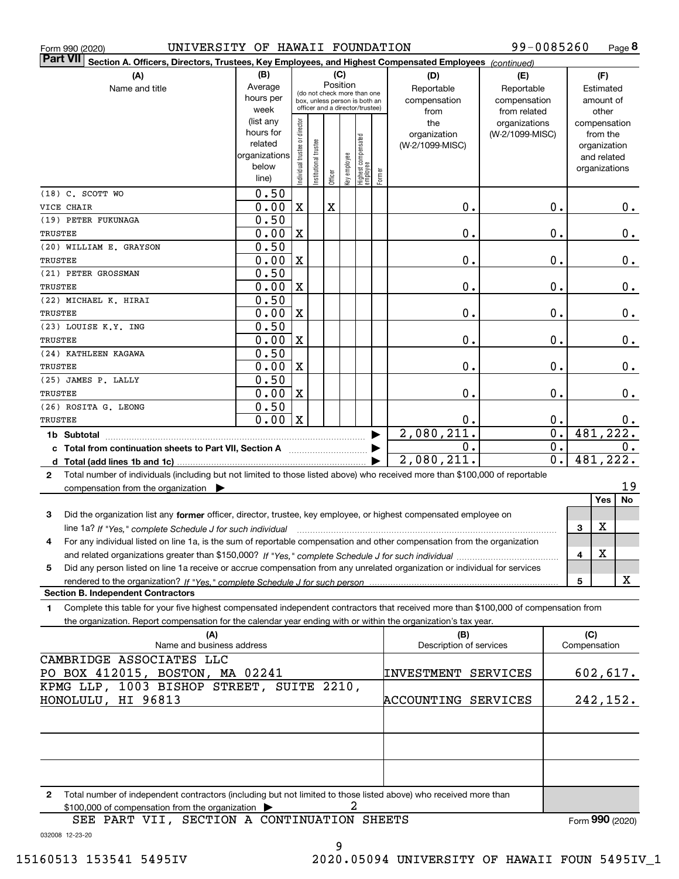|  | Form 990 (2020) |
|--|-----------------|
|  |                 |

Form 990 (2020) UNIVERSITY OF HAWAII FOUNDATION 99-0085260 Page

**8** 99-0085260

| <b>Part VII</b><br>Section A. Officers, Directors, Trustees, Key Employees, and Highest Compensated Employees (continued)                    |                                 |                               |                        |             |              |                                                              |        |                         |                 |                  |              |               |    |
|----------------------------------------------------------------------------------------------------------------------------------------------|---------------------------------|-------------------------------|------------------------|-------------|--------------|--------------------------------------------------------------|--------|-------------------------|-----------------|------------------|--------------|---------------|----|
| (A)                                                                                                                                          | (B)                             |                               |                        |             | (C)          |                                                              |        | (D)                     | (E)             |                  |              | (F)           |    |
| Name and title                                                                                                                               | Average                         |                               |                        |             | Position     |                                                              |        | Reportable              | Reportable      |                  |              | Estimated     |    |
|                                                                                                                                              | hours per                       |                               |                        |             |              | (do not check more than one<br>box, unless person is both an |        | compensation            | compensation    |                  |              | amount of     |    |
|                                                                                                                                              | week                            |                               |                        |             |              | officer and a director/trustee)                              |        | from                    | from related    |                  |              | other         |    |
|                                                                                                                                              | (list any                       |                               |                        |             |              |                                                              |        | the                     | organizations   |                  |              | compensation  |    |
|                                                                                                                                              | hours for                       |                               |                        |             |              |                                                              |        | organization            | (W-2/1099-MISC) |                  |              | from the      |    |
|                                                                                                                                              | related                         |                               |                        |             |              |                                                              |        | (W-2/1099-MISC)         |                 |                  |              | organization  |    |
|                                                                                                                                              | organizations                   |                               |                        |             |              |                                                              |        |                         |                 |                  |              | and related   |    |
|                                                                                                                                              | below                           | ndividual trustee or director | In stitutional trustee |             | Key employee | Highest compensated<br>employee                              |        |                         |                 |                  |              | organizations |    |
|                                                                                                                                              | line)                           |                               |                        | Officer     |              |                                                              | Former |                         |                 |                  |              |               |    |
| $(18)$ C. SCOTT WO                                                                                                                           | 0.50                            |                               |                        |             |              |                                                              |        |                         |                 |                  |              |               |    |
| VICE CHAIR                                                                                                                                   | 0.00                            | X                             |                        | $\mathbf X$ |              |                                                              |        | 0.                      |                 | 0.               |              |               | 0. |
| (19) PETER FUKUNAGA                                                                                                                          | 0.50                            |                               |                        |             |              |                                                              |        |                         |                 |                  |              |               |    |
| TRUSTEE                                                                                                                                      | 0.00                            | X                             |                        |             |              |                                                              |        | 0.                      |                 | 0.               |              |               | 0. |
| (20) WILLIAM E. GRAYSON                                                                                                                      | 0.50                            |                               |                        |             |              |                                                              |        |                         |                 |                  |              |               |    |
| TRUSTEE                                                                                                                                      | 0.00                            | X                             |                        |             |              |                                                              |        | 0.                      |                 | 0.               |              |               | 0. |
| (21) PETER GROSSMAN                                                                                                                          | 0.50                            |                               |                        |             |              |                                                              |        |                         |                 |                  |              |               |    |
| TRUSTEE                                                                                                                                      | 0.00                            | X                             |                        |             |              |                                                              |        | 0.                      |                 | 0.               |              |               | 0. |
| (22) MICHAEL K. HIRAI                                                                                                                        | 0.50                            |                               |                        |             |              |                                                              |        |                         |                 |                  |              |               |    |
| TRUSTEE                                                                                                                                      | 0.00                            | X                             |                        |             |              |                                                              |        | 0.                      |                 | 0.               |              |               | 0. |
| (23) LOUISE K.Y. ING                                                                                                                         | 0.50                            |                               |                        |             |              |                                                              |        |                         |                 |                  |              |               |    |
| TRUSTEE                                                                                                                                      | 0.00                            | X                             |                        |             |              |                                                              |        | 0.                      |                 | 0.               |              |               | 0. |
| (24) KATHLEEN KAGAWA                                                                                                                         | 0.50                            |                               |                        |             |              |                                                              |        |                         |                 |                  |              |               |    |
| TRUSTEE                                                                                                                                      | 0.00                            | X                             |                        |             |              |                                                              |        | 0.                      |                 | 0.               |              |               | 0. |
| (25) JAMES P. LALLY                                                                                                                          | 0.50                            |                               |                        |             |              |                                                              |        |                         |                 |                  |              |               |    |
| TRUSTEE                                                                                                                                      | 0.00                            | X                             |                        |             |              |                                                              |        | 0.                      |                 | 0.               |              |               | 0. |
| (26) ROSITA G. LEONG                                                                                                                         | 0.50                            |                               |                        |             |              |                                                              |        |                         |                 |                  |              |               |    |
| TRUSTEE                                                                                                                                      | 0.00                            | $\mathbf X$                   |                        |             |              |                                                              |        | 0.                      |                 | 0.               |              |               | 0. |
|                                                                                                                                              |                                 |                               |                        |             |              |                                                              |        | 2,080,211.              |                 | 0.               |              | 481,222.      |    |
| 1b Subtotal                                                                                                                                  |                                 |                               |                        |             |              |                                                              |        | Ο.                      |                 | 0.               |              |               | 0. |
| c Total from continuation sheets to Part VII, Section A                                                                                      |                                 |                               |                        |             |              |                                                              |        | 2,080,211.              |                 | $\overline{0}$ . |              | 481,222.      |    |
| Total (add lines 1b and 1c)<br>d                                                                                                             |                                 |                               |                        |             |              |                                                              |        |                         |                 |                  |              |               |    |
| Total number of individuals (including but not limited to those listed above) who received more than \$100,000 of reportable<br>$\mathbf{2}$ |                                 |                               |                        |             |              |                                                              |        |                         |                 |                  |              |               | 19 |
| compensation from the organization                                                                                                           |                                 |                               |                        |             |              |                                                              |        |                         |                 |                  |              | Yes           | No |
|                                                                                                                                              |                                 |                               |                        |             |              |                                                              |        |                         |                 |                  |              |               |    |
| Did the organization list any former officer, director, trustee, key employee, or highest compensated employee on<br>3                       |                                 |                               |                        |             |              |                                                              |        |                         |                 |                  |              |               |    |
| line 1a? If "Yes," complete Schedule J for such individual manufactured contains and the Ves," complete Schedule J for such individual       |                                 |                               |                        |             |              |                                                              |        |                         |                 |                  | 3            | X             |    |
| For any individual listed on line 1a, is the sum of reportable compensation and other compensation from the organization<br>4                |                                 |                               |                        |             |              |                                                              |        |                         |                 |                  |              |               |    |
|                                                                                                                                              |                                 |                               |                        |             |              |                                                              |        |                         |                 |                  | 4            | X             |    |
| Did any person listed on line 1a receive or accrue compensation from any unrelated organization or individual for services<br>5              |                                 |                               |                        |             |              |                                                              |        |                         |                 |                  |              |               |    |
| rendered to the organization? If "Yes." complete Schedule J for such person                                                                  |                                 |                               |                        |             |              |                                                              |        |                         |                 |                  | 5            |               | X  |
| <b>Section B. Independent Contractors</b>                                                                                                    |                                 |                               |                        |             |              |                                                              |        |                         |                 |                  |              |               |    |
| Complete this table for your five highest compensated independent contractors that received more than \$100,000 of compensation from<br>1.   |                                 |                               |                        |             |              |                                                              |        |                         |                 |                  |              |               |    |
| the organization. Report compensation for the calendar year ending with or within the organization's tax year.                               |                                 |                               |                        |             |              |                                                              |        |                         |                 |                  |              |               |    |
| (A)                                                                                                                                          |                                 |                               |                        |             |              |                                                              |        | (B)                     |                 |                  | (C)          |               |    |
| Name and business address                                                                                                                    |                                 |                               |                        |             |              |                                                              |        | Description of services |                 |                  | Compensation |               |    |
| CAMBRIDGE ASSOCIATES LLC                                                                                                                     |                                 |                               |                        |             |              |                                                              |        |                         |                 |                  |              |               |    |
|                                                                                                                                              | PO BOX 412015, BOSTON, MA 02241 |                               |                        |             |              |                                                              |        | INVESTMENT SERVICES     |                 |                  |              | 602,617.      |    |
| KPMG LLP, 1003 BISHOP STREET, SUITE 2210,                                                                                                    |                                 |                               |                        |             |              |                                                              |        |                         |                 |                  |              |               |    |
| HONOLULU, HI 96813                                                                                                                           |                                 |                               |                        |             |              |                                                              |        | ACCOUNTING SERVICES     |                 |                  |              | 242,152.      |    |
|                                                                                                                                              |                                 |                               |                        |             |              |                                                              |        |                         |                 |                  |              |               |    |
|                                                                                                                                              |                                 |                               |                        |             |              |                                                              |        |                         |                 |                  |              |               |    |
|                                                                                                                                              |                                 |                               |                        |             |              |                                                              |        |                         |                 |                  |              |               |    |
|                                                                                                                                              |                                 |                               |                        |             |              |                                                              |        |                         |                 |                  |              |               |    |
|                                                                                                                                              |                                 |                               |                        |             |              |                                                              |        |                         |                 |                  |              |               |    |
| Total number of independent contractors (including but not limited to those listed above) who received more than<br>2                        |                                 |                               |                        |             |              |                                                              |        |                         |                 |                  |              |               |    |
| \$100,000 of compensation from the organization                                                                                              |                                 |                               |                        |             |              | 2                                                            |        |                         |                 |                  |              |               |    |

032008 12-23-20 SEE PART VII, SECTION A CONTINUATION SHEETS Form (2020) **990**

9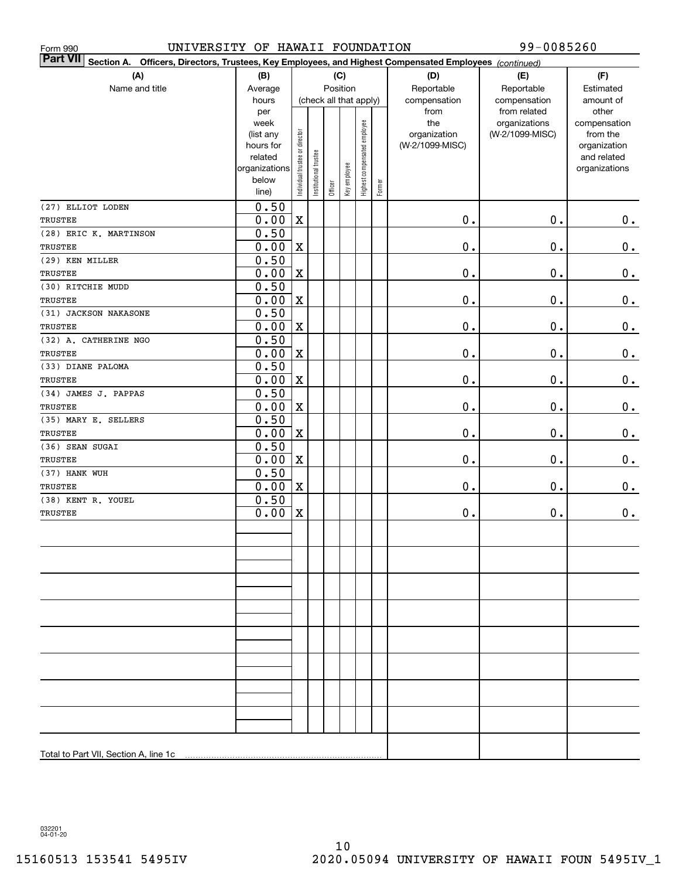| UNIVERSITY OF HAWAII FOUNDATION<br>Form 990                                                                                  |                        |                                |                       |         |              |                              |        |                                 | 99-0085260      |                             |
|------------------------------------------------------------------------------------------------------------------------------|------------------------|--------------------------------|-----------------------|---------|--------------|------------------------------|--------|---------------------------------|-----------------|-----------------------------|
| <b>Part VII</b><br>Officers, Directors, Trustees, Key Employees, and Highest Compensated Employees (continued)<br>Section A. |                        |                                |                       |         |              |                              |        |                                 |                 |                             |
| (A)                                                                                                                          | (B)                    |                                |                       |         | (C)          |                              |        | (D)                             | (E)             | (F)                         |
| Name and title                                                                                                               | Average                |                                |                       |         | Position     |                              |        | Reportable                      | Reportable      | Estimated                   |
|                                                                                                                              | hours                  |                                |                       |         |              | (check all that apply)       |        | compensation                    | compensation    | amount of                   |
|                                                                                                                              | per                    |                                |                       |         |              |                              |        | from                            | from related    | other                       |
|                                                                                                                              | week                   |                                |                       |         |              |                              |        | the                             | organizations   | compensation                |
|                                                                                                                              | (list any<br>hours for |                                |                       |         |              |                              |        | organization<br>(W-2/1099-MISC) | (W-2/1099-MISC) | from the                    |
|                                                                                                                              | related                |                                |                       |         |              |                              |        |                                 |                 | organization<br>and related |
|                                                                                                                              | organizations          |                                |                       |         |              |                              |        |                                 |                 | organizations               |
|                                                                                                                              | below                  | Individual trustee or director | Institutional trustee |         | Key employee | Highest compensated employee |        |                                 |                 |                             |
|                                                                                                                              | line)                  |                                |                       | Officer |              |                              | Former |                                 |                 |                             |
| (27) ELLIOT LODEN                                                                                                            | 0.50                   |                                |                       |         |              |                              |        |                                 |                 |                             |
| TRUSTEE                                                                                                                      | 0.00                   | X                              |                       |         |              |                              |        | 0.                              | 0.              | 0.                          |
| (28) ERIC K. MARTINSON                                                                                                       | 0.50                   |                                |                       |         |              |                              |        |                                 |                 |                             |
| <b>TRUSTEE</b>                                                                                                               | 0.00                   | $\mathbf X$                    |                       |         |              |                              |        | $0$ .                           | 0.              | $\pmb{0}$ .                 |
| (29) KEN MILLER                                                                                                              | 0.50                   |                                |                       |         |              |                              |        |                                 |                 |                             |
| TRUSTEE                                                                                                                      | 0.00                   | $\mathbf X$                    |                       |         |              |                              |        | $0$ .                           | 0.              | 0.                          |
| (30) RITCHIE MUDD                                                                                                            | 0.50                   |                                |                       |         |              |                              |        |                                 |                 |                             |
| TRUSTEE                                                                                                                      | 0.00                   | $\mathbf X$                    |                       |         |              |                              |        | $0$ .                           | 0.              | 0.                          |
| (31) JACKSON NAKASONE                                                                                                        | 0.50                   |                                |                       |         |              |                              |        |                                 |                 |                             |
| <b>TRUSTEE</b>                                                                                                               | 0.00                   | $\mathbf X$                    |                       |         |              |                              |        | $0$ .                           | 0.              | $\pmb{0}$ .                 |
| (32) A. CATHERINE NGO                                                                                                        | 0.50                   |                                |                       |         |              |                              |        |                                 |                 |                             |
| TRUSTEE                                                                                                                      | 0.00                   | $\mathbf X$                    |                       |         |              |                              |        | $0$ .                           | 0.              | 0.                          |
| (33) DIANE PALOMA                                                                                                            | 0.50                   |                                |                       |         |              |                              |        |                                 |                 |                             |
| TRUSTEE                                                                                                                      | 0.00                   | $\mathbf X$                    |                       |         |              |                              |        | $0$ .                           | 0.              | 0.                          |
| (34) JAMES J. PAPPAS                                                                                                         | 0.50                   |                                |                       |         |              |                              |        |                                 |                 |                             |
| TRUSTEE                                                                                                                      | 0.00                   | $\mathbf X$                    |                       |         |              |                              |        | $0$ .                           | 0.              | 0.                          |
| (35) MARY E. SELLERS                                                                                                         | 0.50                   |                                |                       |         |              |                              |        |                                 |                 |                             |
| TRUSTEE<br>(36) SEAN SUGAI                                                                                                   | 0.00<br>0.50           | $\mathbf X$                    |                       |         |              |                              |        | $0$ .                           | 0.              | 0.                          |
| TRUSTEE                                                                                                                      | 0.00                   | $\mathbf X$                    |                       |         |              |                              |        | $0$ .                           | 0.              | 0.                          |
| (37) HANK WUH                                                                                                                | 0.50                   |                                |                       |         |              |                              |        |                                 |                 |                             |
| TRUSTEE                                                                                                                      | 0.00                   | $\mathbf X$                    |                       |         |              |                              |        | $0$ .                           | 0.              | 0.                          |
| (38) KENT R. YOUEL                                                                                                           | 0.50                   |                                |                       |         |              |                              |        |                                 |                 |                             |
| TRUSTEE                                                                                                                      | 0.00                   | $\mathbf X$                    |                       |         |              |                              |        | $\mathbf 0$ .                   | $\mathbf 0$ .   | 0.                          |
|                                                                                                                              |                        |                                |                       |         |              |                              |        |                                 |                 |                             |
|                                                                                                                              |                        |                                |                       |         |              |                              |        |                                 |                 |                             |
|                                                                                                                              |                        |                                |                       |         |              |                              |        |                                 |                 |                             |
|                                                                                                                              |                        |                                |                       |         |              |                              |        |                                 |                 |                             |
|                                                                                                                              |                        |                                |                       |         |              |                              |        |                                 |                 |                             |
|                                                                                                                              |                        |                                |                       |         |              |                              |        |                                 |                 |                             |
|                                                                                                                              |                        |                                |                       |         |              |                              |        |                                 |                 |                             |
|                                                                                                                              |                        |                                |                       |         |              |                              |        |                                 |                 |                             |
|                                                                                                                              |                        |                                |                       |         |              |                              |        |                                 |                 |                             |
|                                                                                                                              |                        |                                |                       |         |              |                              |        |                                 |                 |                             |
|                                                                                                                              |                        |                                |                       |         |              |                              |        |                                 |                 |                             |
|                                                                                                                              |                        |                                |                       |         |              |                              |        |                                 |                 |                             |
|                                                                                                                              |                        |                                |                       |         |              |                              |        |                                 |                 |                             |
|                                                                                                                              |                        |                                |                       |         |              |                              |        |                                 |                 |                             |
|                                                                                                                              |                        |                                |                       |         |              |                              |        |                                 |                 |                             |
|                                                                                                                              |                        |                                |                       |         |              |                              |        |                                 |                 |                             |
|                                                                                                                              |                        |                                |                       |         |              |                              |        |                                 |                 |                             |
| Total to Part VII, Section A, line 1c                                                                                        |                        |                                |                       |         |              |                              |        |                                 |                 |                             |

032201 04-01-20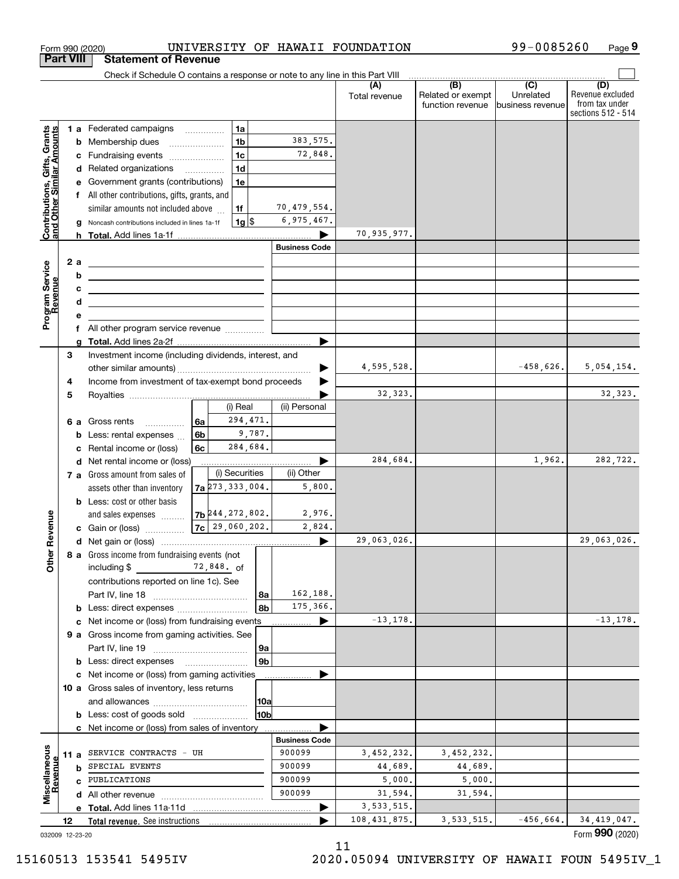|                                                           |                  | Form 990 (2020)                                                                                                                                                                          |                                      |                    |                      | UNIVERSITY OF HAWAII FOUNDATION |                                                                                                          | 99-0085260                    | Page 9                                                          |
|-----------------------------------------------------------|------------------|------------------------------------------------------------------------------------------------------------------------------------------------------------------------------------------|--------------------------------------|--------------------|----------------------|---------------------------------|----------------------------------------------------------------------------------------------------------|-------------------------------|-----------------------------------------------------------------|
|                                                           | <b>Part VIII</b> | <b>Statement of Revenue</b>                                                                                                                                                              |                                      |                    |                      |                                 |                                                                                                          |                               |                                                                 |
|                                                           |                  | Check if Schedule O contains a response or note to any line in this Part VIII                                                                                                            |                                      |                    |                      |                                 | $\begin{array}{c c c c c c} \hline \text{ } & \text{(B)} & \text{ } & \text{(C)} & \text{ } \end{array}$ |                               |                                                                 |
|                                                           |                  |                                                                                                                                                                                          |                                      |                    |                      | (A)<br>Total revenue            | Related or exempt<br>function revenue                                                                    | Unrelated<br>business revenue | (D)<br>Revenue excluded<br>from tax under<br>sections 512 - 514 |
|                                                           |                  | 1 a Federated campaigns                                                                                                                                                                  |                                      | 1a                 |                      |                                 |                                                                                                          |                               |                                                                 |
| Contributions, Gifts, Grants<br>and Other Similar Amounts |                  | <b>b</b> Membership dues                                                                                                                                                                 | $\ldots \ldots \ldots \ldots \ldots$ | 1 <sub>b</sub>     | 383, 575.            |                                 |                                                                                                          |                               |                                                                 |
|                                                           |                  | c Fundraising events                                                                                                                                                                     |                                      | 1 <sub>c</sub>     | 72,848.              |                                 |                                                                                                          |                               |                                                                 |
|                                                           |                  | d Related organizations                                                                                                                                                                  |                                      | 1 <sub>d</sub>     |                      |                                 |                                                                                                          |                               |                                                                 |
|                                                           |                  | e Government grants (contributions)                                                                                                                                                      |                                      | 1e                 |                      |                                 |                                                                                                          |                               |                                                                 |
|                                                           |                  | f All other contributions, gifts, grants, and                                                                                                                                            |                                      |                    |                      |                                 |                                                                                                          |                               |                                                                 |
|                                                           |                  | similar amounts not included above                                                                                                                                                       |                                      | 1f                 | 70,479,554.          |                                 |                                                                                                          |                               |                                                                 |
|                                                           | g                | Noncash contributions included in lines 1a-1f                                                                                                                                            |                                      | $1g$ \$            | 6,975,467.           |                                 |                                                                                                          |                               |                                                                 |
|                                                           |                  |                                                                                                                                                                                          |                                      |                    | <b>Business Code</b> | 70,935,977.                     |                                                                                                          |                               |                                                                 |
|                                                           |                  |                                                                                                                                                                                          |                                      |                    |                      |                                 |                                                                                                          |                               |                                                                 |
|                                                           | 2a<br>b          | <u>experience</u> and the contract of the contract of the contract of the contract of the contract of the contract of                                                                    |                                      |                    |                      |                                 |                                                                                                          |                               |                                                                 |
|                                                           | c                | <u> 1989 - Johann Barn, fransk politik amerikansk politik (</u><br><u> Alexander de la construcción de la construcción de la construcción de la construcción de la construcción de l</u> |                                      |                    |                      |                                 |                                                                                                          |                               |                                                                 |
| Program Service<br>Revenue                                | d                | <u> 1989 - Johann Barn, amerikansk politiker (</u>                                                                                                                                       |                                      |                    |                      |                                 |                                                                                                          |                               |                                                                 |
|                                                           | е                |                                                                                                                                                                                          |                                      |                    |                      |                                 |                                                                                                          |                               |                                                                 |
|                                                           |                  | f All other program service revenue                                                                                                                                                      |                                      |                    |                      |                                 |                                                                                                          |                               |                                                                 |
|                                                           | a                |                                                                                                                                                                                          |                                      |                    |                      |                                 |                                                                                                          |                               |                                                                 |
|                                                           | 3                | Investment income (including dividends, interest, and                                                                                                                                    |                                      |                    |                      |                                 |                                                                                                          |                               |                                                                 |
|                                                           |                  |                                                                                                                                                                                          |                                      |                    |                      | 4,595,528.                      |                                                                                                          | $-458,626.$                   | 5,054,154.                                                      |
|                                                           | 4                | Income from investment of tax-exempt bond proceeds                                                                                                                                       |                                      |                    |                      |                                 |                                                                                                          |                               |                                                                 |
|                                                           | 5                |                                                                                                                                                                                          |                                      |                    |                      | 32,323.                         |                                                                                                          |                               | 32,323.                                                         |
|                                                           |                  |                                                                                                                                                                                          |                                      | (i) Real           | (ii) Personal        |                                 |                                                                                                          |                               |                                                                 |
|                                                           |                  | 6 a Gross rents                                                                                                                                                                          | 6a                                   | 294,471.<br>9,787. |                      |                                 |                                                                                                          |                               |                                                                 |
|                                                           | b                | Less: rental expenses                                                                                                                                                                    | 6b<br>6c                             | 284,684.           |                      |                                 |                                                                                                          |                               |                                                                 |
|                                                           | c                | Rental income or (loss)<br>d Net rental income or (loss)                                                                                                                                 |                                      |                    |                      | 284,684.                        |                                                                                                          | 1,962.                        | 282,722.                                                        |
|                                                           |                  | 7 a Gross amount from sales of                                                                                                                                                           |                                      | (i) Securities     | (ii) Other           |                                 |                                                                                                          |                               |                                                                 |
|                                                           |                  | assets other than inventory                                                                                                                                                              | 7a 273, 333, 004.                    |                    | 5,800.               |                                 |                                                                                                          |                               |                                                                 |
|                                                           |                  | <b>b</b> Less: cost or other basis                                                                                                                                                       |                                      |                    |                      |                                 |                                                                                                          |                               |                                                                 |
|                                                           |                  | and sales expenses                                                                                                                                                                       | $7b$ 244, 272, 802.                  |                    | 2,976.               |                                 |                                                                                                          |                               |                                                                 |
| evenue                                                    |                  | c Gain or (loss)                                                                                                                                                                         | $7c$ 29,060,202.                     |                    | 2,824.               |                                 |                                                                                                          |                               |                                                                 |
| œ                                                         |                  |                                                                                                                                                                                          |                                      |                    |                      | 29,063,026.                     |                                                                                                          |                               | 29,063,026.                                                     |
| Other                                                     |                  | 8 a Gross income from fundraising events (not<br>including \$                                                                                                                            | 72,848. of                           |                    |                      |                                 |                                                                                                          |                               |                                                                 |
|                                                           |                  | contributions reported on line 1c). See                                                                                                                                                  |                                      |                    |                      |                                 |                                                                                                          |                               |                                                                 |
|                                                           |                  |                                                                                                                                                                                          |                                      | 8a                 | 162,188.             |                                 |                                                                                                          |                               |                                                                 |
|                                                           |                  | <b>b</b> Less: direct expenses                                                                                                                                                           |                                      | 8b                 | 175,366.             | $-13, 178.$                     |                                                                                                          |                               | $-13, 178.$                                                     |
|                                                           |                  | c Net income or (loss) from fundraising events                                                                                                                                           |                                      |                    |                      |                                 |                                                                                                          |                               |                                                                 |
|                                                           |                  | 9 a Gross income from gaming activities. See                                                                                                                                             |                                      | 9a                 |                      |                                 |                                                                                                          |                               |                                                                 |
|                                                           |                  | <b>b</b> Less: direct expenses                                                                                                                                                           |                                      | 9b                 |                      |                                 |                                                                                                          |                               |                                                                 |
|                                                           |                  | c Net income or (loss) from gaming activities                                                                                                                                            |                                      |                    |                      |                                 |                                                                                                          |                               |                                                                 |
|                                                           |                  | 10 a Gross sales of inventory, less returns                                                                                                                                              |                                      |                    |                      |                                 |                                                                                                          |                               |                                                                 |
|                                                           |                  |                                                                                                                                                                                          |                                      | 10a                |                      |                                 |                                                                                                          |                               |                                                                 |
|                                                           |                  | <b>b</b> Less: cost of goods sold                                                                                                                                                        |                                      | 10b                |                      |                                 |                                                                                                          |                               |                                                                 |
|                                                           |                  | c Net income or (loss) from sales of inventory                                                                                                                                           |                                      |                    |                      |                                 |                                                                                                          |                               |                                                                 |
|                                                           |                  |                                                                                                                                                                                          |                                      |                    | <b>Business Code</b> |                                 |                                                                                                          |                               |                                                                 |
|                                                           | 11 a             | SERVICE CONTRACTS - UH                                                                                                                                                                   |                                      |                    | 900099               | 3,452,232.                      | 3,452,232.                                                                                               |                               |                                                                 |
|                                                           | b                | SPECIAL EVENTS                                                                                                                                                                           |                                      |                    | 900099               | 44,689.                         | 44,689.                                                                                                  |                               |                                                                 |
|                                                           |                  | c PUBLICATIONS                                                                                                                                                                           |                                      |                    | 900099               | 5,000.                          | 5,000.                                                                                                   |                               |                                                                 |
| Miscellaneous<br>Revenue                                  |                  |                                                                                                                                                                                          |                                      |                    | 900099               | 31,594.                         | 31,594.                                                                                                  |                               |                                                                 |
|                                                           |                  |                                                                                                                                                                                          |                                      |                    |                      | 3, 533, 515.                    |                                                                                                          |                               |                                                                 |
|                                                           | 12               | Total revenue. See instructions                                                                                                                                                          |                                      |                    |                      | 108, 431, 875.                  | 3, 533, 515.                                                                                             | $-456,664.$                   | 34, 419, 047.<br>Form 990 (2020)                                |

15160513 153541 5495IV 2020.05094 UNIVERSITY OF HAWAII FOUN 5495IV\_1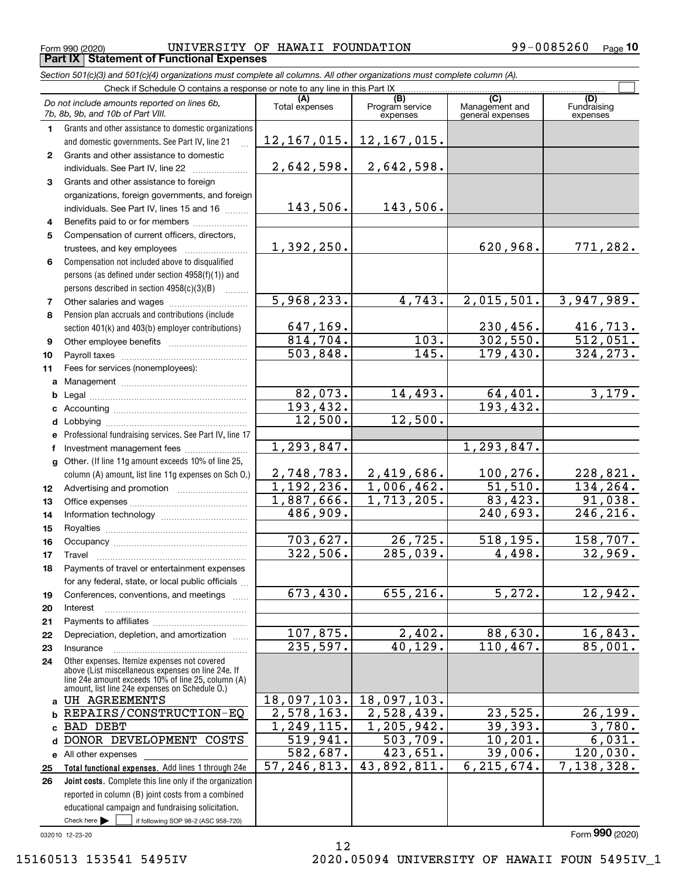$_{\rm Form}$   $_{990}$  (2020) <code>UNIVERSITY OF HAWAII FOUNDATION</code>  $99-0085260$   $_{\rm Page}$ **Part IX Statement of Functional Expenses**

*Section 501(c)(3) and 501(c)(4) organizations must complete all columns. All other organizations must complete column (A).*

|                 | Check if Schedule O contains a response or note to any line in this Part IX                                                                                                                                |                             |                                    |                                    |                                |  |  |  |  |  |
|-----------------|------------------------------------------------------------------------------------------------------------------------------------------------------------------------------------------------------------|-----------------------------|------------------------------------|------------------------------------|--------------------------------|--|--|--|--|--|
|                 | Do not include amounts reported on lines 6b,<br>7b, 8b, 9b, and 10b of Part VIII.                                                                                                                          | Total expenses              | (B)<br>Program service<br>expenses | Management and<br>general expenses | (D)<br>Fundraising<br>expenses |  |  |  |  |  |
| 1.              | Grants and other assistance to domestic organizations                                                                                                                                                      |                             |                                    |                                    |                                |  |  |  |  |  |
|                 | and domestic governments. See Part IV, line 21                                                                                                                                                             | 12, 167, 015.               | 12, 167, 015.                      |                                    |                                |  |  |  |  |  |
| $\mathbf{2}$    | Grants and other assistance to domestic                                                                                                                                                                    |                             |                                    |                                    |                                |  |  |  |  |  |
|                 | individuals. See Part IV, line 22                                                                                                                                                                          | 2,642,598.                  | 2,642,598.                         |                                    |                                |  |  |  |  |  |
| 3               | Grants and other assistance to foreign                                                                                                                                                                     |                             |                                    |                                    |                                |  |  |  |  |  |
|                 | organizations, foreign governments, and foreign                                                                                                                                                            |                             |                                    |                                    |                                |  |  |  |  |  |
|                 | individuals. See Part IV, lines 15 and 16                                                                                                                                                                  | 143,506.                    | 143,506.                           |                                    |                                |  |  |  |  |  |
| 4               | Benefits paid to or for members                                                                                                                                                                            |                             |                                    |                                    |                                |  |  |  |  |  |
| 5               | Compensation of current officers, directors,                                                                                                                                                               |                             |                                    |                                    |                                |  |  |  |  |  |
|                 | trustees, and key employees                                                                                                                                                                                | 1,392,250.                  |                                    | 620,968.                           | 771,282.                       |  |  |  |  |  |
| 6               | Compensation not included above to disqualified                                                                                                                                                            |                             |                                    |                                    |                                |  |  |  |  |  |
|                 | persons (as defined under section 4958(f)(1)) and                                                                                                                                                          |                             |                                    |                                    |                                |  |  |  |  |  |
|                 | persons described in section 4958(c)(3)(B)                                                                                                                                                                 | 5,968,233.                  | 4,743.                             | 2,015,501.                         | 3,947,989.                     |  |  |  |  |  |
| 7<br>8          | Other salaries and wages<br>Pension plan accruals and contributions (include                                                                                                                               |                             |                                    |                                    |                                |  |  |  |  |  |
|                 | section 401(k) and 403(b) employer contributions)                                                                                                                                                          | 647, 169.                   |                                    | 230,456.                           | 416,713.                       |  |  |  |  |  |
| 9               |                                                                                                                                                                                                            | 814,704.                    | $\overline{103}$ .                 | 302,550.                           | 512,051.                       |  |  |  |  |  |
| 10              |                                                                                                                                                                                                            | 503,848.                    | 145.                               | 179,430.                           | 324, 273.                      |  |  |  |  |  |
| 11              | Fees for services (nonemployees):                                                                                                                                                                          |                             |                                    |                                    |                                |  |  |  |  |  |
| a               |                                                                                                                                                                                                            |                             |                                    |                                    |                                |  |  |  |  |  |
| b               |                                                                                                                                                                                                            | 82,073.                     | 14,493.                            | 64,401.                            | 3,179.                         |  |  |  |  |  |
| c               |                                                                                                                                                                                                            | 193,432.                    |                                    | 193,432.                           |                                |  |  |  |  |  |
| d               |                                                                                                                                                                                                            | 12,500.                     | 12,500.                            |                                    |                                |  |  |  |  |  |
| e               | Professional fundraising services. See Part IV, line 17                                                                                                                                                    |                             |                                    |                                    |                                |  |  |  |  |  |
| f               | Investment management fees                                                                                                                                                                                 | 1,293,847.                  |                                    | 1,293,847.                         |                                |  |  |  |  |  |
| a               | Other. (If line 11g amount exceeds 10% of line 25,                                                                                                                                                         |                             |                                    |                                    |                                |  |  |  |  |  |
|                 | column (A) amount, list line 11g expenses on Sch O.)                                                                                                                                                       | 2,748,783.                  | 2,419,686.                         | 100,276.                           | 228,821.                       |  |  |  |  |  |
| 12 <sup>°</sup> |                                                                                                                                                                                                            | 1,192,236.                  | 1,006,462.                         | 51,510.                            | 134,264.                       |  |  |  |  |  |
| 13              |                                                                                                                                                                                                            | 1,887,666.                  | 1,713,205.                         | 83,423.                            | 91,038.                        |  |  |  |  |  |
| 14              |                                                                                                                                                                                                            | 486,909.                    |                                    | 240,693.                           | 246, 216.                      |  |  |  |  |  |
| 15              |                                                                                                                                                                                                            |                             | 26, 725.                           | 518, 195.                          | 158,707.                       |  |  |  |  |  |
| 16              |                                                                                                                                                                                                            | 703,627.<br>322,506.        | 285,039.                           | 4,498.                             | 32,969.                        |  |  |  |  |  |
| 17<br>18        | Travel<br>Payments of travel or entertainment expenses                                                                                                                                                     |                             |                                    |                                    |                                |  |  |  |  |  |
|                 | for any federal, state, or local public officials                                                                                                                                                          |                             |                                    |                                    |                                |  |  |  |  |  |
| 19              | Conferences, conventions, and meetings                                                                                                                                                                     | 673,430.                    | 655, 216.                          | $\overline{5,272.}$                | 12,942.                        |  |  |  |  |  |
| 20              | Interest                                                                                                                                                                                                   |                             |                                    |                                    |                                |  |  |  |  |  |
| 21              |                                                                                                                                                                                                            |                             |                                    |                                    |                                |  |  |  |  |  |
| 22              | Depreciation, depletion, and amortization                                                                                                                                                                  | 107,875.                    | 2,402.                             | 88,630.                            | 16,843.                        |  |  |  |  |  |
| 23              | Insurance                                                                                                                                                                                                  | 235,597.                    | 40,129.                            | 110,467.                           | 85,001.                        |  |  |  |  |  |
| 24              | Other expenses. Itemize expenses not covered<br>above (List miscellaneous expenses on line 24e. If<br>line 24e amount exceeds 10% of line 25, column (A)<br>amount, list line 24e expenses on Schedule O.) |                             |                                    |                                    |                                |  |  |  |  |  |
| a               | UH AGREEMENTS                                                                                                                                                                                              | 18,097,103.                 | 18,097,103.                        |                                    |                                |  |  |  |  |  |
| b               | REPAIRS/CONSTRUCTION-EQ                                                                                                                                                                                    | 2,578,163.                  | 2,528,439.                         | 23,525.                            | 26, 199.                       |  |  |  |  |  |
| C               | BAD DEBT                                                                                                                                                                                                   | 1,249,115.                  | 1,205,942.                         | 39,393.                            | 3,780.                         |  |  |  |  |  |
| d               | DONOR DEVELOPMENT COSTS                                                                                                                                                                                    | 519,941.                    | 503, 709.                          | 10,201.                            | 6,031.                         |  |  |  |  |  |
| е               | All other expenses                                                                                                                                                                                         | 582,687.                    | 423,651.                           | 39,006.                            | 120,030.                       |  |  |  |  |  |
| 25              | Total functional expenses. Add lines 1 through 24e                                                                                                                                                         | $\overline{57}$ , 246, 813. | 43,892,811.                        | 6, 215, 674.                       | 7,138,328.                     |  |  |  |  |  |
| 26              | Joint costs. Complete this line only if the organization                                                                                                                                                   |                             |                                    |                                    |                                |  |  |  |  |  |
|                 | reported in column (B) joint costs from a combined                                                                                                                                                         |                             |                                    |                                    |                                |  |  |  |  |  |
|                 | educational campaign and fundraising solicitation.                                                                                                                                                         |                             |                                    |                                    |                                |  |  |  |  |  |
|                 | Check here $\blacktriangleright$<br>if following SOP 98-2 (ASC 958-720)                                                                                                                                    |                             |                                    |                                    |                                |  |  |  |  |  |

032010 12-23-20

12

Form (2020) **990**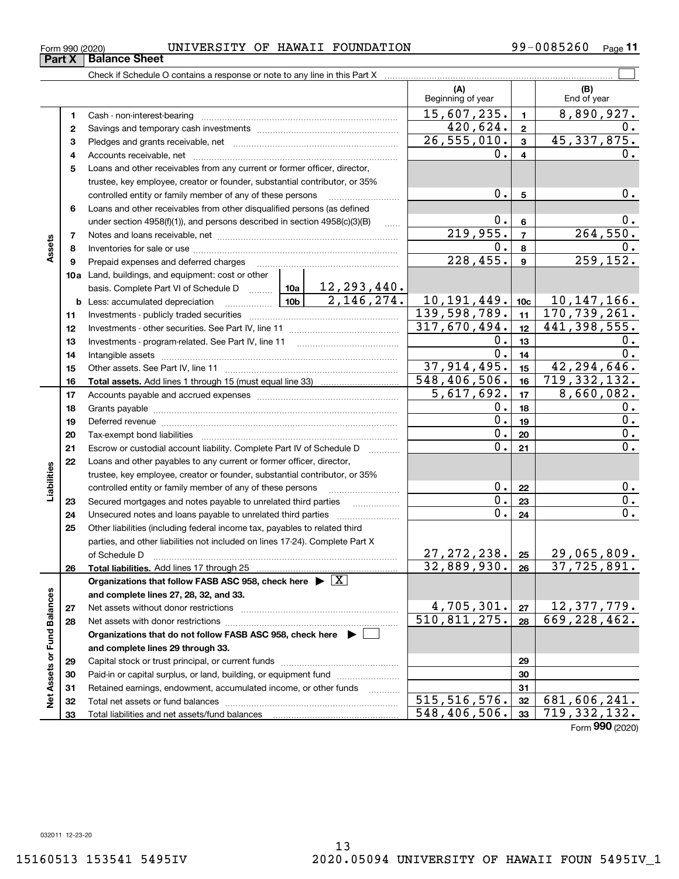### $_{\rm Form}$   $_{990}$  (2020) <code>UNIVERSITY OF HAWAII FOUNDATION</code>  $99-0085260$   $_{\rm Page}$

Check if Schedule O contains a response or note to any line in this Part X

|                             |              |                                                                                                                     | (A)<br>Beginning of year      |                  | (B)<br>End of year                  |
|-----------------------------|--------------|---------------------------------------------------------------------------------------------------------------------|-------------------------------|------------------|-------------------------------------|
|                             | 1            |                                                                                                                     | 15,607,235.                   | $\mathbf{1}$     | $\overline{8,890},\overline{927}$ . |
|                             | $\mathbf{2}$ |                                                                                                                     | 420,624.                      | $\overline{2}$   | 0.                                  |
|                             | 3            |                                                                                                                     | $\overline{26, 555, 010}$ .   | 3                | 45,337,875.                         |
|                             | 4            |                                                                                                                     | 0.                            | 4                | О.                                  |
|                             | 5            | Loans and other receivables from any current or former officer, director,                                           |                               |                  |                                     |
|                             |              | trustee, key employee, creator or founder, substantial contributor, or 35%                                          |                               |                  |                                     |
|                             |              | controlled entity or family member of any of these persons                                                          | 0.                            | 5                | 0.                                  |
|                             | 6            | Loans and other receivables from other disqualified persons (as defined                                             |                               |                  |                                     |
|                             |              | under section 4958(f)(1)), and persons described in section 4958(c)(3)(B)<br>$\ldots$                               | 0.                            | 6                | 0.                                  |
|                             | 7            |                                                                                                                     | 219,955.                      | $\overline{7}$   | 264,550.                            |
| Assets                      | 8            |                                                                                                                     | 0.                            | 8                | 0.                                  |
|                             | 9            | Prepaid expenses and deferred charges                                                                               | 228,455.                      | 9                | 259, 152.                           |
|                             |              | 10a Land, buildings, and equipment: cost or other                                                                   |                               |                  |                                     |
|                             |              | basis. Complete Part VI of Schedule D  10a   12, 293, 440.                                                          |                               |                  |                                     |
|                             | b            | 2,146,274.<br><u>  10b</u>  <br>Less: accumulated depreciation                                                      | 10, 191, 449.                 | 10c              | $\frac{10,147,166}{170,739,261}$    |
|                             | 11           |                                                                                                                     | 139, 598, 789.                | 11               |                                     |
|                             | 12           |                                                                                                                     | 317,670,494.                  | 12 <sup>12</sup> | $441,398,555$ .                     |
|                             | 13           | Investments - program-related. See Part IV, line 11                                                                 | 0.                            | 13               | υ.                                  |
|                             | 14           |                                                                                                                     | 0.                            | 14               | 0.                                  |
|                             | 15           |                                                                                                                     | 37, 914, 495.<br>548,406,506. | 15 <sub>15</sub> | 42, 294, 646.<br>719, 332, 132.     |
|                             | 16           |                                                                                                                     | 5,617,692.                    | 16<br>17         | 8,660,082.                          |
|                             | 17<br>18     |                                                                                                                     | 0.                            | 18               | 0.                                  |
|                             | 19           |                                                                                                                     | 0.                            | 19               | 0.                                  |
|                             | 20           | Deferred revenue manual contracts and contracts are all the manual contracts and contracts are all the contracts of | 0.                            | 20               | 0.                                  |
|                             | 21           | Escrow or custodial account liability. Complete Part IV of Schedule D                                               | Ο.                            | 21               | 0.                                  |
|                             | 22           | Loans and other payables to any current or former officer, director,                                                |                               |                  |                                     |
|                             |              | trustee, key employee, creator or founder, substantial contributor, or 35%                                          |                               |                  |                                     |
| Liabilities                 |              | controlled entity or family member of any of these persons                                                          | $0$ .                         | 22               | 0.                                  |
|                             | 23           | Secured mortgages and notes payable to unrelated third parties                                                      | 0.                            | 23               | 0.                                  |
|                             | 24           | Unsecured notes and loans payable to unrelated third parties                                                        | 0.                            | 24               | 0.                                  |
|                             | 25           | Other liabilities (including federal income tax, payables to related third                                          |                               |                  |                                     |
|                             |              | parties, and other liabilities not included on lines 17-24). Complete Part X                                        |                               |                  |                                     |
|                             |              | of Schedule D                                                                                                       | 27, 272, 238.                 | 25               | 29,065,809.                         |
|                             | 26           | Total liabilities. Add lines 17 through 25                                                                          | 32,889,930.                   | 26               | $\overline{37,725,891.}$            |
|                             |              | Organizations that follow FASB ASC 958, check here $\blacktriangleright \boxed{X}$                                  |                               |                  |                                     |
|                             |              | and complete lines 27, 28, 32, and 33.                                                                              |                               |                  |                                     |
|                             | 27           | Net assets without donor restrictions                                                                               | 4,705,301.                    | 27               | 12, 377, 779.                       |
|                             | 28           | Net assets with donor restrictions                                                                                  | 510,811,275.                  | 28               | 669, 228, 462.                      |
|                             |              | Organizations that do not follow FASB ASC 958, check here $\blacktriangleright$                                     |                               |                  |                                     |
| Net Assets or Fund Balances |              | and complete lines 29 through 33.                                                                                   |                               |                  |                                     |
|                             | 29           | Capital stock or trust principal, or current funds                                                                  |                               | 29               |                                     |
|                             | 30           | Paid-in or capital surplus, or land, building, or equipment fund                                                    |                               | 30               |                                     |
|                             | 31           | Retained earnings, endowment, accumulated income, or other funds<br>1.1.1.1.1.1.1.1.1.1                             | 515, 516, 576.                | 31               | 681,606,241.                        |
|                             | 32           | Total net assets or fund balances                                                                                   | 548,406,506.                  | 32               | 719, 332, 132.                      |
|                             | 33           |                                                                                                                     |                               | 33               |                                     |

13

Form (2020) **990**

 $\mathcal{L}^{\text{max}}$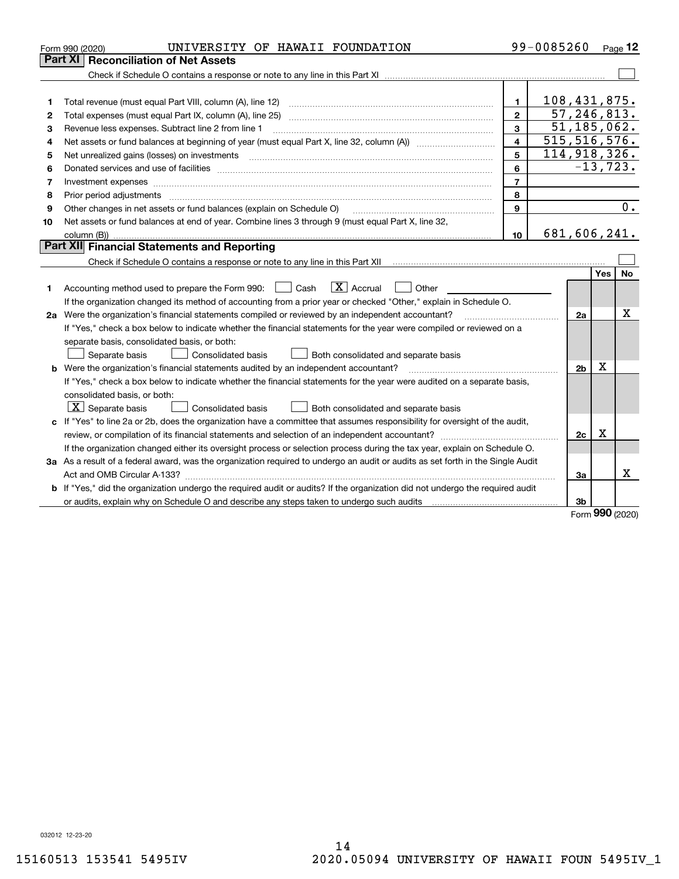| Part XI   Reconciliation of Net Assets<br>108,431,875.<br>1.<br>1<br>57, 246, 813.<br>$\mathbf{2}$<br>2<br>51, 185, 062.<br>3<br>Revenue less expenses. Subtract line 2 from line 1<br>З<br>$\overline{515}, 516, 576.$<br>$\overline{\mathbf{4}}$<br>4<br>114,918,326.<br>5<br>Net unrealized gains (losses) on investments<br>5<br>$-13, 723.$<br>6<br>6<br>$\overline{\phantom{a}}$<br>7<br>8<br>8<br>Prior period adjustments<br>0.<br>9<br>Other changes in net assets or fund balances (explain on Schedule O)<br>9<br>Net assets or fund balances at end of year. Combine lines 3 through 9 (must equal Part X, line 32,<br>10<br>681,606,241.<br>10<br>Part XII Financial Statements and Reporting<br>Check if Schedule O contains a response or note to any line in this Part XII [11] [12] Check if Schedule O contains a response or note to any line in this Part XII<br>Yes<br>No<br>$\overline{X}$ Accrual<br>Accounting method used to prepare the Form 990: <u>II</u> Cash<br>Other<br>1<br>If the organization changed its method of accounting from a prior year or checked "Other," explain in Schedule O.<br>x<br>2a Were the organization's financial statements compiled or reviewed by an independent accountant?<br>2a<br>If "Yes," check a box below to indicate whether the financial statements for the year were compiled or reviewed on a<br>separate basis, consolidated basis, or both:<br>Separate basis<br><b>Consolidated basis</b><br>Both consolidated and separate basis<br>Х<br>b Were the organization's financial statements audited by an independent accountant?<br>2 <sub>b</sub><br>If "Yes," check a box below to indicate whether the financial statements for the year were audited on a separate basis,<br>consolidated basis, or both:<br>$X$ Separate basis<br><b>Consolidated basis</b><br>Both consolidated and separate basis<br>c If "Yes" to line 2a or 2b, does the organization have a committee that assumes responsibility for oversight of the audit,<br>Χ<br>2c<br>If the organization changed either its oversight process or selection process during the tax year, explain on Schedule O.<br>3a As a result of a federal award, was the organization required to undergo an audit or audits as set forth in the Single Audit<br>x<br>За | UNIVERSITY OF HAWAII FOUNDATION<br>Form 990 (2020) |  | 99-0085260 |  |  | Page $12$ |  |  |
|---------------------------------------------------------------------------------------------------------------------------------------------------------------------------------------------------------------------------------------------------------------------------------------------------------------------------------------------------------------------------------------------------------------------------------------------------------------------------------------------------------------------------------------------------------------------------------------------------------------------------------------------------------------------------------------------------------------------------------------------------------------------------------------------------------------------------------------------------------------------------------------------------------------------------------------------------------------------------------------------------------------------------------------------------------------------------------------------------------------------------------------------------------------------------------------------------------------------------------------------------------------------------------------------------------------------------------------------------------------------------------------------------------------------------------------------------------------------------------------------------------------------------------------------------------------------------------------------------------------------------------------------------------------------------------------------------------------------------------------------------------------------------------------------------------------------------------------------------------------------------------------------------------------------------------------------------------------------------------------------------------------------------------------------------------------------------------------------------------------------------------------------------------------------------------------------------------------------------------------------------------------------------------------------------------|----------------------------------------------------|--|------------|--|--|-----------|--|--|
|                                                                                                                                                                                                                                                                                                                                                                                                                                                                                                                                                                                                                                                                                                                                                                                                                                                                                                                                                                                                                                                                                                                                                                                                                                                                                                                                                                                                                                                                                                                                                                                                                                                                                                                                                                                                                                                                                                                                                                                                                                                                                                                                                                                                                                                                                                         |                                                    |  |            |  |  |           |  |  |
|                                                                                                                                                                                                                                                                                                                                                                                                                                                                                                                                                                                                                                                                                                                                                                                                                                                                                                                                                                                                                                                                                                                                                                                                                                                                                                                                                                                                                                                                                                                                                                                                                                                                                                                                                                                                                                                                                                                                                                                                                                                                                                                                                                                                                                                                                                         |                                                    |  |            |  |  |           |  |  |
|                                                                                                                                                                                                                                                                                                                                                                                                                                                                                                                                                                                                                                                                                                                                                                                                                                                                                                                                                                                                                                                                                                                                                                                                                                                                                                                                                                                                                                                                                                                                                                                                                                                                                                                                                                                                                                                                                                                                                                                                                                                                                                                                                                                                                                                                                                         |                                                    |  |            |  |  |           |  |  |
|                                                                                                                                                                                                                                                                                                                                                                                                                                                                                                                                                                                                                                                                                                                                                                                                                                                                                                                                                                                                                                                                                                                                                                                                                                                                                                                                                                                                                                                                                                                                                                                                                                                                                                                                                                                                                                                                                                                                                                                                                                                                                                                                                                                                                                                                                                         |                                                    |  |            |  |  |           |  |  |
|                                                                                                                                                                                                                                                                                                                                                                                                                                                                                                                                                                                                                                                                                                                                                                                                                                                                                                                                                                                                                                                                                                                                                                                                                                                                                                                                                                                                                                                                                                                                                                                                                                                                                                                                                                                                                                                                                                                                                                                                                                                                                                                                                                                                                                                                                                         |                                                    |  |            |  |  |           |  |  |
|                                                                                                                                                                                                                                                                                                                                                                                                                                                                                                                                                                                                                                                                                                                                                                                                                                                                                                                                                                                                                                                                                                                                                                                                                                                                                                                                                                                                                                                                                                                                                                                                                                                                                                                                                                                                                                                                                                                                                                                                                                                                                                                                                                                                                                                                                                         |                                                    |  |            |  |  |           |  |  |
|                                                                                                                                                                                                                                                                                                                                                                                                                                                                                                                                                                                                                                                                                                                                                                                                                                                                                                                                                                                                                                                                                                                                                                                                                                                                                                                                                                                                                                                                                                                                                                                                                                                                                                                                                                                                                                                                                                                                                                                                                                                                                                                                                                                                                                                                                                         |                                                    |  |            |  |  |           |  |  |
|                                                                                                                                                                                                                                                                                                                                                                                                                                                                                                                                                                                                                                                                                                                                                                                                                                                                                                                                                                                                                                                                                                                                                                                                                                                                                                                                                                                                                                                                                                                                                                                                                                                                                                                                                                                                                                                                                                                                                                                                                                                                                                                                                                                                                                                                                                         |                                                    |  |            |  |  |           |  |  |
|                                                                                                                                                                                                                                                                                                                                                                                                                                                                                                                                                                                                                                                                                                                                                                                                                                                                                                                                                                                                                                                                                                                                                                                                                                                                                                                                                                                                                                                                                                                                                                                                                                                                                                                                                                                                                                                                                                                                                                                                                                                                                                                                                                                                                                                                                                         |                                                    |  |            |  |  |           |  |  |
|                                                                                                                                                                                                                                                                                                                                                                                                                                                                                                                                                                                                                                                                                                                                                                                                                                                                                                                                                                                                                                                                                                                                                                                                                                                                                                                                                                                                                                                                                                                                                                                                                                                                                                                                                                                                                                                                                                                                                                                                                                                                                                                                                                                                                                                                                                         |                                                    |  |            |  |  |           |  |  |
|                                                                                                                                                                                                                                                                                                                                                                                                                                                                                                                                                                                                                                                                                                                                                                                                                                                                                                                                                                                                                                                                                                                                                                                                                                                                                                                                                                                                                                                                                                                                                                                                                                                                                                                                                                                                                                                                                                                                                                                                                                                                                                                                                                                                                                                                                                         |                                                    |  |            |  |  |           |  |  |
|                                                                                                                                                                                                                                                                                                                                                                                                                                                                                                                                                                                                                                                                                                                                                                                                                                                                                                                                                                                                                                                                                                                                                                                                                                                                                                                                                                                                                                                                                                                                                                                                                                                                                                                                                                                                                                                                                                                                                                                                                                                                                                                                                                                                                                                                                                         |                                                    |  |            |  |  |           |  |  |
|                                                                                                                                                                                                                                                                                                                                                                                                                                                                                                                                                                                                                                                                                                                                                                                                                                                                                                                                                                                                                                                                                                                                                                                                                                                                                                                                                                                                                                                                                                                                                                                                                                                                                                                                                                                                                                                                                                                                                                                                                                                                                                                                                                                                                                                                                                         |                                                    |  |            |  |  |           |  |  |
|                                                                                                                                                                                                                                                                                                                                                                                                                                                                                                                                                                                                                                                                                                                                                                                                                                                                                                                                                                                                                                                                                                                                                                                                                                                                                                                                                                                                                                                                                                                                                                                                                                                                                                                                                                                                                                                                                                                                                                                                                                                                                                                                                                                                                                                                                                         |                                                    |  |            |  |  |           |  |  |
|                                                                                                                                                                                                                                                                                                                                                                                                                                                                                                                                                                                                                                                                                                                                                                                                                                                                                                                                                                                                                                                                                                                                                                                                                                                                                                                                                                                                                                                                                                                                                                                                                                                                                                                                                                                                                                                                                                                                                                                                                                                                                                                                                                                                                                                                                                         |                                                    |  |            |  |  |           |  |  |
|                                                                                                                                                                                                                                                                                                                                                                                                                                                                                                                                                                                                                                                                                                                                                                                                                                                                                                                                                                                                                                                                                                                                                                                                                                                                                                                                                                                                                                                                                                                                                                                                                                                                                                                                                                                                                                                                                                                                                                                                                                                                                                                                                                                                                                                                                                         |                                                    |  |            |  |  |           |  |  |
|                                                                                                                                                                                                                                                                                                                                                                                                                                                                                                                                                                                                                                                                                                                                                                                                                                                                                                                                                                                                                                                                                                                                                                                                                                                                                                                                                                                                                                                                                                                                                                                                                                                                                                                                                                                                                                                                                                                                                                                                                                                                                                                                                                                                                                                                                                         |                                                    |  |            |  |  |           |  |  |
|                                                                                                                                                                                                                                                                                                                                                                                                                                                                                                                                                                                                                                                                                                                                                                                                                                                                                                                                                                                                                                                                                                                                                                                                                                                                                                                                                                                                                                                                                                                                                                                                                                                                                                                                                                                                                                                                                                                                                                                                                                                                                                                                                                                                                                                                                                         |                                                    |  |            |  |  |           |  |  |
|                                                                                                                                                                                                                                                                                                                                                                                                                                                                                                                                                                                                                                                                                                                                                                                                                                                                                                                                                                                                                                                                                                                                                                                                                                                                                                                                                                                                                                                                                                                                                                                                                                                                                                                                                                                                                                                                                                                                                                                                                                                                                                                                                                                                                                                                                                         |                                                    |  |            |  |  |           |  |  |
|                                                                                                                                                                                                                                                                                                                                                                                                                                                                                                                                                                                                                                                                                                                                                                                                                                                                                                                                                                                                                                                                                                                                                                                                                                                                                                                                                                                                                                                                                                                                                                                                                                                                                                                                                                                                                                                                                                                                                                                                                                                                                                                                                                                                                                                                                                         |                                                    |  |            |  |  |           |  |  |
|                                                                                                                                                                                                                                                                                                                                                                                                                                                                                                                                                                                                                                                                                                                                                                                                                                                                                                                                                                                                                                                                                                                                                                                                                                                                                                                                                                                                                                                                                                                                                                                                                                                                                                                                                                                                                                                                                                                                                                                                                                                                                                                                                                                                                                                                                                         |                                                    |  |            |  |  |           |  |  |
|                                                                                                                                                                                                                                                                                                                                                                                                                                                                                                                                                                                                                                                                                                                                                                                                                                                                                                                                                                                                                                                                                                                                                                                                                                                                                                                                                                                                                                                                                                                                                                                                                                                                                                                                                                                                                                                                                                                                                                                                                                                                                                                                                                                                                                                                                                         |                                                    |  |            |  |  |           |  |  |
|                                                                                                                                                                                                                                                                                                                                                                                                                                                                                                                                                                                                                                                                                                                                                                                                                                                                                                                                                                                                                                                                                                                                                                                                                                                                                                                                                                                                                                                                                                                                                                                                                                                                                                                                                                                                                                                                                                                                                                                                                                                                                                                                                                                                                                                                                                         |                                                    |  |            |  |  |           |  |  |
|                                                                                                                                                                                                                                                                                                                                                                                                                                                                                                                                                                                                                                                                                                                                                                                                                                                                                                                                                                                                                                                                                                                                                                                                                                                                                                                                                                                                                                                                                                                                                                                                                                                                                                                                                                                                                                                                                                                                                                                                                                                                                                                                                                                                                                                                                                         |                                                    |  |            |  |  |           |  |  |
|                                                                                                                                                                                                                                                                                                                                                                                                                                                                                                                                                                                                                                                                                                                                                                                                                                                                                                                                                                                                                                                                                                                                                                                                                                                                                                                                                                                                                                                                                                                                                                                                                                                                                                                                                                                                                                                                                                                                                                                                                                                                                                                                                                                                                                                                                                         |                                                    |  |            |  |  |           |  |  |
|                                                                                                                                                                                                                                                                                                                                                                                                                                                                                                                                                                                                                                                                                                                                                                                                                                                                                                                                                                                                                                                                                                                                                                                                                                                                                                                                                                                                                                                                                                                                                                                                                                                                                                                                                                                                                                                                                                                                                                                                                                                                                                                                                                                                                                                                                                         |                                                    |  |            |  |  |           |  |  |
|                                                                                                                                                                                                                                                                                                                                                                                                                                                                                                                                                                                                                                                                                                                                                                                                                                                                                                                                                                                                                                                                                                                                                                                                                                                                                                                                                                                                                                                                                                                                                                                                                                                                                                                                                                                                                                                                                                                                                                                                                                                                                                                                                                                                                                                                                                         |                                                    |  |            |  |  |           |  |  |
|                                                                                                                                                                                                                                                                                                                                                                                                                                                                                                                                                                                                                                                                                                                                                                                                                                                                                                                                                                                                                                                                                                                                                                                                                                                                                                                                                                                                                                                                                                                                                                                                                                                                                                                                                                                                                                                                                                                                                                                                                                                                                                                                                                                                                                                                                                         |                                                    |  |            |  |  |           |  |  |
|                                                                                                                                                                                                                                                                                                                                                                                                                                                                                                                                                                                                                                                                                                                                                                                                                                                                                                                                                                                                                                                                                                                                                                                                                                                                                                                                                                                                                                                                                                                                                                                                                                                                                                                                                                                                                                                                                                                                                                                                                                                                                                                                                                                                                                                                                                         |                                                    |  |            |  |  |           |  |  |
|                                                                                                                                                                                                                                                                                                                                                                                                                                                                                                                                                                                                                                                                                                                                                                                                                                                                                                                                                                                                                                                                                                                                                                                                                                                                                                                                                                                                                                                                                                                                                                                                                                                                                                                                                                                                                                                                                                                                                                                                                                                                                                                                                                                                                                                                                                         |                                                    |  |            |  |  |           |  |  |
|                                                                                                                                                                                                                                                                                                                                                                                                                                                                                                                                                                                                                                                                                                                                                                                                                                                                                                                                                                                                                                                                                                                                                                                                                                                                                                                                                                                                                                                                                                                                                                                                                                                                                                                                                                                                                                                                                                                                                                                                                                                                                                                                                                                                                                                                                                         |                                                    |  |            |  |  |           |  |  |
|                                                                                                                                                                                                                                                                                                                                                                                                                                                                                                                                                                                                                                                                                                                                                                                                                                                                                                                                                                                                                                                                                                                                                                                                                                                                                                                                                                                                                                                                                                                                                                                                                                                                                                                                                                                                                                                                                                                                                                                                                                                                                                                                                                                                                                                                                                         |                                                    |  |            |  |  |           |  |  |
| b If "Yes," did the organization undergo the required audit or audits? If the organization did not undergo the required audit                                                                                                                                                                                                                                                                                                                                                                                                                                                                                                                                                                                                                                                                                                                                                                                                                                                                                                                                                                                                                                                                                                                                                                                                                                                                                                                                                                                                                                                                                                                                                                                                                                                                                                                                                                                                                                                                                                                                                                                                                                                                                                                                                                           |                                                    |  |            |  |  |           |  |  |
| or audits, explain why on Schedule O and describe any steps taken to undergo such audits [11] contains the school of audits [11] or audits [11] or audits [11] or audits [11] or audits [11] or audits [11] or audits [11] or<br>Зb<br><b>000</b>                                                                                                                                                                                                                                                                                                                                                                                                                                                                                                                                                                                                                                                                                                                                                                                                                                                                                                                                                                                                                                                                                                                                                                                                                                                                                                                                                                                                                                                                                                                                                                                                                                                                                                                                                                                                                                                                                                                                                                                                                                                       |                                                    |  |            |  |  |           |  |  |

Form (2020) **990**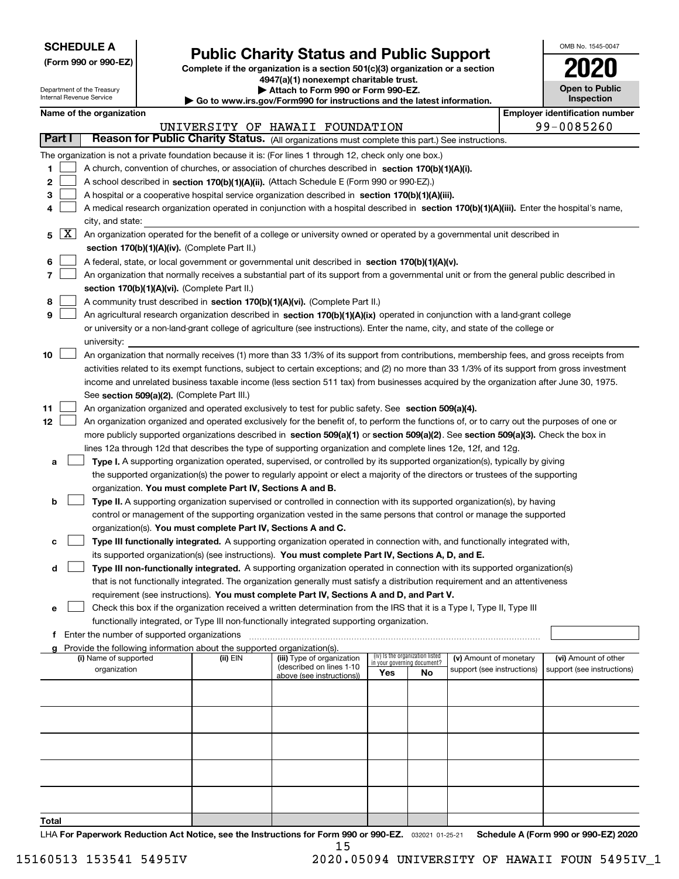| <b>SCHEDULE A</b> |
|-------------------|
|-------------------|

**(Form 990 or 990-EZ)**

# **Public Charity Status and Public Support**

**Complete if the organization is a section 501(c)(3) organization or a section 4947(a)(1) nonexempt charitable trust.**

**| Attach to Form 990 or Form 990-EZ.** 

| OMB No 1545-0047                           |
|--------------------------------------------|
| 2020                                       |
| <b>Open to Public</b><br><b>Inspection</b> |

|               |   | Department of the Treasury<br>Internal Revenue Service |  |                                                                        | ▶ Attach to Form 990 or Form 990-EZ.<br>Go to www.irs.gov/Form990 for instructions and the latest information.                               |     |                                 |                                                      |  | <b>Open to Public</b><br><b>Inspection</b>         |  |
|---------------|---|--------------------------------------------------------|--|------------------------------------------------------------------------|----------------------------------------------------------------------------------------------------------------------------------------------|-----|---------------------------------|------------------------------------------------------|--|----------------------------------------------------|--|
|               |   | Name of the organization                               |  |                                                                        |                                                                                                                                              |     |                                 |                                                      |  | <b>Employer identification number</b>              |  |
|               |   |                                                        |  |                                                                        | UNIVERSITY OF HAWAII FOUNDATION                                                                                                              |     |                                 |                                                      |  | 99-0085260                                         |  |
| <b>Part I</b> |   |                                                        |  |                                                                        | Reason for Public Charity Status. (All organizations must complete this part.) See instructions.                                             |     |                                 |                                                      |  |                                                    |  |
|               |   |                                                        |  |                                                                        | The organization is not a private foundation because it is: (For lines 1 through 12, check only one box.)                                    |     |                                 |                                                      |  |                                                    |  |
| 1             |   |                                                        |  |                                                                        | A church, convention of churches, or association of churches described in section 170(b)(1)(A)(i).                                           |     |                                 |                                                      |  |                                                    |  |
| 2             |   |                                                        |  |                                                                        | A school described in section 170(b)(1)(A)(ii). (Attach Schedule E (Form 990 or 990-EZ).)                                                    |     |                                 |                                                      |  |                                                    |  |
| 3             |   |                                                        |  |                                                                        | A hospital or a cooperative hospital service organization described in section 170(b)(1)(A)(iii).                                            |     |                                 |                                                      |  |                                                    |  |
| 4             |   |                                                        |  |                                                                        | A medical research organization operated in conjunction with a hospital described in section 170(b)(1)(A)(iii). Enter the hospital's name,   |     |                                 |                                                      |  |                                                    |  |
|               |   | city, and state:                                       |  |                                                                        |                                                                                                                                              |     |                                 |                                                      |  |                                                    |  |
| 5             | X |                                                        |  |                                                                        | An organization operated for the benefit of a college or university owned or operated by a governmental unit described in                    |     |                                 |                                                      |  |                                                    |  |
|               |   |                                                        |  | section 170(b)(1)(A)(iv). (Complete Part II.)                          |                                                                                                                                              |     |                                 |                                                      |  |                                                    |  |
| 6             |   |                                                        |  |                                                                        | A federal, state, or local government or governmental unit described in section 170(b)(1)(A)(v).                                             |     |                                 |                                                      |  |                                                    |  |
| 7             |   |                                                        |  |                                                                        | An organization that normally receives a substantial part of its support from a governmental unit or from the general public described in    |     |                                 |                                                      |  |                                                    |  |
|               |   | section 170(b)(1)(A)(vi). (Complete Part II.)          |  |                                                                        |                                                                                                                                              |     |                                 |                                                      |  |                                                    |  |
| 8             |   |                                                        |  |                                                                        | A community trust described in section 170(b)(1)(A)(vi). (Complete Part II.)                                                                 |     |                                 |                                                      |  |                                                    |  |
| 9             |   |                                                        |  |                                                                        | An agricultural research organization described in section 170(b)(1)(A)(ix) operated in conjunction with a land-grant college                |     |                                 |                                                      |  |                                                    |  |
|               |   |                                                        |  |                                                                        | or university or a non-land-grant college of agriculture (see instructions). Enter the name, city, and state of the college or               |     |                                 |                                                      |  |                                                    |  |
|               |   | university:                                            |  |                                                                        |                                                                                                                                              |     |                                 |                                                      |  |                                                    |  |
| 10            |   |                                                        |  |                                                                        | An organization that normally receives (1) more than 33 1/3% of its support from contributions, membership fees, and gross receipts from     |     |                                 |                                                      |  |                                                    |  |
|               |   |                                                        |  |                                                                        | activities related to its exempt functions, subject to certain exceptions; and (2) no more than 33 1/3% of its support from gross investment |     |                                 |                                                      |  |                                                    |  |
|               |   |                                                        |  |                                                                        | income and unrelated business taxable income (less section 511 tax) from businesses acquired by the organization after June 30, 1975.        |     |                                 |                                                      |  |                                                    |  |
|               |   |                                                        |  | See section 509(a)(2). (Complete Part III.)                            |                                                                                                                                              |     |                                 |                                                      |  |                                                    |  |
| 11            |   |                                                        |  |                                                                        | An organization organized and operated exclusively to test for public safety. See section 509(a)(4).                                         |     |                                 |                                                      |  |                                                    |  |
| 12            |   |                                                        |  |                                                                        | An organization organized and operated exclusively for the benefit of, to perform the functions of, or to carry out the purposes of one or   |     |                                 |                                                      |  |                                                    |  |
|               |   |                                                        |  |                                                                        | more publicly supported organizations described in section 509(a)(1) or section 509(a)(2). See section 509(a)(3). Check the box in           |     |                                 |                                                      |  |                                                    |  |
|               |   |                                                        |  |                                                                        | lines 12a through 12d that describes the type of supporting organization and complete lines 12e, 12f, and 12g.                               |     |                                 |                                                      |  |                                                    |  |
| а             |   |                                                        |  |                                                                        | Type I. A supporting organization operated, supervised, or controlled by its supported organization(s), typically by giving                  |     |                                 |                                                      |  |                                                    |  |
|               |   |                                                        |  |                                                                        | the supported organization(s) the power to regularly appoint or elect a majority of the directors or trustees of the supporting              |     |                                 |                                                      |  |                                                    |  |
| b             |   |                                                        |  | organization. You must complete Part IV, Sections A and B.             | Type II. A supporting organization supervised or controlled in connection with its supported organization(s), by having                      |     |                                 |                                                      |  |                                                    |  |
|               |   |                                                        |  |                                                                        | control or management of the supporting organization vested in the same persons that control or manage the supported                         |     |                                 |                                                      |  |                                                    |  |
|               |   |                                                        |  | organization(s). You must complete Part IV, Sections A and C.          |                                                                                                                                              |     |                                 |                                                      |  |                                                    |  |
| c             |   |                                                        |  |                                                                        | Type III functionally integrated. A supporting organization operated in connection with, and functionally integrated with,                   |     |                                 |                                                      |  |                                                    |  |
|               |   |                                                        |  |                                                                        | its supported organization(s) (see instructions). You must complete Part IV, Sections A, D, and E.                                           |     |                                 |                                                      |  |                                                    |  |
| d             |   |                                                        |  |                                                                        | Type III non-functionally integrated. A supporting organization operated in connection with its supported organization(s)                    |     |                                 |                                                      |  |                                                    |  |
|               |   |                                                        |  |                                                                        | that is not functionally integrated. The organization generally must satisfy a distribution requirement and an attentiveness                 |     |                                 |                                                      |  |                                                    |  |
|               |   |                                                        |  |                                                                        | requirement (see instructions). You must complete Part IV, Sections A and D, and Part V.                                                     |     |                                 |                                                      |  |                                                    |  |
| е             |   |                                                        |  |                                                                        | Check this box if the organization received a written determination from the IRS that it is a Type I, Type II, Type III                      |     |                                 |                                                      |  |                                                    |  |
|               |   |                                                        |  |                                                                        | functionally integrated, or Type III non-functionally integrated supporting organization.                                                    |     |                                 |                                                      |  |                                                    |  |
| f             |   | Enter the number of supported organizations            |  |                                                                        |                                                                                                                                              |     |                                 |                                                      |  |                                                    |  |
|               |   |                                                        |  | Provide the following information about the supported organization(s). |                                                                                                                                              |     | (iv) Is the organization listed |                                                      |  |                                                    |  |
|               |   | (i) Name of supported<br>organization                  |  | (ii) EIN                                                               | (iii) Type of organization<br>(described on lines 1-10                                                                                       |     | in your governing document?     | (v) Amount of monetary<br>support (see instructions) |  | (vi) Amount of other<br>support (see instructions) |  |
|               |   |                                                        |  |                                                                        | above (see instructions))                                                                                                                    | Yes | No                              |                                                      |  |                                                    |  |
|               |   |                                                        |  |                                                                        |                                                                                                                                              |     |                                 |                                                      |  |                                                    |  |
|               |   |                                                        |  |                                                                        |                                                                                                                                              |     |                                 |                                                      |  |                                                    |  |
|               |   |                                                        |  |                                                                        |                                                                                                                                              |     |                                 |                                                      |  |                                                    |  |
|               |   |                                                        |  |                                                                        |                                                                                                                                              |     |                                 |                                                      |  |                                                    |  |
|               |   |                                                        |  |                                                                        |                                                                                                                                              |     |                                 |                                                      |  |                                                    |  |
|               |   |                                                        |  |                                                                        |                                                                                                                                              |     |                                 |                                                      |  |                                                    |  |
|               |   |                                                        |  |                                                                        |                                                                                                                                              |     |                                 |                                                      |  |                                                    |  |
|               |   |                                                        |  |                                                                        |                                                                                                                                              |     |                                 |                                                      |  |                                                    |  |
|               |   |                                                        |  |                                                                        |                                                                                                                                              |     |                                 |                                                      |  |                                                    |  |
| Total         |   |                                                        |  |                                                                        |                                                                                                                                              |     |                                 |                                                      |  |                                                    |  |

LHA For Paperwork Reduction Act Notice, see the Instructions for Form 990 or 990-EZ. <sub>032021</sub> o1-25-21 Schedule A (Form 990 or 990-EZ) 2020 15

 <sup>15160513 153541 5495</sup>IV 2020.05094 UNIVERSITY OF HAWAII FOUN 5495IV\_1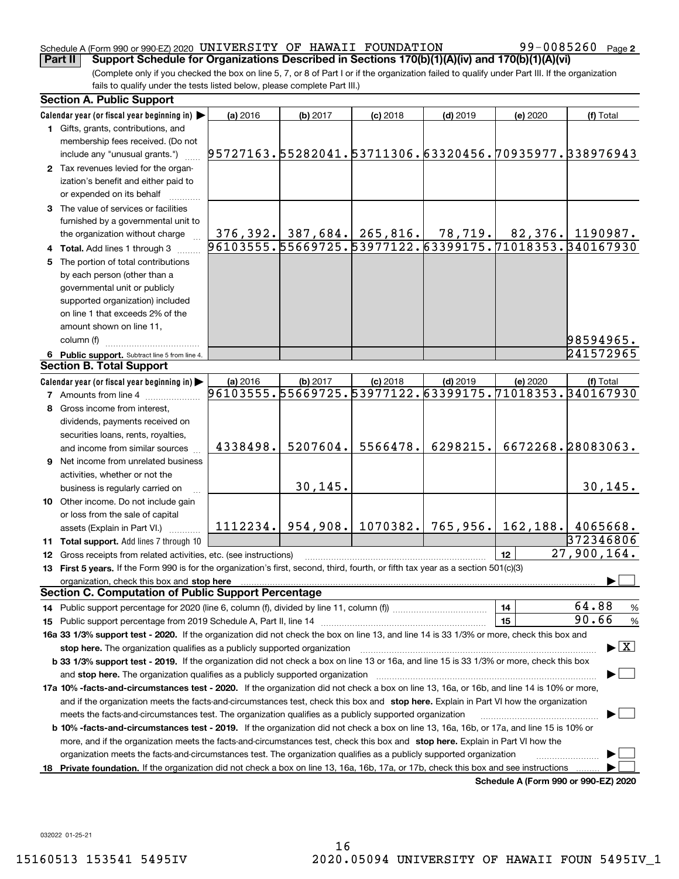## Schedule A (Form 990 or 990-EZ) 2020 <code>UNIVERSITY OF HAWAII FOUNDATION</code> 99 $-0085260$  Page

99-0085260 Page 2

(Complete only if you checked the box on line 5, 7, or 8 of Part I or if the organization failed to qualify under Part III. If the organization fails to qualify under the tests listed below, please complete Part III.) **Part II Support Schedule for Organizations Described in Sections 170(b)(1)(A)(iv) and 170(b)(1)(A)(vi)**

| <b>Section A. Public Support</b>                                                                                                               |                                                        |          |                                 |            |           |                                                                                                                                   |
|------------------------------------------------------------------------------------------------------------------------------------------------|--------------------------------------------------------|----------|---------------------------------|------------|-----------|-----------------------------------------------------------------------------------------------------------------------------------|
| Calendar year (or fiscal year beginning in)                                                                                                    | (a) 2016                                               | (b) 2017 | $(c)$ 2018                      | $(d)$ 2019 | (e) 2020  | (f) Total                                                                                                                         |
| 1 Gifts, grants, contributions, and                                                                                                            |                                                        |          |                                 |            |           |                                                                                                                                   |
| membership fees received. (Do not                                                                                                              |                                                        |          |                                 |            |           |                                                                                                                                   |
| include any "unusual grants.")                                                                                                                 | 95727163.55282041.53711306.63320456.70935977.338976943 |          |                                 |            |           |                                                                                                                                   |
| 2 Tax revenues levied for the organ-                                                                                                           |                                                        |          |                                 |            |           |                                                                                                                                   |
| ization's benefit and either paid to                                                                                                           |                                                        |          |                                 |            |           |                                                                                                                                   |
| or expended on its behalf                                                                                                                      |                                                        |          |                                 |            |           |                                                                                                                                   |
| 3 The value of services or facilities                                                                                                          |                                                        |          |                                 |            |           |                                                                                                                                   |
| furnished by a governmental unit to                                                                                                            |                                                        |          |                                 |            |           |                                                                                                                                   |
| the organization without charge                                                                                                                |                                                        |          |                                 |            |           |                                                                                                                                   |
| 4 Total. Add lines 1 through 3                                                                                                                 |                                                        |          |                                 |            |           | <u>  376,392.  387,684.  265,816.    78,719.    82,376.  1190987.</u><br>  96103555.55669725.53977122.63399175.71018353.340167930 |
| 5 The portion of total contributions                                                                                                           |                                                        |          |                                 |            |           |                                                                                                                                   |
| by each person (other than a                                                                                                                   |                                                        |          |                                 |            |           |                                                                                                                                   |
| governmental unit or publicly                                                                                                                  |                                                        |          |                                 |            |           |                                                                                                                                   |
|                                                                                                                                                |                                                        |          |                                 |            |           |                                                                                                                                   |
| supported organization) included                                                                                                               |                                                        |          |                                 |            |           |                                                                                                                                   |
| on line 1 that exceeds 2% of the                                                                                                               |                                                        |          |                                 |            |           |                                                                                                                                   |
| amount shown on line 11,                                                                                                                       |                                                        |          |                                 |            |           |                                                                                                                                   |
| column (f)                                                                                                                                     |                                                        |          |                                 |            |           | 98594965.                                                                                                                         |
| 6 Public support. Subtract line 5 from line 4.                                                                                                 |                                                        |          |                                 |            |           | 241572965                                                                                                                         |
| <b>Section B. Total Support</b>                                                                                                                |                                                        |          |                                 |            |           |                                                                                                                                   |
| Calendar year (or fiscal year beginning in)                                                                                                    | (a) 2016                                               | (b) 2017 | $(c)$ 2018                      | $(d)$ 2019 | (e) 2020  | (f) Total                                                                                                                         |
| <b>7</b> Amounts from line 4                                                                                                                   | 96103555.55669725.53977122.63399175.71018353.340167930 |          |                                 |            |           |                                                                                                                                   |
| 8 Gross income from interest,                                                                                                                  |                                                        |          |                                 |            |           |                                                                                                                                   |
| dividends, payments received on                                                                                                                |                                                        |          |                                 |            |           |                                                                                                                                   |
| securities loans, rents, royalties,                                                                                                            |                                                        |          |                                 |            |           |                                                                                                                                   |
| and income from similar sources                                                                                                                | 4338498.                                               | 5207604. | 5566478.                        | 6298215.   |           | 6672268.28083063.                                                                                                                 |
| <b>9</b> Net income from unrelated business                                                                                                    |                                                        |          |                                 |            |           |                                                                                                                                   |
| activities, whether or not the                                                                                                                 |                                                        |          |                                 |            |           |                                                                                                                                   |
| business is regularly carried on                                                                                                               |                                                        | 30, 145. |                                 |            |           | 30, 145.                                                                                                                          |
| 10 Other income. Do not include gain                                                                                                           |                                                        |          |                                 |            |           |                                                                                                                                   |
| or loss from the sale of capital                                                                                                               |                                                        |          |                                 |            |           |                                                                                                                                   |
| assets (Explain in Part VI.)                                                                                                                   |                                                        |          | 1112234.   954, 908.   1070382. | 765,956.   | 162, 188. | 4065668.                                                                                                                          |
| 11 Total support. Add lines 7 through 10                                                                                                       |                                                        |          |                                 |            |           | 372346806                                                                                                                         |
| 12 Gross receipts from related activities, etc. (see instructions)                                                                             |                                                        |          |                                 |            | 12        | 27,900,164.                                                                                                                       |
| 13 First 5 years. If the Form 990 is for the organization's first, second, third, fourth, or fifth tax year as a section 501(c)(3)             |                                                        |          |                                 |            |           |                                                                                                                                   |
|                                                                                                                                                |                                                        |          |                                 |            |           |                                                                                                                                   |
| <b>Section C. Computation of Public Support Percentage</b>                                                                                     |                                                        |          |                                 |            |           |                                                                                                                                   |
| 14 Public support percentage for 2020 (line 6, column (f), divided by line 11, column (f) manu-contractive controller                          |                                                        |          |                                 |            | 14        | 64.88<br>%                                                                                                                        |
|                                                                                                                                                |                                                        |          |                                 |            | 15        | 90.66<br>%                                                                                                                        |
| 16a 33 1/3% support test - 2020. If the organization did not check the box on line 13, and line 14 is 33 1/3% or more, check this box and      |                                                        |          |                                 |            |           |                                                                                                                                   |
| stop here. The organization qualifies as a publicly supported organization                                                                     |                                                        |          |                                 |            |           | $\blacktriangleright$ $\mid$ X                                                                                                    |
| b 33 1/3% support test - 2019. If the organization did not check a box on line 13 or 16a, and line 15 is 33 1/3% or more, check this box       |                                                        |          |                                 |            |           |                                                                                                                                   |
| and stop here. The organization qualifies as a publicly supported organization                                                                 |                                                        |          |                                 |            |           |                                                                                                                                   |
| 17a 10% -facts-and-circumstances test - 2020. If the organization did not check a box on line 13, 16a, or 16b, and line 14 is 10% or more,     |                                                        |          |                                 |            |           |                                                                                                                                   |
| and if the organization meets the facts-and-circumstances test, check this box and stop here. Explain in Part VI how the organization          |                                                        |          |                                 |            |           |                                                                                                                                   |
| meets the facts-and-circumstances test. The organization qualifies as a publicly supported organization                                        |                                                        |          |                                 |            |           |                                                                                                                                   |
| <b>b 10% -facts-and-circumstances test - 2019.</b> If the organization did not check a box on line 13, 16a, 16b, or 17a, and line 15 is 10% or |                                                        |          |                                 |            |           |                                                                                                                                   |
|                                                                                                                                                |                                                        |          |                                 |            |           |                                                                                                                                   |
| more, and if the organization meets the facts-and-circumstances test, check this box and stop here. Explain in Part VI how the                 |                                                        |          |                                 |            |           |                                                                                                                                   |
| organization meets the facts-and-circumstances test. The organization qualifies as a publicly supported organization                           |                                                        |          |                                 |            |           |                                                                                                                                   |
| 18 Private foundation. If the organization did not check a box on line 13, 16a, 16b, 17a, or 17b, check this box and see instructions          |                                                        |          |                                 |            |           | Schedule A (Form 990 or 990-F7) 2020                                                                                              |

**Schedule A (Form 990 or 990-EZ) 2020**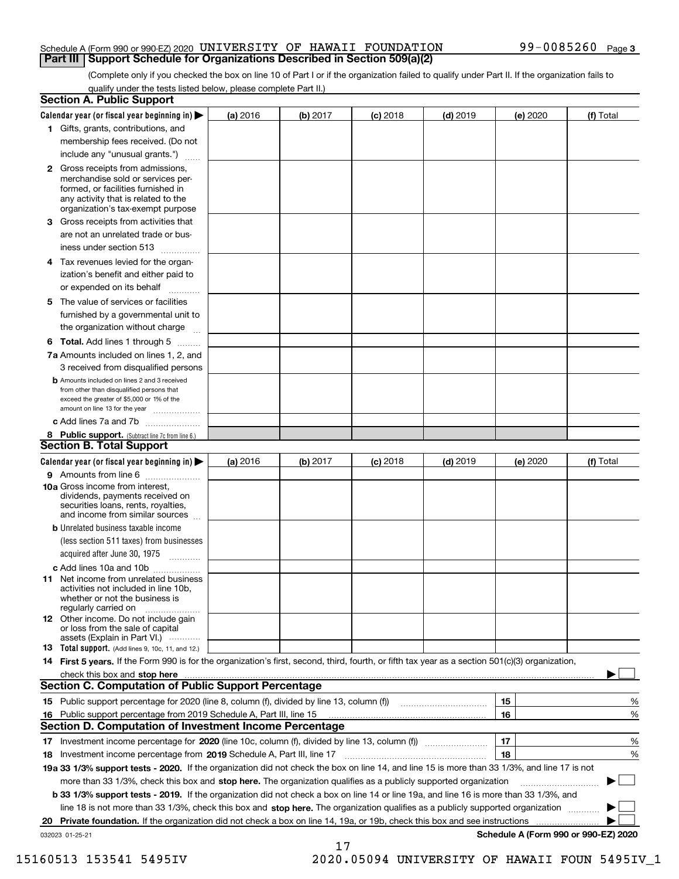### Schedule A (Form 990 or 990-EZ) 2020 <code>UNIVERSITY OF HAWAII FOUNDATION</code> 99 $-0085260$  Page **Part III Support Schedule for Organizations Described in Section 509(a)(2)**

(Complete only if you checked the box on line 10 of Part I or if the organization failed to qualify under Part II. If the organization fails to qualify under the tests listed below, please complete Part II.)

|    | <b>Section A. Public Support</b>                                                                                                                                                                                                      |          |          |            |            |                                      |           |
|----|---------------------------------------------------------------------------------------------------------------------------------------------------------------------------------------------------------------------------------------|----------|----------|------------|------------|--------------------------------------|-----------|
|    | Calendar year (or fiscal year beginning in) $\blacktriangleright$                                                                                                                                                                     | (a) 2016 | (b) 2017 | $(c)$ 2018 | $(d)$ 2019 | (e) 2020                             | (f) Total |
|    | 1 Gifts, grants, contributions, and                                                                                                                                                                                                   |          |          |            |            |                                      |           |
|    | membership fees received. (Do not                                                                                                                                                                                                     |          |          |            |            |                                      |           |
|    | include any "unusual grants.")                                                                                                                                                                                                        |          |          |            |            |                                      |           |
|    | 2 Gross receipts from admissions,<br>merchandise sold or services per-<br>formed, or facilities furnished in<br>any activity that is related to the<br>organization's tax-exempt purpose                                              |          |          |            |            |                                      |           |
|    | 3 Gross receipts from activities that<br>are not an unrelated trade or bus-<br>iness under section 513                                                                                                                                |          |          |            |            |                                      |           |
|    | 4 Tax revenues levied for the organ-<br>ization's benefit and either paid to                                                                                                                                                          |          |          |            |            |                                      |           |
|    | or expended on its behalf<br>.                                                                                                                                                                                                        |          |          |            |            |                                      |           |
|    | 5 The value of services or facilities                                                                                                                                                                                                 |          |          |            |            |                                      |           |
|    | furnished by a governmental unit to                                                                                                                                                                                                   |          |          |            |            |                                      |           |
|    | the organization without charge                                                                                                                                                                                                       |          |          |            |            |                                      |           |
|    | <b>6 Total.</b> Add lines 1 through 5                                                                                                                                                                                                 |          |          |            |            |                                      |           |
|    | 7a Amounts included on lines 1, 2, and                                                                                                                                                                                                |          |          |            |            |                                      |           |
|    | 3 received from disqualified persons<br><b>b</b> Amounts included on lines 2 and 3 received                                                                                                                                           |          |          |            |            |                                      |           |
|    | from other than disqualified persons that                                                                                                                                                                                             |          |          |            |            |                                      |           |
|    | exceed the greater of \$5,000 or 1% of the<br>amount on line 13 for the year                                                                                                                                                          |          |          |            |            |                                      |           |
|    | c Add lines 7a and 7b                                                                                                                                                                                                                 |          |          |            |            |                                      |           |
|    | 8 Public support. (Subtract line 7c from line 6.)                                                                                                                                                                                     |          |          |            |            |                                      |           |
|    | <b>Section B. Total Support</b>                                                                                                                                                                                                       |          |          |            |            |                                      |           |
|    | Calendar year (or fiscal year beginning in) $\blacktriangleright$                                                                                                                                                                     | (a) 2016 | (b) 2017 | $(c)$ 2018 | $(d)$ 2019 | (e) 2020                             | (f) Total |
|    | 9 Amounts from line 6                                                                                                                                                                                                                 |          |          |            |            |                                      |           |
|    | 10a Gross income from interest,<br>dividends, payments received on<br>securities loans, rents, royalties,<br>and income from similar sources                                                                                          |          |          |            |            |                                      |           |
|    | <b>b</b> Unrelated business taxable income                                                                                                                                                                                            |          |          |            |            |                                      |           |
|    | (less section 511 taxes) from businesses                                                                                                                                                                                              |          |          |            |            |                                      |           |
|    | acquired after June 30, 1975                                                                                                                                                                                                          |          |          |            |            |                                      |           |
|    | c Add lines 10a and 10b<br>11 Net income from unrelated business<br>activities not included in line 10b,<br>whether or not the business is<br>regularly carried on                                                                    |          |          |            |            |                                      |           |
|    | <b>12</b> Other income. Do not include gain<br>or loss from the sale of capital<br>assets (Explain in Part VI.)                                                                                                                       |          |          |            |            |                                      |           |
|    | <b>13</b> Total support. (Add lines 9, 10c, 11, and 12.)                                                                                                                                                                              |          |          |            |            |                                      |           |
|    | 14 First 5 years. If the Form 990 is for the organization's first, second, third, fourth, or fifth tax year as a section 501(c)(3) organization,                                                                                      |          |          |            |            |                                      |           |
|    | check this box and stop here with the continuum control to the change of the state of the state of the change of the state of the change of the change of the state of the change of the change of the change of the change of        |          |          |            |            |                                      |           |
|    | <b>Section C. Computation of Public Support Percentage</b>                                                                                                                                                                            |          |          |            |            |                                      |           |
|    | 15 Public support percentage for 2020 (line 8, column (f), divided by line 13, column (f))                                                                                                                                            |          |          |            |            | 15                                   | %         |
|    | 16 Public support percentage from 2019 Schedule A, Part III, line 15<br><b>Section D. Computation of Investment Income Percentage</b>                                                                                                 |          |          |            |            | 16                                   | %         |
|    |                                                                                                                                                                                                                                       |          |          |            |            | 17                                   |           |
|    | 17 Investment income percentage for 2020 (line 10c, column (f), divided by line 13, column (f))                                                                                                                                       |          |          |            |            | 18                                   | %         |
|    | <b>18</b> Investment income percentage from <b>2019</b> Schedule A, Part III, line 17<br>19a 33 1/3% support tests - 2020. If the organization did not check the box on line 14, and line 15 is more than 33 1/3%, and line 17 is not |          |          |            |            |                                      | %         |
|    | more than 33 1/3%, check this box and stop here. The organization qualifies as a publicly supported organization                                                                                                                      |          |          |            |            |                                      | ▶         |
|    | b 33 1/3% support tests - 2019. If the organization did not check a box on line 14 or line 19a, and line 16 is more than 33 1/3%, and                                                                                                 |          |          |            |            |                                      |           |
|    | line 18 is not more than 33 1/3%, check this box and stop here. The organization qualifies as a publicly supported organization                                                                                                       |          |          |            |            |                                      |           |
| 20 | Private foundation. If the organization did not check a box on line 14, 19a, or 19b, check this box and see instructions                                                                                                              |          |          |            |            | .                                    |           |
|    | 032023 01-25-21                                                                                                                                                                                                                       |          |          |            |            | Schedule A (Form 990 or 990-EZ) 2020 |           |

17

15160513 153541 5495IV 2020.05094 UNIVERSITY OF HAWAII FOUN 5495IV\_1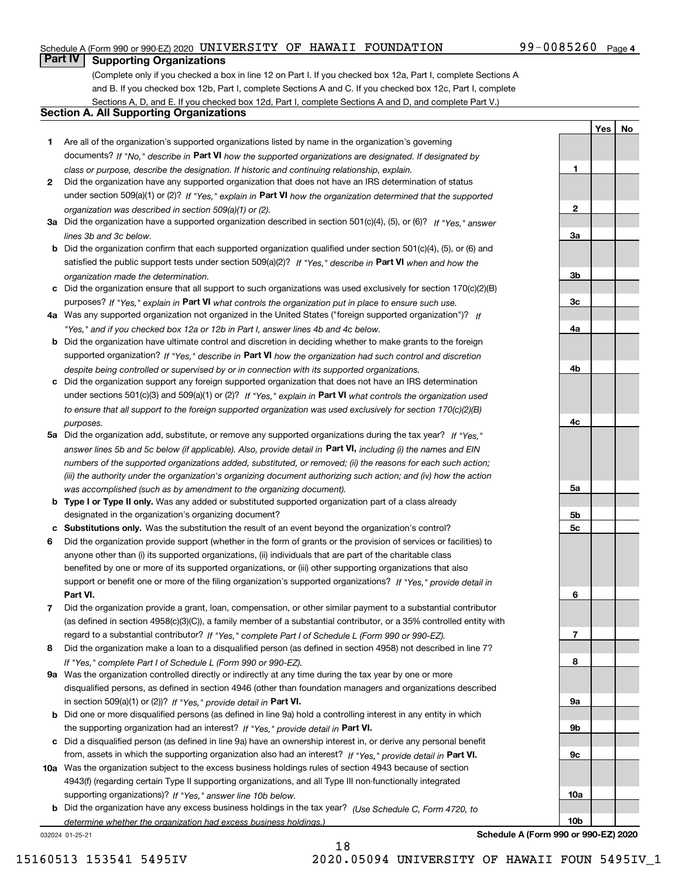### Schedule A (Form 990 or 990-EZ) 2020 <code>UNIVERSITY OF HAWAII FOUNDATION</code> 99 $-0085260$  Page

# 99-0085260 Page 4

**1**

**2**

**YesNo**

# **Part IV Supporting Organizations**

(Complete only if you checked a box in line 12 on Part I. If you checked box 12a, Part I, complete Sections A and B. If you checked box 12b, Part I, complete Sections A and C. If you checked box 12c, Part I, complete Sections A, D, and E. If you checked box 12d, Part I, complete Sections A and D, and complete Part V.)

## **Section A. All Supporting Organizations**

- **1** Are all of the organization's supported organizations listed by name in the organization's governing documents? If "No," describe in **Part VI** how the supported organizations are designated. If designated by *class or purpose, describe the designation. If historic and continuing relationship, explain.*
- **2** Did the organization have any supported organization that does not have an IRS determination of status under section 509(a)(1) or (2)? If "Yes," explain in Part VI how the organization determined that the supported *organization was described in section 509(a)(1) or (2).*
- **3a** Did the organization have a supported organization described in section 501(c)(4), (5), or (6)? If "Yes," answer *lines 3b and 3c below.*
- **b** Did the organization confirm that each supported organization qualified under section 501(c)(4), (5), or (6) and satisfied the public support tests under section 509(a)(2)? If "Yes," describe in **Part VI** when and how the *organization made the determination.*
- **c**Did the organization ensure that all support to such organizations was used exclusively for section 170(c)(2)(B) purposes? If "Yes," explain in **Part VI** what controls the organization put in place to ensure such use.
- **4a***If* Was any supported organization not organized in the United States ("foreign supported organization")? *"Yes," and if you checked box 12a or 12b in Part I, answer lines 4b and 4c below.*
- **b** Did the organization have ultimate control and discretion in deciding whether to make grants to the foreign supported organization? If "Yes," describe in **Part VI** how the organization had such control and discretion *despite being controlled or supervised by or in connection with its supported organizations.*
- **c** Did the organization support any foreign supported organization that does not have an IRS determination under sections 501(c)(3) and 509(a)(1) or (2)? If "Yes," explain in **Part VI** what controls the organization used *to ensure that all support to the foreign supported organization was used exclusively for section 170(c)(2)(B) purposes.*
- **5a** Did the organization add, substitute, or remove any supported organizations during the tax year? If "Yes," answer lines 5b and 5c below (if applicable). Also, provide detail in **Part VI,** including (i) the names and EIN *numbers of the supported organizations added, substituted, or removed; (ii) the reasons for each such action; (iii) the authority under the organization's organizing document authorizing such action; and (iv) how the action was accomplished (such as by amendment to the organizing document).*
- **b** Type I or Type II only. Was any added or substituted supported organization part of a class already designated in the organization's organizing document?
- **cSubstitutions only.**  Was the substitution the result of an event beyond the organization's control?
- **6** Did the organization provide support (whether in the form of grants or the provision of services or facilities) to **Part VI.** *If "Yes," provide detail in* support or benefit one or more of the filing organization's supported organizations? anyone other than (i) its supported organizations, (ii) individuals that are part of the charitable class benefited by one or more of its supported organizations, or (iii) other supporting organizations that also
- **7**Did the organization provide a grant, loan, compensation, or other similar payment to a substantial contributor *If "Yes," complete Part I of Schedule L (Form 990 or 990-EZ).* regard to a substantial contributor? (as defined in section 4958(c)(3)(C)), a family member of a substantial contributor, or a 35% controlled entity with
- **8** Did the organization make a loan to a disqualified person (as defined in section 4958) not described in line 7? *If "Yes," complete Part I of Schedule L (Form 990 or 990-EZ).*
- **9a** Was the organization controlled directly or indirectly at any time during the tax year by one or more in section 509(a)(1) or (2))? If "Yes," *provide detail in* <code>Part VI.</code> disqualified persons, as defined in section 4946 (other than foundation managers and organizations described
- **b** Did one or more disqualified persons (as defined in line 9a) hold a controlling interest in any entity in which the supporting organization had an interest? If "Yes," provide detail in P**art VI**.
- **c**Did a disqualified person (as defined in line 9a) have an ownership interest in, or derive any personal benefit from, assets in which the supporting organization also had an interest? If "Yes," provide detail in P**art VI.**
- **10a** Was the organization subject to the excess business holdings rules of section 4943 because of section supporting organizations)? If "Yes," answer line 10b below. 4943(f) (regarding certain Type II supporting organizations, and all Type III non-functionally integrated
- **b** Did the organization have any excess business holdings in the tax year? (Use Schedule C, Form 4720, to *determine whether the organization had excess business holdings.)*

032024 01-25-21



**Schedule A (Form 990 or 990-EZ) 2020**

15160513 153541 5495IV 2020.05094 UNIVERSITY OF HAWAII FOUN 5495IV\_1

18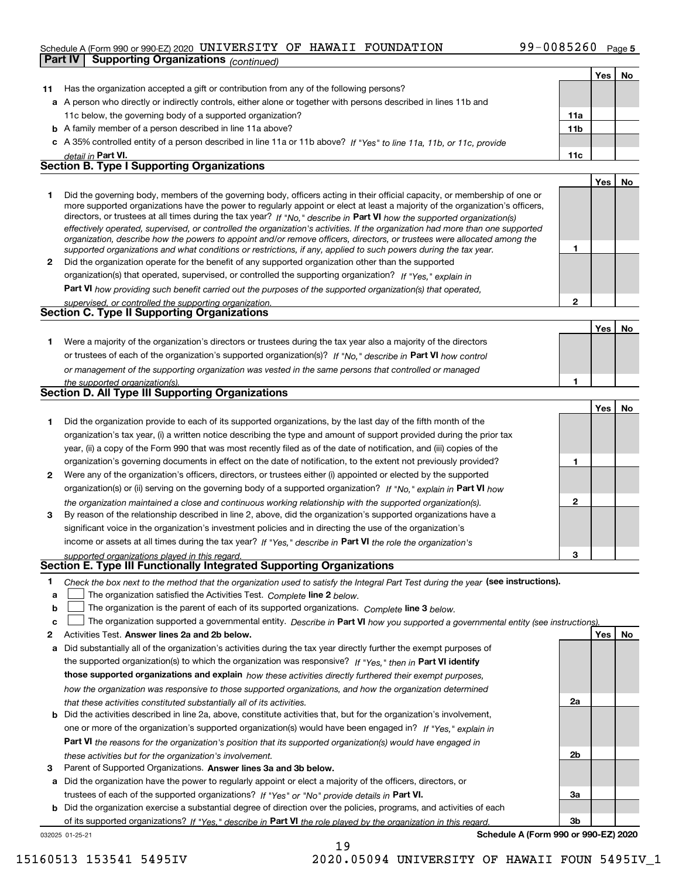### Schedule A (Form 990 or 990-EZ) 2020 <code>UNIVERSITY OF HAWAII FOUNDATION</code> 99 $-0085260$  Page

|              | <b>Supporting Organizations (continued)</b><br>Part IV                                                                                                                                                                                                    |                 |     |    |
|--------------|-----------------------------------------------------------------------------------------------------------------------------------------------------------------------------------------------------------------------------------------------------------|-----------------|-----|----|
|              |                                                                                                                                                                                                                                                           |                 | Yes | No |
| 11           | Has the organization accepted a gift or contribution from any of the following persons?                                                                                                                                                                   |                 |     |    |
|              | a A person who directly or indirectly controls, either alone or together with persons described in lines 11b and                                                                                                                                          |                 |     |    |
|              | 11c below, the governing body of a supported organization?                                                                                                                                                                                                | 11a             |     |    |
|              | <b>b</b> A family member of a person described in line 11a above?                                                                                                                                                                                         | 11 <sub>b</sub> |     |    |
|              | c A 35% controlled entity of a person described in line 11a or 11b above? If "Yes" to line 11a, 11b, or 11c, provide                                                                                                                                      |                 |     |    |
|              | detail in Part VI.                                                                                                                                                                                                                                        | 11c             |     |    |
|              | <b>Section B. Type I Supporting Organizations</b>                                                                                                                                                                                                         |                 |     |    |
|              |                                                                                                                                                                                                                                                           |                 | Yes | No |
| 1.           | Did the governing body, members of the governing body, officers acting in their official capacity, or membership of one or                                                                                                                                |                 |     |    |
|              | more supported organizations have the power to regularly appoint or elect at least a majority of the organization's officers,                                                                                                                             |                 |     |    |
|              | directors, or trustees at all times during the tax year? If "No," describe in Part VI how the supported organization(s)<br>effectively operated, supervised, or controlled the organization's activities. If the organization had more than one supported |                 |     |    |
|              | organization, describe how the powers to appoint and/or remove officers, directors, or trustees were allocated among the                                                                                                                                  |                 |     |    |
|              | supported organizations and what conditions or restrictions, if any, applied to such powers during the tax year.                                                                                                                                          | 1               |     |    |
| $\mathbf{2}$ | Did the organization operate for the benefit of any supported organization other than the supported                                                                                                                                                       |                 |     |    |
|              | organization(s) that operated, supervised, or controlled the supporting organization? If "Yes," explain in                                                                                                                                                |                 |     |    |
|              | <b>Part VI</b> how providing such benefit carried out the purposes of the supported organization(s) that operated,                                                                                                                                        |                 |     |    |
|              | supervised, or controlled the supporting organization.                                                                                                                                                                                                    | $\mathbf{2}$    |     |    |
|              | Section C. Type II Supporting Organizations                                                                                                                                                                                                               |                 |     |    |
|              |                                                                                                                                                                                                                                                           |                 | Yes | No |
| 1.           | Were a majority of the organization's directors or trustees during the tax year also a majority of the directors                                                                                                                                          |                 |     |    |
|              | or trustees of each of the organization's supported organization(s)? If "No," describe in Part VI how control                                                                                                                                             |                 |     |    |
|              | or management of the supporting organization was vested in the same persons that controlled or managed                                                                                                                                                    |                 |     |    |
|              | the supported organization(s).<br>Section D. All Type III Supporting Organizations                                                                                                                                                                        | 1               |     |    |
|              |                                                                                                                                                                                                                                                           |                 |     |    |
|              |                                                                                                                                                                                                                                                           |                 | Yes | No |
| 1.           | Did the organization provide to each of its supported organizations, by the last day of the fifth month of the                                                                                                                                            |                 |     |    |
|              | organization's tax year, (i) a written notice describing the type and amount of support provided during the prior tax                                                                                                                                     |                 |     |    |
|              | year, (ii) a copy of the Form 990 that was most recently filed as of the date of notification, and (iii) copies of the<br>organization's governing documents in effect on the date of notification, to the extent not previously provided?                | 1               |     |    |
| 2            | Were any of the organization's officers, directors, or trustees either (i) appointed or elected by the supported                                                                                                                                          |                 |     |    |
|              | organization(s) or (ii) serving on the governing body of a supported organization? If "No," explain in Part VI how                                                                                                                                        |                 |     |    |
|              | the organization maintained a close and continuous working relationship with the supported organization(s).                                                                                                                                               | $\mathbf{2}$    |     |    |
| 3            | By reason of the relationship described in line 2, above, did the organization's supported organizations have a                                                                                                                                           |                 |     |    |
|              | significant voice in the organization's investment policies and in directing the use of the organization's                                                                                                                                                |                 |     |    |
|              | income or assets at all times during the tax year? If "Yes," describe in Part VI the role the organization's                                                                                                                                              |                 |     |    |
|              | supported organizations played in this regard.                                                                                                                                                                                                            | з               |     |    |
|              | Section E. Type III Functionally Integrated Supporting Organizations                                                                                                                                                                                      |                 |     |    |
| 1            | Check the box next to the method that the organization used to satisfy the Integral Part Test during the year (see instructions).                                                                                                                         |                 |     |    |
| a            | The organization satisfied the Activities Test. Complete line 2 below.                                                                                                                                                                                    |                 |     |    |
| b            | The organization is the parent of each of its supported organizations. Complete line 3 below.                                                                                                                                                             |                 |     |    |
| c            | The organization supported a governmental entity. Describe in Part VI how you supported a governmental entity (see instructions).                                                                                                                         |                 |     |    |
| 2            | Activities Test. Answer lines 2a and 2b below.                                                                                                                                                                                                            |                 | Yes | No |
| a            | Did substantially all of the organization's activities during the tax year directly further the exempt purposes of                                                                                                                                        |                 |     |    |
|              | the supported organization(s) to which the organization was responsive? If "Yes," then in Part VI identify                                                                                                                                                |                 |     |    |
|              | those supported organizations and explain how these activities directly furthered their exempt purposes,                                                                                                                                                  |                 |     |    |
|              | how the organization was responsive to those supported organizations, and how the organization determined                                                                                                                                                 |                 |     |    |
|              | that these activities constituted substantially all of its activities.                                                                                                                                                                                    | 2a              |     |    |
|              | <b>b</b> Did the activities described in line 2a, above, constitute activities that, but for the organization's involvement,                                                                                                                              |                 |     |    |
|              | one or more of the organization's supported organization(s) would have been engaged in? If "Yes," explain in                                                                                                                                              |                 |     |    |
|              | <b>Part VI</b> the reasons for the organization's position that its supported organization(s) would have engaged in                                                                                                                                       |                 |     |    |
|              | these activities but for the organization's involvement.                                                                                                                                                                                                  | 2b              |     |    |
| з            | Parent of Supported Organizations. Answer lines 3a and 3b below.                                                                                                                                                                                          |                 |     |    |
|              | a Did the organization have the power to regularly appoint or elect a majority of the officers, directors, or                                                                                                                                             |                 |     |    |

trustees of each of the supported organizations? If "Yes" or "No" provide details in **Part VI.** 

032025 01-25-21 **b** Did the organization exercise a substantial degree of direction over the policies, programs, and activities of each of its supported organizations? If "Yes," describe in Part VI the role played by the organization in this regard.

19

**Schedule A (Form 990 or 990-EZ) 2020**

**3a**

**3b**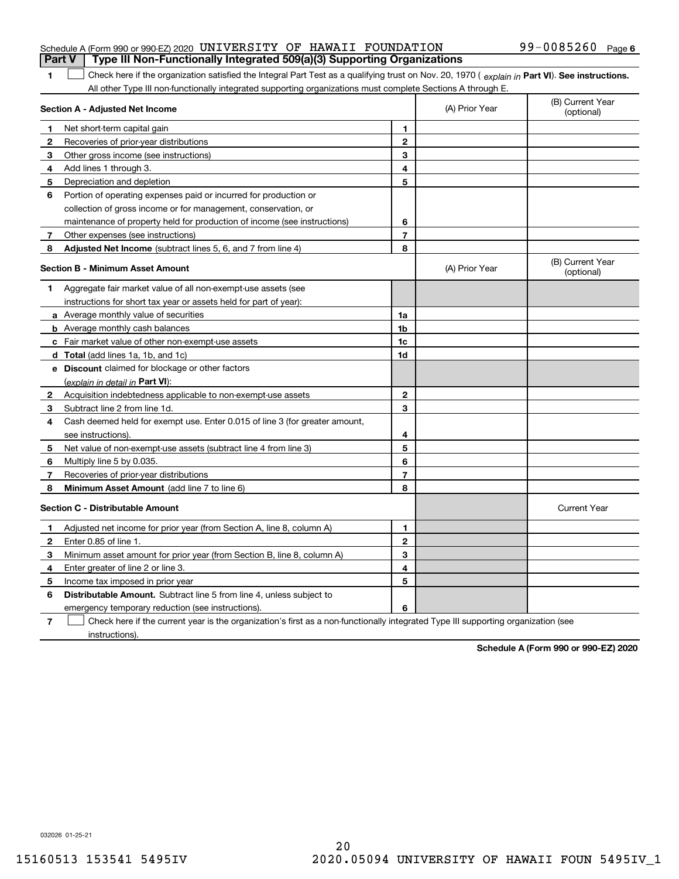### Schedule A (Form 990 or 990-EZ) 2020 <code>UNIVERSITY OF HAWAII FOUNDATION</code> 99 $-0085260$  Page **Part V Type III Non-Functionally Integrated 509(a)(3) Supporting Organizations**

1 Check here if the organization satisfied the Integral Part Test as a qualifying trust on Nov. 20, 1970 (explain in Part VI). See instructions. All other Type III non-functionally integrated supporting organizations must complete Sections A through E.

|              | Section A - Adjusted Net Income                                                                                                   | (A) Prior Year | (B) Current Year<br>(optional) |                                |
|--------------|-----------------------------------------------------------------------------------------------------------------------------------|----------------|--------------------------------|--------------------------------|
| 1            | Net short-term capital gain                                                                                                       | 1              |                                |                                |
| 2            | Recoveries of prior-year distributions                                                                                            | $\mathbf{2}$   |                                |                                |
| 3            | Other gross income (see instructions)                                                                                             | 3              |                                |                                |
| 4            | Add lines 1 through 3.                                                                                                            | 4              |                                |                                |
| 5            | Depreciation and depletion                                                                                                        | 5              |                                |                                |
| 6            | Portion of operating expenses paid or incurred for production or                                                                  |                |                                |                                |
|              | collection of gross income or for management, conservation, or                                                                    |                |                                |                                |
|              | maintenance of property held for production of income (see instructions)                                                          | 6              |                                |                                |
| 7            | Other expenses (see instructions)                                                                                                 | $\overline{7}$ |                                |                                |
| 8            | Adjusted Net Income (subtract lines 5, 6, and 7 from line 4)                                                                      | 8              |                                |                                |
|              | <b>Section B - Minimum Asset Amount</b>                                                                                           |                | (A) Prior Year                 | (B) Current Year<br>(optional) |
| 1            | Aggregate fair market value of all non-exempt-use assets (see                                                                     |                |                                |                                |
|              | instructions for short tax year or assets held for part of year):                                                                 |                |                                |                                |
|              | <b>a</b> Average monthly value of securities                                                                                      | 1a             |                                |                                |
|              | <b>b</b> Average monthly cash balances                                                                                            | 1 <sub>b</sub> |                                |                                |
|              | c Fair market value of other non-exempt-use assets                                                                                | 1c             |                                |                                |
|              | d Total (add lines 1a, 1b, and 1c)                                                                                                | 1d             |                                |                                |
|              | e Discount claimed for blockage or other factors                                                                                  |                |                                |                                |
|              | (explain in detail in Part VI):                                                                                                   |                |                                |                                |
| $\mathbf{2}$ | Acquisition indebtedness applicable to non-exempt-use assets                                                                      | $\mathbf{2}$   |                                |                                |
| 3            | Subtract line 2 from line 1d.                                                                                                     | 3              |                                |                                |
| 4            | Cash deemed held for exempt use. Enter 0.015 of line 3 (for greater amount,                                                       |                |                                |                                |
|              | see instructions).                                                                                                                | 4              |                                |                                |
| 5            | Net value of non-exempt-use assets (subtract line 4 from line 3)                                                                  | 5              |                                |                                |
| 6            | Multiply line 5 by 0.035.                                                                                                         | 6              |                                |                                |
| 7            | Recoveries of prior-year distributions                                                                                            | $\overline{7}$ |                                |                                |
| 8            | Minimum Asset Amount (add line 7 to line 6)                                                                                       | 8              |                                |                                |
|              | <b>Section C - Distributable Amount</b>                                                                                           |                |                                | <b>Current Year</b>            |
| 1            | Adjusted net income for prior year (from Section A, line 8, column A)                                                             | 1              |                                |                                |
| 2            | Enter 0.85 of line 1.                                                                                                             | $\mathbf{2}$   |                                |                                |
| 3            | Minimum asset amount for prior year (from Section B, line 8, column A)                                                            | 3              |                                |                                |
| 4            | Enter greater of line 2 or line 3.                                                                                                | 4              |                                |                                |
| 5            | Income tax imposed in prior year                                                                                                  | 5              |                                |                                |
| 6            | <b>Distributable Amount.</b> Subtract line 5 from line 4, unless subject to                                                       |                |                                |                                |
|              | emergency temporary reduction (see instructions).                                                                                 | 6              |                                |                                |
| 7            | Check here if the current year is the organization's first as a non-functionally integrated Type III supporting organization (see |                |                                |                                |

instructions).

**1**

**Schedule A (Form 990 or 990-EZ) 2020**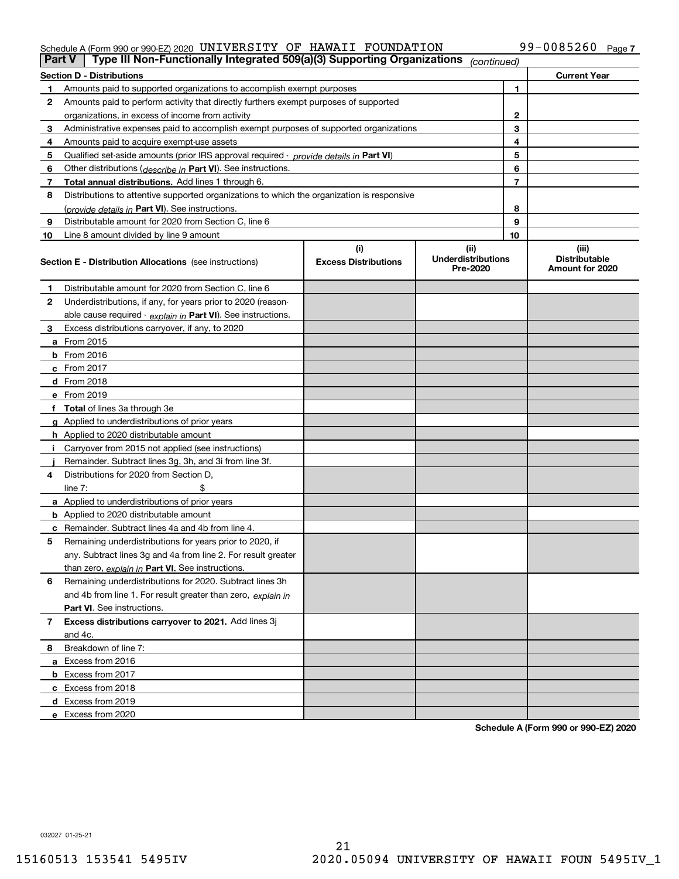### Schedule A (Form 990 or 990-EZ) 2020 Page UNIVERSITY OF HAWAII FOUNDATION 99-0085260

| Part V | Type III Non-Functionally Integrated 509(a)(3) Supporting Organizations                    |                                    | (continued)                                   |                                                  |
|--------|--------------------------------------------------------------------------------------------|------------------------------------|-----------------------------------------------|--------------------------------------------------|
|        | <b>Section D - Distributions</b>                                                           |                                    |                                               | <b>Current Year</b>                              |
|        | Amounts paid to supported organizations to accomplish exempt purposes                      |                                    | 1                                             |                                                  |
| 2      | Amounts paid to perform activity that directly furthers exempt purposes of supported       |                                    |                                               |                                                  |
|        | organizations, in excess of income from activity                                           |                                    | 2                                             |                                                  |
| 3      | Administrative expenses paid to accomplish exempt purposes of supported organizations      |                                    | 3                                             |                                                  |
| 4      | Amounts paid to acquire exempt-use assets                                                  |                                    | 4                                             |                                                  |
| 5      | Qualified set aside amounts (prior IRS approval required - provide details in Part VI)     |                                    | 5                                             |                                                  |
| 6      | Other distributions (describe in Part VI). See instructions.                               |                                    | 6                                             |                                                  |
| 7      | Total annual distributions. Add lines 1 through 6.                                         |                                    | 7                                             |                                                  |
| 8      | Distributions to attentive supported organizations to which the organization is responsive |                                    |                                               |                                                  |
|        | (provide details in Part VI). See instructions.                                            |                                    | 8                                             |                                                  |
| 9      | Distributable amount for 2020 from Section C, line 6                                       |                                    | 9                                             |                                                  |
| 10     | Line 8 amount divided by line 9 amount                                                     |                                    | 10                                            |                                                  |
|        | <b>Section E - Distribution Allocations</b> (see instructions)                             | (i)<br><b>Excess Distributions</b> | (ii)<br><b>Underdistributions</b><br>Pre-2020 | (iii)<br><b>Distributable</b><br>Amount for 2020 |
| 1      | Distributable amount for 2020 from Section C, line 6                                       |                                    |                                               |                                                  |
| 2      | Underdistributions, if any, for years prior to 2020 (reason-                               |                                    |                                               |                                                  |
|        | able cause required - explain in Part VI). See instructions.                               |                                    |                                               |                                                  |
| 3      | Excess distributions carryover, if any, to 2020                                            |                                    |                                               |                                                  |
|        | a From 2015                                                                                |                                    |                                               |                                                  |
|        | $b$ From 2016                                                                              |                                    |                                               |                                                  |
|        | c From $2017$                                                                              |                                    |                                               |                                                  |
|        | <b>d</b> From 2018                                                                         |                                    |                                               |                                                  |
|        | e From 2019                                                                                |                                    |                                               |                                                  |
|        | f Total of lines 3a through 3e                                                             |                                    |                                               |                                                  |
|        | g Applied to underdistributions of prior years                                             |                                    |                                               |                                                  |
|        | <b>h</b> Applied to 2020 distributable amount                                              |                                    |                                               |                                                  |
|        | Carryover from 2015 not applied (see instructions)                                         |                                    |                                               |                                                  |
|        | Remainder. Subtract lines 3g, 3h, and 3i from line 3f.                                     |                                    |                                               |                                                  |
| 4      | Distributions for 2020 from Section D.                                                     |                                    |                                               |                                                  |
|        | line $7:$                                                                                  |                                    |                                               |                                                  |
|        | a Applied to underdistributions of prior years                                             |                                    |                                               |                                                  |
|        | <b>b</b> Applied to 2020 distributable amount                                              |                                    |                                               |                                                  |
|        | <b>c</b> Remainder. Subtract lines 4a and 4b from line 4.                                  |                                    |                                               |                                                  |
| 5      | Remaining underdistributions for years prior to 2020, if                                   |                                    |                                               |                                                  |
|        | any. Subtract lines 3g and 4a from line 2. For result greater                              |                                    |                                               |                                                  |
|        | than zero, explain in Part VI. See instructions.                                           |                                    |                                               |                                                  |
| 6      | Remaining underdistributions for 2020. Subtract lines 3h                                   |                                    |                                               |                                                  |
|        | and 4b from line 1. For result greater than zero, explain in                               |                                    |                                               |                                                  |
|        | Part VI. See instructions.                                                                 |                                    |                                               |                                                  |
| 7      | Excess distributions carryover to 2021. Add lines 3j                                       |                                    |                                               |                                                  |
|        | and 4c.                                                                                    |                                    |                                               |                                                  |
| 8      | Breakdown of line 7:                                                                       |                                    |                                               |                                                  |
|        | a Excess from 2016                                                                         |                                    |                                               |                                                  |
|        | <b>b</b> Excess from 2017                                                                  |                                    |                                               |                                                  |
|        | c Excess from 2018                                                                         |                                    |                                               |                                                  |
|        | d Excess from 2019                                                                         |                                    |                                               |                                                  |
|        | e Excess from 2020                                                                         |                                    |                                               |                                                  |

**Schedule A (Form 990 or 990-EZ) 2020**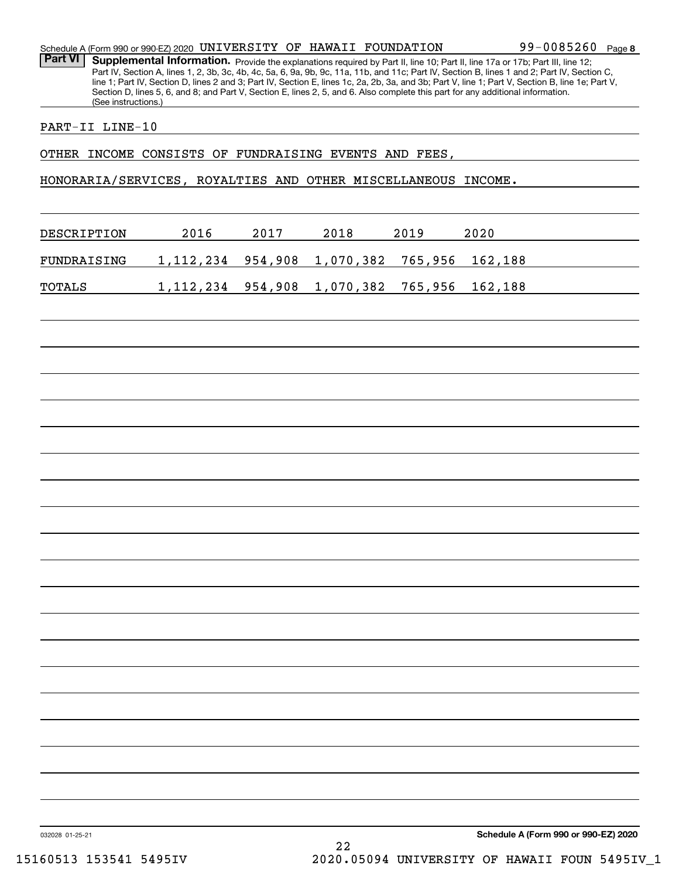| Schedule A (Form 990 or 990-EZ) 2020 UNIVERSITY OF HAWAII FOUNDATION |  |  | 99-0085260 Page 8 |  |
|----------------------------------------------------------------------|--|--|-------------------|--|
|                                                                      |  |  |                   |  |

Part VI | Supplemental Information. Provide the explanations required by Part II, line 10; Part II, line 17a or 17b; Part III, line 12; Part IV, Section A, lines 1, 2, 3b, 3c, 4b, 4c, 5a, 6, 9a, 9b, 9c, 11a, 11b, and 11c; Part IV, Section B, lines 1 and 2; Part IV, Section C, line 1; Part IV, Section D, lines 2 and 3; Part IV, Section E, lines 1c, 2a, 2b, 3a, and 3b; Part V, line 1; Part V, Section B, line 1e; Part V, Section D, lines 5, 6, and 8; and Part V, Section E, lines 2, 5, and 6. Also complete this part for any additional information. (See instructions.)

## PART-II LINE-10

OTHER INCOME CONSISTS OF FUNDRAISING EVENTS AND FEES,

HONORARIA/SERVICES, ROYALTIES AND OTHER MISCELLANEOUS INCOME.

| DESCRIPTION | 2016                                               | 2017 | 2018 | 2019 | 2020 |
|-------------|----------------------------------------------------|------|------|------|------|
| FUNDRAISING | 1,112,234 954,908 1,070,382 765,956 162,188        |      |      |      |      |
| TOTALS      | 1, 112, 234 954, 908 1, 070, 382 765, 956 162, 188 |      |      |      |      |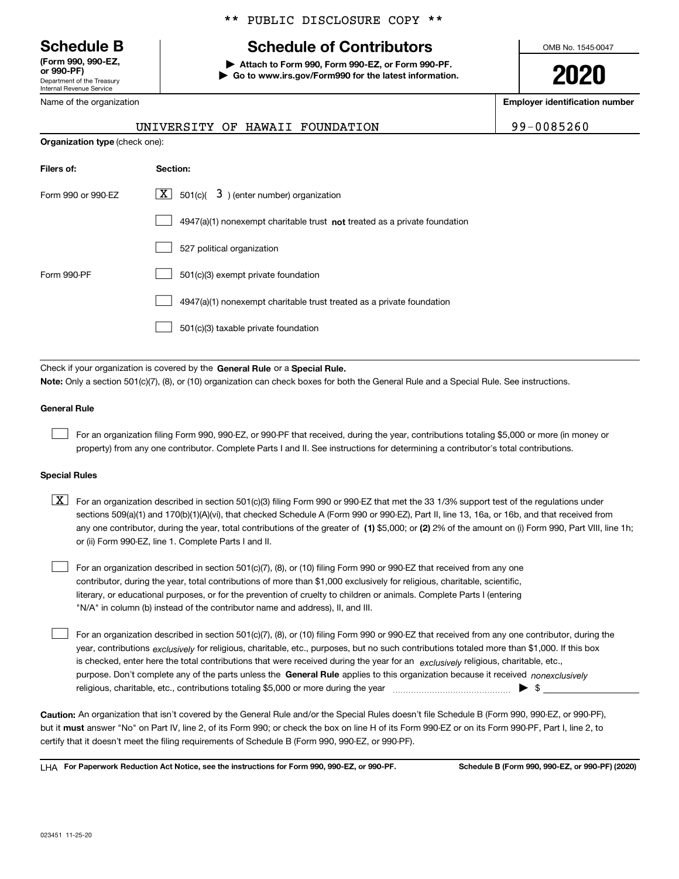Department of the Treasury Internal Revenue Service **(Form 990, 990-EZ, or 990-PF)**

Name of the organization

## \*\* PUBLIC DISCLOSURE COPY \*\*

# **Schedule B Schedule of Contributors**

**| Attach to Form 990, Form 990-EZ, or Form 990-PF. | Go to www.irs.gov/Form990 for the latest information.** OMB No. 1545-0047

**2020**

**Employer identification number**

| $-008526$ |
|-----------|
|-----------|

|                                       |  | UNIVERSITY OF HAWAII FOUNDATION | 99-0085260 |
|---------------------------------------|--|---------------------------------|------------|
| <b>Organization type</b> (check one): |  |                                 |            |

| Filers of:         | Section:                                                                    |
|--------------------|-----------------------------------------------------------------------------|
| Form 990 or 990-EZ | $\lfloor x \rfloor$ 501(c)( 3) (enter number) organization                  |
|                    | $4947(a)(1)$ nonexempt charitable trust not treated as a private foundation |
|                    | 527 political organization                                                  |
| Form 990-PF        | 501(c)(3) exempt private foundation                                         |
|                    | 4947(a)(1) nonexempt charitable trust treated as a private foundation       |
|                    | 501(c)(3) taxable private foundation                                        |

Check if your organization is covered by the **General Rule** or a **Special Rule. Note:**  Only a section 501(c)(7), (8), or (10) organization can check boxes for both the General Rule and a Special Rule. See instructions.

### **General Rule**

 $\mathcal{L}^{\text{max}}$ 

For an organization filing Form 990, 990-EZ, or 990-PF that received, during the year, contributions totaling \$5,000 or more (in money or property) from any one contributor. Complete Parts I and II. See instructions for determining a contributor's total contributions.

### **Special Rules**

any one contributor, during the year, total contributions of the greater of  $\,$  (1) \$5,000; or **(2)** 2% of the amount on (i) Form 990, Part VIII, line 1h;  $\boxed{\textbf{X}}$  For an organization described in section 501(c)(3) filing Form 990 or 990-EZ that met the 33 1/3% support test of the regulations under sections 509(a)(1) and 170(b)(1)(A)(vi), that checked Schedule A (Form 990 or 990-EZ), Part II, line 13, 16a, or 16b, and that received from or (ii) Form 990-EZ, line 1. Complete Parts I and II.

For an organization described in section 501(c)(7), (8), or (10) filing Form 990 or 990-EZ that received from any one contributor, during the year, total contributions of more than \$1,000 exclusively for religious, charitable, scientific, literary, or educational purposes, or for the prevention of cruelty to children or animals. Complete Parts I (entering "N/A" in column (b) instead of the contributor name and address), II, and III.  $\mathcal{L}^{\text{max}}$ 

purpose. Don't complete any of the parts unless the **General Rule** applies to this organization because it received *nonexclusively* year, contributions <sub>exclusively</sub> for religious, charitable, etc., purposes, but no such contributions totaled more than \$1,000. If this box is checked, enter here the total contributions that were received during the year for an  $\;$ exclusively religious, charitable, etc., For an organization described in section 501(c)(7), (8), or (10) filing Form 990 or 990-EZ that received from any one contributor, during the religious, charitable, etc., contributions totaling \$5,000 or more during the year  $\Box$ — $\Box$   $\Box$  $\mathcal{L}^{\text{max}}$ 

**Caution:**  An organization that isn't covered by the General Rule and/or the Special Rules doesn't file Schedule B (Form 990, 990-EZ, or 990-PF),  **must** but it answer "No" on Part IV, line 2, of its Form 990; or check the box on line H of its Form 990-EZ or on its Form 990-PF, Part I, line 2, to certify that it doesn't meet the filing requirements of Schedule B (Form 990, 990-EZ, or 990-PF).

**For Paperwork Reduction Act Notice, see the instructions for Form 990, 990-EZ, or 990-PF. Schedule B (Form 990, 990-EZ, or 990-PF) (2020)** LHA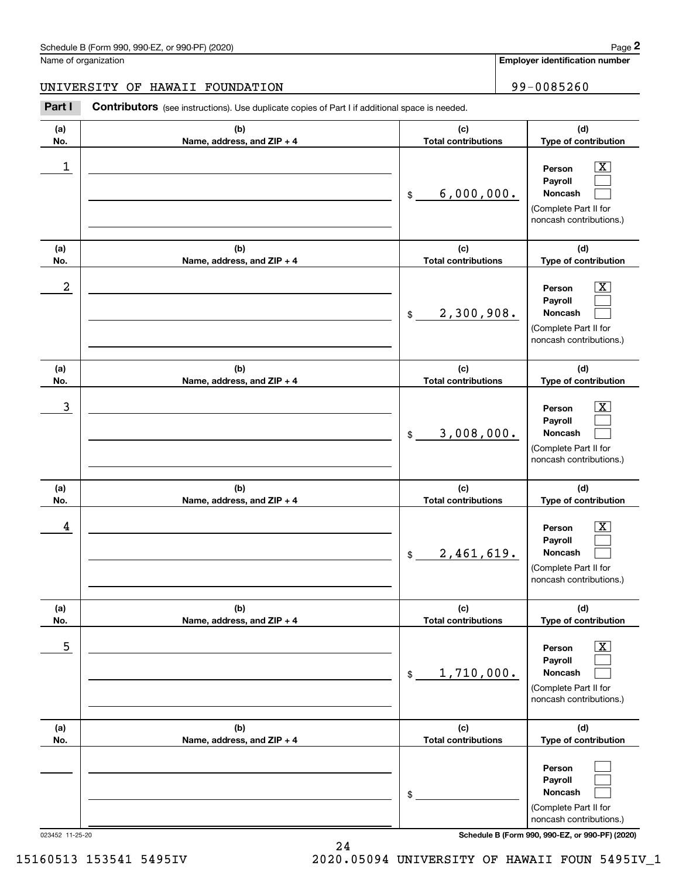**Employer identification number**

# UNIVERSITY OF HAWAII FOUNDATION | 99-0085260

(schedule B (Form 990, 990-EZ, or 990-PF) (2020)<br> **2020 Iame of organization**<br> **299 – 0085260 INIVERSITY OF HAWAII FOUNDATION**<br> **299 – 0085260 Part I Contributors** (see instructions). Use duplicate copies of Part I if ad

| (a)              | (b)                                 | (c)                               | (d)                                                                                                            |
|------------------|-------------------------------------|-----------------------------------|----------------------------------------------------------------------------------------------------------------|
| No.              | Name, address, and ZIP + 4          | <b>Total contributions</b>        | Type of contribution                                                                                           |
| $\mathbf 1$      |                                     | 6,000,000.<br>\$                  | Х,<br>Person<br>Payroll<br>Noncash<br>(Complete Part II for<br>noncash contributions.)                         |
| (a)<br>No.       | (b)                                 | (c)<br><b>Total contributions</b> | (d)                                                                                                            |
| $\boldsymbol{2}$ | Name, address, and ZIP + 4          | 2,300,908.<br>$$\mathbb{S}$$      | Type of contribution<br>X.<br>Person<br>Payroll<br>Noncash<br>(Complete Part II for<br>noncash contributions.) |
| (a)<br>No.       | (b)<br>Name, address, and ZIP + 4   | (c)<br><b>Total contributions</b> | (d)<br>Type of contribution                                                                                    |
| 3                |                                     | 3,008,000.<br>\$                  | x<br>Person<br>Payroll<br>Noncash<br>(Complete Part II for<br>noncash contributions.)                          |
| (a)<br>No.       | (b)<br>Name, address, and ZIP + 4   | (c)<br><b>Total contributions</b> | (d)<br>Type of contribution                                                                                    |
| 4                |                                     | 2,461,619.<br>\$                  | x.<br>Person<br>Payroll<br>Noncash<br>(Complete Part II for<br>noncash contributions.)                         |
| (a)<br>No.       | (b)<br>Name, address, and $ZIP + 4$ | (c)<br><b>Total contributions</b> | (d)<br>Type of contribution                                                                                    |
| 5                |                                     | 1,710,000.<br>\$                  | $\overline{\text{X}}$<br>Person<br>Payroll<br>Noncash<br>(Complete Part II for<br>noncash contributions.)      |
| (a)<br>No.       | (b)<br>Name, address, and ZIP + 4   | (c)<br><b>Total contributions</b> | (d)<br>Type of contribution                                                                                    |
|                  |                                     | \$                                | Person<br>Payroll<br>Noncash<br>(Complete Part II for<br>noncash contributions.)                               |

023452 11-25-20 **Schedule B (Form 990, 990-EZ, or 990-PF) (2020)**

15160513 153541 5495IV 2020.05094 UNIVERSITY OF HAWAII FOUN 5495IV\_1

24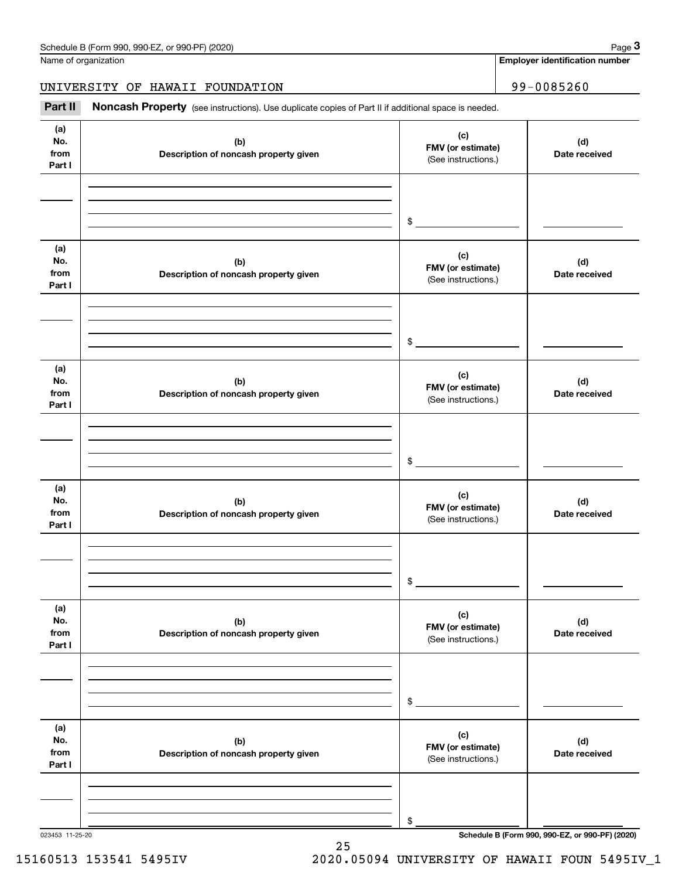**Employer identification number**

UNIVERSITY OF HAWAII FOUNDATION | 99-0085260

(see instructions). Use duplicate copies of Part II if additional space is needed.<br> **299-0085260**<br> **299-1085260**<br>
Part II **Noncash Property** (see instructions). Use duplicate copies of Part II if additional space is needed

| (a)<br>No.<br>from<br>Part I | (b)<br>Description of noncash property given | (c)<br>FMV (or estimate)<br>(See instructions.) | (d)<br>Date received |
|------------------------------|----------------------------------------------|-------------------------------------------------|----------------------|
|                              |                                              |                                                 |                      |
|                              |                                              |                                                 |                      |
|                              |                                              | $\frac{1}{2}$                                   |                      |
| (a)<br>No.<br>from<br>Part I | (b)<br>Description of noncash property given | (c)<br>FMV (or estimate)<br>(See instructions.) | (d)<br>Date received |
|                              |                                              |                                                 |                      |
|                              |                                              |                                                 |                      |
|                              |                                              | $\frac{1}{2}$                                   |                      |
| (a)<br>No.<br>from<br>Part I | (b)<br>Description of noncash property given | (c)<br>FMV (or estimate)<br>(See instructions.) | (d)<br>Date received |
|                              |                                              |                                                 |                      |
|                              |                                              |                                                 |                      |
|                              |                                              | $\frac{1}{2}$                                   |                      |
| (a)<br>No.<br>from<br>Part I | (b)<br>Description of noncash property given | (c)<br>FMV (or estimate)<br>(See instructions.) | (d)<br>Date received |
|                              |                                              |                                                 |                      |
|                              |                                              |                                                 |                      |
|                              |                                              | \$                                              |                      |
| (a)<br>No.<br>from<br>Part I | (b)<br>Description of noncash property given | (c)<br>FMV (or estimate)<br>(See instructions.) | (d)<br>Date received |
|                              |                                              |                                                 |                      |
|                              |                                              |                                                 |                      |
|                              |                                              | $\$$                                            |                      |
| (a)<br>No.<br>from<br>Part I | (b)<br>Description of noncash property given | (c)<br>FMV (or estimate)<br>(See instructions.) | (d)<br>Date received |
|                              |                                              |                                                 |                      |
|                              |                                              |                                                 |                      |
|                              |                                              | \$                                              |                      |

25

023453 11-25-20 **Schedule B (Form 990, 990-EZ, or 990-PF) (2020)**

15160513 153541 5495IV 2020.05094 UNIVERSITY OF HAWAII FOUN 5495IV\_1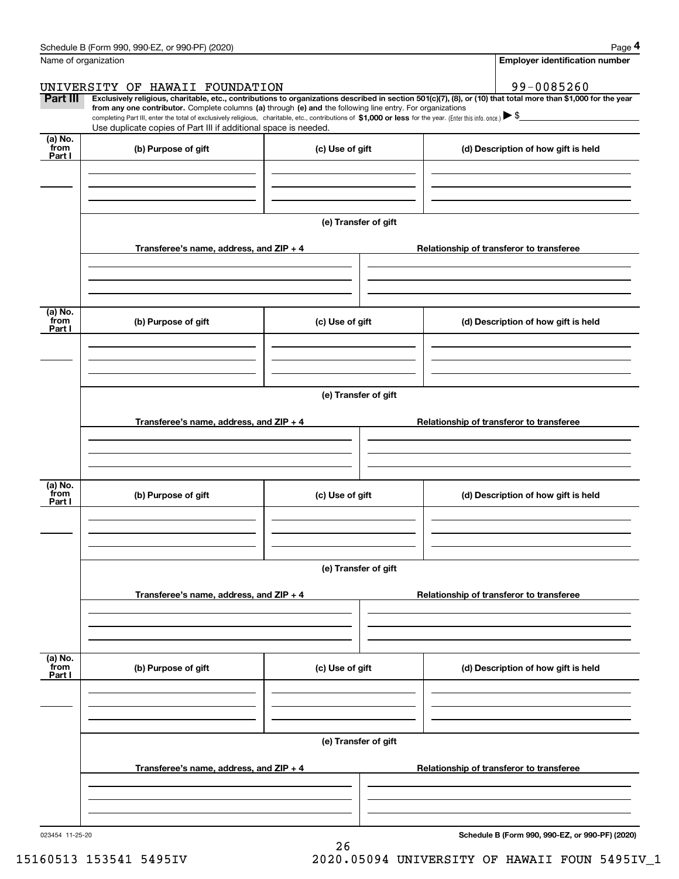|  |  |  |  | Schedule B (Form 990, 990-EZ, or 990-PF) (2020) |  |
|--|--|--|--|-------------------------------------------------|--|
|--|--|--|--|-------------------------------------------------|--|

| Name of organization      | Schedule B (Form 990, 990-EZ, or 990-PF) (2020)                                                                                                                                                                                                                                                                 |                      |                                          | Page 4<br><b>Employer identification number</b> |  |
|---------------------------|-----------------------------------------------------------------------------------------------------------------------------------------------------------------------------------------------------------------------------------------------------------------------------------------------------------------|----------------------|------------------------------------------|-------------------------------------------------|--|
|                           |                                                                                                                                                                                                                                                                                                                 |                      |                                          |                                                 |  |
| Part III                  | UNIVERSITY OF HAWAII FOUNDATION<br>Exclusively religious, charitable, etc., contributions to organizations described in section 501(c)(7), (8), or (10) that total more than \$1,000 for the year<br>from any one contributor. Complete columns (a) through (e) and the following line entry. For organizations |                      |                                          | 99-0085260                                      |  |
|                           | completing Part III, enter the total of exclusively religious, charitable, etc., contributions of \$1,000 or less for the year. (Enter this info. once.) \\$<br>Use duplicate copies of Part III if additional space is needed.                                                                                 |                      |                                          |                                                 |  |
| (a) No.<br>from<br>Part I | (b) Purpose of gift                                                                                                                                                                                                                                                                                             | (c) Use of gift      |                                          | (d) Description of how gift is held             |  |
|                           |                                                                                                                                                                                                                                                                                                                 |                      |                                          |                                                 |  |
|                           |                                                                                                                                                                                                                                                                                                                 | (e) Transfer of gift |                                          |                                                 |  |
|                           | Transferee's name, address, and ZIP + 4                                                                                                                                                                                                                                                                         |                      |                                          | Relationship of transferor to transferee        |  |
| (a) No.<br>from           | (b) Purpose of gift                                                                                                                                                                                                                                                                                             | (c) Use of gift      |                                          | (d) Description of how gift is held             |  |
| Part I                    |                                                                                                                                                                                                                                                                                                                 |                      |                                          |                                                 |  |
|                           |                                                                                                                                                                                                                                                                                                                 | (e) Transfer of gift |                                          |                                                 |  |
|                           | Transferee's name, address, and ZIP + 4                                                                                                                                                                                                                                                                         |                      |                                          | Relationship of transferor to transferee        |  |
|                           |                                                                                                                                                                                                                                                                                                                 |                      |                                          |                                                 |  |
| (a) No.<br>from<br>Part I | (b) Purpose of gift                                                                                                                                                                                                                                                                                             | (c) Use of gift      |                                          | (d) Description of how gift is held             |  |
|                           |                                                                                                                                                                                                                                                                                                                 |                      |                                          |                                                 |  |
|                           |                                                                                                                                                                                                                                                                                                                 | (e) Transfer of gift | Relationship of transferor to transferee |                                                 |  |
|                           | Transferee's name, address, and ZIP + 4                                                                                                                                                                                                                                                                         |                      |                                          |                                                 |  |
| (a) No.<br>from<br>Part I | (b) Purpose of gift                                                                                                                                                                                                                                                                                             | (c) Use of gift      |                                          | (d) Description of how gift is held             |  |
|                           |                                                                                                                                                                                                                                                                                                                 |                      |                                          |                                                 |  |
|                           |                                                                                                                                                                                                                                                                                                                 | (e) Transfer of gift |                                          |                                                 |  |
|                           | Transferee's name, address, and $ZIP + 4$                                                                                                                                                                                                                                                                       |                      |                                          | Relationship of transferor to transferee        |  |
|                           |                                                                                                                                                                                                                                                                                                                 |                      |                                          |                                                 |  |

26

**Schedule B (Form 990, 990-EZ, or 990-PF) (2020)**

15160513 153541 5495IV 2020.05094 UNIVERSITY OF HAWAII FOUN 5495IV\_1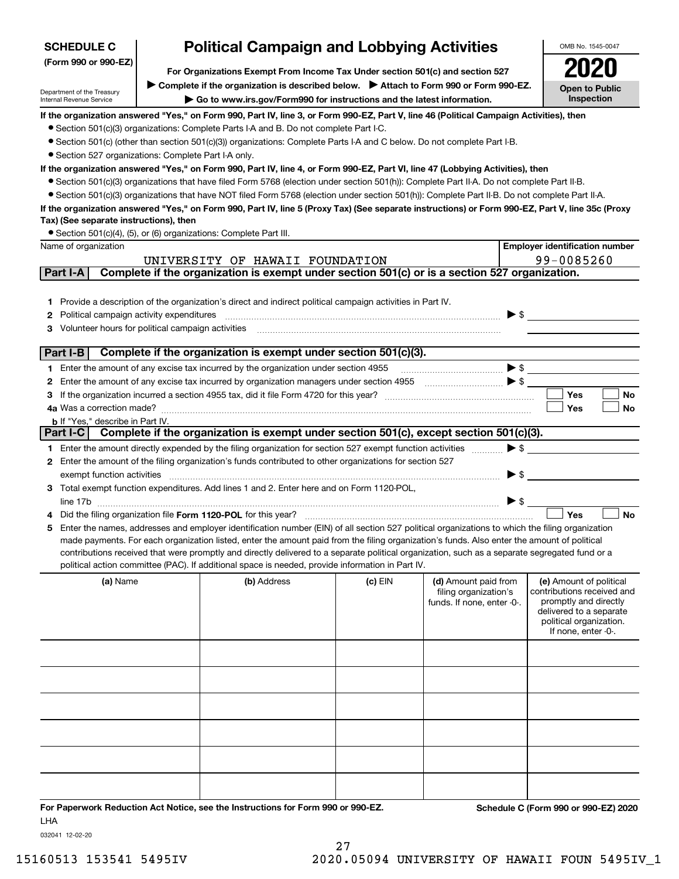| <b>SCHEDULE C</b>                                       |                                                                                                                                                                   | <b>Political Campaign and Lobbying Activities</b>                                                                                                                                                                                                                                              |           |                            |                          | OMB No. 1545-0047                                |
|---------------------------------------------------------|-------------------------------------------------------------------------------------------------------------------------------------------------------------------|------------------------------------------------------------------------------------------------------------------------------------------------------------------------------------------------------------------------------------------------------------------------------------------------|-----------|----------------------------|--------------------------|--------------------------------------------------|
| (Form 990 or 990-EZ)                                    | For Organizations Exempt From Income Tax Under section 501(c) and section 527                                                                                     |                                                                                                                                                                                                                                                                                                |           |                            |                          |                                                  |
|                                                         |                                                                                                                                                                   |                                                                                                                                                                                                                                                                                                |           |                            |                          |                                                  |
| Department of the Treasury<br>Internal Revenue Service  | ▶ Complete if the organization is described below. ▶ Attach to Form 990 or Form 990-EZ.<br>Go to www.irs.gov/Form990 for instructions and the latest information. |                                                                                                                                                                                                                                                                                                |           |                            |                          | <b>Open to Public</b><br>Inspection              |
|                                                         |                                                                                                                                                                   | If the organization answered "Yes," on Form 990, Part IV, line 3, or Form 990-EZ, Part V, line 46 (Political Campaign Activities), then                                                                                                                                                        |           |                            |                          |                                                  |
|                                                         |                                                                                                                                                                   | • Section 501(c)(3) organizations: Complete Parts I-A and B. Do not complete Part I-C.                                                                                                                                                                                                         |           |                            |                          |                                                  |
|                                                         |                                                                                                                                                                   | ● Section 501(c) (other than section 501(c)(3)) organizations: Complete Parts I-A and C below. Do not complete Part I-B.                                                                                                                                                                       |           |                            |                          |                                                  |
| • Section 527 organizations: Complete Part I-A only.    |                                                                                                                                                                   |                                                                                                                                                                                                                                                                                                |           |                            |                          |                                                  |
|                                                         |                                                                                                                                                                   | If the organization answered "Yes," on Form 990, Part IV, line 4, or Form 990-EZ, Part VI, line 47 (Lobbying Activities), then                                                                                                                                                                 |           |                            |                          |                                                  |
|                                                         |                                                                                                                                                                   | • Section 501(c)(3) organizations that have filed Form 5768 (election under section 501(h)): Complete Part II-A. Do not complete Part II-B.<br>• Section 501(c)(3) organizations that have NOT filed Form 5768 (election under section 501(h)): Complete Part II-B. Do not complete Part II-A. |           |                            |                          |                                                  |
|                                                         |                                                                                                                                                                   | If the organization answered "Yes," on Form 990, Part IV, line 5 (Proxy Tax) (See separate instructions) or Form 990-EZ, Part V, line 35c (Proxy                                                                                                                                               |           |                            |                          |                                                  |
| Tax) (See separate instructions), then                  |                                                                                                                                                                   |                                                                                                                                                                                                                                                                                                |           |                            |                          |                                                  |
|                                                         |                                                                                                                                                                   | • Section 501(c)(4), (5), or (6) organizations: Complete Part III.                                                                                                                                                                                                                             |           |                            |                          |                                                  |
| Name of organization                                    |                                                                                                                                                                   |                                                                                                                                                                                                                                                                                                |           |                            |                          | <b>Employer identification number</b>            |
|                                                         |                                                                                                                                                                   | UNIVERSITY OF HAWAII FOUNDATION                                                                                                                                                                                                                                                                |           |                            |                          | 99-0085260                                       |
| Part I-A                                                |                                                                                                                                                                   | Complete if the organization is exempt under section 501(c) or is a section 527 organization.                                                                                                                                                                                                  |           |                            |                          |                                                  |
|                                                         |                                                                                                                                                                   |                                                                                                                                                                                                                                                                                                |           |                            |                          |                                                  |
|                                                         |                                                                                                                                                                   | 1 Provide a description of the organization's direct and indirect political campaign activities in Part IV.                                                                                                                                                                                    |           |                            |                          |                                                  |
| Political campaign activity expenditures<br>2           |                                                                                                                                                                   |                                                                                                                                                                                                                                                                                                |           |                            | $\blacktriangleright$ \$ |                                                  |
| Volunteer hours for political campaign activities<br>3. |                                                                                                                                                                   |                                                                                                                                                                                                                                                                                                |           |                            |                          |                                                  |
| Part I-B                                                |                                                                                                                                                                   | Complete if the organization is exempt under section 501(c)(3).                                                                                                                                                                                                                                |           |                            |                          |                                                  |
|                                                         |                                                                                                                                                                   |                                                                                                                                                                                                                                                                                                |           |                            | $\blacktriangleright$ \$ |                                                  |
| 2                                                       |                                                                                                                                                                   | 1 Enter the amount of any excise tax incurred by the organization under section 4955<br>Enter the amount of any excise tax incurred by organization managers under section 4955 manusum mass                                                                                                   |           |                            | $\blacktriangleright$ \$ |                                                  |
| 3.                                                      |                                                                                                                                                                   |                                                                                                                                                                                                                                                                                                |           |                            |                          | Yes<br>No                                        |
|                                                         |                                                                                                                                                                   |                                                                                                                                                                                                                                                                                                |           |                            |                          | Yes<br>No                                        |
| <b>b</b> If "Yes," describe in Part IV.                 |                                                                                                                                                                   |                                                                                                                                                                                                                                                                                                |           |                            |                          |                                                  |
| Part $I-C$                                              |                                                                                                                                                                   | Complete if the organization is exempt under section 501(c), except section 501(c)(3).                                                                                                                                                                                                         |           |                            |                          |                                                  |
|                                                         |                                                                                                                                                                   | 1 Enter the amount directly expended by the filing organization for section 527 exempt function activities                                                                                                                                                                                     |           |                            | $\blacktriangleright$ \$ |                                                  |
|                                                         |                                                                                                                                                                   | 2 Enter the amount of the filing organization's funds contributed to other organizations for section 527                                                                                                                                                                                       |           |                            |                          |                                                  |
| exempt function activities                              |                                                                                                                                                                   |                                                                                                                                                                                                                                                                                                |           |                            | $\blacktriangleright$ \$ |                                                  |
|                                                         |                                                                                                                                                                   | 3 Total exempt function expenditures. Add lines 1 and 2. Enter here and on Form 1120-POL,                                                                                                                                                                                                      |           |                            |                          |                                                  |
| line 17b                                                |                                                                                                                                                                   |                                                                                                                                                                                                                                                                                                |           |                            | $\blacktriangleright$ \$ |                                                  |
|                                                         |                                                                                                                                                                   | Did the filing organization file Form 1120-POL for this year?<br>Enter the names, addresses and employer identification number (EIN) of all section 527 political organizations to which the filing organization                                                                               |           |                            |                          | Yes<br><b>No</b>                                 |
| 5.                                                      |                                                                                                                                                                   | made payments. For each organization listed, enter the amount paid from the filing organization's funds. Also enter the amount of political                                                                                                                                                    |           |                            |                          |                                                  |
|                                                         |                                                                                                                                                                   | contributions received that were promptly and directly delivered to a separate political organization, such as a separate segregated fund or a                                                                                                                                                 |           |                            |                          |                                                  |
|                                                         |                                                                                                                                                                   | political action committee (PAC). If additional space is needed, provide information in Part IV.                                                                                                                                                                                               |           |                            |                          |                                                  |
| (a) Name                                                |                                                                                                                                                                   | (b) Address                                                                                                                                                                                                                                                                                    | $(c)$ EIN | (d) Amount paid from       |                          | (e) Amount of political                          |
|                                                         |                                                                                                                                                                   |                                                                                                                                                                                                                                                                                                |           | filing organization's      |                          | contributions received and                       |
|                                                         |                                                                                                                                                                   |                                                                                                                                                                                                                                                                                                |           | funds. If none, enter -0-. |                          | promptly and directly<br>delivered to a separate |
|                                                         |                                                                                                                                                                   |                                                                                                                                                                                                                                                                                                |           |                            |                          | political organization.                          |
|                                                         |                                                                                                                                                                   |                                                                                                                                                                                                                                                                                                |           |                            |                          | If none, enter -0-.                              |
|                                                         |                                                                                                                                                                   |                                                                                                                                                                                                                                                                                                |           |                            |                          |                                                  |
|                                                         |                                                                                                                                                                   |                                                                                                                                                                                                                                                                                                |           |                            |                          |                                                  |
|                                                         |                                                                                                                                                                   |                                                                                                                                                                                                                                                                                                |           |                            |                          |                                                  |
|                                                         |                                                                                                                                                                   |                                                                                                                                                                                                                                                                                                |           |                            |                          |                                                  |
|                                                         |                                                                                                                                                                   |                                                                                                                                                                                                                                                                                                |           |                            |                          |                                                  |
|                                                         |                                                                                                                                                                   |                                                                                                                                                                                                                                                                                                |           |                            |                          |                                                  |
|                                                         |                                                                                                                                                                   |                                                                                                                                                                                                                                                                                                |           |                            |                          |                                                  |
|                                                         |                                                                                                                                                                   |                                                                                                                                                                                                                                                                                                |           |                            |                          |                                                  |
|                                                         |                                                                                                                                                                   |                                                                                                                                                                                                                                                                                                |           |                            |                          |                                                  |
|                                                         |                                                                                                                                                                   |                                                                                                                                                                                                                                                                                                |           |                            |                          |                                                  |
|                                                         |                                                                                                                                                                   |                                                                                                                                                                                                                                                                                                |           |                            |                          |                                                  |
|                                                         |                                                                                                                                                                   | For Paperwork Reduction Act Notice, see the Instructions for Form 990 or 990-EZ.                                                                                                                                                                                                               |           |                            |                          | Schedule C (Form 990 or 990-EZ) 2020             |

LHA

032041 12-02-20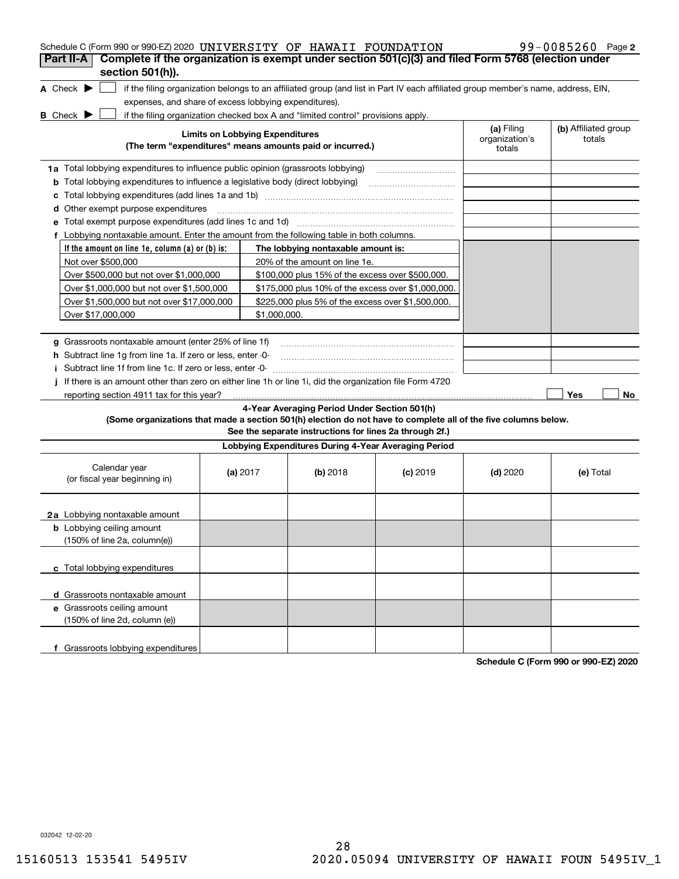| Schedule C (Form 990 or 990-EZ) 2020 UNIVERSITY OF HAWAII FOUNDATION                                                                |                                        |                                                                                                                                               |            |                                        | $99 - 0085260$ Page 2          |
|-------------------------------------------------------------------------------------------------------------------------------------|----------------------------------------|-----------------------------------------------------------------------------------------------------------------------------------------------|------------|----------------------------------------|--------------------------------|
| Complete if the organization is exempt under section 501(c)(3) and filed Form 5768 (election under<br>Part II-A<br>section 501(h)). |                                        |                                                                                                                                               |            |                                        |                                |
| A Check $\blacktriangleright$                                                                                                       |                                        | if the filing organization belongs to an affiliated group (and list in Part IV each affiliated group member's name, address, EIN,             |            |                                        |                                |
| expenses, and share of excess lobbying expenditures).                                                                               |                                        |                                                                                                                                               |            |                                        |                                |
|                                                                                                                                     |                                        |                                                                                                                                               |            |                                        |                                |
| <b>B</b> Check $\blacktriangleright$                                                                                                | <b>Limits on Lobbying Expenditures</b> | if the filing organization checked box A and "limited control" provisions apply.<br>(The term "expenditures" means amounts paid or incurred.) |            | (a) Filing<br>organization's<br>totals | (b) Affiliated group<br>totals |
|                                                                                                                                     |                                        |                                                                                                                                               |            |                                        |                                |
| 1a Total lobbying expenditures to influence public opinion (grassroots lobbying)                                                    |                                        |                                                                                                                                               |            |                                        |                                |
| <b>b</b> Total lobbying expenditures to influence a legislative body (direct lobbying)                                              |                                        |                                                                                                                                               |            |                                        |                                |
| c                                                                                                                                   |                                        |                                                                                                                                               |            |                                        |                                |
| d Other exempt purpose expenditures                                                                                                 |                                        |                                                                                                                                               |            |                                        |                                |
|                                                                                                                                     |                                        |                                                                                                                                               |            |                                        |                                |
| f Lobbying nontaxable amount. Enter the amount from the following table in both columns.                                            |                                        |                                                                                                                                               |            |                                        |                                |
| If the amount on line 1e, column $(a)$ or $(b)$ is:                                                                                 |                                        | The lobbying nontaxable amount is:                                                                                                            |            |                                        |                                |
| Not over \$500,000                                                                                                                  |                                        | 20% of the amount on line 1e.                                                                                                                 |            |                                        |                                |
| Over \$500,000 but not over \$1,000,000                                                                                             |                                        | \$100,000 plus 15% of the excess over \$500,000.                                                                                              |            |                                        |                                |
| Over \$1,000,000 but not over \$1,500,000                                                                                           |                                        | \$175,000 plus 10% of the excess over \$1,000,000.                                                                                            |            |                                        |                                |
| Over \$1,500,000 but not over \$17,000,000                                                                                          |                                        | \$225,000 plus 5% of the excess over \$1,500,000.                                                                                             |            |                                        |                                |
| Over \$17,000,000                                                                                                                   | \$1,000,000.                           |                                                                                                                                               |            |                                        |                                |
|                                                                                                                                     |                                        |                                                                                                                                               |            |                                        |                                |
| g Grassroots nontaxable amount (enter 25% of line 1f)                                                                               |                                        |                                                                                                                                               |            |                                        |                                |
| <b>h</b> Subtract line 1g from line 1a. If zero or less, enter -0-                                                                  |                                        |                                                                                                                                               |            |                                        |                                |
| Subtract line 1f from line 1c. If zero or less, enter -0-                                                                           |                                        |                                                                                                                                               |            |                                        |                                |
| If there is an amount other than zero on either line 1h or line 1i, did the organization file Form 4720                             |                                        |                                                                                                                                               |            |                                        |                                |
| reporting section 4911 tax for this year?                                                                                           |                                        |                                                                                                                                               |            |                                        | Yes<br>No                      |
|                                                                                                                                     |                                        | 4-Year Averaging Period Under Section 501(h)                                                                                                  |            |                                        |                                |
| (Some organizations that made a section 501(h) election do not have to complete all of the five columns below.                      |                                        | See the separate instructions for lines 2a through 2f.)                                                                                       |            |                                        |                                |
|                                                                                                                                     |                                        | Lobbying Expenditures During 4-Year Averaging Period                                                                                          |            |                                        |                                |
| Calendar year<br>(or fiscal year beginning in)                                                                                      | (a) $2017$                             | (b) 2018                                                                                                                                      | $(c)$ 2019 | $(d)$ 2020                             | (e) Total                      |
| 2a Lobbying nontaxable amount                                                                                                       |                                        |                                                                                                                                               |            |                                        |                                |
| <b>b</b> Lobbying ceiling amount<br>(150% of line 2a, column(e))                                                                    |                                        |                                                                                                                                               |            |                                        |                                |
| c Total lobbying expenditures                                                                                                       |                                        |                                                                                                                                               |            |                                        |                                |
| d Grassroots nontaxable amount                                                                                                      |                                        |                                                                                                                                               |            |                                        |                                |
| e Grassroots ceiling amount<br>(150% of line 2d, column (e))                                                                        |                                        |                                                                                                                                               |            |                                        |                                |
| f Grassroots lobbying expenditures                                                                                                  |                                        |                                                                                                                                               |            |                                        |                                |

**Schedule C (Form 990 or 990-EZ) 2020**

032042 12-02-20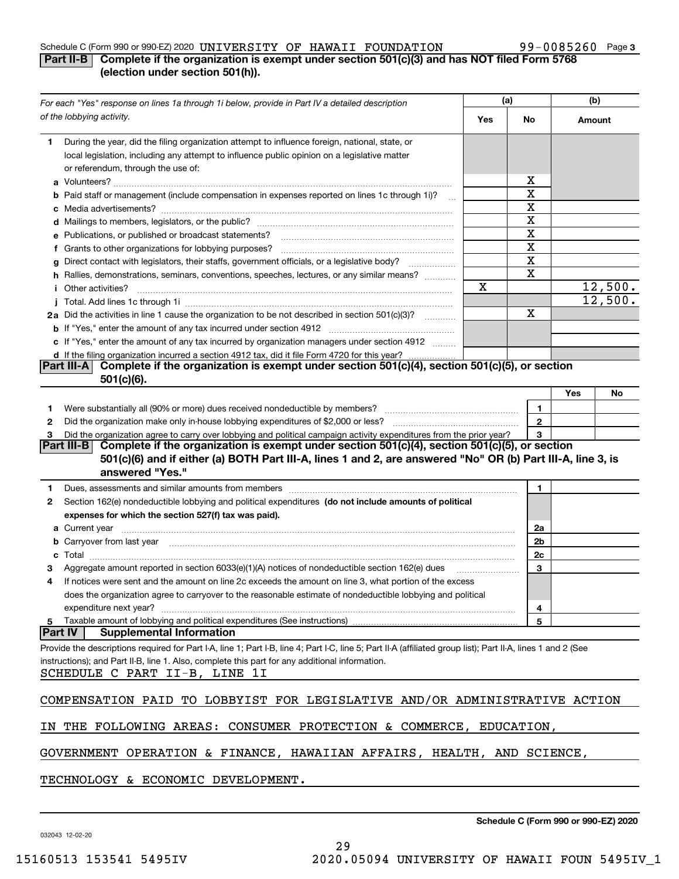### Schedule C (Form 990 or 990-EZ) 2020 <code>UNIVERSITY OF HAWAII FOUNDATION</code> 99-0085260 Page

## **3**

# **Part II-B** Complete if the organization is exempt under section 501(c)(3) and has NOT filed Form 5768 **(election under section 501(h)).**

|                | For each "Yes" response on lines 1a through 1i below, provide in Part IV a detailed description                                                                                                                                      |     | (a) |              | (b)    |         |
|----------------|--------------------------------------------------------------------------------------------------------------------------------------------------------------------------------------------------------------------------------------|-----|-----|--------------|--------|---------|
|                | of the lobbying activity.                                                                                                                                                                                                            | Yes | No  |              | Amount |         |
| 1.             | During the year, did the filing organization attempt to influence foreign, national, state, or<br>local legislation, including any attempt to influence public opinion on a legislative matter<br>or referendum, through the use of: |     |     |              |        |         |
|                |                                                                                                                                                                                                                                      |     |     | х            |        |         |
|                | b Paid staff or management (include compensation in expenses reported on lines 1c through 1i)?                                                                                                                                       |     |     | X            |        |         |
|                |                                                                                                                                                                                                                                      |     |     | X            |        |         |
|                |                                                                                                                                                                                                                                      |     |     | X            |        |         |
|                | e Publications, or published or broadcast statements?                                                                                                                                                                                |     |     | X            |        |         |
|                | f Grants to other organizations for lobbying purposes?                                                                                                                                                                               |     |     | X            |        |         |
|                | g Direct contact with legislators, their staffs, government officials, or a legislative body?                                                                                                                                        |     |     | X            |        |         |
|                | h Rallies, demonstrations, seminars, conventions, speeches, lectures, or any similar means?                                                                                                                                          |     |     | X            |        |         |
|                | <i>i</i> Other activities?                                                                                                                                                                                                           | X   |     |              |        | 12,500. |
|                |                                                                                                                                                                                                                                      |     |     |              |        | 12,500. |
|                | 2a Did the activities in line 1 cause the organization to be not described in section 501(c)(3)?                                                                                                                                     |     |     | х            |        |         |
|                |                                                                                                                                                                                                                                      |     |     |              |        |         |
|                | c If "Yes," enter the amount of any tax incurred by organization managers under section 4912                                                                                                                                         |     |     |              |        |         |
|                | d If the filing organization incurred a section 4912 tax, did it file Form 4720 for this year?                                                                                                                                       |     |     |              |        |         |
|                | Complete if the organization is exempt under section 501(c)(4), section 501(c)(5), or section<br><b>Part III-AI</b>                                                                                                                  |     |     |              |        |         |
|                | $501(c)(6)$ .                                                                                                                                                                                                                        |     |     |              |        |         |
|                |                                                                                                                                                                                                                                      |     |     |              | Yes    | No      |
| 1.             |                                                                                                                                                                                                                                      |     |     | 1            |        |         |
| 2              |                                                                                                                                                                                                                                      |     |     | $\mathbf{2}$ |        |         |
| з              | Did the organization agree to carry over lobbying and political campaign activity expenditures from the prior year?                                                                                                                  |     |     | 3            |        |         |
|                | Complete if the organization is exempt under section 501(c)(4), section 501(c)(5), or section<br>Part III-B I                                                                                                                        |     |     |              |        |         |
|                | 501(c)(6) and if either (a) BOTH Part III-A, lines 1 and 2, are answered "No" OR (b) Part III-A, line 3, is<br>answered "Yes."                                                                                                       |     |     |              |        |         |
| 1.             | Dues, assessments and similar amounts from members [11] matter continuum matter assessments and similar amounts from members [11] matter continuum matter assessments and similar amounts from members [11] matter and the sta       |     |     | 1.           |        |         |
| 2              | Section 162(e) nondeductible lobbying and political expenditures (do not include amounts of political                                                                                                                                |     |     |              |        |         |
|                | expenses for which the section 527(f) tax was paid).                                                                                                                                                                                 |     |     |              |        |         |
|                |                                                                                                                                                                                                                                      |     |     | 2a           |        |         |
|                | <b>b</b> Carryover from last year manufactured and content to content the content of the content of the content of the content of the content of the content of the content of the content of the content of the content of the con  |     |     | 2b           |        |         |
| c              |                                                                                                                                                                                                                                      |     |     | 2c           |        |         |
|                | Aggregate amount reported in section 6033(e)(1)(A) notices of nondeductible section 162(e) dues                                                                                                                                      |     |     | 3            |        |         |
| 4              | If notices were sent and the amount on line 2c exceeds the amount on line 3, what portion of the excess                                                                                                                              |     |     |              |        |         |
|                | does the organization agree to carryover to the reasonable estimate of nondeductible lobbying and political                                                                                                                          |     |     |              |        |         |
|                | expenditure next year?                                                                                                                                                                                                               |     |     | 4            |        |         |
| 5              | Taxable amount of lobbying and political expenditures (See instructions)                                                                                                                                                             |     |     | 5            |        |         |
| <b>Part IV</b> | <b>Supplemental Information</b>                                                                                                                                                                                                      |     |     |              |        |         |
|                | Provide the descriptions required for Part I-A, line 1; Part I-B, line 4; Part I-C, line 5; Part II-A (affiliated group list); Part II-A, lines 1 and 2 (See                                                                         |     |     |              |        |         |
|                | instructions); and Part II-B, line 1. Also, complete this part for any additional information.<br>SCHEDULE C PART II-B, LINE 1I                                                                                                      |     |     |              |        |         |
|                |                                                                                                                                                                                                                                      |     |     |              |        |         |
|                | COMPENSATION PAID TO LOBBYIST FOR LEGISLATIVE AND/OR ADMINISTRATIVE ACTION                                                                                                                                                           |     |     |              |        |         |
|                | IN THE FOLLOWING AREAS: CONSUMER PROTECTION & COMMERCE, EDUCATION,                                                                                                                                                                   |     |     |              |        |         |
|                | GOVERNMENT OPERATION & FINANCE, HAWAIIAN AFFAIRS, HEALTH, AND SCIENCE,                                                                                                                                                               |     |     |              |        |         |
|                | TECHNOLOGY & ECONOMIC DEVELOPMENT.                                                                                                                                                                                                   |     |     |              |        |         |

032043 12-02-20

**Schedule C (Form 990 or 990-EZ) 2020**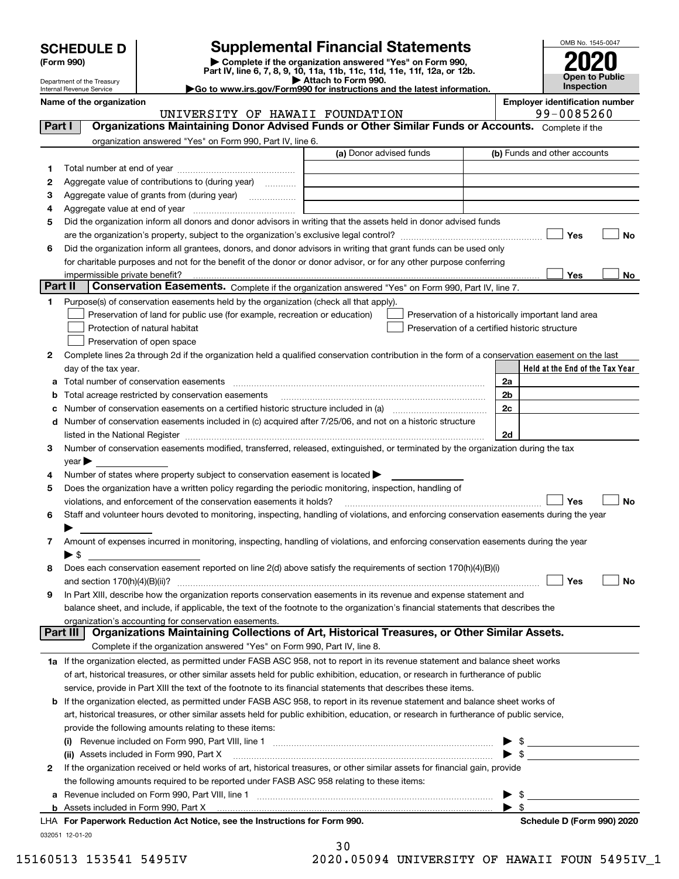| <b>SCHEDULE D</b> |  |
|-------------------|--|
|-------------------|--|

# **SCHEDULE D Supplemental Financial Statements**

(Form 990)<br>
Pepartment of the Treasury<br>
Department of the Treasury<br>
Department of the Treasury<br>
Department of the Treasury<br> **Co to www.irs.gov/Form990 for instructions and the latest information.**<br> **Co to www.irs.gov/Form9** 



Department of the Treasury Internal Revenue Service

Name of the organization<br> **Representively and the organization**<br> **Representively and the organization is a series of the organization of the organization is a series of the organization of the organization of the organizat** 

|         | UNIVERSITY OF HAWAII FOUNDATION                                                                                                                                                                                               |                         | 99-0085260                                         |  |  |  |
|---------|-------------------------------------------------------------------------------------------------------------------------------------------------------------------------------------------------------------------------------|-------------------------|----------------------------------------------------|--|--|--|
| Part I  | Organizations Maintaining Donor Advised Funds or Other Similar Funds or Accounts. Complete if the                                                                                                                             |                         |                                                    |  |  |  |
|         | organization answered "Yes" on Form 990, Part IV, line 6.                                                                                                                                                                     |                         |                                                    |  |  |  |
|         |                                                                                                                                                                                                                               | (a) Donor advised funds | (b) Funds and other accounts                       |  |  |  |
| 1       |                                                                                                                                                                                                                               |                         |                                                    |  |  |  |
| 2       | Aggregate value of contributions to (during year)                                                                                                                                                                             |                         |                                                    |  |  |  |
| З       |                                                                                                                                                                                                                               |                         |                                                    |  |  |  |
| 4       |                                                                                                                                                                                                                               |                         |                                                    |  |  |  |
| 5       | Did the organization inform all donors and donor advisors in writing that the assets held in donor advised funds                                                                                                              |                         |                                                    |  |  |  |
|         |                                                                                                                                                                                                                               |                         | Yes<br>No                                          |  |  |  |
| 6       | Did the organization inform all grantees, donors, and donor advisors in writing that grant funds can be used only                                                                                                             |                         |                                                    |  |  |  |
|         | for charitable purposes and not for the benefit of the donor or donor advisor, or for any other purpose conferring                                                                                                            |                         |                                                    |  |  |  |
|         | impermissible private benefit?                                                                                                                                                                                                |                         | Yes<br>No                                          |  |  |  |
| Part II | Conservation Easements. Complete if the organization answered "Yes" on Form 990, Part IV, line 7.                                                                                                                             |                         |                                                    |  |  |  |
| 1.      |                                                                                                                                                                                                                               |                         |                                                    |  |  |  |
|         | Purpose(s) of conservation easements held by the organization (check all that apply).                                                                                                                                         |                         |                                                    |  |  |  |
|         | Preservation of land for public use (for example, recreation or education)                                                                                                                                                    |                         | Preservation of a historically important land area |  |  |  |
|         | Protection of natural habitat                                                                                                                                                                                                 |                         | Preservation of a certified historic structure     |  |  |  |
|         | Preservation of open space                                                                                                                                                                                                    |                         |                                                    |  |  |  |
| 2       | Complete lines 2a through 2d if the organization held a qualified conservation contribution in the form of a conservation easement on the last                                                                                |                         |                                                    |  |  |  |
|         | day of the tax year.                                                                                                                                                                                                          |                         | Held at the End of the Tax Year                    |  |  |  |
|         | a Total number of conservation easements                                                                                                                                                                                      |                         | 2a                                                 |  |  |  |
|         | Total acreage restricted by conservation easements                                                                                                                                                                            |                         | 2b                                                 |  |  |  |
| с       | Number of conservation easements on a certified historic structure included in (a) <i>mummumumumum</i>                                                                                                                        |                         | 2c                                                 |  |  |  |
|         | d Number of conservation easements included in (c) acquired after 7/25/06, and not on a historic structure                                                                                                                    |                         |                                                    |  |  |  |
|         | listed in the National Register [11, 1200] [12] The National Register [11, 1200] [12] The National Register [11, 1200] [12] The National Register [11, 1200] [12] The National Register [11, 1200] [12] The National Register |                         | 2d                                                 |  |  |  |
| з       | Number of conservation easements modified, transferred, released, extinguished, or terminated by the organization during the tax                                                                                              |                         |                                                    |  |  |  |
|         | $year \blacktriangleright$                                                                                                                                                                                                    |                         |                                                    |  |  |  |
| 4       | Number of states where property subject to conservation easement is located >                                                                                                                                                 |                         |                                                    |  |  |  |
| 5       | Does the organization have a written policy regarding the periodic monitoring, inspection, handling of                                                                                                                        |                         |                                                    |  |  |  |
|         | violations, and enforcement of the conservation easements it holds?                                                                                                                                                           |                         | Yes<br>No                                          |  |  |  |
| 6       | Staff and volunteer hours devoted to monitoring, inspecting, handling of violations, and enforcing conservation easements during the year                                                                                     |                         |                                                    |  |  |  |
|         |                                                                                                                                                                                                                               |                         |                                                    |  |  |  |
| 7       | Amount of expenses incurred in monitoring, inspecting, handling of violations, and enforcing conservation easements during the year                                                                                           |                         |                                                    |  |  |  |
|         | ▶ \$                                                                                                                                                                                                                          |                         |                                                    |  |  |  |
| 8       | Does each conservation easement reported on line 2(d) above satisfy the requirements of section 170(h)(4)(B)(i)                                                                                                               |                         |                                                    |  |  |  |
|         | and section $170(h)(4)(B)(ii)?$                                                                                                                                                                                               |                         | Yes<br>No                                          |  |  |  |
| 9       | In Part XIII, describe how the organization reports conservation easements in its revenue and expense statement and                                                                                                           |                         |                                                    |  |  |  |
|         | balance sheet, and include, if applicable, the text of the footnote to the organization's financial statements that describes the                                                                                             |                         |                                                    |  |  |  |
|         | organization's accounting for conservation easements.                                                                                                                                                                         |                         |                                                    |  |  |  |
|         | Organizations Maintaining Collections of Art, Historical Treasures, or Other Similar Assets.<br>Part III                                                                                                                      |                         |                                                    |  |  |  |
|         | Complete if the organization answered "Yes" on Form 990, Part IV, line 8.                                                                                                                                                     |                         |                                                    |  |  |  |
|         | 1a If the organization elected, as permitted under FASB ASC 958, not to report in its revenue statement and balance sheet works                                                                                               |                         |                                                    |  |  |  |
|         | of art, historical treasures, or other similar assets held for public exhibition, education, or research in furtherance of public                                                                                             |                         |                                                    |  |  |  |
|         | service, provide in Part XIII the text of the footnote to its financial statements that describes these items.                                                                                                                |                         |                                                    |  |  |  |
|         | <b>b</b> If the organization elected, as permitted under FASB ASC 958, to report in its revenue statement and balance sheet works of                                                                                          |                         |                                                    |  |  |  |
|         | art, historical treasures, or other similar assets held for public exhibition, education, or research in furtherance of public service,                                                                                       |                         |                                                    |  |  |  |
|         | provide the following amounts relating to these items:                                                                                                                                                                        |                         |                                                    |  |  |  |
|         |                                                                                                                                                                                                                               |                         | \$                                                 |  |  |  |
|         | (ii) Assets included in Form 990, Part X                                                                                                                                                                                      |                         | $\blacktriangleright$ s                            |  |  |  |
| 2       | If the organization received or held works of art, historical treasures, or other similar assets for financial gain, provide                                                                                                  |                         |                                                    |  |  |  |
|         | the following amounts required to be reported under FASB ASC 958 relating to these items:                                                                                                                                     |                         |                                                    |  |  |  |
| a       |                                                                                                                                                                                                                               |                         | -\$                                                |  |  |  |
|         |                                                                                                                                                                                                                               |                         | $\blacktriangleright$ s                            |  |  |  |
|         | LHA For Paperwork Reduction Act Notice, see the Instructions for Form 990.                                                                                                                                                    |                         | Schedule D (Form 990) 2020                         |  |  |  |

032051 12-01-20

| 30 |  |        |                          |  |
|----|--|--------|--------------------------|--|
| -  |  | $\sim$ | $\overline{\phantom{a}}$ |  |

 $\sim$ 

15160513 153541 5495IV 2020.05094 UNIVERSITY OF HAWAII FOUN 5495IV\_1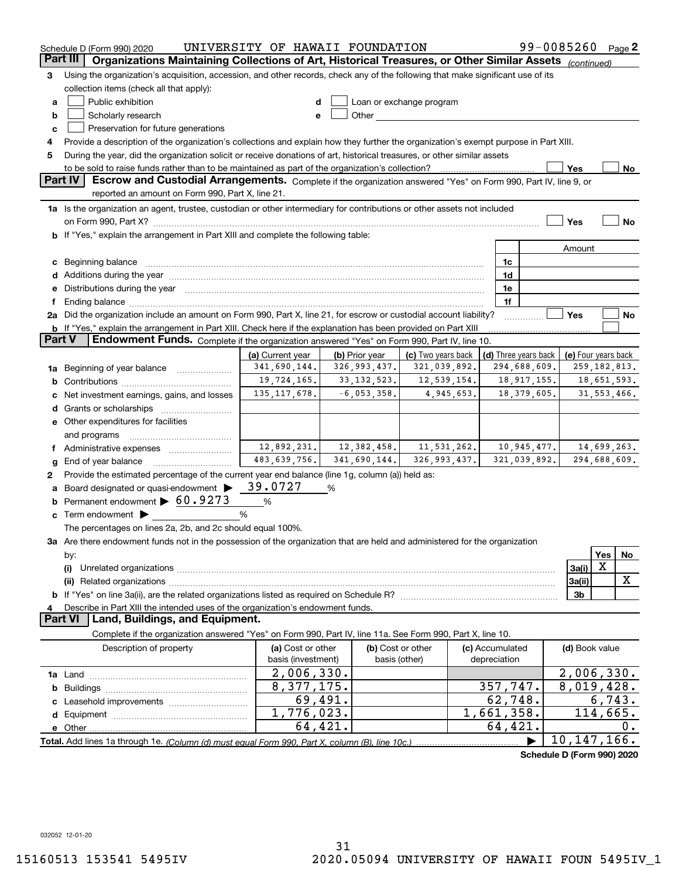|                 | Schedule D (Form 990) 2020                                                                                                                                                                                                     | UNIVERSITY OF HAWAII FOUNDATION |                   |                                                                                                                                                                                                                                |                      | 99-0085260                 | Page 2         |
|-----------------|--------------------------------------------------------------------------------------------------------------------------------------------------------------------------------------------------------------------------------|---------------------------------|-------------------|--------------------------------------------------------------------------------------------------------------------------------------------------------------------------------------------------------------------------------|----------------------|----------------------------|----------------|
| <b>Part III</b> | Organizations Maintaining Collections of Art, Historical Treasures, or Other Similar Assets (continued)                                                                                                                        |                                 |                   |                                                                                                                                                                                                                                |                      |                            |                |
| 3               | Using the organization's acquisition, accession, and other records, check any of the following that make significant use of its                                                                                                |                                 |                   |                                                                                                                                                                                                                                |                      |                            |                |
|                 | collection items (check all that apply):                                                                                                                                                                                       |                                 |                   |                                                                                                                                                                                                                                |                      |                            |                |
| а               | Public exhibition                                                                                                                                                                                                              | d                               |                   | Loan or exchange program                                                                                                                                                                                                       |                      |                            |                |
| b               | Scholarly research                                                                                                                                                                                                             | e                               |                   | Other the contract of the contract of the contract of the contract of the contract of the contract of the contract of the contract of the contract of the contract of the contract of the contract of the contract of the cont |                      |                            |                |
| с               | Preservation for future generations                                                                                                                                                                                            |                                 |                   |                                                                                                                                                                                                                                |                      |                            |                |
| 4               | Provide a description of the organization's collections and explain how they further the organization's exempt purpose in Part XIII.                                                                                           |                                 |                   |                                                                                                                                                                                                                                |                      |                            |                |
| 5               | During the year, did the organization solicit or receive donations of art, historical treasures, or other similar assets                                                                                                       |                                 |                   |                                                                                                                                                                                                                                |                      |                            |                |
|                 | to be sold to raise funds rather than to be maintained as part of the organization's collection?                                                                                                                               |                                 |                   |                                                                                                                                                                                                                                |                      | Yes                        | No             |
|                 | <b>Part IV</b><br>Escrow and Custodial Arrangements. Complete if the organization answered "Yes" on Form 990, Part IV, line 9, or                                                                                              |                                 |                   |                                                                                                                                                                                                                                |                      |                            |                |
|                 | reported an amount on Form 990, Part X, line 21.                                                                                                                                                                               |                                 |                   |                                                                                                                                                                                                                                |                      |                            |                |
|                 | 1a Is the organization an agent, trustee, custodian or other intermediary for contributions or other assets not included                                                                                                       |                                 |                   |                                                                                                                                                                                                                                |                      |                            |                |
|                 | on Form 990, Part X? [11] matter contracts and contracts and contracts are contracted as a function of the set of the set of the set of the set of the set of the set of the set of the set of the set of the set of the set o |                                 |                   |                                                                                                                                                                                                                                |                      | Yes                        | No             |
|                 | <b>b</b> If "Yes," explain the arrangement in Part XIII and complete the following table:                                                                                                                                      |                                 |                   |                                                                                                                                                                                                                                |                      |                            |                |
|                 |                                                                                                                                                                                                                                |                                 |                   |                                                                                                                                                                                                                                |                      | Amount                     |                |
| с               | Beginning balance <b>contract to the contract of the contract of the contract of the contract of the contract of t</b>                                                                                                         |                                 |                   |                                                                                                                                                                                                                                | 1c                   |                            |                |
|                 | Additions during the year manufactured and an account of the year manufactured and account of the year manufactured and account of the year manufactured and account of the year manufactured and account of the year manufact |                                 |                   |                                                                                                                                                                                                                                | 1d                   |                            |                |
|                 | Distributions during the year manufactured and continuum control of the year manufactured and the year manufactured and the year manufactured and the year manufactured and the year manufactured and the year manufactured an |                                 |                   |                                                                                                                                                                                                                                | 1e                   |                            |                |
| f               |                                                                                                                                                                                                                                |                                 |                   |                                                                                                                                                                                                                                | 1f                   |                            |                |
|                 | 2a Did the organization include an amount on Form 990, Part X, line 21, for escrow or custodial account liability?                                                                                                             |                                 |                   |                                                                                                                                                                                                                                |                      | Yes                        | No             |
|                 | <b>b</b> If "Yes," explain the arrangement in Part XIII. Check here if the explanation has been provided on Part XIII                                                                                                          |                                 |                   |                                                                                                                                                                                                                                |                      |                            |                |
| <b>Part V</b>   | Endowment Funds. Complete if the organization answered "Yes" on Form 990, Part IV, line 10.                                                                                                                                    |                                 |                   |                                                                                                                                                                                                                                |                      |                            |                |
|                 |                                                                                                                                                                                                                                | (a) Current year                | (b) Prior year    | (c) Two years back                                                                                                                                                                                                             | (d) Three years back | (e) Four years back        |                |
|                 | Beginning of year balance                                                                                                                                                                                                      | 341,690,144.                    | 326,993,437.      | 321,039,892.                                                                                                                                                                                                                   | 294,688,609.         |                            | 259, 182, 813. |
| 1a              |                                                                                                                                                                                                                                | 19,724,165.                     | 33, 132, 523.     | 12,539,154.                                                                                                                                                                                                                    | 18, 917, 155.        |                            | 18,651,593.    |
| b               |                                                                                                                                                                                                                                | 135, 117, 678.                  | $-6,053,358.$     | 4,945,653.                                                                                                                                                                                                                     | 18, 379, 605.        |                            | 31, 553, 466.  |
|                 | Net investment earnings, gains, and losses                                                                                                                                                                                     |                                 |                   |                                                                                                                                                                                                                                |                      |                            |                |
| d               |                                                                                                                                                                                                                                |                                 |                   |                                                                                                                                                                                                                                |                      |                            |                |
|                 | e Other expenditures for facilities                                                                                                                                                                                            |                                 |                   |                                                                                                                                                                                                                                |                      |                            |                |
|                 | and programs                                                                                                                                                                                                                   | 12,892,231.                     | 12,382,458.       | 11,531,262.                                                                                                                                                                                                                    | 10,945,477.          |                            | 14,699,263.    |
|                 | f Administrative expenses                                                                                                                                                                                                      | 483,639,756.                    | 341,690,144.      | 326,993,437.                                                                                                                                                                                                                   |                      |                            |                |
| g               | End of year balance                                                                                                                                                                                                            |                                 |                   |                                                                                                                                                                                                                                | 321,039,892.         |                            | 294,688,609.   |
| 2               | Provide the estimated percentage of the current year end balance (line 1g, column (a)) held as:                                                                                                                                | 39.0727                         |                   |                                                                                                                                                                                                                                |                      |                            |                |
|                 | Board designated or quasi-endowment >                                                                                                                                                                                          |                                 | %                 |                                                                                                                                                                                                                                |                      |                            |                |
|                 | Permanent endowment > 60.9273                                                                                                                                                                                                  | %                               |                   |                                                                                                                                                                                                                                |                      |                            |                |
| с               | Term endowment $\blacktriangleright$                                                                                                                                                                                           | %                               |                   |                                                                                                                                                                                                                                |                      |                            |                |
|                 | The percentages on lines 2a, 2b, and 2c should equal 100%.                                                                                                                                                                     |                                 |                   |                                                                                                                                                                                                                                |                      |                            |                |
|                 | 3a Are there endowment funds not in the possession of the organization that are held and administered for the organization                                                                                                     |                                 |                   |                                                                                                                                                                                                                                |                      |                            |                |
|                 | by:                                                                                                                                                                                                                            |                                 |                   |                                                                                                                                                                                                                                |                      |                            | Yes<br>No      |
|                 | (i)                                                                                                                                                                                                                            |                                 |                   |                                                                                                                                                                                                                                |                      | 3a(i)                      | х              |
|                 |                                                                                                                                                                                                                                |                                 |                   |                                                                                                                                                                                                                                |                      | 3a(ii)                     | x              |
|                 |                                                                                                                                                                                                                                |                                 |                   |                                                                                                                                                                                                                                |                      | 3b                         |                |
|                 | Describe in Part XIII the intended uses of the organization's endowment funds.                                                                                                                                                 |                                 |                   |                                                                                                                                                                                                                                |                      |                            |                |
|                 | Land, Buildings, and Equipment.<br><b>Part VI</b>                                                                                                                                                                              |                                 |                   |                                                                                                                                                                                                                                |                      |                            |                |
|                 | Complete if the organization answered "Yes" on Form 990, Part IV, line 11a. See Form 990, Part X, line 10.                                                                                                                     |                                 |                   |                                                                                                                                                                                                                                |                      |                            |                |
|                 | Description of property                                                                                                                                                                                                        | (a) Cost or other               | (b) Cost or other |                                                                                                                                                                                                                                | (c) Accumulated      | (d) Book value             |                |
|                 |                                                                                                                                                                                                                                | basis (investment)              |                   | basis (other)                                                                                                                                                                                                                  | depreciation         |                            |                |
|                 |                                                                                                                                                                                                                                | 2,006,330.                      |                   |                                                                                                                                                                                                                                |                      | 2,006,330.                 |                |
| b               |                                                                                                                                                                                                                                | 8,377,175.                      |                   |                                                                                                                                                                                                                                | 357,747.             | 8,019,428.                 |                |
|                 |                                                                                                                                                                                                                                |                                 | 69,491.           |                                                                                                                                                                                                                                | 62,748.              |                            | 6,743.         |
| d               |                                                                                                                                                                                                                                | 1,776,023.                      |                   |                                                                                                                                                                                                                                | 1,661,358.           |                            | 114,665.       |
|                 | e Other                                                                                                                                                                                                                        |                                 | 64,421.           |                                                                                                                                                                                                                                | 64,421.              |                            | 0.             |
|                 | Total. Add lines 1a through 1e. (Column (d) must equal Form 990. Part X, column (B), line 10c.)                                                                                                                                |                                 |                   |                                                                                                                                                                                                                                |                      | 10, 147, 166.              |                |
|                 |                                                                                                                                                                                                                                |                                 |                   |                                                                                                                                                                                                                                |                      | Schedule D (Form 990) 2020 |                |

032052 12-01-20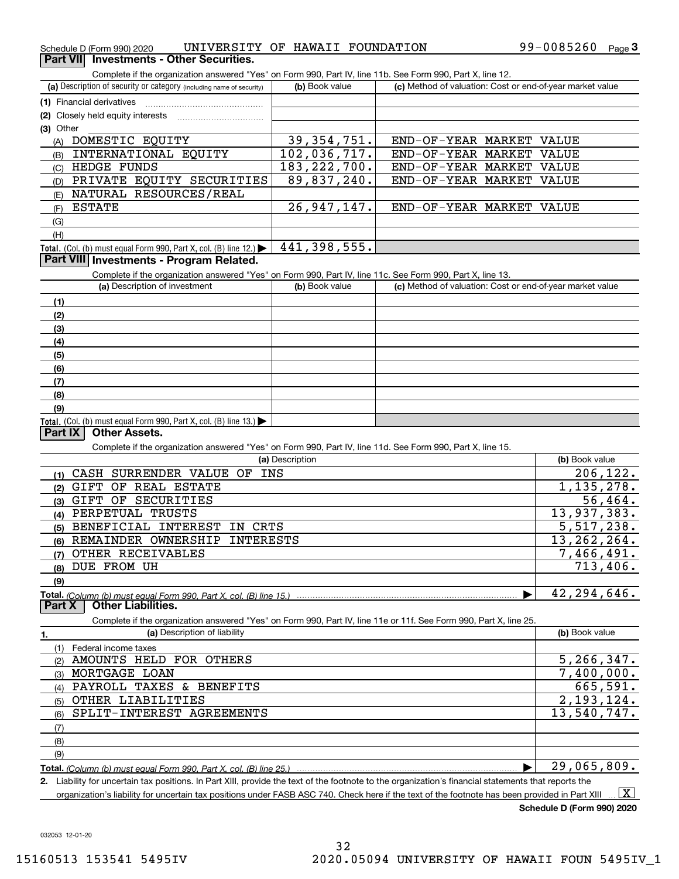| UNIVERSITY OF HAWAII FOUNDATION<br>Schedule D (Form 990) 2020 | 99-0085260 | Page |
|---------------------------------------------------------------|------------|------|
|---------------------------------------------------------------|------------|------|

### **Part VII Investments - Other Securities.**

Complete if the organization answered "Yes" on Form 990, Part IV, line 11b. See Form 990, Part X, line 12.

| (a) Description of security or category (including name of security)                          | (b) Book value | (c) Method of valuation: Cost or end-of-year market value |
|-----------------------------------------------------------------------------------------------|----------------|-----------------------------------------------------------|
| (1) Financial derivatives                                                                     |                |                                                           |
| (2) Closely held equity interests                                                             |                |                                                           |
| $(3)$ Other                                                                                   |                |                                                           |
| DOMESTIC EQUITY<br>(A)                                                                        | 39, 354, 751.  | END-OF-YEAR MARKET<br>VALUE                               |
| INTERNATIONAL EQUITY<br>(B)                                                                   | 102,036,717.   | END-OF-YEAR MARKET<br>VALUE                               |
| <b>HEDGE FUNDS</b><br>(C)                                                                     | 183, 222, 700. | END-OF-YEAR MARKET VALUE                                  |
| EQUITY<br>SECURITIES<br>PRIVATE<br>(D)                                                        | 89,837,240.    | END-OF-YEAR MARKET VALUE                                  |
| NATURAL RESOURCES/REAL<br>(E)                                                                 |                |                                                           |
| <b>ESTATE</b><br>(F)                                                                          | 26, 947, 147.  | END-OF-YEAR MARKET VALUE                                  |
| (G)                                                                                           |                |                                                           |
| (H)                                                                                           |                |                                                           |
| <b>Total.</b> (Col. (b) must equal Form 990, Part X, col. (B) line 12.) $\blacktriangleright$ | 441,398,555.   |                                                           |
| Part VIII Investments - Program Related.                                                      |                |                                                           |

### **Part VIII Investments - Program Related.**

Complete if the organization answered "Yes" on Form 990, Part IV, line 11c. See Form 990, Part X, line 13.

| (a) Description of investment                                       | (b) Book value | (c) Method of valuation: Cost or end-of-year market value |
|---------------------------------------------------------------------|----------------|-----------------------------------------------------------|
| (1)                                                                 |                |                                                           |
| (2)                                                                 |                |                                                           |
| (3)                                                                 |                |                                                           |
| (4)                                                                 |                |                                                           |
| (5)                                                                 |                |                                                           |
| (6)                                                                 |                |                                                           |
| (7)                                                                 |                |                                                           |
| (8)                                                                 |                |                                                           |
| (9)                                                                 |                |                                                           |
| Total. (Col. (b) must equal Form 990, Part X, col. (B) line $13.$ ) |                |                                                           |

### **Part IX Other Assets.**

Complete if the organization answered "Yes" on Form 990, Part IV, line 11d. See Form 990, Part X, line 15.

| (a) Description                                                    | (b) Book value |
|--------------------------------------------------------------------|----------------|
| INS<br>SURRENDER VALUE OF<br>CASH                                  | 206, 122.      |
| REAL ESTATE<br>ΟF<br>GIFT<br>(2)                                   | 1, 135, 278.   |
| SECURITIES<br>OF<br>GIFT<br>(3)                                    | 56,464.        |
| PERPETUAL<br>TRUSTS<br>(4)                                         | 13,937,383.    |
| CRTS<br>BENEFICIAL<br>INTEREST<br>IN<br>(5)                        | 5,517,238.     |
| <b>INTERESTS</b><br>OWNERSHIP<br>REMAINDER<br>(6)                  | 13, 262, 264.  |
| OTHER RECEIVABLES<br>(7)                                           | 7,466,491.     |
| DUE FROM UH<br>(8)                                                 | 713,406.       |
| (9)                                                                |                |
| Total. (Column (b) must equal Form 990, Part X, col. (B) line 15.) | 42,294,646.    |
| <b>Other Liabilities.</b><br>Part X                                |                |

Complete if the organization answered "Yes" on Form 990, Part IV, line 11e or 11f. See Form 990, Part X, line 25.

|     | (a) Description of liability                                       | (b) Book value |
|-----|--------------------------------------------------------------------|----------------|
|     | Federal income taxes                                               |                |
| (2) | AMOUNTS HELD FOR OTHERS                                            | 5, 266, 347.   |
| (3) | MORTGAGE LOAN                                                      | 7,400,000.     |
| (4) | PAYROLL TAXES & BENEFITS                                           | 665,591.       |
| (5) | OTHER LIABILITIES                                                  | 2,193,124.     |
|     | (6) SPLIT-INTEREST AGREEMENTS                                      | 13,540,747.    |
| (7) |                                                                    |                |
| (8) |                                                                    |                |
| (9) |                                                                    |                |
|     | Total. (Column (b) must equal Form 990, Part X, col. (B) line 25.) | 29,065,809.    |

**2.** Liability for uncertain tax positions. In Part XIII, provide the text of the footnote to the organization's financial statements that reports the organization's liability for uncertain tax positions under FASB ASC 740. Check here if the text of the footnote has been provided in Part XIII  $\boxed{\text{X}}$ 

**Schedule D (Form 990) 2020**

032053 12-01-20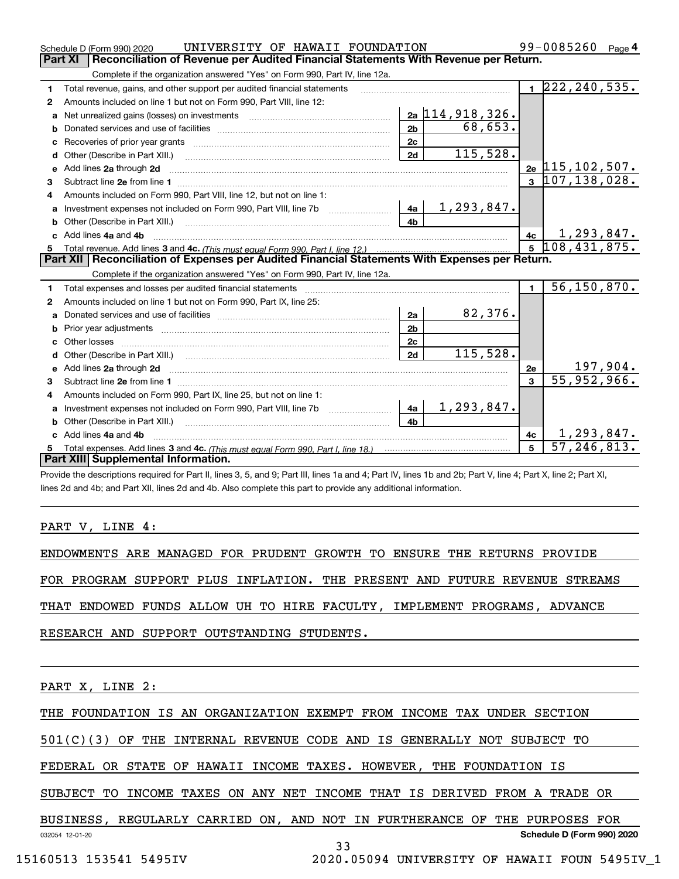|    | UNIVERSITY OF HAWAII FOUNDATION<br>Schedule D (Form 990) 2020                                                                                                                                                                  |                |                   |                         | 99-0085260<br>Page 4                           |
|----|--------------------------------------------------------------------------------------------------------------------------------------------------------------------------------------------------------------------------------|----------------|-------------------|-------------------------|------------------------------------------------|
|    | Part XI<br>Reconciliation of Revenue per Audited Financial Statements With Revenue per Return.                                                                                                                                 |                |                   |                         |                                                |
|    | Complete if the organization answered "Yes" on Form 990, Part IV, line 12a.                                                                                                                                                    |                |                   |                         |                                                |
| 1  | Total revenue, gains, and other support per audited financial statements                                                                                                                                                       |                |                   |                         | $1 \overline{222, 240, 535}$ .                 |
| 2  | Amounts included on line 1 but not on Form 990, Part VIII, line 12:                                                                                                                                                            |                |                   |                         |                                                |
| a  | Net unrealized gains (losses) on investments [11] matter contracts and the unrealized gains (losses) on investments                                                                                                            |                | 2a 114, 918, 326. |                         |                                                |
| b  |                                                                                                                                                                                                                                | 2 <sub>b</sub> | 68, 653.          |                         |                                                |
|    |                                                                                                                                                                                                                                | 2 <sub>c</sub> |                   |                         |                                                |
| d  |                                                                                                                                                                                                                                | 2d             | 115,528.          |                         |                                                |
| е  | Add lines 2a through 2d                                                                                                                                                                                                        |                |                   |                         | $_{2e}$ 115, 102, 507.                         |
| 3  |                                                                                                                                                                                                                                |                |                   | $\mathbf{a}$            | 107, 138, 028.                                 |
| 4  | Amounts included on Form 990, Part VIII, line 12, but not on line 1:                                                                                                                                                           |                |                   |                         |                                                |
|    |                                                                                                                                                                                                                                |                | 1,293,847.        |                         |                                                |
|    |                                                                                                                                                                                                                                | 4 <sub>b</sub> |                   |                         |                                                |
| c. | Add lines 4a and 4b                                                                                                                                                                                                            |                |                   | 4c                      | $\frac{4c}{5}$ $\frac{1,293,847}{108,431,875}$ |
|    |                                                                                                                                                                                                                                |                |                   |                         |                                                |
|    |                                                                                                                                                                                                                                |                |                   |                         |                                                |
|    | Part XII   Reconciliation of Expenses per Audited Financial Statements With Expenses per Return.                                                                                                                               |                |                   |                         |                                                |
|    | Complete if the organization answered "Yes" on Form 990, Part IV, line 12a.                                                                                                                                                    |                |                   |                         |                                                |
| 1  | Total expenses and losses per audited financial statements [11] [12] contraction control of the statements [11] [12] and the statements [12] and the statements [12] and the statements [12] and the statements and the statem |                |                   | $\blacksquare$          | 56, 150, 870.                                  |
| 2  | Amounts included on line 1 but not on Form 990, Part IX, line 25:                                                                                                                                                              |                |                   |                         |                                                |
| a  |                                                                                                                                                                                                                                | 2a             | 82,376.           |                         |                                                |
|    |                                                                                                                                                                                                                                | 2 <sub>b</sub> |                   |                         |                                                |
|    | Other losses                                                                                                                                                                                                                   | 2 <sub>c</sub> |                   |                         |                                                |
|    |                                                                                                                                                                                                                                | 2d             | 115,528.          |                         |                                                |
|    |                                                                                                                                                                                                                                |                |                   | 2е                      |                                                |
| 3  |                                                                                                                                                                                                                                |                |                   | $\overline{\mathbf{3}}$ | $\frac{197,904}{55,952,966}$                   |
| 4  | Amounts included on Form 990, Part IX, line 25, but not on line 1:                                                                                                                                                             |                |                   |                         |                                                |
|    | Investment expenses not included on Form 990, Part VIII, line 7b [100] [100] [100] [4a                                                                                                                                         |                | 1, 293, 847.      |                         |                                                |
|    |                                                                                                                                                                                                                                | 4 <sub>b</sub> |                   |                         |                                                |
| c  | Add lines 4a and 4b                                                                                                                                                                                                            |                |                   | 4c                      | 1,293,847.                                     |
|    | Part XIII Supplemental Information.                                                                                                                                                                                            |                |                   | 5                       | 57, 246, 813.                                  |

Provide the descriptions required for Part II, lines 3, 5, and 9; Part III, lines 1a and 4; Part IV, lines 1b and 2b; Part V, line 4; Part X, line 2; Part XI, lines 2d and 4b; and Part XII, lines 2d and 4b. Also complete this part to provide any additional information.

### PART V, LINE 4:

ENDOWMENTS ARE MANAGED FOR PRUDENT GROWTH TO ENSURE THE RETURNS PROVIDE FOR PROGRAM SUPPORT PLUS INFLATION. THE PRESENT AND FUTURE REVENUE STREAMS THAT ENDOWED FUNDS ALLOW UH TO HIRE FACULTY, IMPLEMENT PROGRAMS, ADVANCE RESEARCH AND SUPPORT OUTSTANDING STUDENTS.

PART X, LINE 2:

THE FOUNDATION IS AN ORGANIZATION EXEMPT FROM INCOME TAX UNDER SECTION

501(C)(3) OF THE INTERNAL REVENUE CODE AND IS GENERALLY NOT SUBJECT TO

FEDERAL OR STATE OF HAWAII INCOME TAXES. HOWEVER, THE FOUNDATION IS

SUBJECT TO INCOME TAXES ON ANY NET INCOME THAT IS DERIVED FROM A TRADE OR

032054 12-01-20 **Schedule D (Form 990) 2020** BUSINESS, REGULARLY CARRIED ON, AND NOT IN FURTHERANCE OF THE PURPOSES FOR

33

15160513 153541 5495IV 2020.05094 UNIVERSITY OF HAWAII FOUN 5495IV\_1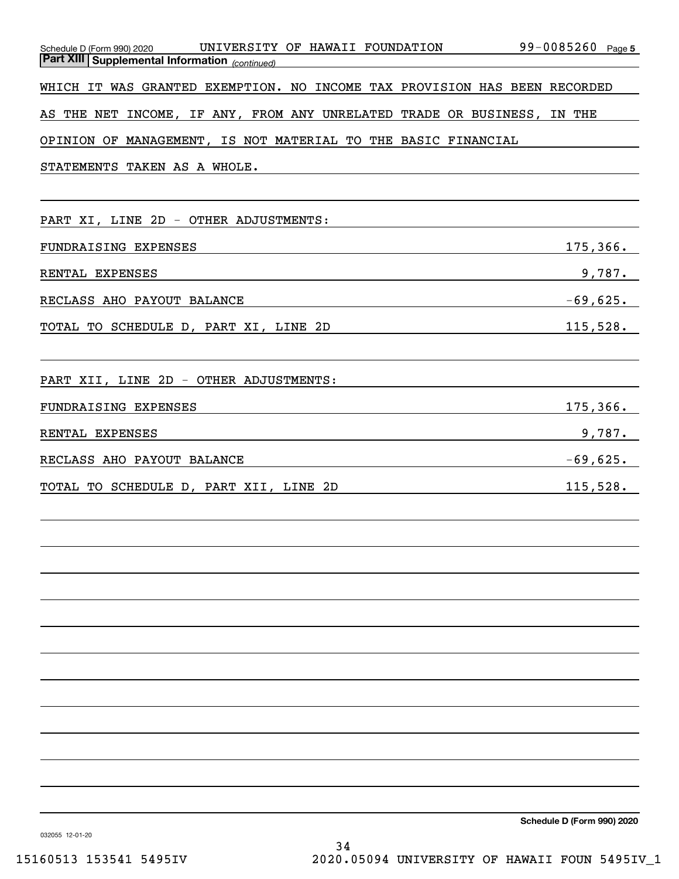| Schedule D (Form 990) 2020 UNIVERSITY OF HAWAII FOUNDATION 99-0085260 Page 5<br>Part XIII Supplemental Information <sub>(continued)</sub>                                                                                      |             |
|--------------------------------------------------------------------------------------------------------------------------------------------------------------------------------------------------------------------------------|-------------|
| WHICH IT WAS GRANTED EXEMPTION. NO INCOME TAX PROVISION HAS BEEN RECORDED                                                                                                                                                      |             |
| AS THE NET INCOME, IF ANY, FROM ANY UNRELATED TRADE OR BUSINESS, IN THE                                                                                                                                                        |             |
| OPINION OF MANAGEMENT, IS NOT MATERIAL TO THE BASIC FINANCIAL                                                                                                                                                                  |             |
| STATEMENTS TAKEN AS A WHOLE.<br>and the control of the control of the control of the control of the control of the control of the control of the                                                                               |             |
|                                                                                                                                                                                                                                |             |
| PART XI, LINE 2D - OTHER ADJUSTMENTS:                                                                                                                                                                                          |             |
| FUNDRAISING EXPENSES<br><u> 1980 - Johann Barn, fransk politik (d. 1980)</u>                                                                                                                                                   | 175, 366.   |
| RENTAL EXPENSES<br><u> 1989 - Andrea State Barbara, amerikan personal di sebagai personal di sebagai personal di sebagai personal d</u>                                                                                        | 9,787.      |
| RECLASS AHO PAYOUT BALANCE NAMES AND RECLASS AHO PAYOUT BALANCE                                                                                                                                                                | $-69,625$ . |
| TOTAL TO SCHEDULE D, PART XI, LINE 2D                                                                                                                                                                                          | 115,528.    |
|                                                                                                                                                                                                                                |             |
| PART XII, LINE 2D - OTHER ADJUSTMENTS:                                                                                                                                                                                         |             |
| FUNDRAISING EXPENSES                                                                                                                                                                                                           | 175, 366.   |
| RENTAL EXPENSES PRODUCED AND ALL PRODUCED AND ALL PRODUCED AND ALL PRODUCED AND ALL PRODUCED AND ALL PRODUCED AT A STREET OF A STREET OF A STREET OF A STREET OF A STREET OF A STREET OF A STREET OF A STREET OF A STREET OF A | 9,787.      |
|                                                                                                                                                                                                                                | $-69,625$ . |
| TOTAL TO SCHEDULE D, PART XII, LINE 2D                                                                                                                                                                                         | 115,528.    |
|                                                                                                                                                                                                                                |             |
|                                                                                                                                                                                                                                |             |
|                                                                                                                                                                                                                                |             |
|                                                                                                                                                                                                                                |             |
|                                                                                                                                                                                                                                |             |
|                                                                                                                                                                                                                                |             |
|                                                                                                                                                                                                                                |             |
|                                                                                                                                                                                                                                |             |
|                                                                                                                                                                                                                                |             |
|                                                                                                                                                                                                                                |             |
|                                                                                                                                                                                                                                |             |
|                                                                                                                                                                                                                                |             |

**Schedule D (Form 990) 2020**

032055 12-01-20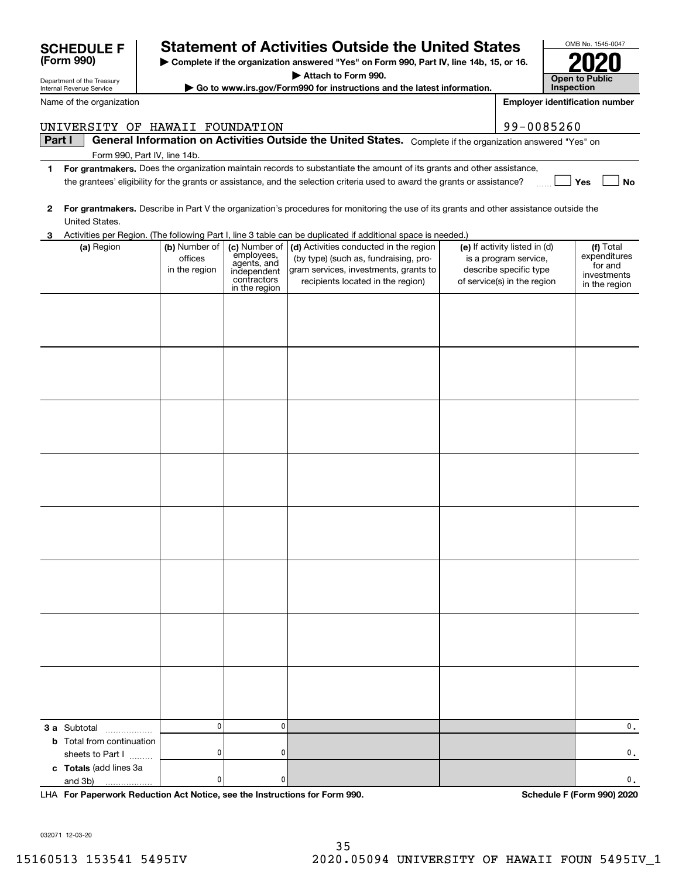|                                                                            |                                           |                                                                          | 3 Activities per Region. (The following Part I, line 3 table can be duplicated if additional space is needed.)                                                                      |                                                                                                                 |                                                                      |
|----------------------------------------------------------------------------|-------------------------------------------|--------------------------------------------------------------------------|-------------------------------------------------------------------------------------------------------------------------------------------------------------------------------------|-----------------------------------------------------------------------------------------------------------------|----------------------------------------------------------------------|
| (a) Region                                                                 | (b) Number of<br>offices<br>in the region | employees,<br>agents, and<br>independent<br>contractors<br>in the region | (c) Number of $\vert$ (d) Activities conducted in the region<br>(by type) (such as, fundraising, pro-<br>gram services, investments, grants to<br>recipients located in the region) | (e) If activity listed in (d)<br>is a program service,<br>describe specific type<br>of service(s) in the region | (f) Total<br>expenditures<br>for and<br>investments<br>in the region |
|                                                                            |                                           |                                                                          |                                                                                                                                                                                     |                                                                                                                 |                                                                      |
|                                                                            |                                           |                                                                          |                                                                                                                                                                                     |                                                                                                                 |                                                                      |
|                                                                            |                                           |                                                                          |                                                                                                                                                                                     |                                                                                                                 |                                                                      |
|                                                                            |                                           |                                                                          |                                                                                                                                                                                     |                                                                                                                 |                                                                      |
|                                                                            |                                           |                                                                          |                                                                                                                                                                                     |                                                                                                                 |                                                                      |
|                                                                            |                                           |                                                                          |                                                                                                                                                                                     |                                                                                                                 |                                                                      |
|                                                                            |                                           |                                                                          |                                                                                                                                                                                     |                                                                                                                 |                                                                      |
|                                                                            |                                           |                                                                          |                                                                                                                                                                                     |                                                                                                                 |                                                                      |
|                                                                            |                                           |                                                                          |                                                                                                                                                                                     |                                                                                                                 |                                                                      |
|                                                                            | 0                                         | $\mathbf 0$                                                              |                                                                                                                                                                                     |                                                                                                                 | $\mathbf 0$ .                                                        |
| 3 a Subtotal<br>.<br><b>b</b> Total from continuation<br>sheets to Part I  | 0                                         | $\mathbf 0$                                                              |                                                                                                                                                                                     |                                                                                                                 | $\mathbf 0$ .                                                        |
| c Totals (add lines 3a<br>and 3b)                                          | 0                                         | 0                                                                        |                                                                                                                                                                                     |                                                                                                                 | $\mathbf 0$ .                                                        |
|                                                                            |                                           |                                                                          |                                                                                                                                                                                     |                                                                                                                 | Schedule F (Form 990) 2020                                           |
| LHA For Paperwork Reduction Act Notice, see the Instructions for Form 990. |                                           |                                                                          |                                                                                                                                                                                     |                                                                                                                 |                                                                      |

| <b>Part I</b> | General Information on Activities Outside the United States. Complete if the organization answered "Yes" or |  |
|---------------|-------------------------------------------------------------------------------------------------------------|--|
|               | Form 990, Part IV, line 14b.                                                                                |  |

- **1For grantmakers.**  Does the organization maintain records to substantiate the amount of its grants and other assistance, **Yes No** the grantees' eligibility for the grants or assistance, and the selection criteria used to award the grants or assistance?
- **2For grantmakers.**  Describe in Part V the organization's procedures for monitoring the use of its grants and other assistance outside the

|  |  | UNIVERSITY OF HAWAII FOUNDATION                                                       |  |
|--|--|---------------------------------------------------------------------------------------|--|
|  |  | $\mid$ Part $\mid$ $\mid$ General Information on Activities Outside the United States |  |

Department of the Treasury Internal Revenue Service

**(Form 990)**

Name of the organization

# **SCHEDULE F Statement of Activities Outside the United States**

**| Complete if the organization answered "Yes" on Form 990, Part IV, line 14b, 15, or 16.**

**| Attach to Form 990.**

**| Go to www.irs.gov/Form990 for instructions and the latest information.**

OMB No. 1545-0047 **Open to Public Inspection2020**

**Employer identification number**

99-0085260

# 15160513 153541 5495IV 2020.05094 UNIVERSITY OF HAWAII FOUN 5495IV\_1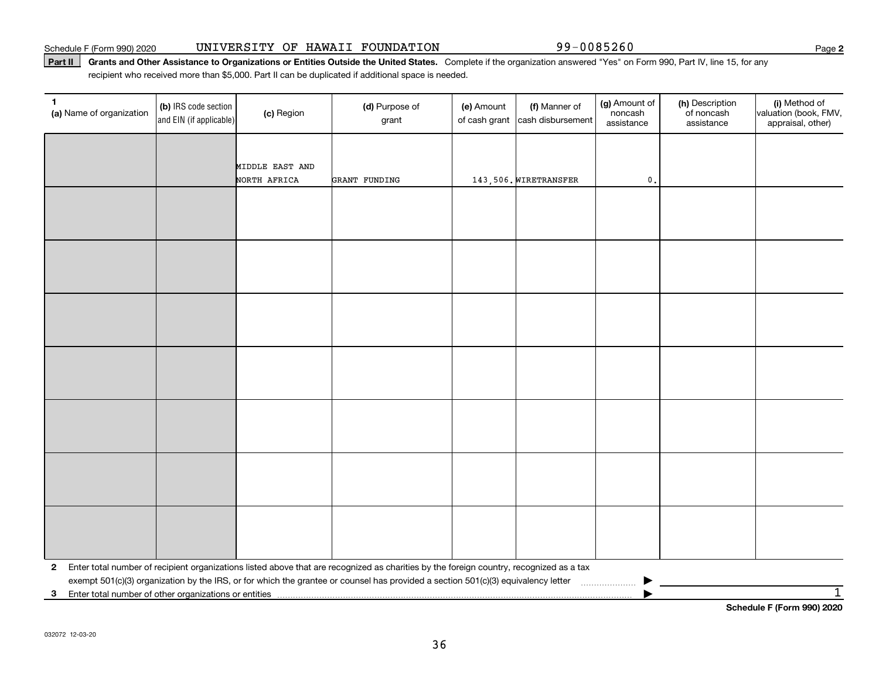### Schedule F (Form 990) 2020 Page UNIVERSITY OF HAWAII FOUNDATION 99-0085260

### Part II | Grants and Other Assistance to Organizations or Entities Outside the United States. Complete if the organization answered "Yes" on Form 990, Part IV, line 15, for any recipient who received more than \$5,000. Part II can be duplicated if additional space is needed.

| 1<br>(a) Name of organization | (b) IRS code section<br>and EIN (if applicable) | (c) Region      | (d) Purpose of<br>grant                                                                                                                 | (e) Amount<br>of cash grant | (f) Manner of<br>cash disbursement | (g) Amount of<br>noncash<br>assistance | (h) Description<br>of noncash<br>assistance | (i) Method of<br>valuation (book, FMV,<br>appraisal, other) |
|-------------------------------|-------------------------------------------------|-----------------|-----------------------------------------------------------------------------------------------------------------------------------------|-----------------------------|------------------------------------|----------------------------------------|---------------------------------------------|-------------------------------------------------------------|
|                               |                                                 |                 |                                                                                                                                         |                             |                                    |                                        |                                             |                                                             |
|                               |                                                 | MIDDLE EAST AND |                                                                                                                                         |                             |                                    |                                        |                                             |                                                             |
|                               |                                                 | NORTH AFRICA    | GRANT FUNDING                                                                                                                           |                             | 143,506. WIRETRANSFER              | $\mathfrak o$ .                        |                                             |                                                             |
|                               |                                                 |                 |                                                                                                                                         |                             |                                    |                                        |                                             |                                                             |
|                               |                                                 |                 |                                                                                                                                         |                             |                                    |                                        |                                             |                                                             |
|                               |                                                 |                 |                                                                                                                                         |                             |                                    |                                        |                                             |                                                             |
|                               |                                                 |                 |                                                                                                                                         |                             |                                    |                                        |                                             |                                                             |
|                               |                                                 |                 |                                                                                                                                         |                             |                                    |                                        |                                             |                                                             |
|                               |                                                 |                 |                                                                                                                                         |                             |                                    |                                        |                                             |                                                             |
|                               |                                                 |                 |                                                                                                                                         |                             |                                    |                                        |                                             |                                                             |
|                               |                                                 |                 |                                                                                                                                         |                             |                                    |                                        |                                             |                                                             |
|                               |                                                 |                 |                                                                                                                                         |                             |                                    |                                        |                                             |                                                             |
|                               |                                                 |                 |                                                                                                                                         |                             |                                    |                                        |                                             |                                                             |
|                               |                                                 |                 |                                                                                                                                         |                             |                                    |                                        |                                             |                                                             |
|                               |                                                 |                 |                                                                                                                                         |                             |                                    |                                        |                                             |                                                             |
|                               |                                                 |                 |                                                                                                                                         |                             |                                    |                                        |                                             |                                                             |
|                               |                                                 |                 |                                                                                                                                         |                             |                                    |                                        |                                             |                                                             |
|                               |                                                 |                 |                                                                                                                                         |                             |                                    |                                        |                                             |                                                             |
|                               |                                                 |                 |                                                                                                                                         |                             |                                    |                                        |                                             |                                                             |
|                               |                                                 |                 |                                                                                                                                         |                             |                                    |                                        |                                             |                                                             |
|                               |                                                 |                 |                                                                                                                                         |                             |                                    |                                        |                                             |                                                             |
|                               |                                                 |                 |                                                                                                                                         |                             |                                    |                                        |                                             |                                                             |
|                               |                                                 |                 |                                                                                                                                         |                             |                                    |                                        |                                             |                                                             |
|                               |                                                 |                 |                                                                                                                                         |                             |                                    |                                        |                                             |                                                             |
| $\mathbf{2}$                  |                                                 |                 | Enter total number of recipient organizations listed above that are recognized as charities by the foreign country, recognized as a tax |                             |                                    |                                        |                                             |                                                             |
|                               |                                                 |                 |                                                                                                                                         |                             |                                    |                                        |                                             | $\mathbf 1$                                                 |
| 3                             |                                                 |                 |                                                                                                                                         |                             |                                    |                                        |                                             | Schedule F (Form 990) 2020                                  |

**2**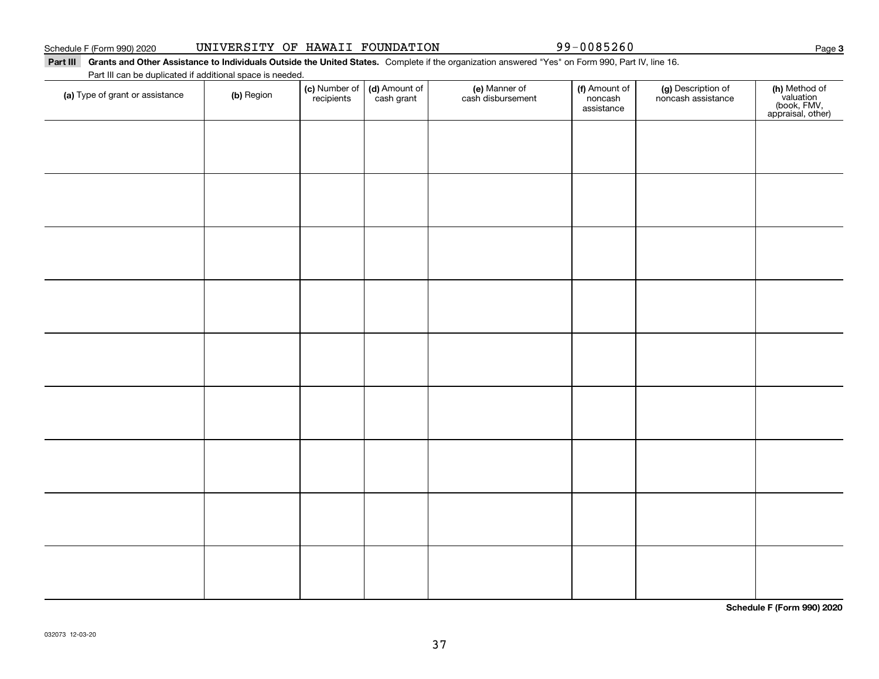Part III Grants and Other Assistance to Individuals Outside the United States. Complete if the organization answered "Yes" on Form 990, Part IV, line 16.

Part III can be duplicated if additional space is needed.

| (a) Type of grant or assistance | (b) Region | (c) Number of<br>recipients | (d) Amount of | (e) Manner of<br>cash disbursement | (f) Amount of<br>noncash<br>assistance | (g) Description of<br>noncash assistance | (h) Method of<br>valuation<br>(book, FMV,<br>appraisal, other) |
|---------------------------------|------------|-----------------------------|---------------|------------------------------------|----------------------------------------|------------------------------------------|----------------------------------------------------------------|
|                                 |            |                             |               |                                    |                                        |                                          |                                                                |
|                                 |            |                             |               |                                    |                                        |                                          |                                                                |
|                                 |            |                             |               |                                    |                                        |                                          |                                                                |
|                                 |            |                             |               |                                    |                                        |                                          |                                                                |
|                                 |            |                             |               |                                    |                                        |                                          |                                                                |
|                                 |            |                             |               |                                    |                                        |                                          |                                                                |
|                                 |            |                             |               |                                    |                                        |                                          |                                                                |
|                                 |            |                             |               |                                    |                                        |                                          |                                                                |
|                                 |            |                             |               |                                    |                                        |                                          |                                                                |
|                                 |            |                             |               |                                    |                                        |                                          |                                                                |
|                                 |            |                             |               |                                    |                                        |                                          |                                                                |

**Schedule F (Form 990) 2020**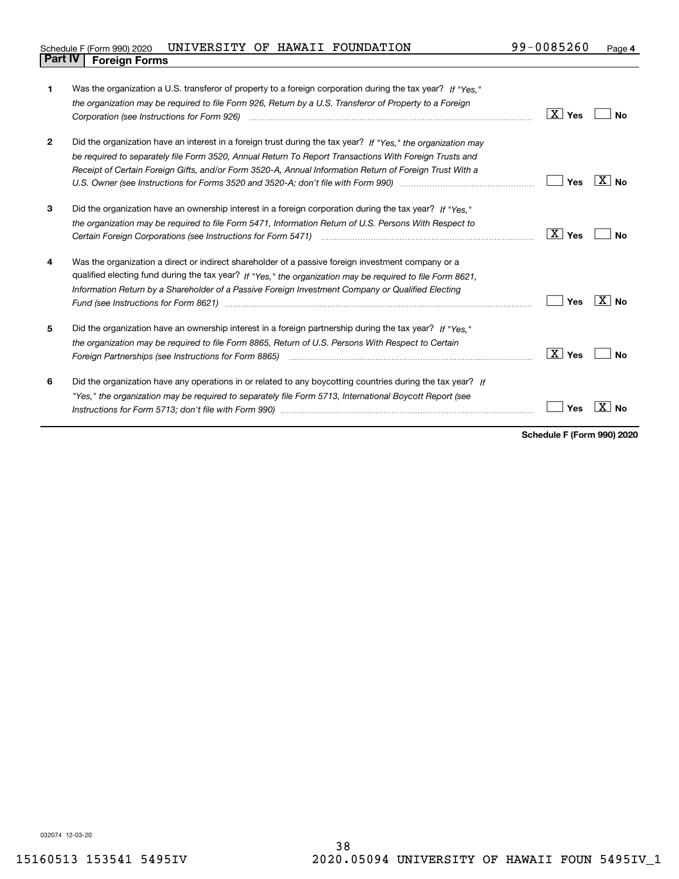| Schedule F (Form 990) 2020     | UNIVERSITY OF HAWAII FOUNDATION |  | 99-0085260 | Page |
|--------------------------------|---------------------------------|--|------------|------|
| <b>Part IV   Foreign Forms</b> |                                 |  |            |      |

| 1            | Was the organization a U.S. transferor of property to a foreign corporation during the tax year? If "Yes."                                                                                                                                                                                                                          |                 |                     |
|--------------|-------------------------------------------------------------------------------------------------------------------------------------------------------------------------------------------------------------------------------------------------------------------------------------------------------------------------------------|-----------------|---------------------|
|              | the organization may be required to file Form 926, Return by a U.S. Transferor of Property to a Foreign                                                                                                                                                                                                                             |                 |                     |
|              |                                                                                                                                                                                                                                                                                                                                     | $X$ Yes         | No                  |
| $\mathbf{2}$ | Did the organization have an interest in a foreign trust during the tax year? If "Yes," the organization may                                                                                                                                                                                                                        |                 |                     |
|              | be required to separately file Form 3520, Annual Return To Report Transactions With Foreign Trusts and                                                                                                                                                                                                                              |                 |                     |
|              | Receipt of Certain Foreign Gifts, and/or Form 3520-A, Annual Information Return of Foreign Trust With a                                                                                                                                                                                                                             |                 |                     |
|              |                                                                                                                                                                                                                                                                                                                                     | Yes             | $X \mid N_{\Omega}$ |
| 3            | Did the organization have an ownership interest in a foreign corporation during the tax year? If "Yes."                                                                                                                                                                                                                             |                 |                     |
|              | the organization may be required to file Form 5471, Information Return of U.S. Persons With Respect to                                                                                                                                                                                                                              |                 |                     |
|              |                                                                                                                                                                                                                                                                                                                                     | $X$ Yes         | Nο                  |
| 4            | Was the organization a direct or indirect shareholder of a passive foreign investment company or a                                                                                                                                                                                                                                  |                 |                     |
|              | qualified electing fund during the tax year? If "Yes," the organization may be required to file Form 8621,                                                                                                                                                                                                                          |                 |                     |
|              | Information Return by a Shareholder of a Passive Foreign Investment Company or Qualified Electing<br>Fund (see Instructions for Form 8621) manufactured control to the form of the state of the control of the state of the state of the state of the state of the state of the state of the state of the state of the state of the | Yes             | $X $ No             |
| 5            | Did the organization have an ownership interest in a foreign partnership during the tax year? If "Yes."                                                                                                                                                                                                                             |                 |                     |
|              | the organization may be required to file Form 8865, Return of U.S. Persons With Respect to Certain                                                                                                                                                                                                                                  |                 |                     |
|              | Foreign Partnerships (see Instructions for Form 8865)                                                                                                                                                                                                                                                                               | $X \mid$<br>Yes | Nο                  |
| 6            | Did the organization have any operations in or related to any boycotting countries during the tax year? If                                                                                                                                                                                                                          |                 |                     |
|              | "Yes," the organization may be required to separately file Form 5713, International Boycott Report (see                                                                                                                                                                                                                             |                 |                     |
|              |                                                                                                                                                                                                                                                                                                                                     | Yes             |                     |
|              |                                                                                                                                                                                                                                                                                                                                     |                 |                     |

**Schedule F (Form 990) 2020**

032074 12-03-20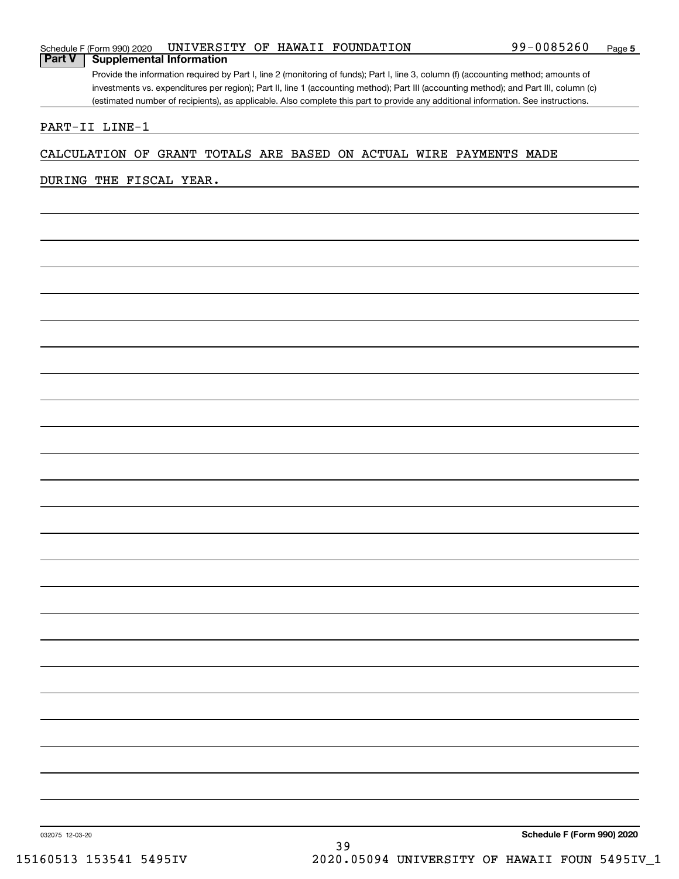### Schedule F (Form 990) 2020 UNIVERSITY OF HAWAII FOUNDATION 99-0085260 Page **Part V Supplemental Information**

Provide the information required by Part I, line 2 (monitoring of funds); Part I, line 3, column (f) (accounting method; amounts of investments vs. expenditures per region); Part II, line 1 (accounting method); Part III (accounting method); and Part III, column (c) (estimated number of recipients), as applicable. Also complete this part to provide any additional information. See instructions.

## PART-II LINE-1

## CALCULATION OF GRANT TOTALS ARE BASED ON ACTUAL WIRE PAYMENTS MADE

## DURING THE FISCAL YEAR.

**Schedule F (Form 990) 2020**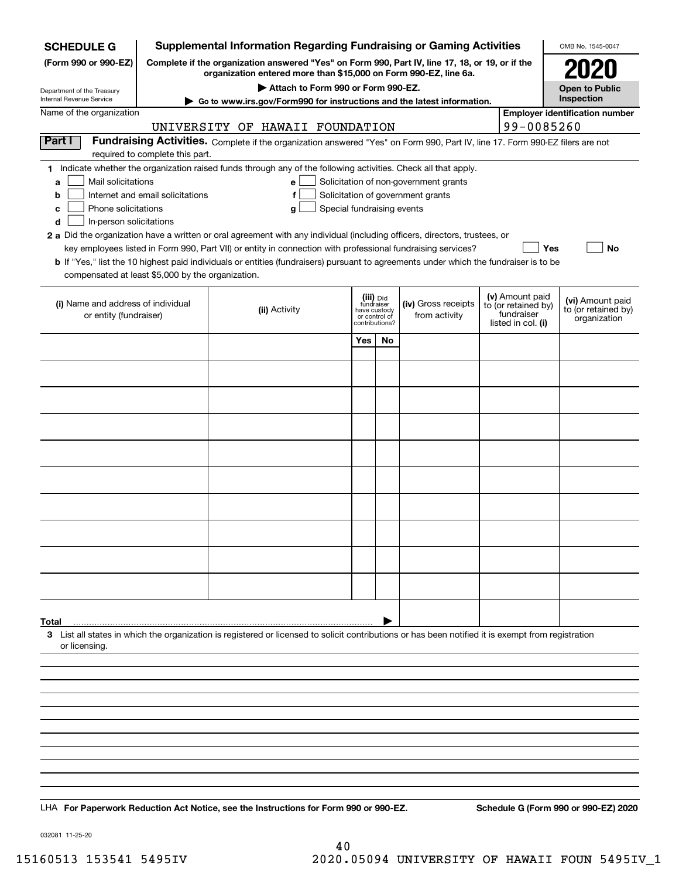| <b>SCHEDULE G</b>                                                                                                                                                                           |                                  | <b>Supplemental Information Regarding Fundraising or Gaming Activities</b>                                                                                                                                                                |                                         |    |                                       |  |                                   | OMB No. 1545-0047                       |
|---------------------------------------------------------------------------------------------------------------------------------------------------------------------------------------------|----------------------------------|-------------------------------------------------------------------------------------------------------------------------------------------------------------------------------------------------------------------------------------------|-----------------------------------------|----|---------------------------------------|--|-----------------------------------|-----------------------------------------|
| Complete if the organization answered "Yes" on Form 990, Part IV, line 17, 18, or 19, or if the<br>(Form 990 or 990-EZ)<br>organization entered more than \$15,000 on Form 990-EZ, line 6a. |                                  |                                                                                                                                                                                                                                           |                                         |    |                                       |  |                                   |                                         |
| Department of the Treasury<br>Internal Revenue Service                                                                                                                                      |                                  | Attach to Form 990 or Form 990-EZ.                                                                                                                                                                                                        |                                         |    |                                       |  |                                   | <b>Open to Public</b><br>Inspection     |
| Name of the organization                                                                                                                                                                    |                                  | ► Go to www.irs.gov/Form990 for instructions and the latest information.                                                                                                                                                                  |                                         |    |                                       |  |                                   | <b>Employer identification number</b>   |
|                                                                                                                                                                                             |                                  | UNIVERSITY OF HAWAII FOUNDATION                                                                                                                                                                                                           |                                         |    |                                       |  | 99-0085260                        |                                         |
| Part I                                                                                                                                                                                      |                                  | Fundraising Activities. Complete if the organization answered "Yes" on Form 990, Part IV, line 17. Form 990-EZ filers are not                                                                                                             |                                         |    |                                       |  |                                   |                                         |
|                                                                                                                                                                                             | required to complete this part.  |                                                                                                                                                                                                                                           |                                         |    |                                       |  |                                   |                                         |
| Mail solicitations<br>a                                                                                                                                                                     |                                  | 1 Indicate whether the organization raised funds through any of the following activities. Check all that apply.<br>e                                                                                                                      |                                         |    | Solicitation of non-government grants |  |                                   |                                         |
| b                                                                                                                                                                                           | Internet and email solicitations | f                                                                                                                                                                                                                                         |                                         |    | Solicitation of government grants     |  |                                   |                                         |
| Phone solicitations<br>c                                                                                                                                                                    |                                  | g                                                                                                                                                                                                                                         | Special fundraising events              |    |                                       |  |                                   |                                         |
| In-person solicitations<br>d                                                                                                                                                                |                                  |                                                                                                                                                                                                                                           |                                         |    |                                       |  |                                   |                                         |
|                                                                                                                                                                                             |                                  | 2 a Did the organization have a written or oral agreement with any individual (including officers, directors, trustees, or<br>key employees listed in Form 990, Part VII) or entity in connection with professional fundraising services? |                                         |    |                                       |  | Yes                               | No                                      |
|                                                                                                                                                                                             |                                  | <b>b</b> If "Yes," list the 10 highest paid individuals or entities (fundraisers) pursuant to agreements under which the fundraiser is to be                                                                                              |                                         |    |                                       |  |                                   |                                         |
| compensated at least \$5,000 by the organization.                                                                                                                                           |                                  |                                                                                                                                                                                                                                           |                                         |    |                                       |  |                                   |                                         |
|                                                                                                                                                                                             |                                  |                                                                                                                                                                                                                                           |                                         |    |                                       |  | (v) Amount paid                   |                                         |
| (i) Name and address of individual<br>or entity (fundraiser)                                                                                                                                |                                  | (ii) Activity                                                                                                                                                                                                                             | (iii) Did<br>fundraiser<br>have custody |    | (iv) Gross receipts                   |  | to (or retained by)<br>fundraiser | (vi) Amount paid<br>to (or retained by) |
|                                                                                                                                                                                             |                                  |                                                                                                                                                                                                                                           | or control of<br>contributions?         |    | from activity                         |  | listed in col. (i)                | organization                            |
|                                                                                                                                                                                             |                                  |                                                                                                                                                                                                                                           | Yes                                     | No |                                       |  |                                   |                                         |
|                                                                                                                                                                                             |                                  |                                                                                                                                                                                                                                           |                                         |    |                                       |  |                                   |                                         |
|                                                                                                                                                                                             |                                  |                                                                                                                                                                                                                                           |                                         |    |                                       |  |                                   |                                         |
|                                                                                                                                                                                             |                                  |                                                                                                                                                                                                                                           |                                         |    |                                       |  |                                   |                                         |
|                                                                                                                                                                                             |                                  |                                                                                                                                                                                                                                           |                                         |    |                                       |  |                                   |                                         |
|                                                                                                                                                                                             |                                  |                                                                                                                                                                                                                                           |                                         |    |                                       |  |                                   |                                         |
|                                                                                                                                                                                             |                                  |                                                                                                                                                                                                                                           |                                         |    |                                       |  |                                   |                                         |
|                                                                                                                                                                                             |                                  |                                                                                                                                                                                                                                           |                                         |    |                                       |  |                                   |                                         |
|                                                                                                                                                                                             |                                  |                                                                                                                                                                                                                                           |                                         |    |                                       |  |                                   |                                         |
|                                                                                                                                                                                             |                                  |                                                                                                                                                                                                                                           |                                         |    |                                       |  |                                   |                                         |
|                                                                                                                                                                                             |                                  |                                                                                                                                                                                                                                           |                                         |    |                                       |  |                                   |                                         |
|                                                                                                                                                                                             |                                  |                                                                                                                                                                                                                                           |                                         |    |                                       |  |                                   |                                         |
|                                                                                                                                                                                             |                                  |                                                                                                                                                                                                                                           |                                         |    |                                       |  |                                   |                                         |
|                                                                                                                                                                                             |                                  |                                                                                                                                                                                                                                           |                                         |    |                                       |  |                                   |                                         |
|                                                                                                                                                                                             |                                  |                                                                                                                                                                                                                                           |                                         |    |                                       |  |                                   |                                         |
|                                                                                                                                                                                             |                                  |                                                                                                                                                                                                                                           |                                         |    |                                       |  |                                   |                                         |
|                                                                                                                                                                                             |                                  |                                                                                                                                                                                                                                           |                                         |    |                                       |  |                                   |                                         |
| Total                                                                                                                                                                                       |                                  | 3 List all states in which the organization is registered or licensed to solicit contributions or has been notified it is exempt from registration                                                                                        |                                         |    |                                       |  |                                   |                                         |
| or licensing.                                                                                                                                                                               |                                  |                                                                                                                                                                                                                                           |                                         |    |                                       |  |                                   |                                         |
|                                                                                                                                                                                             |                                  |                                                                                                                                                                                                                                           |                                         |    |                                       |  |                                   |                                         |
|                                                                                                                                                                                             |                                  |                                                                                                                                                                                                                                           |                                         |    |                                       |  |                                   |                                         |
|                                                                                                                                                                                             |                                  |                                                                                                                                                                                                                                           |                                         |    |                                       |  |                                   |                                         |
|                                                                                                                                                                                             |                                  |                                                                                                                                                                                                                                           |                                         |    |                                       |  |                                   |                                         |
|                                                                                                                                                                                             |                                  |                                                                                                                                                                                                                                           |                                         |    |                                       |  |                                   |                                         |
|                                                                                                                                                                                             |                                  |                                                                                                                                                                                                                                           |                                         |    |                                       |  |                                   |                                         |
|                                                                                                                                                                                             |                                  |                                                                                                                                                                                                                                           |                                         |    |                                       |  |                                   |                                         |
|                                                                                                                                                                                             |                                  |                                                                                                                                                                                                                                           |                                         |    |                                       |  |                                   |                                         |
|                                                                                                                                                                                             |                                  |                                                                                                                                                                                                                                           |                                         |    |                                       |  |                                   |                                         |
|                                                                                                                                                                                             |                                  | LHA For Paperwork Reduction Act Notice, see the Instructions for Form 990 or 990-EZ.                                                                                                                                                      |                                         |    |                                       |  |                                   | Schedule G (Form 990 or 990-EZ) 2020    |

032081 11-25-20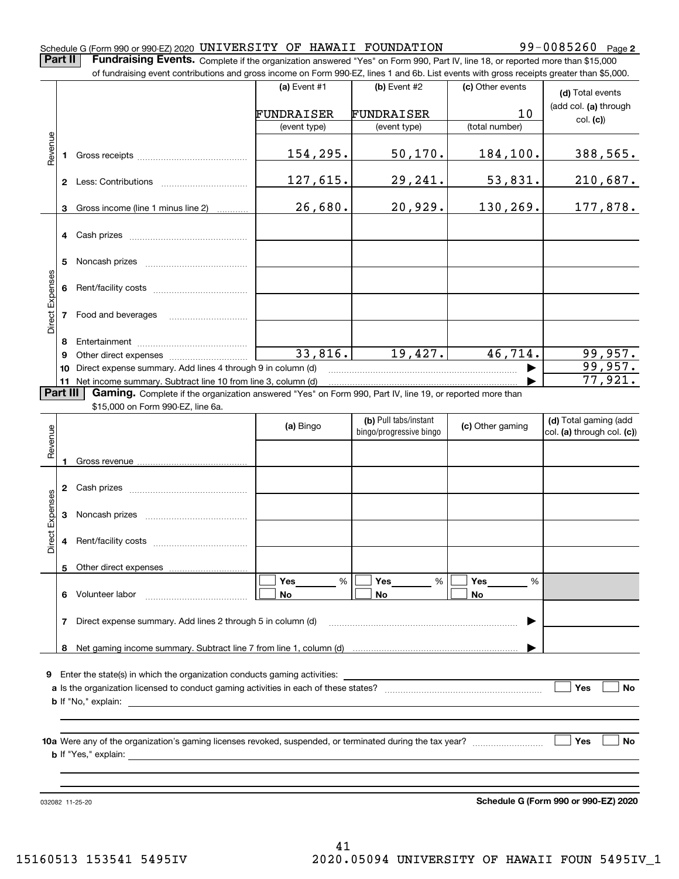### Schedule G (Form 990 or 990-EZ) 2020 <code>UNIVERSITY OF HAWAII FOUNDATION</code> 99 $-0085260$  Page

**Part II** | Fundraising Events. Complete if the organization answered "Yes" on Form 990, Part IV, line 18, or reported more than \$15,000 of fundraising event contributions and gross income on Form 990-EZ, lines 1 and 6b. List events with gross receipts greater than \$5,000.

|                 |              | of fundraising event contributions and gross income on Form 990-EZ, lines 1 and 6b. List events with gross receipts greater than \$5,000. |                |                         |                  |                            |
|-----------------|--------------|-------------------------------------------------------------------------------------------------------------------------------------------|----------------|-------------------------|------------------|----------------------------|
|                 |              |                                                                                                                                           | (a) Event $#1$ | $(b)$ Event #2          | (c) Other events | (d) Total events           |
|                 |              |                                                                                                                                           | FUNDRAISER     | FUNDRAISER              | 10               | (add col. (a) through      |
|                 |              |                                                                                                                                           | (event type)   | (event type)            | (total number)   | col. (c)                   |
|                 |              |                                                                                                                                           |                |                         |                  |                            |
| Revenue         | 1.           |                                                                                                                                           | 154,295.       | 50, 170.                | 184,100.         | 388,565.                   |
|                 |              |                                                                                                                                           |                |                         |                  |                            |
|                 | $\mathbf{2}$ |                                                                                                                                           | 127,615.       | 29,241.                 | 53,831.          | 210,687.                   |
|                 |              |                                                                                                                                           |                |                         |                  |                            |
|                 | 3            | Gross income (line 1 minus line 2)                                                                                                        | 26,680.        | 20,929.                 | 130,269.         | 177,878.                   |
|                 |              |                                                                                                                                           |                |                         |                  |                            |
|                 | 4            |                                                                                                                                           |                |                         |                  |                            |
|                 | 5            |                                                                                                                                           |                |                         |                  |                            |
|                 |              |                                                                                                                                           |                |                         |                  |                            |
| Direct Expenses | 6            |                                                                                                                                           |                |                         |                  |                            |
|                 |              |                                                                                                                                           |                |                         |                  |                            |
|                 | 7            | Food and beverages                                                                                                                        |                |                         |                  |                            |
|                 |              |                                                                                                                                           |                |                         |                  |                            |
|                 | 8            |                                                                                                                                           | 33,816.        | 19,427.                 | 46,714.          |                            |
|                 | 9            |                                                                                                                                           |                |                         |                  | 99,957.<br>99,957.         |
|                 | 10           | Direct expense summary. Add lines 4 through 9 in column (d)<br>11 Net income summary. Subtract line 10 from line 3, column (d)            |                |                         |                  | 77,921.                    |
| <b>Part III</b> |              | Gaming. Complete if the organization answered "Yes" on Form 990, Part IV, line 19, or reported more than                                  |                |                         |                  |                            |
|                 |              | \$15,000 on Form 990-EZ, line 6a.                                                                                                         |                |                         |                  |                            |
|                 |              |                                                                                                                                           |                | (b) Pull tabs/instant   |                  | (d) Total gaming (add      |
| Revenue         |              |                                                                                                                                           | (a) Bingo      | bingo/progressive bingo | (c) Other gaming | col. (a) through col. (c)) |
|                 |              |                                                                                                                                           |                |                         |                  |                            |
|                 | 1.           |                                                                                                                                           |                |                         |                  |                            |
|                 |              |                                                                                                                                           |                |                         |                  |                            |
|                 | $\mathbf{2}$ |                                                                                                                                           |                |                         |                  |                            |
| Expenses        |              |                                                                                                                                           |                |                         |                  |                            |
|                 | 3            |                                                                                                                                           |                |                         |                  |                            |
| Direct          | 4            |                                                                                                                                           |                |                         |                  |                            |
|                 |              |                                                                                                                                           |                |                         |                  |                            |
|                 |              | 5 Other direct expenses                                                                                                                   |                |                         |                  |                            |
|                 |              |                                                                                                                                           | Yes<br>%       | %<br>Yes                | Yes<br>%         |                            |
|                 |              | 6 Volunteer labor                                                                                                                         | No             | No                      | No               |                            |
|                 |              |                                                                                                                                           |                |                         |                  |                            |
|                 | 7            | Direct expense summary. Add lines 2 through 5 in column (d)                                                                               |                |                         |                  |                            |
|                 |              |                                                                                                                                           |                |                         |                  |                            |
|                 |              |                                                                                                                                           |                |                         |                  |                            |
| 9               |              | Enter the state(s) in which the organization conducts gaming activities:                                                                  |                |                         |                  |                            |
|                 |              |                                                                                                                                           |                |                         |                  | Yes<br>No                  |
|                 |              | <b>b</b> If "No," explain:                                                                                                                |                |                         |                  |                            |
|                 |              |                                                                                                                                           |                |                         |                  |                            |
|                 |              |                                                                                                                                           |                |                         |                  |                            |
|                 |              |                                                                                                                                           |                |                         |                  | Yes<br>No                  |
|                 |              |                                                                                                                                           |                |                         |                  |                            |
|                 |              |                                                                                                                                           |                |                         |                  |                            |
|                 |              |                                                                                                                                           |                |                         |                  |                            |

032082 11-25-20

**Schedule G (Form 990 or 990-EZ) 2020**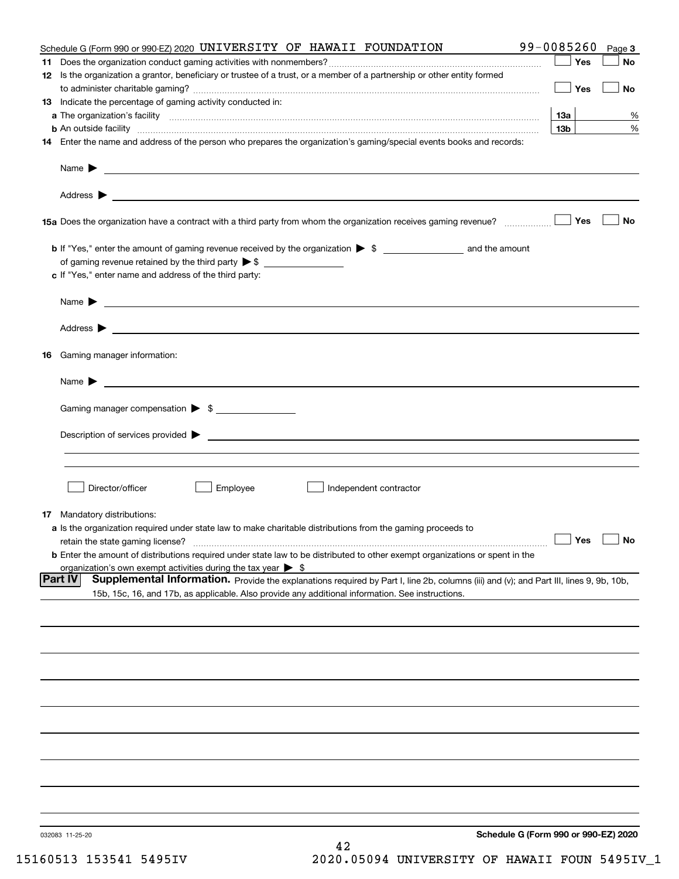|    | Schedule G (Form 990 or 990-EZ) 2020 UNIVERSITY OF HAWAII FOUNDATION                                                                                                                                                                      | 99-0085260      | Page 3    |
|----|-------------------------------------------------------------------------------------------------------------------------------------------------------------------------------------------------------------------------------------------|-----------------|-----------|
|    |                                                                                                                                                                                                                                           | Yes             | No        |
|    | 12 Is the organization a grantor, beneficiary or trustee of a trust, or a member of a partnership or other entity formed                                                                                                                  | Yes             | No        |
|    | 13 Indicate the percentage of gaming activity conducted in:                                                                                                                                                                               |                 |           |
|    |                                                                                                                                                                                                                                           | 13а             | %         |
|    | <b>b</b> An outside facility <b>contained an according to the contract of the contract of the contract of the contract of the contract of the contract of the contract of the contract of the contract of the contract of the contrac</b> | 13 <sub>b</sub> | %         |
|    | 14 Enter the name and address of the person who prepares the organization's gaming/special events books and records:                                                                                                                      |                 |           |
|    |                                                                                                                                                                                                                                           |                 |           |
|    |                                                                                                                                                                                                                                           |                 |           |
|    |                                                                                                                                                                                                                                           | Yes             | No        |
|    |                                                                                                                                                                                                                                           |                 |           |
|    |                                                                                                                                                                                                                                           |                 |           |
|    | c If "Yes," enter name and address of the third party:                                                                                                                                                                                    |                 |           |
|    | Name $\blacktriangleright$<br><u> 1989 - Andrea Stadt Britain, amerikansk politiker (d. 1989)</u>                                                                                                                                         |                 |           |
|    |                                                                                                                                                                                                                                           |                 |           |
| 16 | Gaming manager information:                                                                                                                                                                                                               |                 |           |
|    |                                                                                                                                                                                                                                           |                 |           |
|    | $Name \rightarrow$                                                                                                                                                                                                                        |                 |           |
|    | Gaming manager compensation > \$                                                                                                                                                                                                          |                 |           |
|    |                                                                                                                                                                                                                                           |                 |           |
|    |                                                                                                                                                                                                                                           |                 |           |
|    |                                                                                                                                                                                                                                           |                 |           |
|    | Director/officer<br>Employee<br>Independent contractor                                                                                                                                                                                    |                 |           |
|    | <b>17</b> Mandatory distributions:                                                                                                                                                                                                        |                 |           |
|    | a Is the organization required under state law to make charitable distributions from the gaming proceeds to                                                                                                                               |                 |           |
|    | retain the state gaming license?                                                                                                                                                                                                          | $\Box$ Yes      | $\Box$ No |
|    | <b>b</b> Enter the amount of distributions required under state law to be distributed to other exempt organizations or spent in the                                                                                                       |                 |           |
|    | organization's own exempt activities during the tax year $\triangleright$ \$<br><b>Part IV</b><br>Supplemental Information. Provide the explanations required by Part I, line 2b, columns (iii) and (v); and Part III, lines 9, 9b, 10b,  |                 |           |
|    | 15b, 15c, 16, and 17b, as applicable. Also provide any additional information. See instructions.                                                                                                                                          |                 |           |
|    |                                                                                                                                                                                                                                           |                 |           |
|    |                                                                                                                                                                                                                                           |                 |           |
|    |                                                                                                                                                                                                                                           |                 |           |
|    |                                                                                                                                                                                                                                           |                 |           |
|    |                                                                                                                                                                                                                                           |                 |           |
|    |                                                                                                                                                                                                                                           |                 |           |
|    |                                                                                                                                                                                                                                           |                 |           |
|    |                                                                                                                                                                                                                                           |                 |           |
|    |                                                                                                                                                                                                                                           |                 |           |
|    |                                                                                                                                                                                                                                           |                 |           |
|    | Schedule G (Form 990 or 990-EZ) 2020<br>032083 11-25-20<br>42                                                                                                                                                                             |                 |           |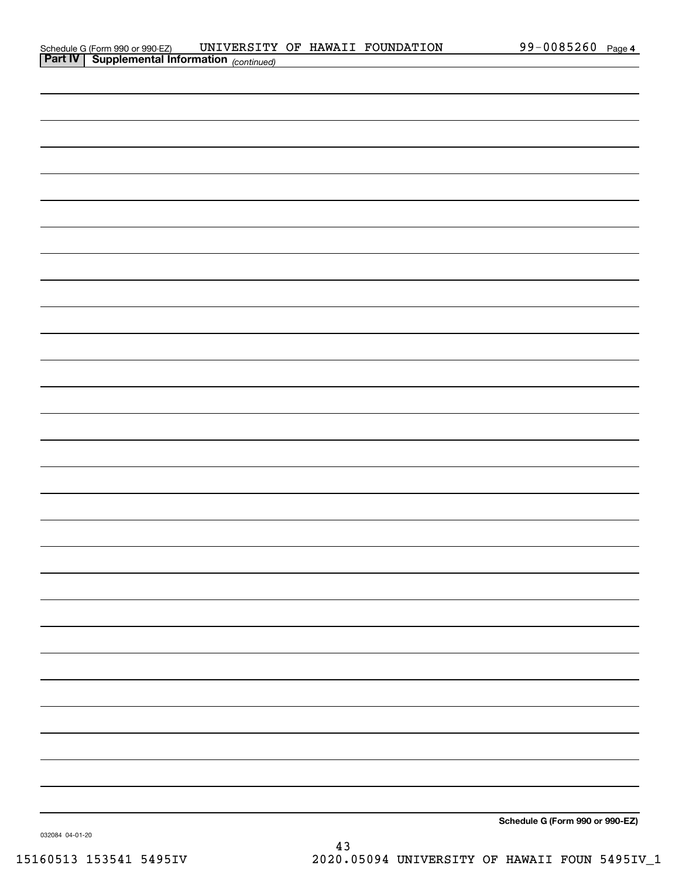| Schedule G (Form 990 or 990-EZ)                       |  | UNIVERSITY OF HAWAII FOUNDATION | 99-0085260 Page 4 |  |
|-------------------------------------------------------|--|---------------------------------|-------------------|--|
| <b>Part IV   Supplemental Information</b> (continued) |  |                                 |                   |  |

| <b>Part IV</b> Supplemental Information $_{(continued)}$ |                                                                                                                                                                                                                                                                                                                     |  |
|----------------------------------------------------------|---------------------------------------------------------------------------------------------------------------------------------------------------------------------------------------------------------------------------------------------------------------------------------------------------------------------|--|
|                                                          |                                                                                                                                                                                                                                                                                                                     |  |
|                                                          |                                                                                                                                                                                                                                                                                                                     |  |
|                                                          |                                                                                                                                                                                                                                                                                                                     |  |
|                                                          |                                                                                                                                                                                                                                                                                                                     |  |
|                                                          |                                                                                                                                                                                                                                                                                                                     |  |
|                                                          |                                                                                                                                                                                                                                                                                                                     |  |
|                                                          |                                                                                                                                                                                                                                                                                                                     |  |
|                                                          |                                                                                                                                                                                                                                                                                                                     |  |
|                                                          |                                                                                                                                                                                                                                                                                                                     |  |
|                                                          |                                                                                                                                                                                                                                                                                                                     |  |
|                                                          |                                                                                                                                                                                                                                                                                                                     |  |
|                                                          |                                                                                                                                                                                                                                                                                                                     |  |
|                                                          |                                                                                                                                                                                                                                                                                                                     |  |
|                                                          |                                                                                                                                                                                                                                                                                                                     |  |
|                                                          |                                                                                                                                                                                                                                                                                                                     |  |
|                                                          |                                                                                                                                                                                                                                                                                                                     |  |
|                                                          |                                                                                                                                                                                                                                                                                                                     |  |
|                                                          |                                                                                                                                                                                                                                                                                                                     |  |
|                                                          |                                                                                                                                                                                                                                                                                                                     |  |
|                                                          |                                                                                                                                                                                                                                                                                                                     |  |
|                                                          |                                                                                                                                                                                                                                                                                                                     |  |
|                                                          |                                                                                                                                                                                                                                                                                                                     |  |
|                                                          |                                                                                                                                                                                                                                                                                                                     |  |
|                                                          |                                                                                                                                                                                                                                                                                                                     |  |
|                                                          |                                                                                                                                                                                                                                                                                                                     |  |
|                                                          |                                                                                                                                                                                                                                                                                                                     |  |
|                                                          |                                                                                                                                                                                                                                                                                                                     |  |
|                                                          |                                                                                                                                                                                                                                                                                                                     |  |
|                                                          | $\frac{1}{2}$ $\frac{1}{2}$ $\frac{1}{2}$ $\frac{1}{2}$ $\frac{1}{2}$ $\frac{1}{2}$ $\frac{1}{2}$ $\frac{1}{2}$ $\frac{1}{2}$ $\frac{1}{2}$ $\frac{1}{2}$ $\frac{1}{2}$ $\frac{1}{2}$ $\frac{1}{2}$ $\frac{1}{2}$ $\frac{1}{2}$ $\frac{1}{2}$ $\frac{1}{2}$ $\frac{1}{2}$ $\frac{1}{2}$ $\frac{1}{2}$ $\frac{1}{2}$ |  |

**Schedule G (Form 990 or 990-EZ)**

032084 04-01-20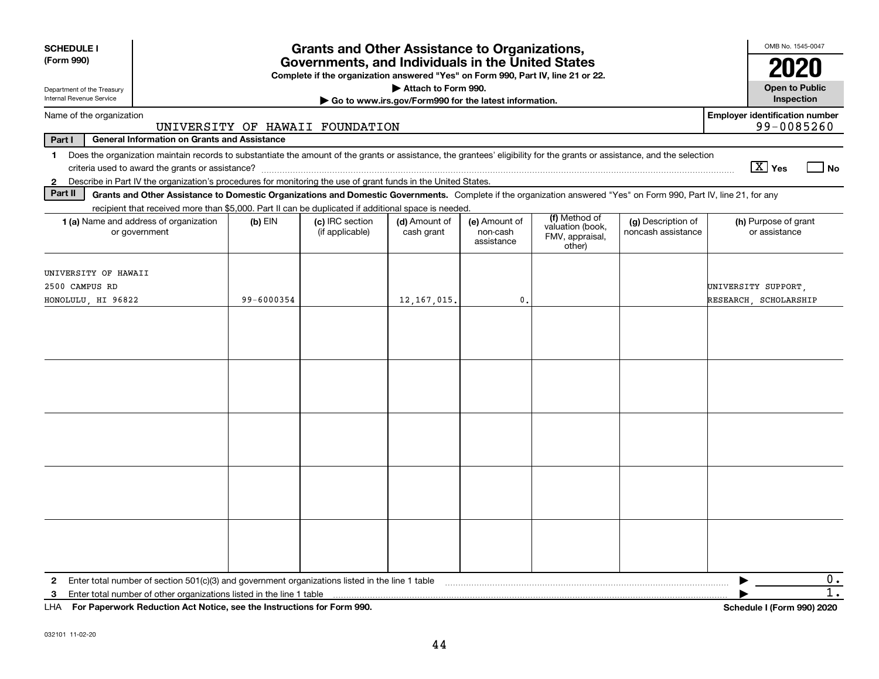| <b>SCHEDULE I</b>                                                                                                                                                                                                                                                                                              |                                 | <b>Grants and Other Assistance to Organizations,</b>                             |                                                                              |                                         |                                                                |                                          | OMB No. 1545-0047                     |
|----------------------------------------------------------------------------------------------------------------------------------------------------------------------------------------------------------------------------------------------------------------------------------------------------------------|---------------------------------|----------------------------------------------------------------------------------|------------------------------------------------------------------------------|-----------------------------------------|----------------------------------------------------------------|------------------------------------------|---------------------------------------|
| (Form 990)                                                                                                                                                                                                                                                                                                     |                                 | Governments, and Individuals in the United States                                |                                                                              |                                         |                                                                |                                          | 2020                                  |
| Department of the Treasury<br>Internal Revenue Service                                                                                                                                                                                                                                                         |                                 | Complete if the organization answered "Yes" on Form 990, Part IV, line 21 or 22. | Attach to Form 990.<br>Go to www.irs.gov/Form990 for the latest information. |                                         |                                                                |                                          | <b>Open to Public</b><br>Inspection   |
| Name of the organization                                                                                                                                                                                                                                                                                       |                                 |                                                                                  |                                                                              |                                         |                                                                |                                          | <b>Employer identification number</b> |
| Part I<br><b>General Information on Grants and Assistance</b>                                                                                                                                                                                                                                                  | UNIVERSITY OF HAWAII FOUNDATION |                                                                                  |                                                                              |                                         |                                                                |                                          | 99-0085260                            |
| Does the organization maintain records to substantiate the amount of the grants or assistance, the grantees' eligibility for the grants or assistance, and the selection<br>1.                                                                                                                                 |                                 |                                                                                  |                                                                              |                                         |                                                                |                                          |                                       |
|                                                                                                                                                                                                                                                                                                                |                                 |                                                                                  |                                                                              |                                         |                                                                |                                          | $\boxed{\text{X}}$ Yes<br>  No        |
| Describe in Part IV the organization's procedures for monitoring the use of grant funds in the United States.<br>$\mathbf{2}$<br>Part II<br>Grants and Other Assistance to Domestic Organizations and Domestic Governments. Complete if the organization answered "Yes" on Form 990, Part IV, line 21, for any |                                 |                                                                                  |                                                                              |                                         |                                                                |                                          |                                       |
| recipient that received more than \$5,000. Part II can be duplicated if additional space is needed.                                                                                                                                                                                                            |                                 |                                                                                  |                                                                              |                                         |                                                                |                                          |                                       |
| 1 (a) Name and address of organization<br>or government                                                                                                                                                                                                                                                        | $(b)$ EIN                       | (c) IRC section<br>(if applicable)                                               | (d) Amount of<br>cash grant                                                  | (e) Amount of<br>non-cash<br>assistance | (f) Method of<br>valuation (book,<br>FMV, appraisal,<br>other) | (g) Description of<br>noncash assistance | (h) Purpose of grant<br>or assistance |
| UNIVERSITY OF HAWAII                                                                                                                                                                                                                                                                                           |                                 |                                                                                  |                                                                              |                                         |                                                                |                                          |                                       |
| 2500 CAMPUS RD                                                                                                                                                                                                                                                                                                 |                                 |                                                                                  |                                                                              |                                         |                                                                |                                          | UNIVERSITY SUPPORT,                   |
| HONOLULU, HI 96822                                                                                                                                                                                                                                                                                             | 99-6000354                      |                                                                                  | 12, 167, 015.                                                                | $\mathbf{0}$                            |                                                                |                                          | RESEARCH SCHOLARSHIP                  |
|                                                                                                                                                                                                                                                                                                                |                                 |                                                                                  |                                                                              |                                         |                                                                |                                          |                                       |
|                                                                                                                                                                                                                                                                                                                |                                 |                                                                                  |                                                                              |                                         |                                                                |                                          |                                       |
|                                                                                                                                                                                                                                                                                                                |                                 |                                                                                  |                                                                              |                                         |                                                                |                                          |                                       |
|                                                                                                                                                                                                                                                                                                                |                                 |                                                                                  |                                                                              |                                         |                                                                |                                          |                                       |
|                                                                                                                                                                                                                                                                                                                |                                 |                                                                                  |                                                                              |                                         |                                                                |                                          |                                       |
| Enter total number of section $501(c)(3)$ and government organizations listed in the line 1 table<br>$\mathbf{2}$                                                                                                                                                                                              |                                 |                                                                                  |                                                                              |                                         |                                                                |                                          | 0.                                    |
| Enter total number of other organizations listed in the line 1 table<br>3                                                                                                                                                                                                                                      |                                 |                                                                                  |                                                                              |                                         |                                                                |                                          | 1.                                    |
| LHA For Paperwork Reduction Act Notice, see the Instructions for Form 990.                                                                                                                                                                                                                                     |                                 |                                                                                  |                                                                              |                                         |                                                                |                                          | <b>Schedule I (Form 990) 2020</b>     |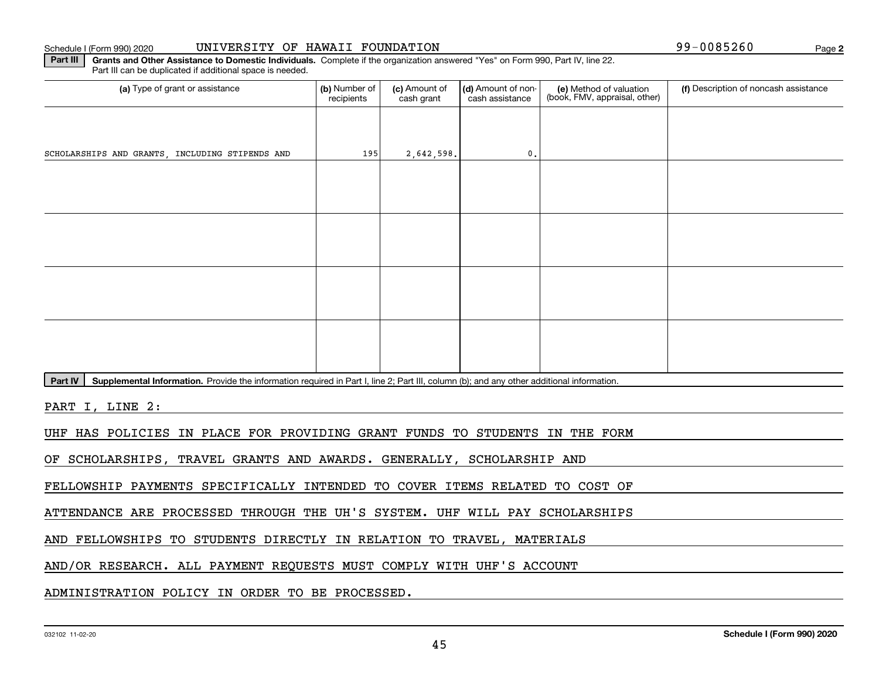### Schedule I (Form 990) 2020 UNIVERSITY OF HAWAII FOUNDATION 99-0085260 Page

**Part III** | Grants and Other Assistance to Domestic Individuals. Complete if the organization answered "Yes" on Form 990, Part IV, line 22. (a) Type of grant or assistance **Audity Commet Audio Commet Commet Commet Commet Commet Commet Commet Commet Comme** Part III can be duplicated if additional space is needed. (e) Method of valuation (book, FMV, appraisal, other) recipients(c) Amount of cash grant (d) Amount of noncash assistance **(f)** Description of noncash assistance SCHOLARSHIPS AND GRANTS, INCLUDING STIPENDS AND  $\begin{array}{ccc} 2,642,598. \end{array}$  (0.

Part IV | Supplemental Information. Provide the information required in Part I, line 2; Part III, column (b); and any other additional information.

PART I, LINE 2:

UHF HAS POLICIES IN PLACE FOR PROVIDING GRANT FUNDS TO STUDENTS IN THE FORM

OF SCHOLARSHIPS, TRAVEL GRANTS AND AWARDS. GENERALLY, SCHOLARSHIP AND

FELLOWSHIP PAYMENTS SPECIFICALLY INTENDED TO COVER ITEMS RELATED TO COST OF

ATTENDANCE ARE PROCESSED THROUGH THE UH'S SYSTEM. UHF WILL PAY SCHOLARSHIPS

AND FELLOWSHIPS TO STUDENTS DIRECTLY IN RELATION TO TRAVEL, MATERIALS

AND/OR RESEARCH. ALL PAYMENT REQUESTS MUST COMPLY WITH UHF'S ACCOUNT

ADMINISTRATION POLICY IN ORDER TO BE PROCESSED.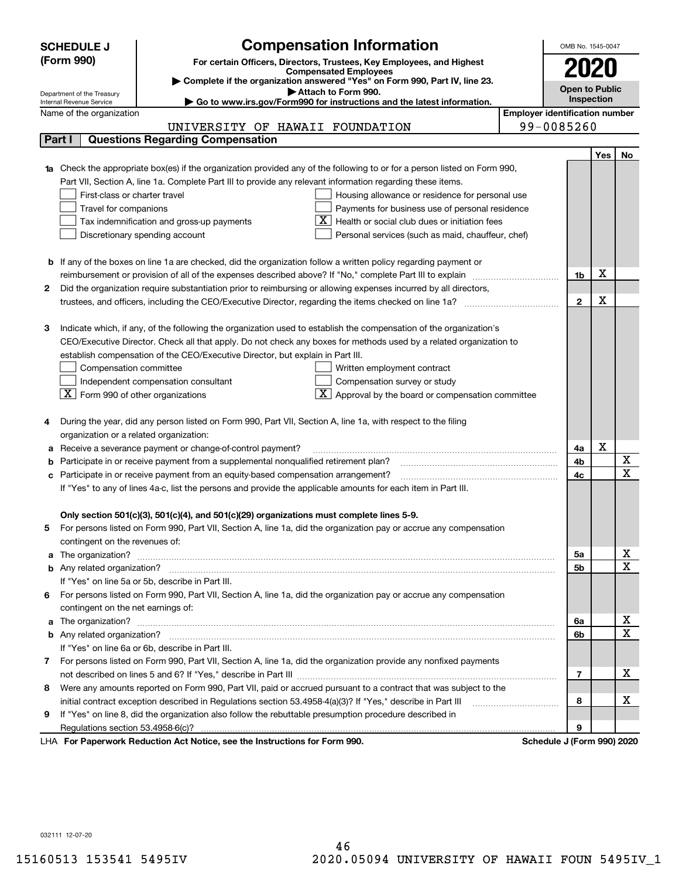|        | <b>SCHEDULE J</b>                                                                          | <b>Compensation Information</b>                                                                                                                                                                                                     |                                       | OMB No. 1545-0047     |     |                         |  |
|--------|--------------------------------------------------------------------------------------------|-------------------------------------------------------------------------------------------------------------------------------------------------------------------------------------------------------------------------------------|---------------------------------------|-----------------------|-----|-------------------------|--|
|        | (Form 990)                                                                                 | For certain Officers, Directors, Trustees, Key Employees, and Highest                                                                                                                                                               |                                       |                       |     |                         |  |
|        |                                                                                            | <b>Compensated Employees</b>                                                                                                                                                                                                        |                                       |                       |     |                         |  |
|        |                                                                                            | Complete if the organization answered "Yes" on Form 990, Part IV, line 23.<br>Attach to Form 990.                                                                                                                                   |                                       | <b>Open to Public</b> |     |                         |  |
|        | Department of the Treasury<br>Internal Revenue Service                                     | Go to www.irs.gov/Form990 for instructions and the latest information.                                                                                                                                                              |                                       | Inspection            |     |                         |  |
|        | Name of the organization                                                                   |                                                                                                                                                                                                                                     | <b>Employer identification number</b> |                       |     |                         |  |
|        |                                                                                            | UNIVERSITY OF HAWAII FOUNDATION                                                                                                                                                                                                     | 99-0085260                            |                       |     |                         |  |
| Part I |                                                                                            | <b>Questions Regarding Compensation</b>                                                                                                                                                                                             |                                       |                       |     |                         |  |
|        |                                                                                            |                                                                                                                                                                                                                                     |                                       |                       | Yes | No                      |  |
|        |                                                                                            | 1a Check the appropriate box(es) if the organization provided any of the following to or for a person listed on Form 990,                                                                                                           |                                       |                       |     |                         |  |
|        |                                                                                            | Part VII, Section A, line 1a. Complete Part III to provide any relevant information regarding these items.                                                                                                                          |                                       |                       |     |                         |  |
|        | First-class or charter travel                                                              | Housing allowance or residence for personal use                                                                                                                                                                                     |                                       |                       |     |                         |  |
|        | Travel for companions                                                                      | Payments for business use of personal residence                                                                                                                                                                                     |                                       |                       |     |                         |  |
|        | Health or social club dues or initiation fees<br>Tax indemnification and gross-up payments |                                                                                                                                                                                                                                     |                                       |                       |     |                         |  |
|        |                                                                                            | Discretionary spending account<br>Personal services (such as maid, chauffeur, chef)                                                                                                                                                 |                                       |                       |     |                         |  |
|        |                                                                                            |                                                                                                                                                                                                                                     |                                       |                       |     |                         |  |
|        |                                                                                            | <b>b</b> If any of the boxes on line 1a are checked, did the organization follow a written policy regarding payment or<br>reimbursement or provision of all of the expenses described above? If "No," complete Part III to explain  |                                       | 1b                    | х   |                         |  |
| 2      |                                                                                            | Did the organization require substantiation prior to reimbursing or allowing expenses incurred by all directors,                                                                                                                    |                                       |                       |     |                         |  |
|        |                                                                                            |                                                                                                                                                                                                                                     |                                       | $\mathbf{2}$          | X   |                         |  |
|        |                                                                                            |                                                                                                                                                                                                                                     |                                       |                       |     |                         |  |
| З      |                                                                                            | Indicate which, if any, of the following the organization used to establish the compensation of the organization's                                                                                                                  |                                       |                       |     |                         |  |
|        |                                                                                            | CEO/Executive Director. Check all that apply. Do not check any boxes for methods used by a related organization to                                                                                                                  |                                       |                       |     |                         |  |
|        |                                                                                            | establish compensation of the CEO/Executive Director, but explain in Part III.                                                                                                                                                      |                                       |                       |     |                         |  |
|        | Compensation committee                                                                     | Written employment contract                                                                                                                                                                                                         |                                       |                       |     |                         |  |
|        |                                                                                            | Compensation survey or study<br>Independent compensation consultant                                                                                                                                                                 |                                       |                       |     |                         |  |
|        | $\boxed{\textbf{X}}$ Form 990 of other organizations                                       | Approval by the board or compensation committee                                                                                                                                                                                     |                                       |                       |     |                         |  |
|        |                                                                                            |                                                                                                                                                                                                                                     |                                       |                       |     |                         |  |
|        |                                                                                            | During the year, did any person listed on Form 990, Part VII, Section A, line 1a, with respect to the filing                                                                                                                        |                                       |                       |     |                         |  |
|        | organization or a related organization:                                                    |                                                                                                                                                                                                                                     |                                       |                       |     |                         |  |
|        |                                                                                            | Receive a severance payment or change-of-control payment?                                                                                                                                                                           |                                       | 4a                    | х   |                         |  |
|        |                                                                                            | Participate in or receive payment from a supplemental nonqualified retirement plan?                                                                                                                                                 |                                       | 4b                    |     | X                       |  |
| с      |                                                                                            | Participate in or receive payment from an equity-based compensation arrangement?                                                                                                                                                    |                                       | 4c                    |     | $\overline{\mathbf{x}}$ |  |
|        |                                                                                            | If "Yes" to any of lines 4a-c, list the persons and provide the applicable amounts for each item in Part III.                                                                                                                       |                                       |                       |     |                         |  |
|        |                                                                                            |                                                                                                                                                                                                                                     |                                       |                       |     |                         |  |
| 5.     |                                                                                            | Only section 501(c)(3), 501(c)(4), and 501(c)(29) organizations must complete lines 5-9.<br>For persons listed on Form 990, Part VII, Section A, line 1a, did the organization pay or accrue any compensation                       |                                       |                       |     |                         |  |
|        |                                                                                            |                                                                                                                                                                                                                                     |                                       |                       |     |                         |  |
|        | contingent on the revenues of:                                                             |                                                                                                                                                                                                                                     |                                       | 5а                    |     | <u>x</u>                |  |
|        |                                                                                            | a The organization? <b>Entitation</b> 2008 Communication of the contract of the contract of the contract of the contract of the contract of the contract of the contract of the contract of the contract of the contract of the con |                                       | 5b                    |     | $\overline{\mathbf{x}}$ |  |
|        |                                                                                            | If "Yes" on line 5a or 5b, describe in Part III.                                                                                                                                                                                    |                                       |                       |     |                         |  |
| 6.     |                                                                                            | For persons listed on Form 990, Part VII, Section A, line 1a, did the organization pay or accrue any compensation                                                                                                                   |                                       |                       |     |                         |  |
|        | contingent on the net earnings of:                                                         |                                                                                                                                                                                                                                     |                                       |                       |     |                         |  |
|        |                                                                                            |                                                                                                                                                                                                                                     |                                       | 6a                    |     | <u>x</u>                |  |
|        |                                                                                            |                                                                                                                                                                                                                                     |                                       | 6b                    |     | $\overline{\textbf{x}}$ |  |
|        |                                                                                            | If "Yes" on line 6a or 6b, describe in Part III.                                                                                                                                                                                    |                                       |                       |     |                         |  |
|        |                                                                                            | 7 For persons listed on Form 990, Part VII, Section A, line 1a, did the organization provide any nonfixed payments                                                                                                                  |                                       |                       |     |                         |  |
|        |                                                                                            |                                                                                                                                                                                                                                     |                                       | $\overline{7}$        |     | х                       |  |
| 8      |                                                                                            | Were any amounts reported on Form 990, Part VII, paid or accrued pursuant to a contract that was subject to the                                                                                                                     |                                       |                       |     |                         |  |
|        |                                                                                            | initial contract exception described in Regulations section 53.4958-4(a)(3)? If "Yes," describe in Part III                                                                                                                         |                                       | 8                     |     | х                       |  |
| 9      |                                                                                            | If "Yes" on line 8, did the organization also follow the rebuttable presumption procedure described in                                                                                                                              |                                       |                       |     |                         |  |
|        |                                                                                            |                                                                                                                                                                                                                                     |                                       | 9                     |     |                         |  |
|        |                                                                                            | exuark Reduction Act Notice, see the Instructions for Form 000                                                                                                                                                                      | Schodule L/Earm 000) 2020             |                       |     |                         |  |

LHA For Paperwork Reduction Act Notice, see the Instructions for Form 990. Schedule J (Form 990) 2020

032111 12-07-20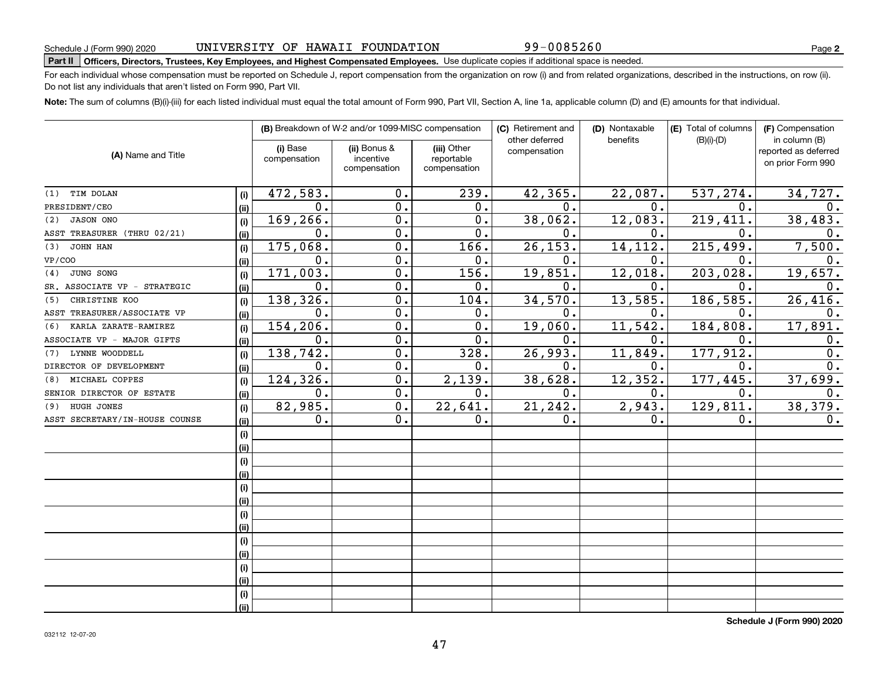99-0085260

# **Part II Officers, Directors, Trustees, Key Employees, and Highest Compensated Employees.**  Schedule J (Form 990) 2020 Page Use duplicate copies if additional space is needed.

For each individual whose compensation must be reported on Schedule J, report compensation from the organization on row (i) and from related organizations, described in the instructions, on row (ii). Do not list any individuals that aren't listed on Form 990, Part VII.

**Note:**  The sum of columns (B)(i)-(iii) for each listed individual must equal the total amount of Form 990, Part VII, Section A, line 1a, applicable column (D) and (E) amounts for that individual.

| (A) Name and Title             |      |                          | (B) Breakdown of W-2 and/or 1099-MISC compensation |                                           | (C) Retirement and             | (D) Nontaxable | (E) Total of columns | (F) Compensation                                           |  |
|--------------------------------|------|--------------------------|----------------------------------------------------|-------------------------------------------|--------------------------------|----------------|----------------------|------------------------------------------------------------|--|
|                                |      | (i) Base<br>compensation | (ii) Bonus &<br>incentive<br>compensation          | (iii) Other<br>reportable<br>compensation | other deferred<br>compensation | benefits       | $(B)(i)-(D)$         | in column (B)<br>reported as deferred<br>on prior Form 990 |  |
| TIM DOLAN<br>(1)               | (i)  | 472,583.                 | 0.                                                 | 239.                                      | 42,365.                        | 22,087.        | 537,274.             | 34,727.                                                    |  |
| PRESIDENT/CEO                  | (ii) | $\mathbf 0$ .            | $\mathbf 0$ .                                      | 0.                                        | 0.                             | 0.             | $\mathbf 0$ .        | 0.                                                         |  |
| <b>JASON ONO</b><br>(2)        | (i)  | 169,266.                 | $\mathbf 0$ .                                      | 0.                                        | 38,062.                        | 12,083.        | 219,411              | 38,483.                                                    |  |
| ASST TREASURER (THRU 02/21)    | (ii) | $\mathbf 0$ .            | $\mathbf 0$ .                                      | 0.                                        | 0.                             | 0.             | $\mathbf 0$ .        | $\mathbf 0$ .                                              |  |
| JOHN HAN<br>(3)                | (i)  | 175,068.                 | $\mathbf 0$ .                                      | 166.                                      | 26, 153.                       | 14, 112.       | 215,499.             | 7,500.                                                     |  |
| VP/COO                         | (ii) | $\mathbf 0$ .            | $\mathbf 0$ .                                      | 0.                                        | 0.                             | 0.             | 0.                   | 0.                                                         |  |
| JUNG SONG<br>(4)               | (i)  | 171,003.                 | $\mathbf 0$ .                                      | 156.                                      | 19,851.                        | 12,018.        | 203,028.             | 19,657.                                                    |  |
| SR. ASSOCIATE VP - STRATEGIC   | (ii) | 0.                       | $\mathbf 0$ .                                      | 0.                                        | 0.                             | 0.             | $\mathbf 0$ .        | 0.                                                         |  |
| CHRISTINE KOO<br>(5)           | (i)  | 138,326.                 | $\mathbf 0$ .                                      | 104.                                      | 34,570.                        | 13,585.        | 186,585.             | 26,416.                                                    |  |
| ASST TREASURER/ASSOCIATE VP    | (ii) | 0.                       | $\mathbf 0$ .                                      | 0.                                        | 0.                             | 0.             | 0.                   | 0.                                                         |  |
| KARLA ZARATE-RAMIREZ<br>(6)    | (i)  | 154,206.                 | $\overline{0}$ .                                   | 0.                                        | 19,060.                        | 11,542.        | 184,808.             | 17,891.                                                    |  |
| ASSOCIATE VP - MAJOR GIFTS     | (ii) | 0.                       | $\overline{0}$ .                                   | 0.                                        | 0.                             | 0.             | $\mathbf 0$ .        | 0.                                                         |  |
| LYNNE WOODDELL<br>(7)          | (i)  | 138, 742.                | $\mathbf 0$ .                                      | 328.                                      | 26,993.                        | 11,849.        | 177,912.             | $\overline{0}$ .                                           |  |
| DIRECTOR OF DEVELOPMENT        | (ii) | 0.                       | $\overline{0}$ .                                   | 0.                                        | 0.                             | 0.             | $\mathbf 0$ .        | $\overline{0}$ .                                           |  |
| MICHAEL COPPES<br>(8)          | (i)  | 124,326.                 | $\mathbf 0$ .                                      | 2,139.                                    | 38,628.                        | 12, 352.       | 177,445.             | 37,699.                                                    |  |
| SENIOR DIRECTOR OF ESTATE      | (ii) | 0.                       | $\overline{0}$ .                                   | 0.                                        | 0.                             | 0.             | 0.                   | 0.                                                         |  |
| HUGH JONES<br>(9)              | (i)  | 82,985.                  | $\overline{0}$ .                                   | 22,641.                                   | 21, 242.                       | 2,943.         | 129,811.             | 38, 379.                                                   |  |
| ASST SECRETARY/IN-HOUSE COUNSE | (ii) | $0$ .                    | 0.                                                 | 0.                                        | 0.                             | 0.             | $\mathbf 0$ .        | 0.                                                         |  |
|                                | (i)  |                          |                                                    |                                           |                                |                |                      |                                                            |  |
|                                | (ii) |                          |                                                    |                                           |                                |                |                      |                                                            |  |
|                                | (i)  |                          |                                                    |                                           |                                |                |                      |                                                            |  |
|                                | (ii) |                          |                                                    |                                           |                                |                |                      |                                                            |  |
|                                | (i)  |                          |                                                    |                                           |                                |                |                      |                                                            |  |
|                                | (ii) |                          |                                                    |                                           |                                |                |                      |                                                            |  |
|                                | (i)  |                          |                                                    |                                           |                                |                |                      |                                                            |  |
|                                | (ii) |                          |                                                    |                                           |                                |                |                      |                                                            |  |
|                                | (i)  |                          |                                                    |                                           |                                |                |                      |                                                            |  |
|                                | (ii) |                          |                                                    |                                           |                                |                |                      |                                                            |  |
|                                | (i)  |                          |                                                    |                                           |                                |                |                      |                                                            |  |
|                                | (ii) |                          |                                                    |                                           |                                |                |                      |                                                            |  |
|                                | (i)  |                          |                                                    |                                           |                                |                |                      |                                                            |  |
|                                | (ii) |                          |                                                    |                                           |                                |                |                      |                                                            |  |

**Schedule J (Form 990) 2020**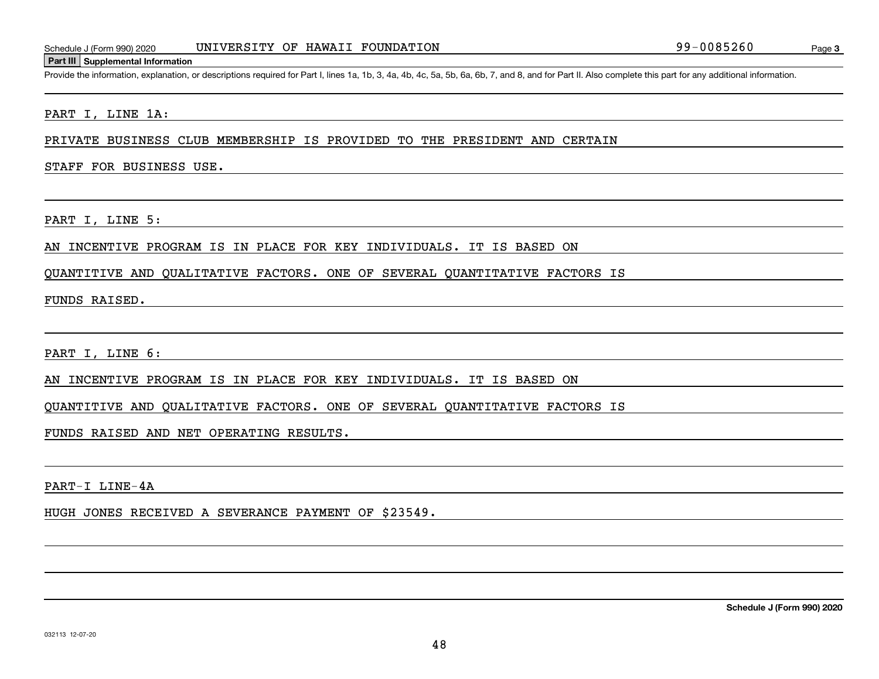## UNIVERSITY OF HAWAII FOUNDATION

Schedule J (Form 990) 2020 UNIVERSITY OF HAWAII FOUNDATION<br>Part III Supplemental Information<br>Provide the information, explanation, or descriptions required for Part I, lines 1a, 1b, 3, 4a, 4b, 4c, 5a, 5b, 6a, 6b, 7, and 8,

### PART I, LINE 1A:

PRIVATE BUSINESS CLUB MEMBERSHIP IS PROVIDED TO THE PRESIDENT AND CERTAIN

### STAFF FOR BUSINESS USE.

PART I, LINE 5:

### AN INCENTIVE PROGRAM IS IN PLACE FOR KEY INDIVIDUALS. IT IS BASED ON

QUANTITIVE AND QUALITATIVE FACTORS. ONE OF SEVERAL QUANTITATIVE FACTORS IS

FUNDS RAISED.

PART I, LINE 6:

AN INCENTIVE PROGRAM IS IN PLACE FOR KEY INDIVIDUALS. IT IS BASED ON

QUANTITIVE AND QUALITATIVE FACTORS. ONE OF SEVERAL QUANTITATIVE FACTORS IS

### FUNDS RAISED AND NET OPERATING RESULTS.

PART-I LINE-4A

HUGH JONES RECEIVED A SEVERANCE PAYMENT OF \$23549.

48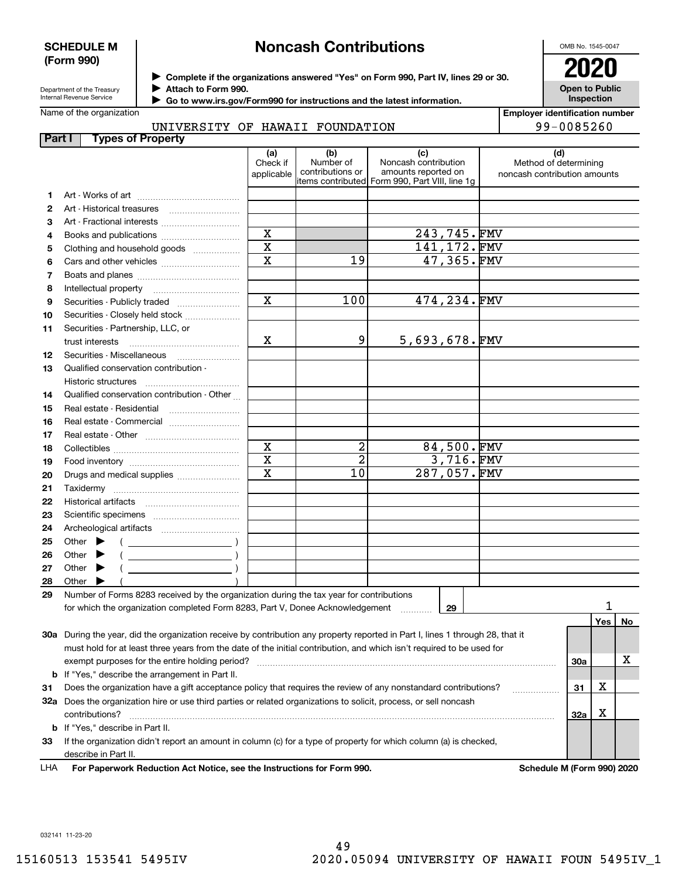### **SCHEDULE M (Form 990)**

# **Noncash Contributions**

OMB No. 1545-0047

Department of the Treasury Internal Revenue Service

**Complete if the organizations answered "Yes" on Form 990, Part IV, lines 29 or 30.** <sup>J</sup>**2020**

**Attach to Form 990.** J

 **Go to www.irs.gov/Form990 for instructions and the latest information.** J

**Open to Public InspectionEmployer identification number**

99-0085260

| Name of the organization |                 |  |
|--------------------------|-----------------|--|
|                          | TINITITIO QTMIZ |  |

UNIVERSITY OF HAWAII FOUNDATION

| Part I       | <b>Types of Property</b>                                                                                                       |                         |                               |                                                |                              |                            |    |
|--------------|--------------------------------------------------------------------------------------------------------------------------------|-------------------------|-------------------------------|------------------------------------------------|------------------------------|----------------------------|----|
|              |                                                                                                                                | (a)                     | (b)                           | (c)                                            | (d)                          |                            |    |
|              |                                                                                                                                | Check if                | Number of<br>contributions or | Noncash contribution<br>amounts reported on    | Method of determining        |                            |    |
|              |                                                                                                                                | applicable              |                               | items contributed Form 990, Part VIII, line 1g | noncash contribution amounts |                            |    |
| 1.           |                                                                                                                                |                         |                               |                                                |                              |                            |    |
| $\mathbf{2}$ |                                                                                                                                |                         |                               |                                                |                              |                            |    |
| 3            |                                                                                                                                |                         |                               |                                                |                              |                            |    |
| 4            | Books and publications                                                                                                         | $\mathbf X$             |                               | 243,745.FMV                                    |                              |                            |    |
| 5            | Clothing and household goods                                                                                                   | $\overline{\mathbf{x}}$ |                               | 141,172.FMV                                    |                              |                            |    |
| 6            |                                                                                                                                | $\overline{\mathbf{x}}$ | 19                            | 47,365.FMV                                     |                              |                            |    |
| 7            |                                                                                                                                |                         |                               |                                                |                              |                            |    |
| 8            |                                                                                                                                |                         |                               |                                                |                              |                            |    |
| 9            | Securities - Publicly traded                                                                                                   | $\overline{\mathbf{x}}$ | 100                           | 474,234.FMV                                    |                              |                            |    |
| 10           | Securities - Closely held stock                                                                                                |                         |                               |                                                |                              |                            |    |
| 11           | Securities - Partnership, LLC, or                                                                                              |                         |                               |                                                |                              |                            |    |
|              | trust interests                                                                                                                | Χ                       | 9                             | $5,693,678.$ FMV                               |                              |                            |    |
| 12           | Securities - Miscellaneous                                                                                                     |                         |                               |                                                |                              |                            |    |
| 13           | Qualified conservation contribution -                                                                                          |                         |                               |                                                |                              |                            |    |
|              | Historic structures                                                                                                            |                         |                               |                                                |                              |                            |    |
| 14           | Qualified conservation contribution - Other                                                                                    |                         |                               |                                                |                              |                            |    |
| 15           | Real estate - Residential                                                                                                      |                         |                               |                                                |                              |                            |    |
|              |                                                                                                                                |                         |                               |                                                |                              |                            |    |
| 16           | Real estate - Commercial                                                                                                       |                         |                               |                                                |                              |                            |    |
| 17           |                                                                                                                                | $\mathbf x$             | $\overline{a}$                | 84,500.FMV                                     |                              |                            |    |
| 18           |                                                                                                                                | $\overline{\mathbf{x}}$ | $\overline{2}$                | 3,716.FMV                                      |                              |                            |    |
| 19           |                                                                                                                                | $\overline{\mathbf{x}}$ | 10                            |                                                |                              |                            |    |
| 20           | Drugs and medical supplies                                                                                                     |                         |                               | 287,057.FMV                                    |                              |                            |    |
| 21           |                                                                                                                                |                         |                               |                                                |                              |                            |    |
| 22           |                                                                                                                                |                         |                               |                                                |                              |                            |    |
| 23           |                                                                                                                                |                         |                               |                                                |                              |                            |    |
| 24           |                                                                                                                                |                         |                               |                                                |                              |                            |    |
| 25           | Other $\blacktriangleright$                                                                                                    |                         |                               |                                                |                              |                            |    |
| 26           | Other $\blacktriangleright$                                                                                                    |                         |                               |                                                |                              |                            |    |
| 27           | Other $\blacktriangleright$                                                                                                    |                         |                               |                                                |                              |                            |    |
| 28           | Other                                                                                                                          |                         |                               |                                                |                              |                            |    |
| 29           | Number of Forms 8283 received by the organization during the tax year for contributions                                        |                         |                               |                                                |                              |                            |    |
|              | for which the organization completed Form 8283, Part V, Donee Acknowledgement                                                  |                         |                               | 29                                             |                              | 1                          |    |
|              |                                                                                                                                |                         |                               |                                                |                              | Yes                        | No |
|              | 30a During the year, did the organization receive by contribution any property reported in Part I, lines 1 through 28, that it |                         |                               |                                                |                              |                            |    |
|              | must hold for at least three years from the date of the initial contribution, and which isn't required to be used for          |                         |                               |                                                |                              |                            |    |
|              | exempt purposes for the entire holding period?                                                                                 |                         |                               |                                                |                              | 30a                        | х  |
| b            | If "Yes," describe the arrangement in Part II.                                                                                 |                         |                               |                                                |                              |                            |    |
| 31           | Does the organization have a gift acceptance policy that requires the review of any nonstandard contributions?                 |                         |                               |                                                |                              | х<br>31                    |    |
|              | 32a Does the organization hire or use third parties or related organizations to solicit, process, or sell noncash              |                         |                               |                                                |                              |                            |    |
|              | contributions?                                                                                                                 |                         |                               |                                                |                              | х<br><b>32a</b>            |    |
| b            | If "Yes," describe in Part II.                                                                                                 |                         |                               |                                                |                              |                            |    |
| 33           | If the organization didn't report an amount in column (c) for a type of property for which column (a) is checked,              |                         |                               |                                                |                              |                            |    |
|              | describe in Part II.                                                                                                           |                         |                               |                                                |                              |                            |    |
| LHA          | For Paperwork Reduction Act Notice, see the Instructions for Form 990.                                                         |                         |                               |                                                |                              | Schedule M (Form 990) 2020 |    |

032141 11-23-20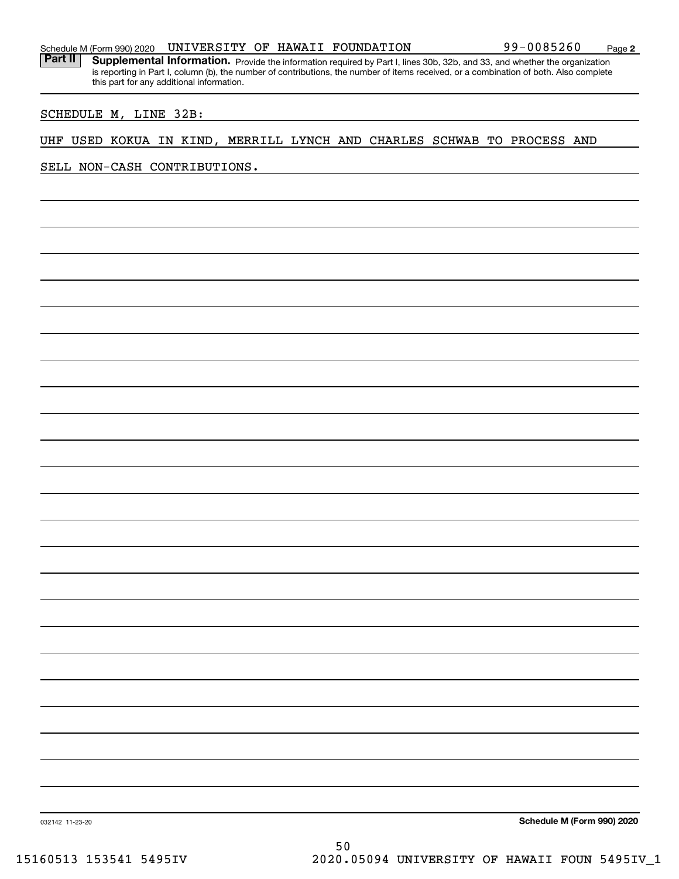Part II | Supplemental Information. Provide the information required by Part I, lines 30b, 32b, and 33, and whether the organization is reporting in Part I, column (b), the number of contributions, the number of items received, or a combination of both. Also complete this part for any additional information.

### SCHEDULE M, LINE 32B:

### UHF USED KOKUA IN KIND, MERRILL LYNCH AND CHARLES SCHWAB TO PROCESS AND

SELL NON-CASH CONTRIBUTIONS.

**Schedule M (Form 990) 2020**

032142 11-23-20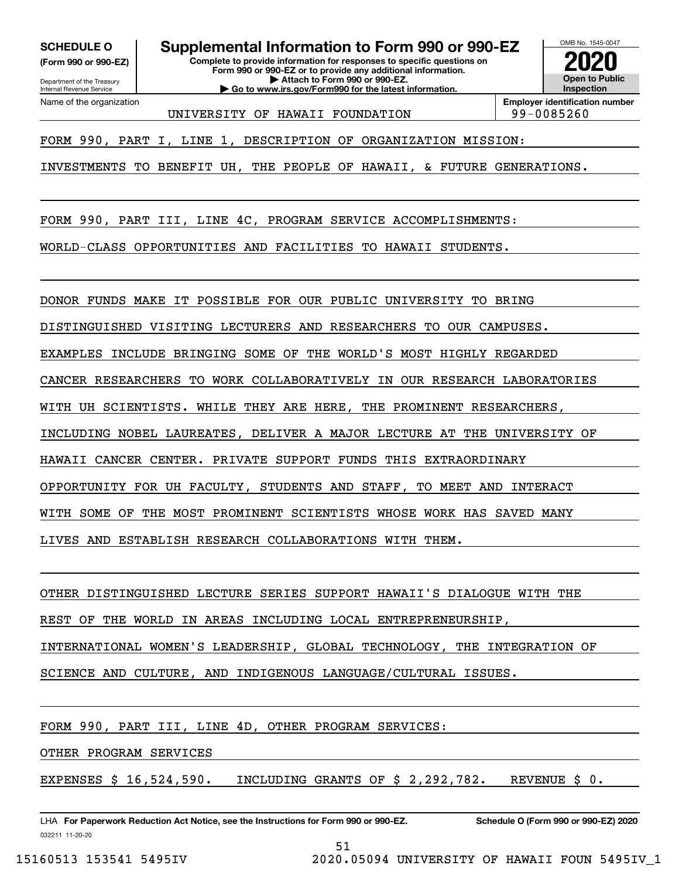**(Form 990 or 990-EZ)**

Department of the Treasury Internal Revenue Service Name of the organization

**SCHEDULE O Supplemental Information to Form 990 or 990-EZ**

**Complete to provide information for responses to specific questions on Form 990 or 990-EZ or to provide any additional information. | Attach to Form 990 or 990-EZ. | Go to www.irs.gov/Form990 for the latest information.**



UNIVERSITY OF HAWAII FOUNDATION | 99-0085260

**Employer identification number**

FORM 990, PART I, LINE 1, DESCRIPTION OF ORGANIZATION MISSION:

INVESTMENTS TO BENEFIT UH, THE PEOPLE OF HAWAII, & FUTURE GENERATIONS.

FORM 990, PART III, LINE 4C, PROGRAM SERVICE ACCOMPLISHMENTS:

WORLD-CLASS OPPORTUNITIES AND FACILITIES TO HAWAII STUDENTS.

DONOR FUNDS MAKE IT POSSIBLE FOR OUR PUBLIC UNIVERSITY TO BRING

DISTINGUISHED VISITING LECTURERS AND RESEARCHERS TO OUR CAMPUSES.

EXAMPLES INCLUDE BRINGING SOME OF THE WORLD'S MOST HIGHLY REGARDED

CANCER RESEARCHERS TO WORK COLLABORATIVELY IN OUR RESEARCH LABORATORIES

WITH UH SCIENTISTS. WHILE THEY ARE HERE, THE PROMINENT RESEARCHERS,

INCLUDING NOBEL LAUREATES, DELIVER A MAJOR LECTURE AT THE UNIVERSITY OF

HAWAII CANCER CENTER. PRIVATE SUPPORT FUNDS THIS EXTRAORDINARY

OPPORTUNITY FOR UH FACULTY, STUDENTS AND STAFF, TO MEET AND INTERACT

WITH SOME OF THE MOST PROMINENT SCIENTISTS WHOSE WORK HAS SAVED MANY

LIVES AND ESTABLISH RESEARCH COLLABORATIONS WITH THEM.

OTHER DISTINGUISHED LECTURE SERIES SUPPORT HAWAII'S DIALOGUE WITH THE

REST OF THE WORLD IN AREAS INCLUDING LOCAL ENTREPRENEURSHIP,

INTERNATIONAL WOMEN'S LEADERSHIP, GLOBAL TECHNOLOGY, THE INTEGRATION OF

SCIENCE AND CULTURE, AND INDIGENOUS LANGUAGE/CULTURAL ISSUES.

FORM 990, PART III, LINE 4D, OTHER PROGRAM SERVICES:

OTHER PROGRAM SERVICES

EXPENSES  $$16,524,590.$  INCLUDING GRANTS OF  $$2,292,782.$  REVENUE  $$0.$ 

032211 11-20-20 LHA For Paperwork Reduction Act Notice, see the Instructions for Form 990 or 990-EZ. Schedule O (Form 990 or 990-EZ) 2020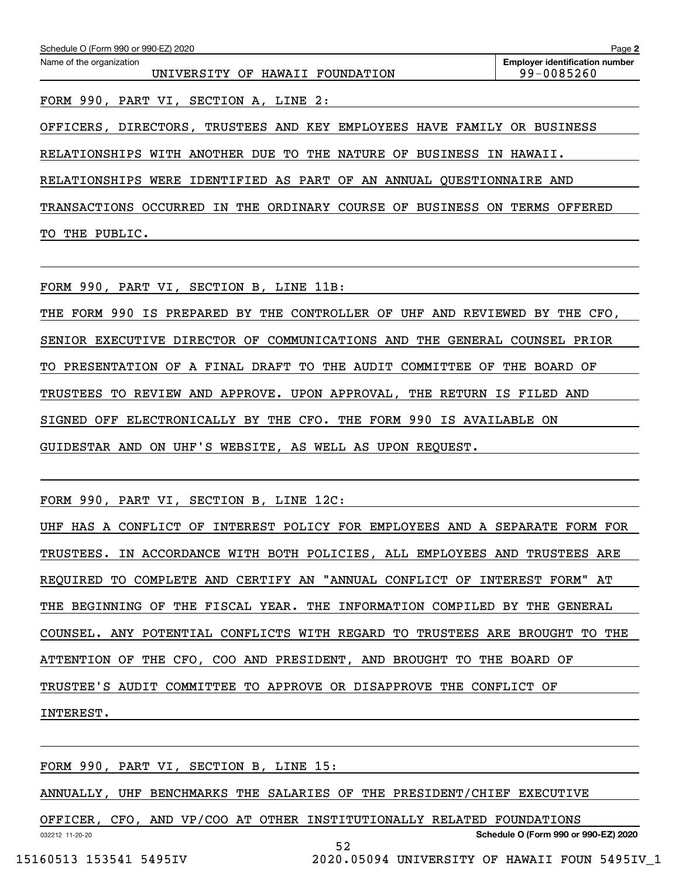| Schedule O (Form 990 or 990-EZ) 2020                                    | Page 2                                              |
|-------------------------------------------------------------------------|-----------------------------------------------------|
| Name of the organization<br>UNIVERSITY OF HAWAII FOUNDATION             | <b>Employer identification number</b><br>99-0085260 |
| FORM 990, PART VI, SECTION A, LINE 2:                                   |                                                     |
| OFFICERS, DIRECTORS, TRUSTEES AND KEY EMPLOYEES HAVE FAMILY OR BUSINESS |                                                     |
| RELATIONSHIPS WITH ANOTHER DUE TO THE NATURE OF BUSINESS                | HAWAII.<br>IN.                                      |
| RELATIONSHIPS WERE IDENTIFIED AS PART OF AN ANNUAL OUESTIONNAIRE AND    |                                                     |
| TRANSACTIONS OCCURRED IN THE ORDINARY COURSE OF BUSINESS ON             | TERMS<br>OFFERED                                    |
| PUBLIC.<br>THE<br>TО                                                    |                                                     |

FORM 990, PART VI, SECTION B, LINE 11B:

THE FORM 990 IS PREPARED BY THE CONTROLLER OF UHF AND REVIEWED BY THE CFO, SENIOR EXECUTIVE DIRECTOR OF COMMUNICATIONS AND THE GENERAL COUNSEL PRIOR TO PRESENTATION OF A FINAL DRAFT TO THE AUDIT COMMITTEE OF THE BOARD OF TRUSTEES TO REVIEW AND APPROVE. UPON APPROVAL, THE RETURN IS FILED AND SIGNED OFF ELECTRONICALLY BY THE CFO. THE FORM 990 IS AVAILABLE ON GUIDESTAR AND ON UHF'S WEBSITE, AS WELL AS UPON REQUEST.

FORM 990, PART VI, SECTION B, LINE 12C:

UHF HAS A CONFLICT OF INTEREST POLICY FOR EMPLOYEES AND A SEPARATE FORM FOR TRUSTEES. IN ACCORDANCE WITH BOTH POLICIES, ALL EMPLOYEES AND TRUSTEES ARE REQUIRED TO COMPLETE AND CERTIFY AN "ANNUAL CONFLICT OF INTEREST FORM" AT THE BEGINNING OF THE FISCAL YEAR. THE INFORMATION COMPILED BY THE GENERAL COUNSEL. ANY POTENTIAL CONFLICTS WITH REGARD TO TRUSTEES ARE BROUGHT TO THE ATTENTION OF THE CFO, COO AND PRESIDENT, AND BROUGHT TO THE BOARD OF TRUSTEE'S AUDIT COMMITTEE TO APPROVE OR DISAPPROVE THE CONFLICT OF INTEREST.

FORM 990, PART VI, SECTION B, LINE 15:

ANNUALLY, UHF BENCHMARKS THE SALARIES OF THE PRESIDENT/CHIEF EXECUTIVE

032212 11-20-20 **Schedule O (Form 990 or 990-EZ) 2020** OFFICER, CFO, AND VP/COO AT OTHER INSTITUTIONALLY RELATED FOUNDATIONS 52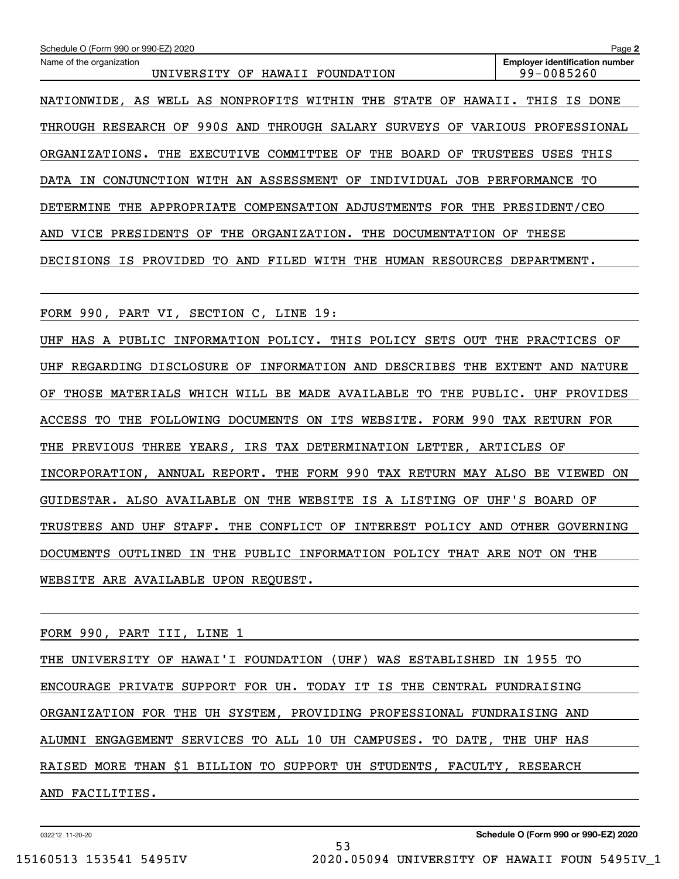| UNIVERSITY OF HAWAII FOUNDATION                                                | 99-0085260                                                               |  |  |  |  |
|--------------------------------------------------------------------------------|--------------------------------------------------------------------------|--|--|--|--|
| NATIONWIDE, AS WELL AS NONPROFITS WITHIN THE STATE OF HAWAII. THIS IS DONE     |                                                                          |  |  |  |  |
| THROUGH RESEARCH OF 990S AND THROUGH SALARY SURVEYS OF VARIOUS PROFESSIONAL    |                                                                          |  |  |  |  |
| ORGANIZATIONS. THE EXECUTIVE COMMITTEE OF THE BOARD OF TRUSTEES USES THIS      |                                                                          |  |  |  |  |
| DATA IN CONJUNCTION WITH AN ASSESSMENT OF INDIVIDUAL JOB PERFORMANCE TO        |                                                                          |  |  |  |  |
| DETERMINE THE APPROPRIATE COMPENSATION ADJUSTMENTS FOR THE PRESIDENT/CEO       |                                                                          |  |  |  |  |
| AND VICE PRESIDENTS OF THE ORGANIZATION. THE DOCUMENTATION OF THESE            |                                                                          |  |  |  |  |
| DECISIONS IS PROVIDED TO AND FILED WITH THE HUMAN RESOURCES DEPARTMENT.        |                                                                          |  |  |  |  |
|                                                                                |                                                                          |  |  |  |  |
| FORM 990, PART VI, SECTION C, LINE 19:                                         |                                                                          |  |  |  |  |
| UHF HAS A PUBLIC INFORMATION POLICY. THIS POLICY SETS OUT THE PRACTICES OF     |                                                                          |  |  |  |  |
| REGARDING DISCLOSURE OF INFORMATION AND DESCRIBES THE EXTENT AND NATURE<br>UHF |                                                                          |  |  |  |  |
| ОF                                                                             | THOSE MATERIALS WHICH WILL BE MADE AVAILABLE TO THE PUBLIC. UHF PROVIDES |  |  |  |  |
| ACCESS TO THE FOLLOWING DOCUMENTS ON ITS WEBSITE. FORM 990 TAX RETURN FOR      |                                                                          |  |  |  |  |
|                                                                                | THE PREVIOUS THREE YEARS, IRS TAX DETERMINATION LETTER, ARTICLES OF      |  |  |  |  |
| INCORPORATION, ANNUAL REPORT. THE FORM 990 TAX RETURN MAY ALSO BE VIEWED ON    |                                                                          |  |  |  |  |
| GUIDESTAR. ALSO AVAILABLE ON THE WEBSITE IS A LISTING OF UHF'S BOARD OF        |                                                                          |  |  |  |  |
| TRUSTEES AND UHF STAFF. THE CONFLICT OF INTEREST POLICY AND OTHER GOVERNING    |                                                                          |  |  |  |  |
| DOCUMENTS OUTLINED IN THE PUBLIC INFORMATION POLICY THAT ARE NOT ON THE        |                                                                          |  |  |  |  |
| WEBSITE ARE AVAILABLE UPON REQUEST.                                            |                                                                          |  |  |  |  |
|                                                                                |                                                                          |  |  |  |  |
| FORM 990, PART III, LINE 1                                                     |                                                                          |  |  |  |  |
| THE UNIVERSITY OF HAWAI'I FOUNDATION (UHF) WAS ESTABLISHED IN 1955 TO          |                                                                          |  |  |  |  |
| ENCOURAGE PRIVATE SUPPORT FOR UH. TODAY IT IS THE CENTRAL FUNDRAISING          |                                                                          |  |  |  |  |
| ORGANIZATION FOR THE UH SYSTEM, PROVIDING PROFESSIONAL FUNDRAISING AND         |                                                                          |  |  |  |  |
| ALUMNI ENGAGEMENT SERVICES TO ALL 10 UH CAMPUSES. TO DATE, THE UHF HAS         |                                                                          |  |  |  |  |
| RAISED MORE THAN \$1 BILLION TO SUPPORT UH STUDENTS, FACULTY, RESEARCH         |                                                                          |  |  |  |  |
| AND FACILITIES.                                                                |                                                                          |  |  |  |  |
|                                                                                |                                                                          |  |  |  |  |

53

Echedule O (Form 990 or 990-EZ) 2020<br>Name of the organization **number** Name of the organization **number** 

032212 11-20-20

**2**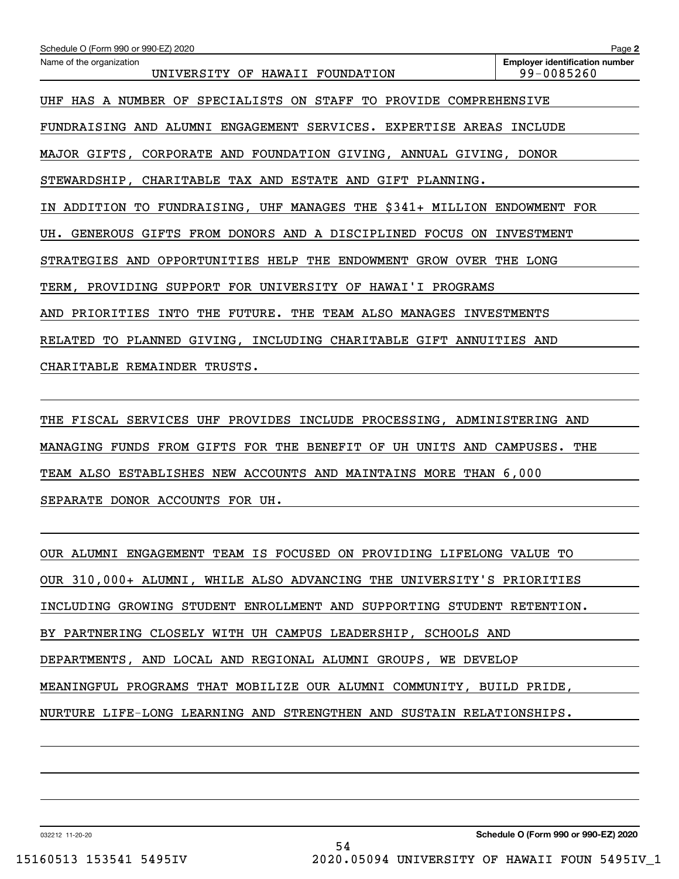| Schedule O (Form 990 or 990-EZ) 2020                                     | Page 2                                              |
|--------------------------------------------------------------------------|-----------------------------------------------------|
| Name of the organization<br>UNIVERSITY OF HAWAII FOUNDATION              | <b>Employer identification number</b><br>99-0085260 |
| SPECIALISTS ON STAFF TO PROVIDE COMPREHENSIVE<br>HAS A NUMBER OF<br>UHF  |                                                     |
| FUNDRAISING AND ALUMNI ENGAGEMENT SERVICES. EXPERTISE AREAS INCLUDE      |                                                     |
| MAJOR GIFTS, CORPORATE AND FOUNDATION GIVING, ANNUAL GIVING, DONOR       |                                                     |
| STEWARDSHIP, CHARITABLE TAX AND ESTATE AND GIFT PLANNING.                |                                                     |
| IN ADDITION TO FUNDRAISING, UHF MANAGES THE \$341+ MILLION ENDOWMENT FOR |                                                     |
| GENEROUS GIFTS FROM DONORS AND A DISCIPLINED FOCUS ON<br>UH.             | INVESTMENT                                          |
| STRATEGIES AND OPPORTUNITIES HELP THE ENDOWMENT<br>GROW OVER THE LONG    |                                                     |
| SUPPORT FOR UNIVERSITY OF HAWAI'I PROGRAMS<br>TERM,<br>PROVIDING         |                                                     |
| AND PRIORITIES INTO THE FUTURE. THE TEAM ALSO MANAGES INVESTMENTS        |                                                     |
| RELATED TO PLANNED GIVING, INCLUDING CHARITABLE GIFT ANNUITIES AND       |                                                     |
| CHARITABLE REMAINDER TRUSTS.                                             |                                                     |

THE FISCAL SERVICES UHF PROVIDES INCLUDE PROCESSING, ADMINISTERING AND MANAGING FUNDS FROM GIFTS FOR THE BENEFIT OF UH UNITS AND CAMPUSES. THE TEAM ALSO ESTABLISHES NEW ACCOUNTS AND MAINTAINS MORE THAN 6,000 SEPARATE DONOR ACCOUNTS FOR UH.

OUR ALUMNI ENGAGEMENT TEAM IS FOCUSED ON PROVIDING LIFELONG VALUE TO OUR 310,000+ ALUMNI, WHILE ALSO ADVANCING THE UNIVERSITY'S PRIORITIES INCLUDING GROWING STUDENT ENROLLMENT AND SUPPORTING STUDENT RETENTION. BY PARTNERING CLOSELY WITH UH CAMPUS LEADERSHIP, SCHOOLS AND DEPARTMENTS, AND LOCAL AND REGIONAL ALUMNI GROUPS, WE DEVELOP MEANINGFUL PROGRAMS THAT MOBILIZE OUR ALUMNI COMMUNITY, BUILD PRIDE, NURTURE LIFE-LONG LEARNING AND STRENGTHEN AND SUSTAIN RELATIONSHIPS.

54

032212 11-20-20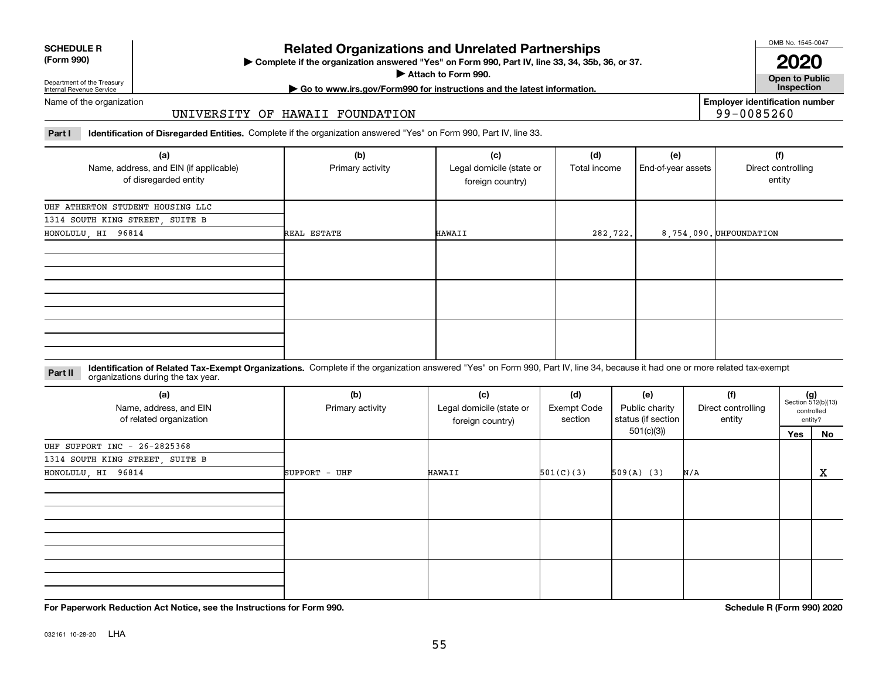| <b>SCHEDULE R</b>                          |  |
|--------------------------------------------|--|
| $\mathbf{r}$ , $\mathbf{r}$ , $\mathbf{r}$ |  |

### **(Form 990)**

# **Related Organizations and Unrelated Partnerships**

**Complete if the organization answered "Yes" on Form 990, Part IV, line 33, 34, 35b, 36, or 37.** |

**Attach to Form 990.**  |

OMB No. 1545-0047

**Open to Public 2020**

**Employer identification number**

99-0085260

Department of the Treasury Internal Revenue Service

# **| Go to www.irs.gov/Form990 for instructions and the latest information. Inspection**

Name of the organization

### UNIVERSITY OF HAWAII FOUNDATION

**Part I Identification of Disregarded Entities.**  Complete if the organization answered "Yes" on Form 990, Part IV, line 33.

| (a)<br>Name, address, and EIN (if applicable)<br>of disregarded entity | (b)<br>Primary activity | (c)<br>Legal domicile (state or<br>foreign country) | (d)<br>Total income | (e)<br>End-of-year assets | (f)<br>Direct controlling<br>entity |
|------------------------------------------------------------------------|-------------------------|-----------------------------------------------------|---------------------|---------------------------|-------------------------------------|
| UHF ATHERTON STUDENT HOUSING LLC                                       |                         |                                                     |                     |                           |                                     |
| 1314 SOUTH KING STREET, SUITE B                                        |                         |                                                     |                     |                           |                                     |
| HONOLULU, HI 96814                                                     | REAL ESTATE             | HAWAII                                              | 282, 722.           |                           | 8,754,090. UHFOUNDATION             |
|                                                                        |                         |                                                     |                     |                           |                                     |
|                                                                        |                         |                                                     |                     |                           |                                     |
|                                                                        |                         |                                                     |                     |                           |                                     |

**Identification of Related Tax-Exempt Organizations.** Complete if the organization answered "Yes" on Form 990, Part IV, line 34, because it had one or more related tax-exempt **Part II** organizations during the tax year.

| (a)<br>Name, address, and EIN<br>of related organization | (b)<br>(c)<br>Legal domicile (state or<br>Primary activity<br>foreign country) |        | (d)<br><b>Exempt Code</b><br>section | (e)<br>Public charity<br>status (if section | (f)<br>Direct controlling<br>entity |     | $(g)$<br>Section 512(b)(13)<br>controlled<br>entity? |  |
|----------------------------------------------------------|--------------------------------------------------------------------------------|--------|--------------------------------------|---------------------------------------------|-------------------------------------|-----|------------------------------------------------------|--|
|                                                          |                                                                                |        | 501(c)(3)                            |                                             |                                     | Yes | No                                                   |  |
| UHF SUPPORT INC - 26-2825368                             |                                                                                |        |                                      |                                             |                                     |     |                                                      |  |
| 1314 SOUTH KING STREET, SUITE B                          |                                                                                |        |                                      |                                             |                                     |     |                                                      |  |
| HONOLULU, HI 96814                                       | SUPPORT - UHF                                                                  | HAWAII | 501(C)(3)                            | $509(A)$ (3)                                | N/A                                 |     | X                                                    |  |
|                                                          |                                                                                |        |                                      |                                             |                                     |     |                                                      |  |
|                                                          |                                                                                |        |                                      |                                             |                                     |     |                                                      |  |
|                                                          |                                                                                |        |                                      |                                             |                                     |     |                                                      |  |

**For Paperwork Reduction Act Notice, see the Instructions for Form 990. Schedule R (Form 990) 2020**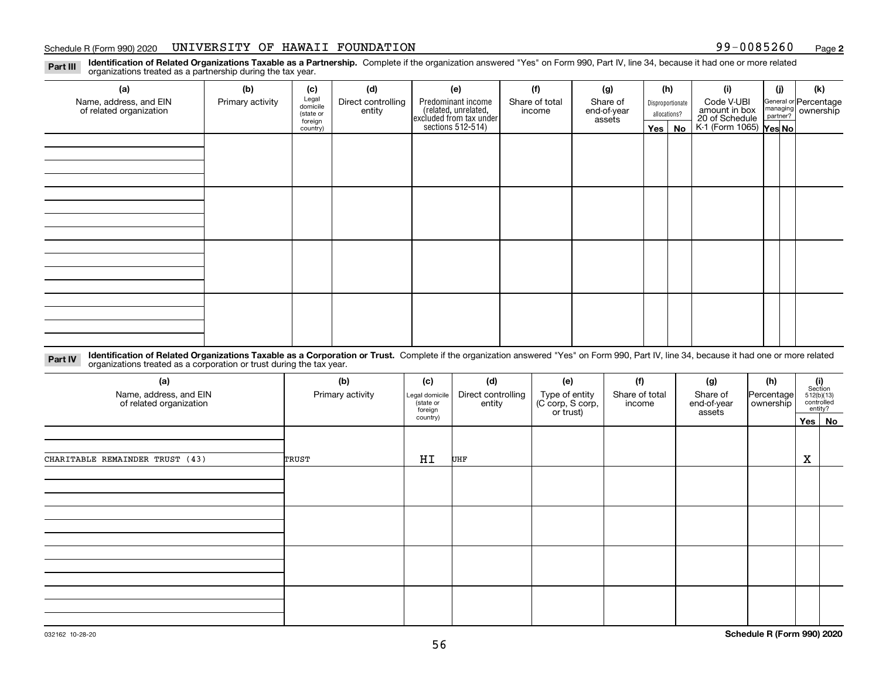### Schedule R (Form 990) 2020 UNIVERSITY OF HAWAII FOUNDATION 99-0085260 Page

**2**

**Identification of Related Organizations Taxable as a Partnership.** Complete if the organization answered "Yes" on Form 990, Part IV, line 34, because it had one or more related **Part III** organizations treated as a partnership during the tax year.

| (a)                                               | (b)              | (c)                  | (d)                | (e)                                                                 | (f)                      | (g)                     |                                  | (h) | (i)                                      | (j) | (k)                                                     |
|---------------------------------------------------|------------------|----------------------|--------------------|---------------------------------------------------------------------|--------------------------|-------------------------|----------------------------------|-----|------------------------------------------|-----|---------------------------------------------------------|
| Name, address, and EIN<br>of related organization | Primary activity | Legal<br>domicile    | Direct controlling | Predominant income                                                  | Share of total<br>income | Share of<br>end-of-year | Disproportionate<br>allocations? |     | Code V-UBI<br>amount in box              |     | General or Percentage<br>managing ownership<br>partner? |
|                                                   |                  | (state or<br>foreign | entity             | related, unrelated,<br>excluded from tax under<br>sections 512-514) |                          | assets                  |                                  |     | 20 of Schedule<br>K-1 (Form 1065) Yes No |     |                                                         |
|                                                   |                  | country)             |                    |                                                                     |                          |                         | Yes $ $                          | No  |                                          |     |                                                         |
|                                                   |                  |                      |                    |                                                                     |                          |                         |                                  |     |                                          |     |                                                         |
|                                                   |                  |                      |                    |                                                                     |                          |                         |                                  |     |                                          |     |                                                         |
|                                                   |                  |                      |                    |                                                                     |                          |                         |                                  |     |                                          |     |                                                         |
|                                                   |                  |                      |                    |                                                                     |                          |                         |                                  |     |                                          |     |                                                         |
|                                                   |                  |                      |                    |                                                                     |                          |                         |                                  |     |                                          |     |                                                         |
|                                                   |                  |                      |                    |                                                                     |                          |                         |                                  |     |                                          |     |                                                         |
|                                                   |                  |                      |                    |                                                                     |                          |                         |                                  |     |                                          |     |                                                         |
|                                                   |                  |                      |                    |                                                                     |                          |                         |                                  |     |                                          |     |                                                         |
|                                                   |                  |                      |                    |                                                                     |                          |                         |                                  |     |                                          |     |                                                         |
|                                                   |                  |                      |                    |                                                                     |                          |                         |                                  |     |                                          |     |                                                         |
|                                                   |                  |                      |                    |                                                                     |                          |                         |                                  |     |                                          |     |                                                         |
|                                                   |                  |                      |                    |                                                                     |                          |                         |                                  |     |                                          |     |                                                         |
|                                                   |                  |                      |                    |                                                                     |                          |                         |                                  |     |                                          |     |                                                         |
|                                                   |                  |                      |                    |                                                                     |                          |                         |                                  |     |                                          |     |                                                         |
|                                                   |                  |                      |                    |                                                                     |                          |                         |                                  |     |                                          |     |                                                         |
|                                                   |                  |                      |                    |                                                                     |                          |                         |                                  |     |                                          |     |                                                         |
|                                                   |                  |                      |                    |                                                                     |                          |                         |                                  |     |                                          |     |                                                         |

**Identification of Related Organizations Taxable as a Corporation or Trust.** Complete if the organization answered "Yes" on Form 990, Part IV, line 34, because it had one or more related **Part IV** organizations treated as a corporation or trust during the tax year.

| (a)<br>Name, address, and EIN<br>of related organization | (b)<br>Primary activity | (c)<br>Legal domicile<br>(state or<br>foreign | (d)<br>Direct controlling<br>entity | (e)<br>Type of entity<br>(C corp, S corp,<br>or trust) | (f)<br>Share of total<br>income | (g)<br>Share of<br>end-of-year<br>assets | (h)<br> Percentage <br>ownership | (i)<br>Section<br>512(b)(13)<br>controlled | entity?   |
|----------------------------------------------------------|-------------------------|-----------------------------------------------|-------------------------------------|--------------------------------------------------------|---------------------------------|------------------------------------------|----------------------------------|--------------------------------------------|-----------|
|                                                          |                         | country)                                      |                                     |                                                        |                                 |                                          |                                  | $Yes \mid$                                 | <b>No</b> |
|                                                          |                         |                                               |                                     |                                                        |                                 |                                          |                                  |                                            |           |
| CHARITABLE REMAINDER TRUST (43)                          | TRUST                   | HI                                            | UHF                                 |                                                        |                                 |                                          |                                  | $\mathbf X$                                |           |
|                                                          |                         |                                               |                                     |                                                        |                                 |                                          |                                  |                                            |           |
|                                                          |                         |                                               |                                     |                                                        |                                 |                                          |                                  |                                            |           |
|                                                          |                         |                                               |                                     |                                                        |                                 |                                          |                                  |                                            |           |
|                                                          |                         |                                               |                                     |                                                        |                                 |                                          |                                  |                                            |           |
|                                                          |                         |                                               |                                     |                                                        |                                 |                                          |                                  |                                            |           |
|                                                          |                         |                                               |                                     |                                                        |                                 |                                          |                                  |                                            |           |
|                                                          |                         |                                               |                                     |                                                        |                                 |                                          |                                  |                                            |           |
|                                                          |                         |                                               |                                     |                                                        |                                 |                                          |                                  |                                            |           |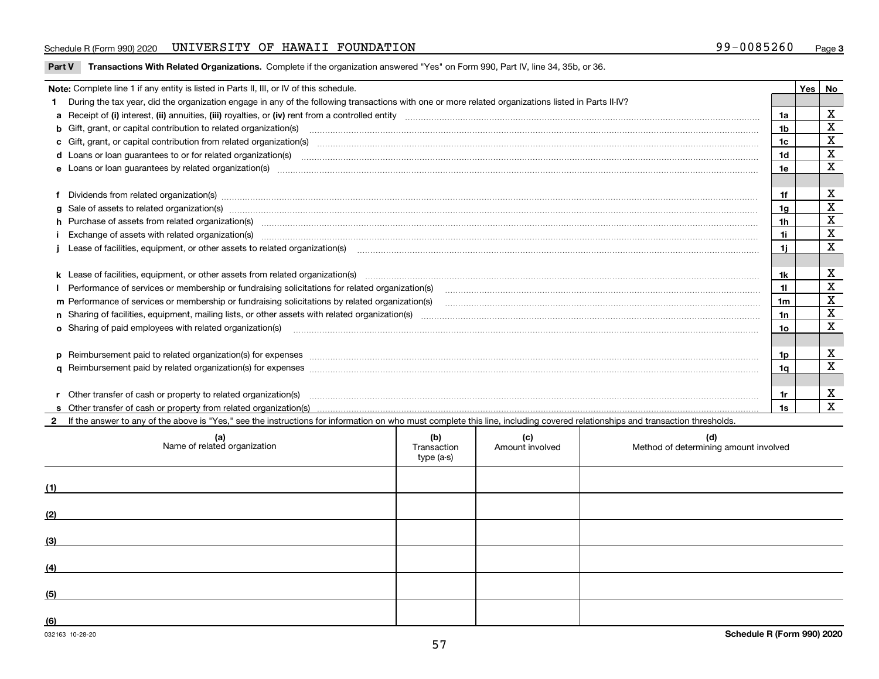### Schedule R (Form 990) 2020 UNIVERSITY OF HAWAII FOUNDATION 99-0085260 Page

| Part V Transactions With Related Organizations. Complete if the organization answered "Yes" on Form 990, Part IV, line 34, 35b, or 36. |  |
|----------------------------------------------------------------------------------------------------------------------------------------|--|
|                                                                                                                                        |  |

| Note: Complete line 1 if any entity is listed in Parts II, III, or IV of this schedule.                                                                                                                                        |                | Yes l | No                      |
|--------------------------------------------------------------------------------------------------------------------------------------------------------------------------------------------------------------------------------|----------------|-------|-------------------------|
| During the tax year, did the organization engage in any of the following transactions with one or more related organizations listed in Parts II-IV?                                                                            |                |       |                         |
|                                                                                                                                                                                                                                | 1a             |       | X                       |
| b Gift, grant, or capital contribution to related organization(s) manufactured and contribution to related organization(s)                                                                                                     | 1b             |       | X                       |
| c Gift, grant, or capital contribution from related organization(s) material content and contribution from related organization(s) material content and content and contribution from related organization(s) material content | 1c             |       | $\mathbf X$             |
|                                                                                                                                                                                                                                | 1d             |       | X                       |
|                                                                                                                                                                                                                                | 1e             |       | X                       |
|                                                                                                                                                                                                                                |                |       |                         |
| Dividends from related organization(s) manufactured and contract and contract or produced and contract and contract and contract and contract and contract and contract and contract and contract and contract and contract an | 1f             |       | х                       |
| g Sale of assets to related organization(s) www.assettion.com/www.assettion.com/www.assettion.com/www.assettion.com/www.assettion.com/www.assettion.com/www.assettion.com/www.assettion.com/www.assettion.com/www.assettion.co | 1g             |       | X                       |
| h Purchase of assets from related organization(s) manufactured and content to content the content of assets from related organization(s)                                                                                       | 1 <sub>h</sub> |       | X                       |
| Exchange of assets with related organization(s) www.wallen.com/www.wallen.com/www.wallen.com/www.wallen.com/www.wallen.com/www.wallen.com/www.wallen.com/www.wallen.com/www.wallen.com/www.wallen.com/www.wallen.com/www.walle | 1i.            |       | X                       |
| Lease of facilities, equipment, or other assets to related organization(s) contained and contained and contained and contained and contained and contained and contained and contained and contained and contained and contain | 11             |       | X                       |
|                                                                                                                                                                                                                                |                |       |                         |
|                                                                                                                                                                                                                                | 1k             |       | х                       |
| Performance of services or membership or fundraising solicitations for related organization(s) [11] processors content in the content of services or membership or fundraising solicitations for related organization(s) [11]  | 11             |       | X                       |
| m Performance of services or membership or fundraising solicitations by related organization(s)                                                                                                                                | 1 <sub>m</sub> |       | $\mathbf X$             |
|                                                                                                                                                                                                                                | 1n             |       | $\mathbf x$             |
| <b>o</b> Sharing of paid employees with related organization(s)                                                                                                                                                                | 1o             |       | X                       |
|                                                                                                                                                                                                                                |                |       |                         |
| p Reimbursement paid to related organization(s) for expenses [11111] and the content of the content of the content of the content of the content of the content of the content of the content of the content of the content of | 1p             |       | х                       |
|                                                                                                                                                                                                                                | 1q             |       | $\overline{\mathbf{x}}$ |
|                                                                                                                                                                                                                                |                |       |                         |
| Other transfer of cash or property to related organization(s)                                                                                                                                                                  | 1r             |       | X                       |
|                                                                                                                                                                                                                                | 1s             |       | $\mathbf{x}$            |
| If the answer to any of the above is "Yes," see the instructions for information on who must complete this line, including covered relationships and transaction thresholds.                                                   |                |       |                         |

| (a)<br>Name of related organization | (b)<br>Transaction<br>type (a-s) | (c)<br>Amount involved | (d)<br>Method of determining amount involved |
|-------------------------------------|----------------------------------|------------------------|----------------------------------------------|
| (1)                                 |                                  |                        |                                              |
| (2)                                 |                                  |                        |                                              |
| (3)                                 |                                  |                        |                                              |
| (4)                                 |                                  |                        |                                              |
| (5)                                 |                                  |                        |                                              |
| (6)                                 |                                  |                        |                                              |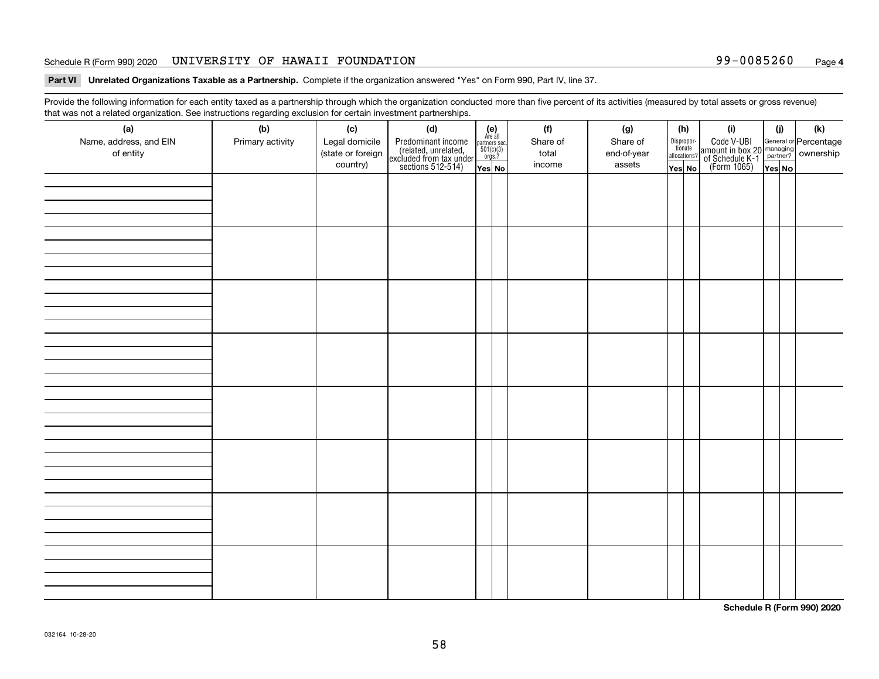### Schedule R (Form 990) 2020 UNIVERSITY OF HAWAII FOUNDATION 99-0085260 Page

**Part VI Unrelated Organizations Taxable as a Partnership. Complete if the organization answered "Yes" on Form 990, Part IV, line 37.** 

Provide the following information for each entity taxed as a partnership through which the organization conducted more than five percent of its activities (measured by total assets or gross revenue) that was not a related organization. See instructions regarding exclusion for certain investment partnerships.

| - - - - -<br>(a)<br>Name, address, and EIN<br>of entity | ----- <del>-</del> -------<br>(b)<br>Primary activity | (c)<br>Legal domicile<br>(state or foreign<br>country) | (d)<br>Predominant income<br>(related, unrelated,<br>excluded from tax under<br>sections 512-514) | (e)<br>Are all<br>partners sec.<br>$501(c)(3)$<br>orgs.?<br>Yes No | (f)<br>Share of<br>total<br>income | (g)<br>Share of<br>end-of-year<br>assets | (h)<br>Dispropor-<br>tionate<br>allocations?<br>Yes No | (i)<br>Code V-UBI<br>amount in box 20 managing<br>of Schedule K-1<br>(Form 1065)<br>$\overline{Yes}$ No | (i)<br>Yes No | (k) |
|---------------------------------------------------------|-------------------------------------------------------|--------------------------------------------------------|---------------------------------------------------------------------------------------------------|--------------------------------------------------------------------|------------------------------------|------------------------------------------|--------------------------------------------------------|---------------------------------------------------------------------------------------------------------|---------------|-----|
|                                                         |                                                       |                                                        |                                                                                                   |                                                                    |                                    |                                          |                                                        |                                                                                                         |               |     |
|                                                         |                                                       |                                                        |                                                                                                   |                                                                    |                                    |                                          |                                                        |                                                                                                         |               |     |
|                                                         |                                                       |                                                        |                                                                                                   |                                                                    |                                    |                                          |                                                        |                                                                                                         |               |     |
|                                                         |                                                       |                                                        |                                                                                                   |                                                                    |                                    |                                          |                                                        |                                                                                                         |               |     |
|                                                         |                                                       |                                                        |                                                                                                   |                                                                    |                                    |                                          |                                                        |                                                                                                         |               |     |
|                                                         |                                                       |                                                        |                                                                                                   |                                                                    |                                    |                                          |                                                        |                                                                                                         |               |     |
|                                                         |                                                       |                                                        |                                                                                                   |                                                                    |                                    |                                          |                                                        |                                                                                                         |               |     |
|                                                         |                                                       |                                                        |                                                                                                   |                                                                    |                                    |                                          |                                                        |                                                                                                         |               |     |

**Schedule R (Form 990) 2020**